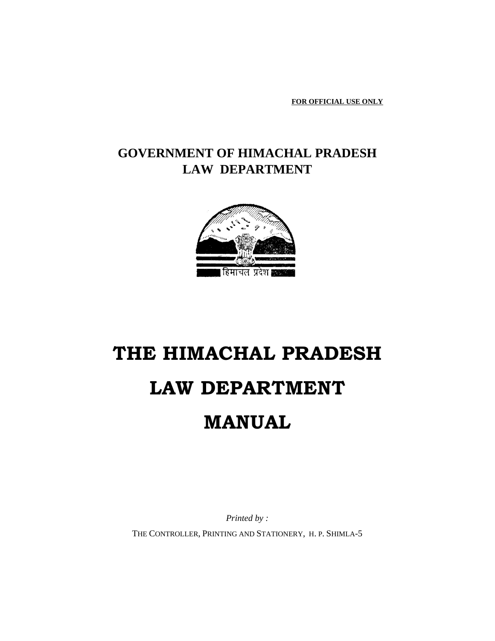**FOR OFFICIAL USE ONLY**

## **GOVERNMENT OF HIMACHAL PRADESH LAW DEPARTMENT**



# **THE HIMACHAL PRADESH LAW DEPARTMENT MANUAL**

*Printed by :* THE CONTROLLER, PRINTING AND STATIONERY, H. P. SHIMLA-5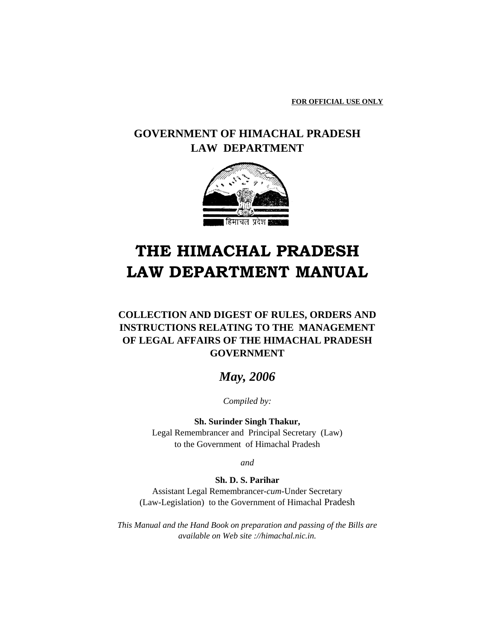**FOR OFFICIAL USE ONLY**

## **GOVERNMENT OF HIMACHAL PRADESH LAW DEPARTMENT**



## **THE HIMACHAL PRADESH LAW DEPARTMENT MANUAL**

## **COLLECTION AND DIGEST OF RULES, ORDERS AND INSTRUCTIONS RELATING TO THE MANAGEMENT OF LEGAL AFFAIRS OF THE HIMACHAL PRADESH GOVERNMENT**

## *May, 2006*

*Compiled by:*

**Sh. Surinder Singh Thakur,** Legal Remembrancer and Principal Secretary (Law) to the Government of Himachal Pradesh

*and*

### **Sh. D. S. Parihar**

Assistant Legal Remembrancer-*cum*-Under Secretary (Law-Legislation) to the Government of Himachal Pradesh

*This Manual and the Hand Book on preparation and passing of the Bills are available on Web site ://himachal.nic.in.*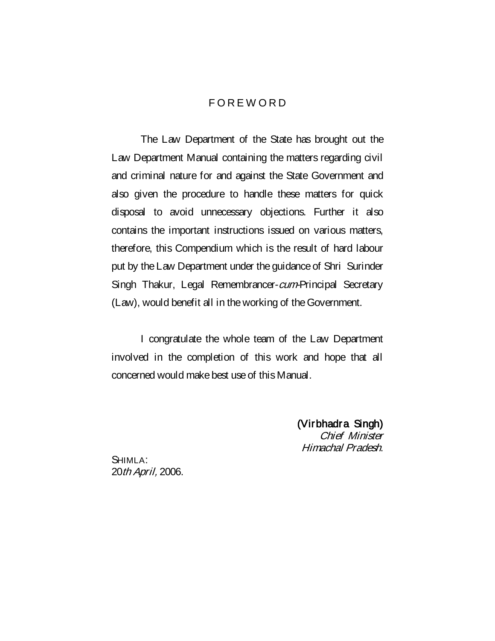## **FOREWORD**

The Law Department of the State has brought out the Law Department Manual containing the matters regarding civil and criminal nature for and against the State Government and also given the procedure to handle these matters for quick disposal to avoid unnecessary objections. Further it also contains the important instructions issued on various matters, therefore, this Compendium which is the result of hard labour put by the Law Department under the guidance of Shri Surinder Singh Thakur, Legal Remembrancer-cum-Principal Secretary (Law), would benefit all in the working of the Government.

I congratulate the whole team of the Law Department involved in the completion of this work and hope that all concerned would make best use of this Manual.

> (Virbhadra Singh) Chief Minister Himachal Pradesh.

SHIMLA: 20th April, 2006.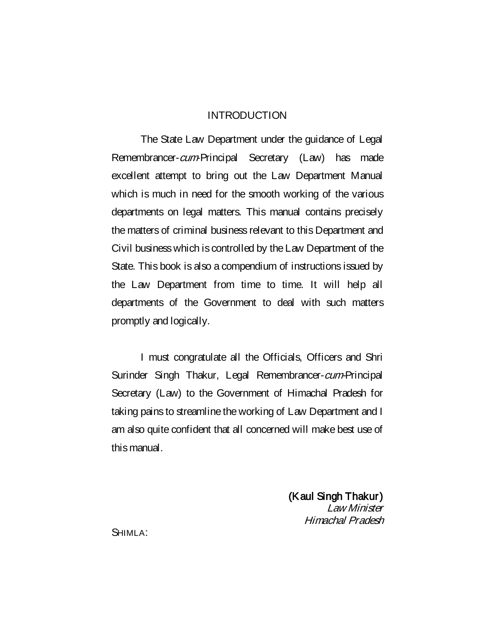## INTRODUCTION

The State Law Department under the guidance of Legal Remembrancer-*cum*-Principal Secretary (Law) has made excellent attempt to bring out the Law Department Manual which is much in need for the smooth working of the various departments on legal matters. This manual contains precisely the matters of criminal business relevant to this Department and Civil business which is controlled by the Law Department of the State. This book is also a compendium of instructions issued by the Law Department from time to time. It will help all departments of the Government to deal with such matters promptly and logically.

I must congratulate all the Officials, Officers and Shri Surinder Singh Thakur, Legal Remembrancer-cum-Principal Secretary (Law) to the Government of Himachal Pradesh for taking pains to streamline the working of Law Department and I am also quite confident that all concerned will make best use of this manual.

> (Kaul Singh Thakur) Law Minister Himachal Pradesh

SHIMLA: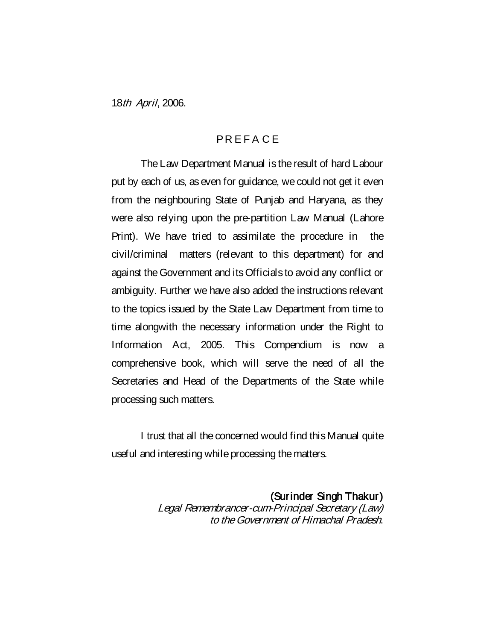18th April, 2006.

## PR E F A C E

The Law Department Manual is the result of hard Labour put by each of us, as even for guidance, we could not get it even from the neighbouring State of Punjab and Haryana, as they were also relying upon the pre-partition Law Manual (Lahore Print). We have tried to assimilate the procedure in the civil/criminal matters (relevant to this department) for and against the Government and its Officials to avoid any conflict or ambiguity. Further we have also added the instructions relevant to the topics issued by the State Law Department from time to time alongwith the necessary information under the Right to Information Act, 2005. This Compendium is now a comprehensive book, which will serve the need of all the Secretaries and Head of the Departments of the State while processing such matters.

I trust that all the concerned would find this Manual quite useful and interesting while processing the matters.

> (Surinder Singh Thakur) Legal Remembrancer-cum-Principal Secretary (Law) to the Government of Himachal Pradesh.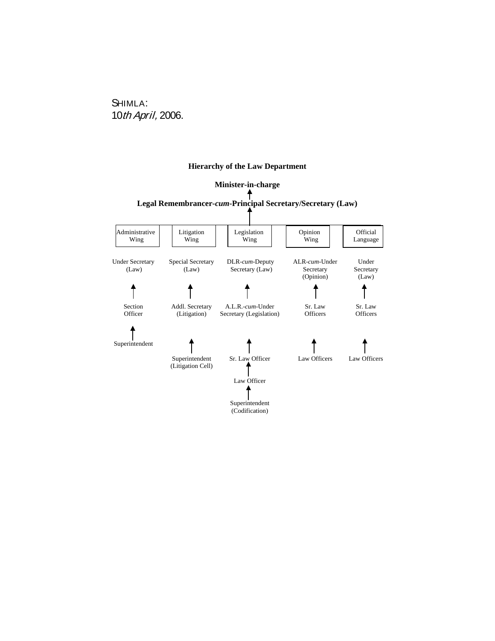## SHIMLA: 10th April, 2006.

#### **Hierarchy of the Law Department**

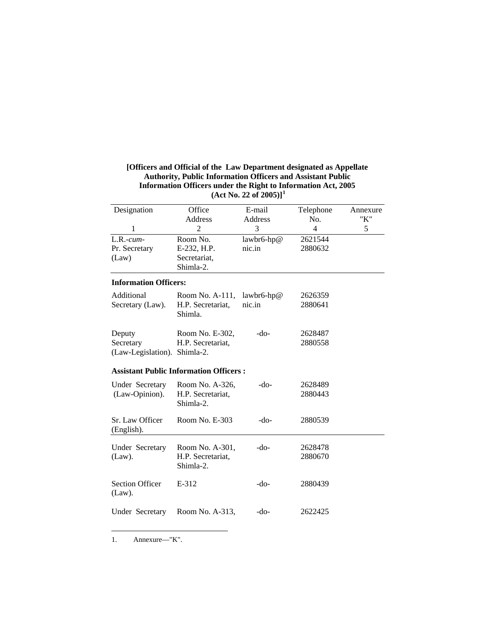| [Officers and Official of the Law Department designated as Appellate |
|----------------------------------------------------------------------|
| <b>Authority, Public Information Officers and Assistant Public</b>   |
| Information Officers under the Right to Information Act, 2005        |
| (Act No. 22 of 2005)] <sup>1</sup>                                   |

| Designation                   | Office                                        | E-mail     | Telephone      | Annexure |
|-------------------------------|-----------------------------------------------|------------|----------------|----------|
|                               | Address                                       | Address    | No.            | "K"      |
| 1                             | $\overline{2}$                                | 3          | $\overline{4}$ | 5        |
| $L.R.-cum-$                   | Room No.                                      | lawbr6-hp@ | 2621544        |          |
| Pr. Secretary                 | E-232, H.P.                                   | nic.in     | 2880632        |          |
| (Law)                         | Secretariat,                                  |            |                |          |
|                               | Shimla-2.                                     |            |                |          |
| <b>Information Officers:</b>  |                                               |            |                |          |
| Additional                    | Room No. A-111,                               | lawbr6-hp@ | 2626359        |          |
| Secretary (Law).              | H.P. Secretariat,                             | nic.in     | 2880641        |          |
|                               | Shimla.                                       |            |                |          |
| Deputy                        | Room No. E-302,                               | $-do-$     | 2628487        |          |
| Secretary                     | H.P. Secretariat,                             |            | 2880558        |          |
| (Law-Legislation). Shimla-2.  |                                               |            |                |          |
|                               | <b>Assistant Public Information Officers:</b> |            |                |          |
| <b>Under Secretary</b>        | Room No. A-326,                               | $-do-$     | 2628489        |          |
| (Law-Opinion).                | H.P. Secretariat,<br>Shimla-2.                |            | 2880443        |          |
|                               |                                               | $-do-$     |                |          |
| Sr. Law Officer<br>(English). | Room No. E-303                                |            | 2880539        |          |
| <b>Under Secretary</b>        | Room No. A-301,                               | $-do-$     | 2628478        |          |
| $(Law)$ .                     | H.P. Secretariat,                             |            | 2880670        |          |
|                               | Shimla-2.                                     |            |                |          |
| <b>Section Officer</b>        | E-312                                         | $-do-$     | 2880439        |          |
| $(Law)$ .                     |                                               |            |                |          |
| Under Secretary               | Room No. A-313,                               | $-do-$     | 2622425        |          |
|                               |                                               |            |                |          |

<span id="page-6-0"></span>1. Annexure—"K".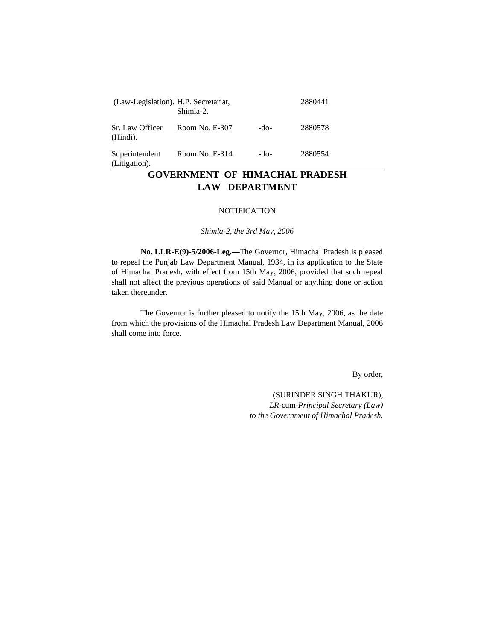| (Law-Legislation). H.P. Secretariat, | Shimla-2.        |      | 2880441 |
|--------------------------------------|------------------|------|---------|
| Sr. Law Officer<br>(Hindi).          | Room No. E-307   | -do- | 2880578 |
| Superintendent<br>(Litigation).      | Room No. $E-314$ | -do- | 2880554 |

## **GOVERNMENT OF HIMACHAL PRADESH LAW DEPARTMENT**

#### **NOTIFICATION**

*Shimla-2, the 3rd May, 2006*

**No. LLR-E(9)-5/2006-Leg.—**The Governor, Himachal Pradesh is pleased to repeal the Punjab Law Department Manual, 1934, in its application to the State of Himachal Pradesh, with effect from 15th May, 2006, provided that such repeal shall not affect the previous operations of said Manual or anything done or action taken thereunder.

The Governor is further pleased to notify the 15th May, 2006, as the date from which the provisions of the Himachal Pradesh Law Department Manual, 2006 shall come into force.

By order,

(SURINDER SINGH THAKUR), *LR-*cum*-Principal Secretary (Law) to the Government of Himachal Pradesh.*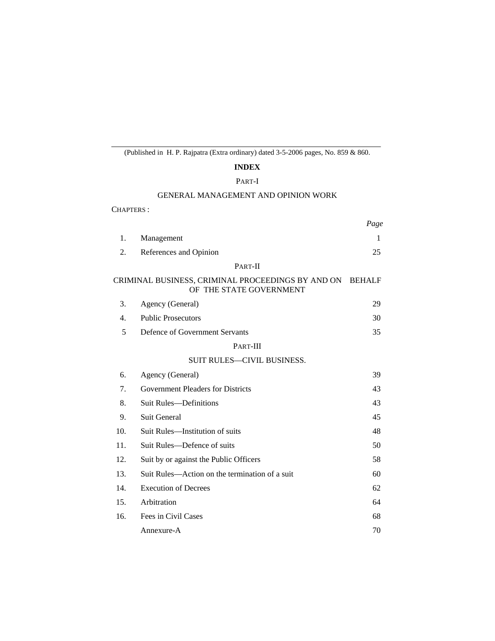## (Published in H. P. Rajpatra (Extra ordinary) dated 3-5-2006 pages, No. 859 & 860.

## **INDEX**

#### PART-I

#### GENERAL MANAGEMENT AND OPINION WORK

CHAPTERS :

|     |                                                                                     | Page |
|-----|-------------------------------------------------------------------------------------|------|
| 1.  | Management                                                                          | 1    |
| 2.  | References and Opinion                                                              | 25   |
|     | PART-II                                                                             |      |
|     | CRIMINAL BUSINESS, CRIMINAL PROCEEDINGS BY AND ON BEHALF<br>OF THE STATE GOVERNMENT |      |
| 3.  | Agency (General)                                                                    | 29   |
| 4.  | <b>Public Prosecutors</b>                                                           | 30   |
| 5   | Defence of Government Servants                                                      | 35   |
|     | PART-III                                                                            |      |
|     | <b>SUIT RULES-CIVIL BUSINESS.</b>                                                   |      |
| 6.  | Agency (General)                                                                    | 39   |
| 7.  | <b>Government Pleaders for Districts</b>                                            | 43   |
| 8.  | <b>Suit Rules—Definitions</b>                                                       | 43   |
| 9.  | <b>Suit General</b>                                                                 | 45   |
| 10. | Suit Rules-Institution of suits                                                     | 48   |
| 11. | Suit Rules-Defence of suits                                                         | 50   |
| 12. | Suit by or against the Public Officers                                              | 58   |
| 13. | Suit Rules—Action on the termination of a suit                                      | 60   |
| 14. | <b>Execution of Decrees</b>                                                         | 62   |
| 15. | Arbitration                                                                         | 64   |
| 16. | Fees in Civil Cases                                                                 | 68   |
|     | Annexure-A                                                                          | 70   |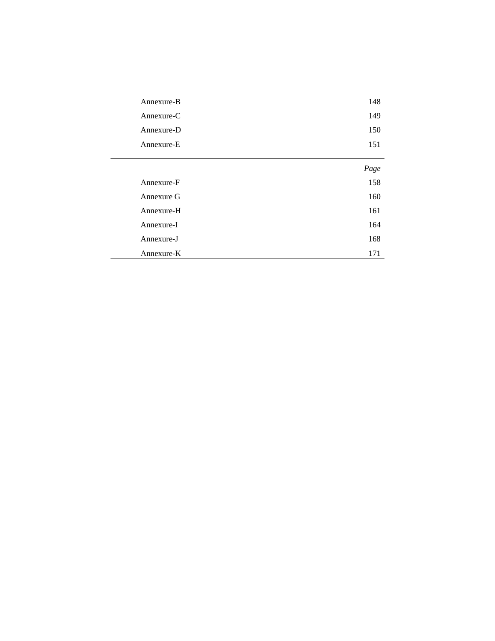| Annexure-B | 148  |
|------------|------|
| Annexure-C | 149  |
| Annexure-D | 150  |
| Annexure-E | 151  |
|            | Page |
| Annexure-F | 158  |
| Annexure G | 160  |
| Annexure-H | 161  |
| Annexure-I | 164  |
| Annexure-J | 168  |
| Annexure-K | 171  |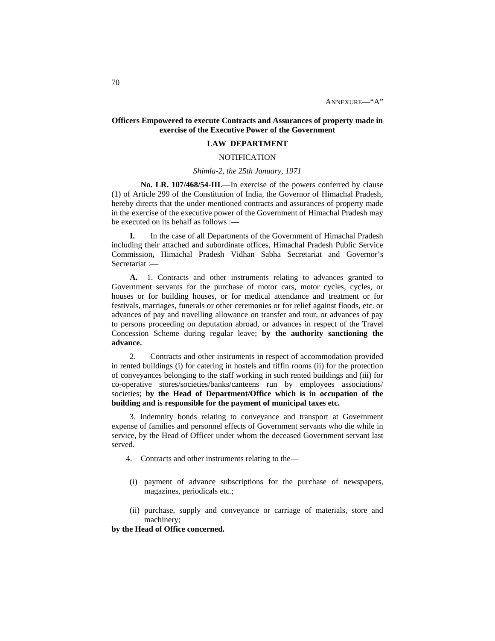#### **Officers Empowered to execute Contracts and Assurances of property made in exercise of the Executive Power of the Government**

#### **LAW DEPARTMENT**

#### **NOTIFICATION**

#### *Shimla-2, the 25th January, 1971*

**No. LR. 107/468/54-III**.—In exercise of the powers conferred by clause (1) of Article 299 of the Constitution of India, the Governor of Himachal Pradesh, hereby directs that the under mentioned contracts and assurances of property made in the exercise of the executive power of the Government of Himachal Pradesh may be executed on its behalf as follows :—

**I.** In the case of all Departments of the Government of Himachal Pradesh including their attached and subordinate offices, Himachal Pradesh Public Service Commission**,** Himachal Pradesh Vidhan Sabha Secretariat and Governor's Secretariat :—

**A.** 1. Contracts and other instruments relating to advances granted to Government servants for the purchase of motor cars, motor cycles, cycles, or houses or for building houses, or for medical attendance and treatment or for festivals, marriages, funerals or other ceremonies or for relief against floods, etc. or advances of pay and travelling allowance on transfer and tour, or advances of pay to persons proceeding on deputation abroad, or advances in respect of the Travel Concession Scheme during regular leave; **by the authority sanctioning the advance.**

2. Contracts and other instruments in respect of accommodation provided in rented buildings (i) for catering in hostels and tiffin rooms (ii) for the protection of conveyances belonging to the staff working in such rented buildings and (iii) for co-operative stores/societies/banks/canteens run by employees associations/ societies; **by the Head of Department/Office which is in occupation of the building and is responsible for the payment of municipal taxes etc.**

3. Indemnity bonds relating to conveyance and transport at Government expense of families and personnel effects of Government servants who die while in service, by the Head of Officer under whom the deceased Government servant last served.

- 4. Contracts and other instruments relating to the—
- (i) payment of advance subscriptions for the purchase of newspapers, magazines, periodicals etc.;
- (ii) purchase, supply and conveyance or carriage of materials, store and machinery;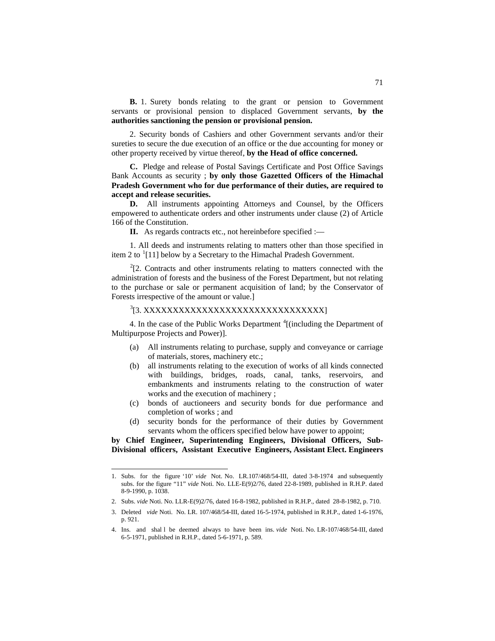**B.** 1. Surety bonds relating to the grant or pension to Government servants or provisional pension to displaced Government servants, **by the authorities sanctioning the pension or provisional pension.**

2. Security bonds of Cashiers and other Government servants and/or their sureties to secure the due execution of an office or the due accounting for money or other property received by virtue thereof, **by the Head of office concerned.**

**C.** Pledge and release of Postal Savings Certificate and Post Office Savings Bank Accounts as security ; **by only those Gazetted Officers of the Himachal Pradesh Government who for due performance of their duties, are required to accept and release securities.**

**D.** All instruments appointing Attorneys and Counsel, by the Officers empowered to authenticate orders and other instruments under clause (2) of Article 166 of the Constitution.

**II.** As regards contracts etc., not hereinbefore specified :—

1. All deeds and instruments relating to matters other than those specified in item 2 to <sup>[1](#page-11-0)</sup>[11] below by a Secretary to the Himachal Pradesh Government.

 $2^{2}$  $2^{2}$ [2. Contracts and other instruments relating to matters connected with the administration of forests and the business of the Forest Department, but not relating to the purchase or sale or permanent acquisition of land; by the Conservator of Forests irrespective of the amount or value.]

#### <sup>[3](#page-11-2)</sup>[3. XXXXXXXXXXXXXXXXXXXXXXXXXXXXXXXXX

4. In the case of the Public Works Department [4](#page-11-3) [(including the Department of Multipurpose Projects and Power)].

- (a) All instruments relating to purchase, supply and conveyance or carriage of materials, stores, machinery etc.;
- (b) all instruments relating to the execution of works of all kinds connected with buildings, bridges, roads, canal, tanks, reservoirs, and embankments and instruments relating to the construction of water works and the execution of machinery ;
- (c) bonds of auctioneers and security bonds for due performance and completion of works ; and
- (d) security bonds for the performance of their duties by Government servants whom the officers specified below have power to appoint;

**by Chief Engineer, Superintending Engineers, Divisional Officers, Sub-Divisional officers, Assistant Executive Engineers, Assistant Elect. Engineers**

<span id="page-11-0"></span> <sup>1.</sup> Subs. for the figure '10' *vide* Not. No. LR.107/468/54-III, dated 3-8-1974 and subsequently subs. for the figure "11" *vide* Noti. No. LLE-E(9)2/76, dated 22-8-1989, published in R.H.P. dated 8-9-1990, p. 1038.

<span id="page-11-1"></span><sup>2.</sup> Subs. *vide* Noti. No. LLR-E(9)2/76, dated 16-8-1982, published in R.H.P., dated 28-8-1982, p. 710.

<span id="page-11-2"></span><sup>3.</sup> Deleted *vide* Noti. No. LR. 107/468/54-III, dated 16-5-1974, published in R.H.P., dated 1-6-1976, p. 921.

<span id="page-11-3"></span><sup>4.</sup> Ins. and shal l be deemed always to have been ins. *vide* Noti. No. LR-107/468/54-III, dated 6-5-1971, published in R.H.P., dated 5-6-1971, p. 589.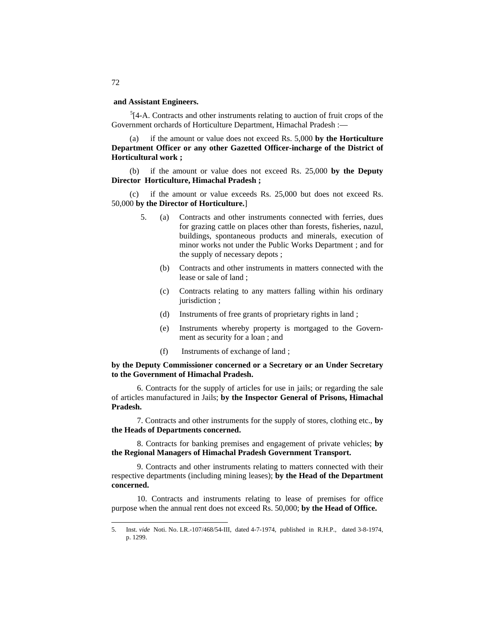#### **and Assistant Engineers.**

 $5$ [4-A. Contracts and other instruments relating to auction of fruit crops of the Government orchards of Horticulture Department, Himachal Pradesh :—

if the amount or value does not exceed Rs. 5,000 by the Horticulture **Department Officer or any other Gazetted Officer-incharge of the District of Horticultural work ;**

(b) if the amount or value does not exceed Rs. 25,000 **by the Deputy Director Horticulture, Himachal Pradesh ;**

if the amount or value exceeds Rs. 25,000 but does not exceed Rs. 50,000 **by the Director of Horticulture.**]

- 5. (a) Contracts and other instruments connected with ferries, dues for grazing cattle on places other than forests, fisheries, nazul, buildings, spontaneous products and minerals, execution of minor works not under the Public Works Department ; and for the supply of necessary depots ;
	- (b) Contracts and other instruments in matters connected with the lease or sale of land ;
	- (c) Contracts relating to any matters falling within his ordinary jurisdiction ;
	- (d) Instruments of free grants of proprietary rights in land ;
	- (e) Instruments whereby property is mortgaged to the Government as security for a loan ; and
	- (f) Instruments of exchange of land ;

#### **by the Deputy Commissioner concerned or a Secretary or an Under Secretary to the Government of Himachal Pradesh.**

6. Contracts for the supply of articles for use in jails; or regarding the sale of articles manufactured in Jails; **by the Inspector General of Prisons, Himachal Pradesh.**

7. Contracts and other instruments for the supply of stores, clothing etc., **by the Heads of Departments concerned.**

8. Contracts for banking premises and engagement of private vehicles; **by the Regional Managers of Himachal Pradesh Government Transport.**

9. Contracts and other instruments relating to matters connected with their respective departments (including mining leases); **by the Head of the Department concerned.**

10. Contracts and instruments relating to lease of premises for office purpose when the annual rent does not exceed Rs. 50,000; **by the Head of Office.**

72

<span id="page-12-0"></span> <sup>5.</sup> Inst. *vide* Noti. No. LR.-107/468/54-III, dated 4-7-1974, published in R.H.P., dated 3-8-1974, p. 1299.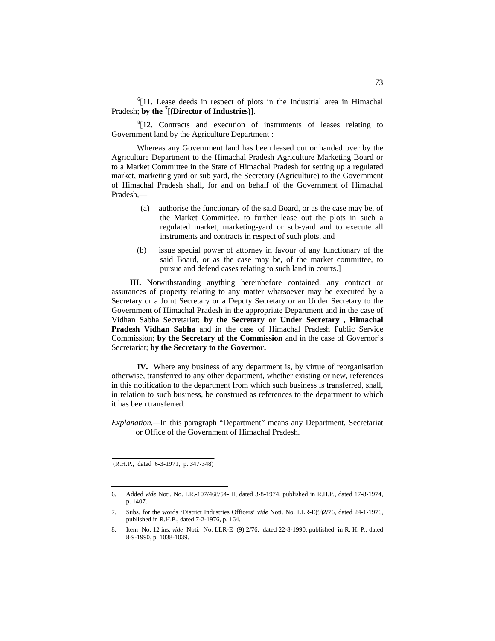<sup>[6](#page-13-0)</sup>[11. Lease deeds in respect of plots in the Industrial area in Himachal Pradesh; **by the [7](#page-13-1) [(Director of Industries)]**.

<sup>[8](#page-13-2)</sup>[12. Contracts and execution of instruments of leases relating to Government land by the Agriculture Department :

Whereas any Government land has been leased out or handed over by the Agriculture Department to the Himachal Pradesh Agriculture Marketing Board or to a Market Committee in the State of Himachal Pradesh for setting up a regulated market, marketing yard or sub yard, the Secretary (Agriculture) to the Government of Himachal Pradesh shall, for and on behalf of the Government of Himachal Pradesh,—

- (a) authorise the functionary of the said Board, or as the case may be, of the Market Committee, to further lease out the plots in such a regulated market, marketing-yard or sub-yard and to execute all instruments and contracts in respect of such plots, and
- (b) issue special power of attorney in favour of any functionary of the said Board, or as the case may be, of the market committee, to pursue and defend cases relating to such land in courts.]

**III.** Notwithstanding anything hereinbefore contained, any contract or assurances of property relating to any matter whatsoever may be executed by a Secretary or a Joint Secretary or a Deputy Secretary or an Under Secretary to the Government of Himachal Pradesh in the appropriate Department and in the case of Vidhan Sabha Secretariat; **by the Secretary or Under Secretary , Himachal Pradesh Vidhan Sabha** and in the case of Himachal Pradesh Public Service Commission; **by the Secretary of the Commission** and in the case of Governor's Secretariat; **by the Secretary to the Governor.**

**IV.** Where any business of any department is, by virtue of reorganisation otherwise, transferred to any other department, whether existing or new, references in this notification to the department from which such business is transferred, shall, in relation to such business, be construed as references to the department to which it has been transferred.

*Explanation.—*In this paragraph "Department" means any Department, Secretariat or Office of the Government of Himachal Pradesh.

<sup>(</sup>R.H.P., dated 6-3-1971, p. 347-348)

<span id="page-13-0"></span> <sup>6.</sup> Added *vide* Noti. No. LR.-107/468/54-III, dated 3-8-1974, published in R.H.P., dated 17-8-1974, p. 1407.

<span id="page-13-1"></span><sup>7.</sup> Subs. for the words 'District Industries Officers' *vide* Noti. No. LLR-E(9)2/76, dated 24-1-1976, published in R.H.P., dated 7-2-1976, p. 164.

<span id="page-13-2"></span><sup>8.</sup> Item No. 12 ins. *vide* Noti. No. LLR-E (9) 2/76, dated 22-8-1990, published in R. H. P., dated 8-9-1990, p. 1038-1039.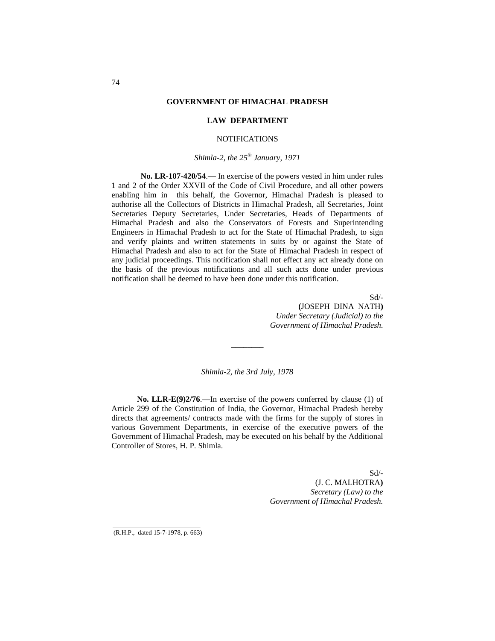#### **GOVERNMENT OF HIMACHAL PRADESH**

#### **LAW DEPARTMENT**

#### NOTIFICATIONS

#### *Shimla-2, the 25th January, 1971*

**No. LR-107-420/54**.— In exercise of the powers vested in him under rules 1 and 2 of the Order XXVII of the Code of Civil Procedure, and all other powers enabling him in this behalf, the Governor, Himachal Pradesh is pleased to authorise all the Collectors of Districts in Himachal Pradesh, all Secretaries, Joint Secretaries Deputy Secretaries, Under Secretaries, Heads of Departments of Himachal Pradesh and also the Conservators of Forests and Superintending Engineers in Himachal Pradesh to act for the State of Himachal Pradesh, to sign and verify plaints and written statements in suits by or against the State of Himachal Pradesh and also to act for the State of Himachal Pradesh in respect of any judicial proceedings. This notification shall not effect any act already done on the basis of the previous notifications and all such acts done under previous notification shall be deemed to have been done under this notification.

> Sd/- **(**JOSEPH DINA NATH**)** *Under Secretary (Judicial) to the Government of Himachal Pradesh.*

*Shimla-2, the 3rd July, 1978*

**\_\_\_\_\_\_\_\_**

**No. LLR-E(9)2/76**.—In exercise of the powers conferred by clause (1) of Article 299 of the Constitution of India, the Governor, Himachal Pradesh hereby directs that agreements/ contracts made with the firms for the supply of stores in various Government Departments, in exercise of the executive powers of the Government of Himachal Pradesh, may be executed on his behalf by the Additional Controller of Stores, H. P. Shimla.

> Sd/- (J. C. MALHOTRA**)** *Secretary (Law) to the Government of Himachal Pradesh.*

(R.H.P., dated 15-7-1978, p. 663)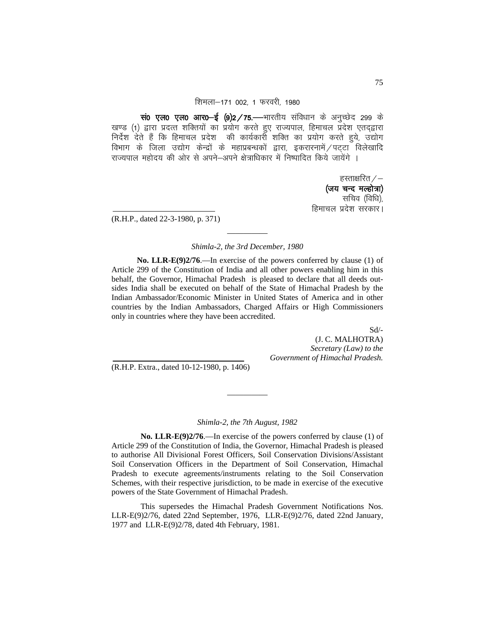#### शिमला-171 002, 1 फरवरी, 1980

wio एल0 एल0 आर0-ई (9)2/75. - भारतीय संविधान के अनुच्छेद 299 के खण्ड (1) द्वारा प्रदत्त शक्तियों का प्रयोग करते हुए राज्यपाल, हिमाचल प्रदेश एतद्द्वारा निर्देश देते हैं कि हिमाचल प्रदेश की कार्यकारी शक्ति का प्रयोग करते हुये, उद्योग विभाग के जिला उद्योग केन्द्रों के महाप्रबन्धकों द्वारा, इकरारनामें / पट्टा विलेखादि राज्यपाल महोदय की ओर से अपने–अपने क्षेत्राधिकार में निष्पादित किये जायेंगे ।

> हस्ताक्षरित $\angle$ — (जय चन्द मल्होत्रा) सचिव (विधि) हिमाचल प्रदेश सरकार।

(R.H.P., dated 22-3-1980, p. 371)

## ————— *Shimla-2, the 3rd December, 1980*

**No. LLR-E(9)2/76**.—In exercise of the powers conferred by clause (1) of Article 299 of the Constitution of India and all other powers enabling him in this behalf, the Governor, Himachal Pradesh is pleased to declare that all deeds outsides India shall be executed on behalf of the State of Himachal Pradesh by the Indian Ambassador/Economic Minister in United States of America and in other countries by the Indian Ambassadors, Charged Affairs or High Commissioners only in countries where they have been accredited.

Sd/-

 (J. C. MALHOTRA) *Secretary (Law) to the Government of Himachal Pradesh.*

(R.H.P. Extra., dated 10-12-1980, p. 1406)

#### *Shimla-2, the 7th August, 1982*

—————

**No. LLR-E(9)2/76**.—In exercise of the powers conferred by clause (1) of Article 299 of the Constitution of India, the Governor, Himachal Pradesh is pleased to authorise All Divisional Forest Officers, Soil Conservation Divisions/Assistant Soil Conservation Officers in the Department of Soil Conservation, Himachal Pradesh to execute agreements/instruments relating to the Soil Conservation Schemes, with their respective jurisdiction, to be made in exercise of the executive powers of the State Government of Himachal Pradesh.

This supersedes the Himachal Pradesh Government Notifications Nos. LLR-E(9)2/76, dated 22nd September, 1976, LLR-E(9)2/76, dated 22nd January, 1977 and LLR-E(9)2/78, dated 4th February, 1981.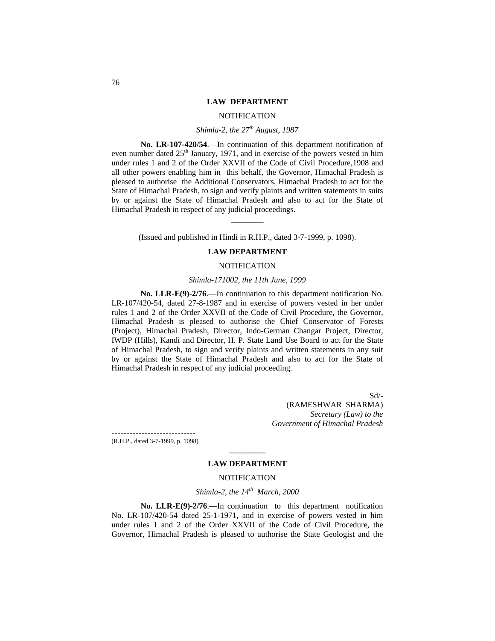#### **LAW DEPARTMENT**

#### NOTIFICATION

#### *Shimla-2, the 27th August, 1987*

**No. LR-107-420/54**.—In continuation of this department notification of even number dated  $25<sup>th</sup>$  January, 1971, and in exercise of the powers vested in him under rules 1 and 2 of the Order XXVII of the Code of Civil Procedure,1908 and all other powers enabling him in this behalf, the Governor, Himachal Pradesh is pleased to authorise the Additional Conservators, Himachal Pradesh to act for the State of Himachal Pradesh, to sign and verify plaints and written statements in suits by or against the State of Himachal Pradesh and also to act for the State of Himachal Pradesh in respect of any judicial proceedings.

(Issued and published in Hindi in R.H.P., dated 3-7-1999, p. 1098).

**\_\_\_\_\_\_\_\_**

#### **LAW DEPARTMENT**

#### NOTIFICATION

#### *Shimla-171002, the 11th June, 1999*

**No. LLR-E(9)-2/76**.—In continuation to this department notification No. LR-107/420-54, dated 27-8-1987 and in exercise of powers vested in her under rules 1 and 2 of the Order XXVII of the Code of Civil Procedure, the Governor, Himachal Pradesh is pleased to authorise the Chief Conservator of Forests (Project), Himachal Pradesh, Director, Indo-German Changar Project, Director, IWDP (Hills), Kandi and Director, H. P. State Land Use Board to act for the State of Himachal Pradesh, to sign and verify plaints and written statements in any suit by or against the State of Himachal Pradesh and also to act for the State of Himachal Pradesh in respect of any judicial proceeding.

> Sd/- (RAMESHWAR SHARMA) *Secretary (Law) to the Government of Himachal Pradesh*

---------------------------- (R.H.P., dated 3-7-1999, p. 1098)

## $\overline{\phantom{a}}$ **LAW DEPARTMENT**

#### **NOTIFICATION**

#### *Shimla-2, the 14th March, 2000*

**No. LLR-E(9)-2/76**.—In continuation to this department notification No. LR-107/420-54 dated 25-1-1971, and in exercise of powers vested in him under rules 1 and 2 of the Order XXVII of the Code of Civil Procedure, the Governor, Himachal Pradesh is pleased to authorise the State Geologist and the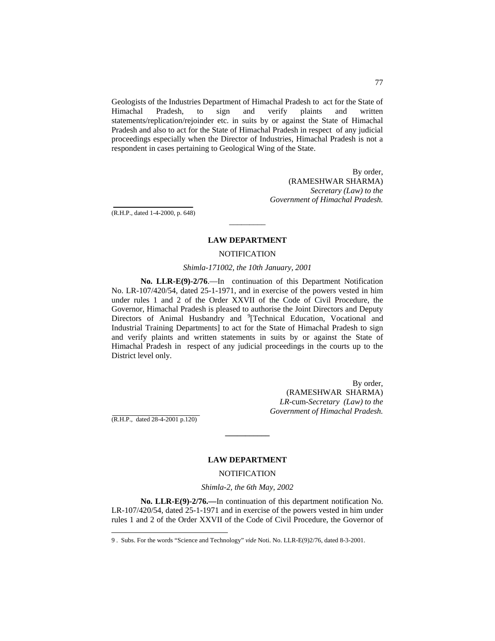Geologists of the Industries Department of Himachal Pradesh to act for the State of Himachal Pradesh, to sign and verify plaints and written statements/replication/rejoinder etc. in suits by or against the State of Himachal Pradesh and also to act for the State of Himachal Pradesh in respect of any judicial proceedings especially when the Director of Industries, Himachal Pradesh is not a respondent in cases pertaining to Geological Wing of the State.

> By order, (RAMESHWAR SHARMA) *Secretary (Law) to the Government of Himachal Pradesh.*

(R.H.P., dated 1-4-2000, p. 648)

#### **LAW DEPARTMENT**

 $\overline{\phantom{a}}$ 

#### **NOTIFICATION**

#### *Shimla-171002, the 10th January, 2001*

**No. LLR-E(9)-2/76**.—In continuation of this Department Notification No. LR-107/420/54, dated 25-1-1971, and in exercise of the powers vested in him under rules 1 and 2 of the Order XXVII of the Code of Civil Procedure, the Governor, Himachal Pradesh is pleased to authorise the Joint Directors and Deputy Directors of Animal Husbandry and <sup>[9](#page-17-0)</sup>[Technical Education, Vocational and Industrial Training Departments] to act for the State of Himachal Pradesh to sign and verify plaints and written statements in suits by or against the State of Himachal Pradesh in respect of any judicial proceedings in the courts up to the District level only.

> By order, (RAMESHWAR SHARMA) *LR-*cum*-Secretary (Law) to the Government of Himachal Pradesh.*

(R.H.P., dated 28-4-2001 p.120)

#### **LAW DEPARTMENT**

**\_\_\_\_\_\_\_\_\_\_\_**

#### **NOTIFICATION**

#### *Shimla-2, the 6th May, 2002*

**No. LLR-E(9)-2/76.—**In continuation of this department notification No. LR-107/420/54, dated 25-1-1971 and in exercise of the powers vested in him under rules 1 and 2 of the Order XXVII of the Code of Civil Procedure, the Governor of

<span id="page-17-0"></span> <sup>9</sup> . Subs. For the words "Science and Technology" *vide* Noti. No. LLR-E(9)2/76, dated 8-3-2001.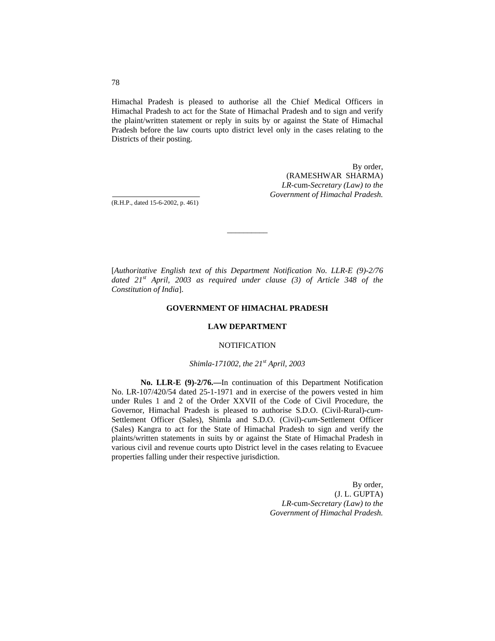Himachal Pradesh is pleased to authorise all the Chief Medical Officers in Himachal Pradesh to act for the State of Himachal Pradesh and to sign and verify the plaint/written statement or reply in suits by or against the State of Himachal Pradesh before the law courts upto district level only in the cases relating to the Districts of their posting.

> By order, (RAMESHWAR SHARMA) *LR-*cum*-Secretary (Law) to the Government of Himachal Pradesh.*

(R.H.P., dated 15-6-2002, p. 461)

[*Authoritative English text of this Department Notification No. LLR-E (9)-2/76 dated 21st April, 2003 as required under clause (3) of Article 348 of the Constitution of India*].

 $\overline{\phantom{a}}$ 

#### **GOVERNMENT OF HIMACHAL PRADESH**

#### **LAW DEPARTMENT**

#### NOTIFICATION

#### *Shimla-171002, the 21st April, 2003*

**No. LLR-E (9)-2/76.—**In continuation of this Department Notification No. LR-107/420/54 dated 25-1-1971 and in exercise of the powers vested in him under Rules 1 and 2 of the Order XXVII of the Code of Civil Procedure, the Governor, Himachal Pradesh is pleased to authorise S.D.O. (Civil-Rural)-*cum-*Settlement Officer (Sales), Shimla and S.D.O. (Civil)-*cum-*Settlement Officer (Sales) Kangra to act for the State of Himachal Pradesh to sign and verify the plaints/written statements in suits by or against the State of Himachal Pradesh in various civil and revenue courts upto District level in the cases relating to Evacuee properties falling under their respective jurisdiction.

> By order, (J. L. GUPTA) *LR-*cum-*Secretary (Law) to the Government of Himachal Pradesh.*

78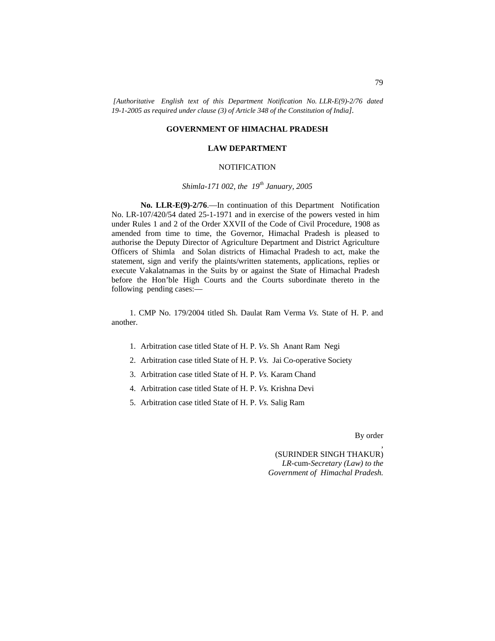*[Authoritative English text of this Department Notification No. LLR-E(9)-2/76 dated 19-1-2005 as required under clause (3) of Article 348 of the Constitution of India].*

#### **GOVERNMENT OF HIMACHAL PRADESH**

#### **LAW DEPARTMENT**

#### NOTIFICATION

#### *Shimla-171 002, the 19th January, 2005*

**No. LLR-E(9)-2/76**.—In continuation of this Department Notification No. LR-107/420/54 dated 25-1-1971 and in exercise of the powers vested in him under Rules 1 and 2 of the Order XXVII of the Code of Civil Procedure, 1908 as amended from time to time, the Governor, Himachal Pradesh is pleased to authorise the Deputy Director of Agriculture Department and District Agriculture Officers of Shimla and Solan districts of Himachal Pradesh to act, make the statement, sign and verify the plaints/written statements, applications, replies or execute Vakalatnamas in the Suits by or against the State of Himachal Pradesh before the Hon'ble High Courts and the Courts subordinate thereto in the following pending cases:—

1. CMP No. 179/2004 titled Sh. Daulat Ram Verma *Vs.* State of H. P. and another.

- 1. Arbitration case titled State of H. P. *Vs*. Sh Anant Ram Negi
- 2. Arbitration case titled State of H. P. *Vs.* Jai Co-operative Society
- 3. Arbitration case titled State of H. P. *Vs.* Karam Chand
- 4. Arbitration case titled State of H. P. *Vs.* Krishna Devi
- 5. Arbitration case titled State of H. P. *Vs.* Salig Ram

By order

,

(SURINDER SINGH THAKUR) *LR-*cum*-Secretary (Law) to the Government of Himachal Pradesh.*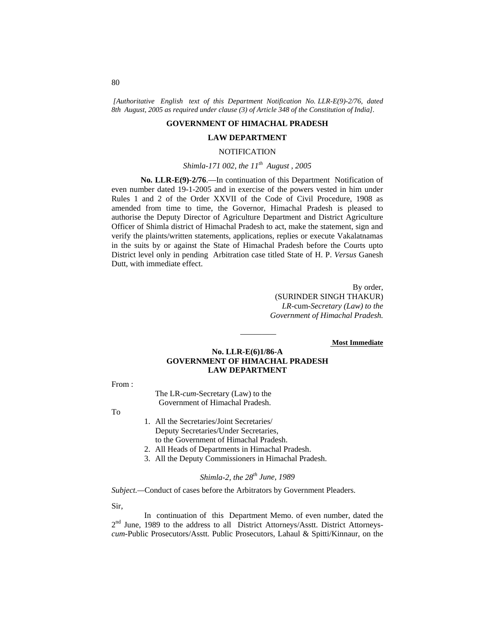*[Authoritative English text of this Department Notification No. LLR-E(9)-2/76, dated 8th August, 2005 as required under clause (3) of Article 348 of the Constitution of India].*

#### **GOVERNMENT OF HIMACHAL PRADESH**

#### **LAW DEPARTMENT**

#### **NOTIFICATION**

#### *Shimla-171 002, the 11th August , 2005*

**No. LLR-E(9)-2/76**.—In continuation of this Department Notification of even number dated 19-1-2005 and in exercise of the powers vested in him under Rules 1 and 2 of the Order XXVII of the Code of Civil Procedure, 1908 as amended from time to time, the Governor, Himachal Pradesh is pleased to authorise the Deputy Director of Agriculture Department and District Agriculture Officer of Shimla district of Himachal Pradesh to act, make the statement, sign and verify the plaints/written statements, applications, replies or execute Vakalatnamas in the suits by or against the State of Himachal Pradesh before the Courts upto District level only in pending Arbitration case titled State of H. P. *Versus* Ganesh Dutt, with immediate effect.

> By order, (SURINDER SINGH THAKUR) *LR-*cum*-Secretary (Law) to the Government of Himachal Pradesh.*

#### **Most Immediate**

#### **No. LLR-E(6)1/86-A GOVERNMENT OF HIMACHAL PRADESH LAW DEPARTMENT**

*—————*

From :

The LR-*cum*-Secretary (Law) to the Government of Himachal Pradesh.

To

- 1. All the Secretaries/Joint Secretaries/ Deputy Secretaries/Under Secretaries, to the Government of Himachal Pradesh.
- 2. All Heads of Departments in Himachal Pradesh.
- 3. All the Deputy Commissioners in Himachal Pradesh.

#### *Shimla-2, the 28th June, 1989*

*Subject.—*Conduct of cases before the Arbitrators by Government Pleaders.

Sir,

In continuation of this Department Memo. of even number, dated the 2<sup>nd</sup> June, 1989 to the address to all District Attorneys/Asstt. District Attorneys*cum-*Public Prosecutors/Asstt. Public Prosecutors, Lahaul & Spitti/Kinnaur, on the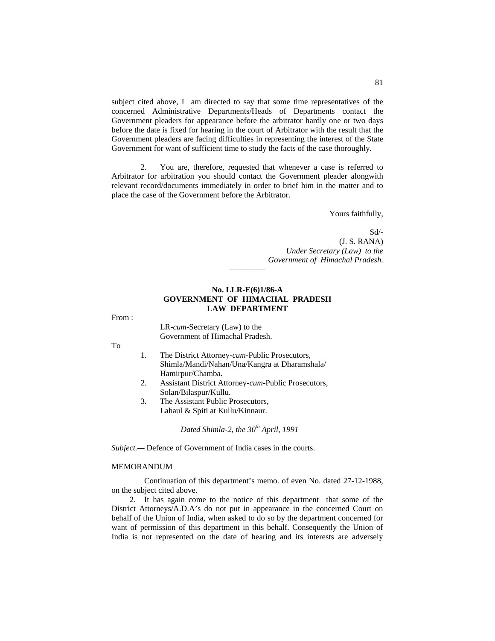subject cited above, I am directed to say that some time representatives of the concerned Administrative Departments/Heads of Departments contact the Government pleaders for appearance before the arbitrator hardly one or two days before the date is fixed for hearing in the court of Arbitrator with the result that the Government pleaders are facing difficulties in representing the interest of the State Government for want of sufficient time to study the facts of the case thoroughly.

2. You are, therefore, requested that whenever a case is referred to Arbitrator for arbitration you should contact the Government pleader alongwith relevant record/documents immediately in order to brief him in the matter and to place the case of the Government before the Arbitrator.

Yours faithfully,

Sd/- (J. S. RANA) *Under Secretary (Law) to the Government of Himachal Pradesh.*

#### **No. LLR-E(6)1/86-A GOVERNMENT OF HIMACHAL PRADESH LAW DEPARTMENT**

*—————*

From :

LR-*cum-*Secretary (Law) to the Government of Himachal Pradesh.

To

- 1. The District Attorney-*cum-*Public Prosecutors, Shimla/Mandi/Nahan/Una/Kangra at Dharamshala/ Hamirpur/Chamba.
- 2. Assistant District Attorney-*cum*-Public Prosecutors, Solan/Bilaspur/Kullu.
- 3. The Assistant Public Prosecutors, Lahaul & Spiti at Kullu/Kinnaur.

*Dated Shimla-2, the 30th April, 1991*

*Subject.—* Defence of Government of India cases in the courts.

#### MEMORANDUM

Continuation of this department's memo. of even No. dated 27-12-1988, on the subject cited above.

2. It has again come to the notice of this department that some of the District Attorneys/A.D.A's do not put in appearance in the concerned Court on behalf of the Union of India, when asked to do so by the department concerned for want of permission of this department in this behalf. Consequently the Union of India is not represented on the date of hearing and its interests are adversely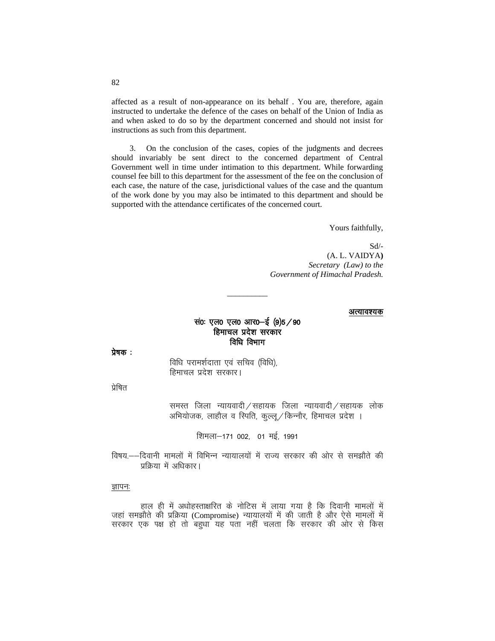affected as a result of non-appearance on its behalf. You are, therefore, again instructed to undertake the defence of the cases on behalf of the Union of India as and when asked to do so by the department concerned and should not insist for instructions as such from this department.

3. On the conclusion of the cases, copies of the judgments and decrees should invariably be sent direct to the concerned department of Central Government well in time under intimation to this department. While forwarding counsel fee bill to this department for the assessment of the fee on the conclusion of each case, the nature of the case, jurisdictional values of the case and the quantum of the work done by you may also be intimated to this department and should be supported with the attendance certificates of the concerned court.

Yours faithfully,

 $Sd$ /-(A. L. VAIDYA) Secretary (Law) to the Government of Himachal Pradesh.

#### अत्यावश्यक

#### सं0: एल0 एल0 आर0-ई (9)5 / 90 हिमाचल प्रदेश सरकार विधि विभाग

प्रेषक:

विधि परामर्शदाता एवं सचिव (विधि), हिमाचल प्रदेश सरकार।

प्रेषित

समस्त जिला न्यायवादी / सहायक जिला न्यायवादी / सहायक लोक अभियोजक, लाहौल व स्पिति, कुल्लू / किन्नौर, हिमाचल प्रदेश ।

शिमला-171 002, 01 मई, 1991

विषय.——दिवानी मामलों में विभिन्न न्यायालयों में राज्य सरकार की ओर से समझौते की प्रक्रिया में अधिकार।

#### ज्ञापनः

हाल ही में अधोहस्ताक्षरित के नोटिस में लाया गया है कि दिवानी मामलों में जहां समझौते की प्रक्रिया (Compromise) न्यायालयों में की जाती है और ऐसे मामलों में सरकार एक पक्ष हो तो बहुधा यह पता नहीं चलता कि सरकार की ओर से किस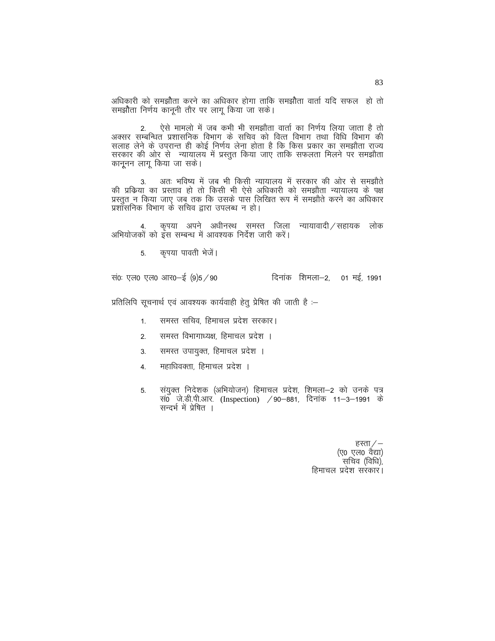अधिकारी को समझौता करने का अधिकार होगा ताकि समझौता वार्ता यदि सफल) हो तो समझौता निर्णय कानूनी तौर पर लागू किया जा सके।

2. ऐसे मामलो में जब कभी भी समझौता वार्ता का निर्णय लिया जाता है तो<br>अक्सर सम्बन्धित प्रशासनिक विभाग के सचिव को वित्त विभाग तथा विधि विभाग की सलाह लेने के उपरान्त ही कोई निर्णय लेना होता है कि किस प्रकार का समझौता राज्य सरकार की ओर से न्यायालय में प्रस्तुत किया जाए ताकि सफलता मिलने पर समझौता कानुनन लाग किया जा सके।

अतः भविष्य में जब भी किसी न्यायालय में सरकार की ओर से समझौते  $3.$ की प्रक्रिया का प्रस्ताव हो तो किसी भी ऐसे अधिकारी को समझौता न्यायालय के पक्ष प्रस्तुत न किया जाए जब तक कि उसके पास लिखित रूप में समझौते करने का अधिकार प्रशासनिक विभाग के सचिव द्वारा उपलब्ध न हो।

कृपया अपने अधीनस्थ समस्त जिला न्यायावादी / सहायक लोक अभियोजकों को ईस सम्बन्ध में आवश्यक निर्देश जारी करें।

> कृपया पावती भेजें।  $5.$

सं0: एल0 एल0 आर0—ई (9)5 / 90 दिनांक शिमला–2. 01 मई 1991

प्रतिलिपि सूचनार्थ एवं आवश्यक कार्यवाही हेतु प्रेषित की जाती है :-

- समस्त सचिव, हिमाचल प्रदेश सरकार।  $1.$
- समस्त विभागाध्यक्ष हिमाचल प्रदेश ।  $\mathfrak{D}$
- समस्त उपायुक्त, हिमाचल प्रदेश । 3.
- महाधिवक्ता, हिमाचल प्रदेश । 4.
- संयुक्त निदेशक (अभियोजन) हिमाचल प्रदेश, शिमला–2 को उनके पत्र 5. संग जे.डी.पी.आर. (Inspection) / 90–881, दिनांक 11–3–1991 के सन्दर्भ में प्रेषित ।

हस्ता  $/$  – (ए0 एल0 वैद्या) सचिव (विधि). हिमाचल प्रदेश सरकार।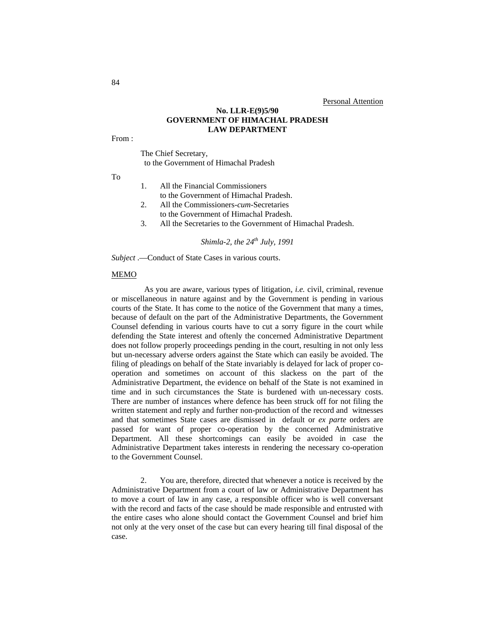#### **No. LLR-E(9)5/90 GOVERNMENT OF HIMACHAL PRADESH LAW DEPARTMENT**

From :

#### The Chief Secretary, to the Government of Himachal Pradesh

To

- 1. All the Financial Commissioners to the Government of Himachal Pradesh.
- 2. All the Commissioners-*cum-*Secretaries
- to the Government of Himachal Pradesh.<br>3. All the Secretaries to the Government of
- All the Secretaries to the Government of Himachal Pradesh.

*Shimla-2, the 24th July, 1991*

*Subject* .—Conduct of State Cases in various courts.

#### MEMO

As you are aware, various types of litigation*, i.e.* civil, criminal, revenue or miscellaneous in nature against and by the Government is pending in various courts of the State. It has come to the notice of the Government that many a times, because of default on the part of the Administrative Departments, the Government Counsel defending in various courts have to cut a sorry figure in the court while defending the State interest and oftenly the concerned Administrative Department does not follow properly proceedings pending in the court, resulting in not only less but un-necessary adverse orders against the State which can easily be avoided. The filing of pleadings on behalf of the State invariably is delayed for lack of proper cooperation and sometimes on account of this slackess on the part of the Administrative Department, the evidence on behalf of the State is not examined in time and in such circumstances the State is burdened with un-necessary costs. There are number of instances where defence has been struck off for not filing the written statement and reply and further non-production of the record and witnesses and that sometimes State cases are dismissed in default or *ex parte* orders are passed for want of proper co-operation by the concerned Administrative Department. All these shortcomings can easily be avoided in case the Administrative Department takes interests in rendering the necessary co-operation to the Government Counsel.

2. You are, therefore, directed that whenever a notice is received by the Administrative Department from a court of law or Administrative Department has to move a court of law in any case, a responsible officer who is well conversant with the record and facts of the case should be made responsible and entrusted with the entire cases who alone should contact the Government Counsel and brief him not only at the very onset of the case but can every hearing till final disposal of the case.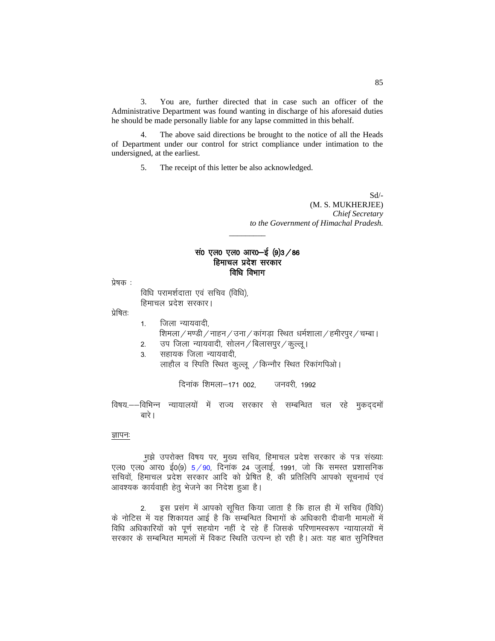3. You are, further directed that in case such an officer of the Administrative Department was found wanting in discharge of his aforesaid duties he should be made personally liable for any lapse committed in this behalf.

The above said directions be brought to the notice of all the Heads of Department under our control for strict compliance under intimation to the undersigned, at the earliest.

5. The receipt of this letter be also acknowledged.

Sd/- (M. S. MUKHERJEE) *Chief Secretary to the Government of Himachal Pradesh.*

#### सं0 एल0 एल0 आर0-ई  $(9)3/86$ हिमाचल प्रदेश सरकार विधि विभाग

 $\overline{\phantom{a}}$ 

 $\overline{u}$ षक $\overline{u}$  :

विधि परामर्शदाता एवं सचिव (विधि), हिमाचल प्रदेश सरकार।

प्रेषित:

- 1. जिला न्यायवादी,
- शिमला / मण्डी / नाहन / उना / कांगड़ा स्थित धर्मशाला / हमीरपुर / चम्बा।
- 2. जप जिला न्यायवादी, सोलन / बिलासपुर / कुल्लु ।
- 3. सहायक जिला न्यायवादी. लाहौल व स्पिति स्थित कुल्लू / किन्नौर स्थित रिकांगपिओ।

दिनांक शिमला–171 002, जनवरी, 1992

विषय.--विभिन्न न्यायालयों में राज्य सरकार से सम्बन्धित चल रहे मुकददमों बारे ।

#### ज्ञापनः

मुझे उपरोक्त विषय पर, मुख्य सचिव, हिमाचल प्रदेश सरकार के पत्र संख्याः एल0 एल0 आर0 ई0(9)  $5/90$ , दिनांक 24 जुलाई, 1991, जो कि समस्त प्रशासनिक सचिवों, हिमाचल प्रदेश सरकार आदि को प्रेषित है, की प्रतिलिपि आपको सूचनार्थ एवं आवश्यक कार्यवाही हेतू भेजने का निदेश हुआ है।

2. इस प्रसंग में आपको सूचित किया जाता है कि हाल ही में सचिव (विधि) के नोटिस में यह शिकायत आई है कि सम्बन्धित विभागों के अधिकारी दीवानी मामलों में विधि अधिकारियों को पूर्ण सहयोग नहीं दे रहे हैं जिसके परिणामस्वरूप न्यायालयों में सरकार के सम्बन्धित मामलों में विकट स्थिति उत्पन्न हो रही है। अतः यह बात सुनिश्चित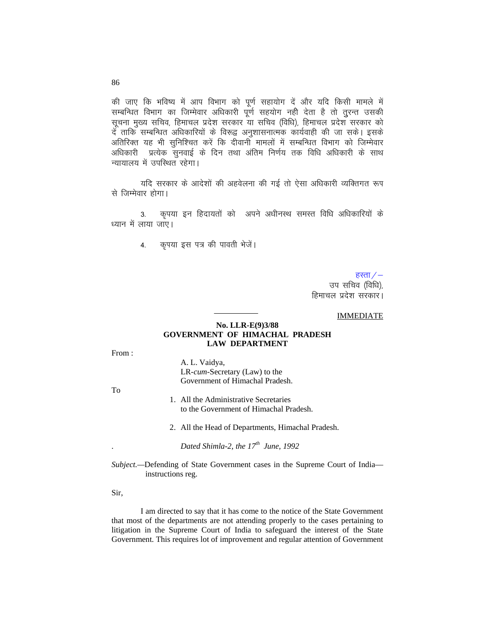की जाए कि भविष्य में आप विभाग को पूर्ण सहायोग दें और यदि किसी मामले में सम्बन्धित विभाग का जिम्मेवार अधिकारी पूर्ण सहयोग नही देता है तो तुरन्त उसकी सूचना मुख्य सचिव, हिमाचल प्रदेश सरकार या सचिव (विधि), हिमाचल प्रदेश सरकार को र्दे ताकि सम्बन्धित अधिकारियों के विरूद्व अनुशासनात्मक कार्यवाही की जा सके। इसके अतिरिक्त यह भी सुनिश्चित करें कि दीवानी मामलों में सम्बन्धित विभाग को जिम्मेवार प्रत्येक सुनवाई के दिन तथा अंतिम निर्णय तक विधि अधिकारी के साथ अधिकारी न्यायालय में उपस्थित रहेगा।

यदि सरकार के आदेशों की अहवेलना की गई तो ऐसा अधिकारी व्यक्तिगत रूप से जिम्मेवार होगा।

कृपया इन हिदायतों को अपने अधीनस्थ समस्त विधि अधिकारियों के  $3<sub>l</sub>$ ध्यान में लाया जाए।

> कृपया इस पत्र की पावती भेजें। 4.

> > हस्ता $/$ –

उप सचिव (विधि), हिमाचल प्रदेश सरकार।

#### **IMMEDIATE**

#### No. LLR-E(9)3/88 **GOVERNMENT OF HIMACHAL PRADESH LAW DEPARTMENT**

From:

A. L. Vaidya, LR-cum-Secretary (Law) to the Government of Himachal Pradesh.

To

- 1. All the Administrative Secretaries to the Government of Himachal Pradesh.
- 2. All the Head of Departments, Himachal Pradesh.

Dated Shimla-2, the  $17^{th}$  June, 1992

Subject.--Defending of State Government cases in the Supreme Court of Indiainstructions reg.

Sir,

I am directed to say that it has come to the notice of the State Government that most of the departments are not attending properly to the cases pertaining to litigation in the Supreme Court of India to safeguard the interest of the State Government. This requires lot of improvement and regular attention of Government

86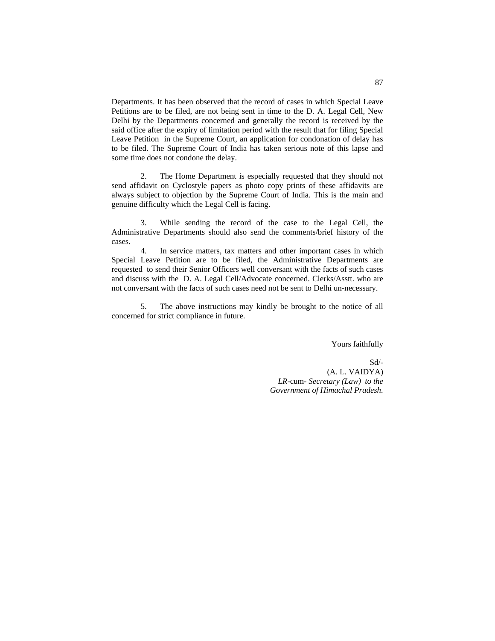Departments. It has been observed that the record of cases in which Special Leave Petitions are to be filed, are not being sent in time to the D. A. Legal Cell, New Delhi by the Departments concerned and generally the record is received by the said office after the expiry of limitation period with the result that for filing Special Leave Petition in the Supreme Court, an application for condonation of delay has to be filed. The Supreme Court of India has taken serious note of this lapse and some time does not condone the delay.

2. The Home Department is especially requested that they should not send affidavit on Cyclostyle papers as photo copy prints of these affidavits are always subject to objection by the Supreme Court of India. This is the main and genuine difficulty which the Legal Cell is facing.

3. While sending the record of the case to the Legal Cell, the Administrative Departments should also send the comments/brief history of the cases.

4. In service matters, tax matters and other important cases in which Special Leave Petition are to be filed, the Administrative Departments are requested to send their Senior Officers well conversant with the facts of such cases and discuss with the D. A. Legal Cell/Advocate concerned. Clerks/Asstt. who are not conversant with the facts of such cases need not be sent to Delhi un-necessary.

5. The above instructions may kindly be brought to the notice of all concerned for strict compliance in future.

Yours faithfully

 Sd/- (A. L. VAIDYA) *LR-*cum- *Secretary (Law) to the Government of Himachal Pradesh.*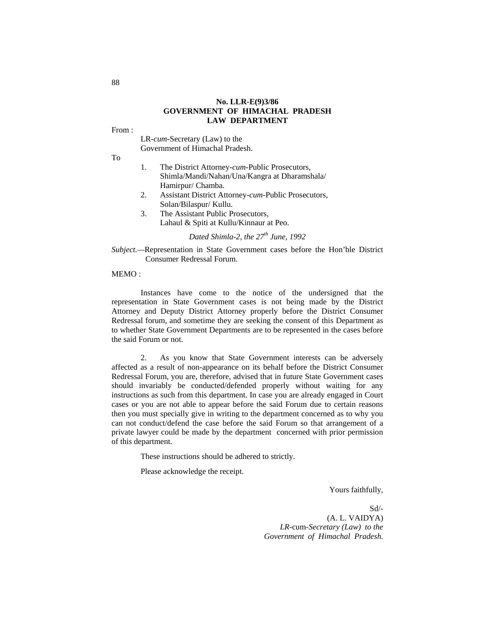#### **No. LLR-E(9)3/86 GOVERNMENT OF HIMACHAL PRADESH LAW DEPARTMENT**

From :

LR*-cum-*Secretary (Law) to the Government of Himachal Pradesh.

To

- 1. The District Attorney-*cum*-Public Prosecutors, Shimla/Mandi/Nahan/Una/Kangra at Dharamshala/ Hamirpur/ Chamba.
- 2. Assistant District Attorney-*cum-*Public Prosecutors, Solan/Bilaspur/ Kullu.
- 3. The Assistant Public Prosecutors, Lahaul & Spiti at Kullu/Kinnaur at Peo.

*Dated Shimla-2, the 27th June, 1992*

*Subject.—*Representation in State Government cases before the Hon'ble District Consumer Redressal Forum.

#### MEMO :

Instances have come to the notice of the undersigned that the representation in State Government cases is not being made by the District Attorney and Deputy District Attorney properly before the District Consumer Redressal forum, and sometime they are seeking the consent of this Department as to whether State Government Departments are to be represented in the cases before the said Forum or not.

 2. As you know that State Government interests can be adversely affected as a result of non-appearance on its behalf before the District Consumer Redressal Forum, you are, therefore, advised that in future State Government cases should invariably be conducted/defended properly without waiting for any instructions as such from this department. In case you are already engaged in Court cases or you are not able to appear before the said Forum due to certain reasons then you must specially give in writing to the department concerned as to why you can not conduct/defend the case before the said Forum so that arrangement of a private lawyer could be made by the department concerned with prior permission of this department.

These instructions should be adhered to strictly.

Please acknowledge the receipt.

Yours faithfully,

Sd/- (A. L. VAIDYA) *LR-*cum*-Secretary (Law) to the Government of Himachal Pradesh.*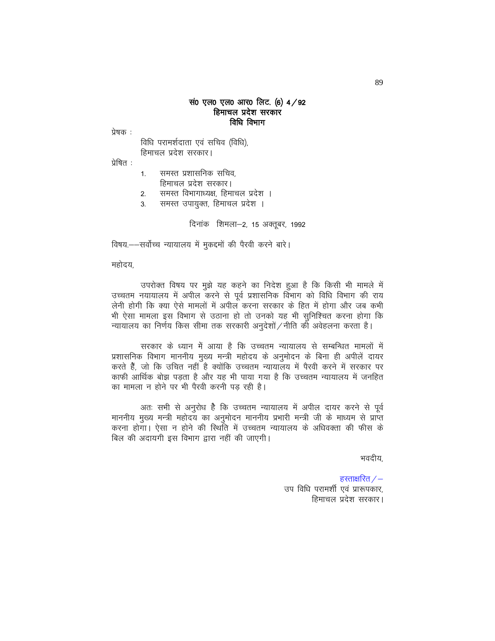#### सं0 एल0 एल0 आर0 लिट. (6) 4/92 हिमाचल प्रदेश सरकार विधि विभाग

प्रेषक :

विधि परामर्शदाता एवं सचिव (विधि), हिमाचल प्रदेश सरकार।

प्रेषित :

- $1<sup>1</sup>$ समस्त प्रशासनिक सचिव.
- हिमाचल प्रदेश सरकार।
- समस्त विभागाध्यक्ष, हिमाचल प्रदेश ।  $2.$
- समस्त उपायुक्त, हिमाचल प्रदेश । 3.

दिनांक शिमला-2, 15 अक्तूबर, 1992

विषय.——सर्वोच्च न्यायालय में मुकद्दमों की पैरवी करने बारे।

महोदय.

उपरोक्त विषय पर मुझे यह कहने का निदेश हुआ है कि किसी भी मामले में उच्चतम नयायालय में अपील करने से पूर्व प्रशासनिक विभाग को विधि विभाग की राय लेनी होगी कि क्या ऐसे मामलों में अपील करना सरकार के हित में होगा और जब कभी भी ऐसा मामला इस विभाग से उठाना हो तो उनको यह भी सुनिश्चित करना होगा कि न्यायालय का निर्णय किस सीमा तक सरकारी अनुदेशों / नीति की अवेहलना करता है।

सरकार के ध्यान में आया है कि उच्चतम न्यायालय से सम्बन्धित मामलों में प्रशासनिक विभाग माननीय मुख्य मन्त्री महोदय के अनुमोदन के बिना ही अपीलें दायर करते हैं, जो कि उचित नहीं है क्योंकि उच्चतम न्यायालय में पैरवी करने में सरकार पर काफी आर्थिक बोझ पड़ता है और यह भी पाया गया है कि उच्चतम न्यायालय में जनहित का मामला न होने पर भी पैरवी करनी पड रही है।

अतः सभी से अनुरोध है कि उच्चतम न्यायालय में अपील दायर करने से पूर्व माननीय मुख्य मन्त्री महोदय का अनुमोदन माननीय प्रभारी मन्त्री जी के माध्यम से प्राप्त करना होगा। ऐसा न होने की स्थिति में उच्चतम न्यायालय के अधिवक्ता की फीस के बिल की अदायगी इस विभाग द्वारा नहीं की जाएगी।

भवदीय,

हस्ताक्षरित  $/-$ उप विधि परामशी एवं प्रारूपकार, हिमाचल प्रदेश सरकार।

89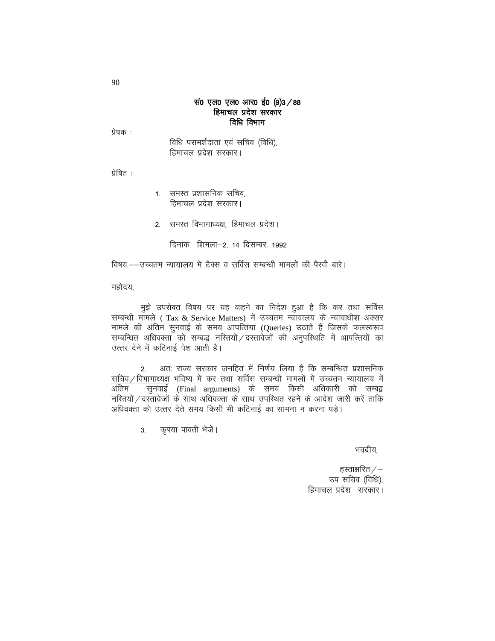#### सं0 एल0 एल0 आर0 ई0 (9)3 / 88 हिमाचल प्रदेश सरकार विधि विभाग

प्रेषक :

विधि परामर्शदाता एवं सचिव (विधि), हिमाचल प्रदेश सरकार।

प्रेषित :

- 1. समस्त प्रशासनिक सचिव. हिमाचल प्रदेश सरकार।
- 2. समस्त विभागाध्यक्ष, हिमाचल प्रदेश।
	- दिनांक शिमला-2, 14 दिसम्बर, 1992

विषय.——उच्चतम न्यायालय में टैक्स व सर्विस सम्बन्धी मामलों की पैरवी बारे।

महोदय,

मुझे उपरोक्त विषय पर यह कहने का निदेश हुआ है कि कर तथा सर्विस सम्बन्धी मामले (Tax & Service Matters) में उच्चतम न्यायालय के न्यायाधीश अक्सर मामले की अंतिम सुनवाई के समय आपत्तियां (Queries) उठाते हैं जिसके फलस्वरूप सम्बन्धित अधिवक्ता को सम्बद्ध नरितयों / दस्तावेजों की अनुपरिथति में आपत्तियों का उत्तर देने में कटिनाई पेश आती है।

अतः राज्य सरकार जनहित में निर्णय लिया है कि सम्बन्धित प्रशासनिक  $\overline{2}$ सचिव/विभागाध्यक्ष भविष्य में कर तथा सर्विस सम्बन्धी मामलों में उच्चतम न्यायालय में अंतिम नस्तियों / दस्तावेजों के साथ अधिवक्ता के साथ उपस्थित रहने के आदेश जारी करें ताकि अधिवक्ता को उत्तर देते समय किसी भी कटिनाई का सामना न करना पड़े।

> कृपया पावती भेजें।  $3.$

> > भवदीय,

हस्ताक्षरित  $/$ – उप सचिव (विधि), हिमाचल प्रदेश सरकार।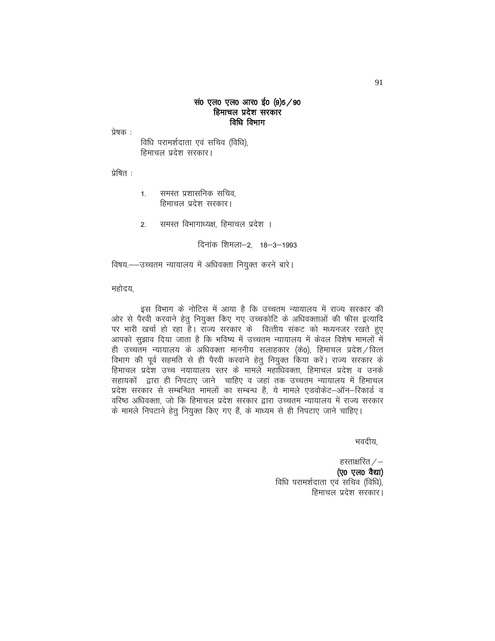#### संo एल0 एल0 आर0 ईo (9)5 / 90 हिमाचल प्रदेश सरकार विधि विभाग

प्रेषक :

विधि परामर्शदाता एवं सचिव (विधि), हिमाचल प्रदेश सरकार।

प्रेषित :

समस्त प्रशासनिक सचिव.  $1.$ हिमाचल प्रदेश सरकार।

समस्त विभागाध्यक्ष, हिमाचल प्रदेश ।  $2.$ 

दिनांक शिमला-2, 18-3-1993

विषय.--उच्चतम न्यायालय में अधिवक्ता नियुक्त करने बारे।

महोदय.

इस विभाग के नोटिस में आया है कि उच्चतम न्यायालय में राज्य सरकार की ओर से पैरवी करवाने हेतु नियुक्त किए गए उच्चकोटि के अधिवक्ताओं की फीस इत्यादि पर भारी खर्चा हो रहा है। राज्य सरकार के वित्तीय संकट को मध्यनजर रखते हुए आपको सुझाव दिया जाता है कि भविष्य में उच्चतम न्यायालय में केवल विशेष मामलों में ही उच्चतम न्यायालय के अधिवक्ता माननीय सलाहकार (के0), हिमाचल प्रदेश / वित्त विभाग की पूर्व सहमति से ही पैरवी करवाने हेतु नियुक्त किया करें। राज्य सरकार के हिमाचल प्रदेश उच्च नयायालय स्तर के मामले महाधिवक्ता, हिमाचल प्रदेश व उनके सहायकों द्वारा ही निपटाए जाने चाहिए व जहां तक उच्चतम न्यायालय में हिमाचल प्रदेश सरकार से सम्बन्धित मामलों का सम्बन्ध है, ये मामले एडवोकेट–ऑन–रिकार्ड व वरिष्ठ अधिवक्ता, जो कि हिमाचल प्रदेश सरकार द्वारा उच्चतम न्यायालय में राज्य सरकार के मामले निपटाने हेतु नियुक्त किए गए हैं, के माध्यम से ही निपटाए जाने चाहिए।

भवदीय,

हस्ताक्षरित  $/-$ (ए0 एल0 वैद्या) विधि परामर्शदाता एवं सचिव (विधि), हिमाचल प्रदेश सरकार।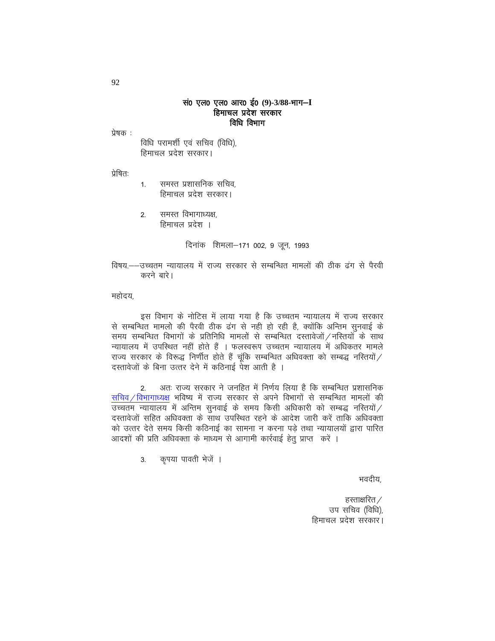#### सं0 एल0 एल0 आर0 ई0 (9)-3/88-भाग-I हिमाचल प्रदेश सरकार विधि विभाग

प्रेषक :

विधि परामशी एवं सचिव (विधि), हिमाचल प्रदेश सरकार।

प्रेषित:

- समस्त प्रशासनिक सचिव.  $1.$ हिमाचल प्रदेश सरकार।
- समस्त विभागाध्यक्ष,  $\mathcal{P}$ हिमाचल प्रदेश ।

दिनांक शिमला–171 002, 9 जून, 1993

विषय.--उच्चतम न्यायालय में राज्य सरकार से सम्बन्धित मामलों की ठीक ढंग से पैरवी करने बारे।

महोदय.

इस विभाग के नोटिस में लाया गया है कि उच्चतम न्यायालय में राज्य सरकार से सम्बन्धित मामलो की पैरवी ठीक ढंग से नही हो रही है, क्योंकि अन्तिम सुनवाई के समय सम्बन्धित विभागों के प्रतिनिधि मामलों से सम्बन्धित दस्तावेजों / नस्तियों के साथ न्यायालय में उपस्थित नहीं होते हैं । फलस्वरूप उच्चतम न्यायालय में अधिकतर मामले राज्य सरकार के विरूद्ध निर्णीत होते हैं चूंकि सम्बन्धित अधिवक्ता को सम्बद्ध नस्तियों $/$ दस्तावेजों के बिना उत्तर देने में कठिनाई पेश आती है ।

अतः राज्य सरकार ने जनहित में निर्णय लिया है कि सम्बन्धित प्रशासनिक  $2.$ सचिव / विभागाध्यक्ष भविष्य में राज्य सरकार से अपने विभागों से सम्बन्धित मामलों की उच्चतम न्यायालय में अन्तिम सुनवाई के समय किसी अधिकारी को सम्बद्ध नस्तियों / दस्तावेजों सहित अधिवक्ता के साथ उपस्थित रहने के आदेश जारी करें ताकि अधिवक्ता को उत्तर देते समय किसी कठिनाई का सामना न करना पड़े तथा न्यायालयों द्वारा पारित आदशों की प्रति अधिवक्ता के माध्यम से आगामी कार्रवाई हेतु प्राप्त करें ।

> कृपया पावती भेजें ।  $3.$

> > भवदीय,

हस्ताक्षरित  $\angle$ उप सचिव (विधि), हिमाचल प्रदेश सरकार।

92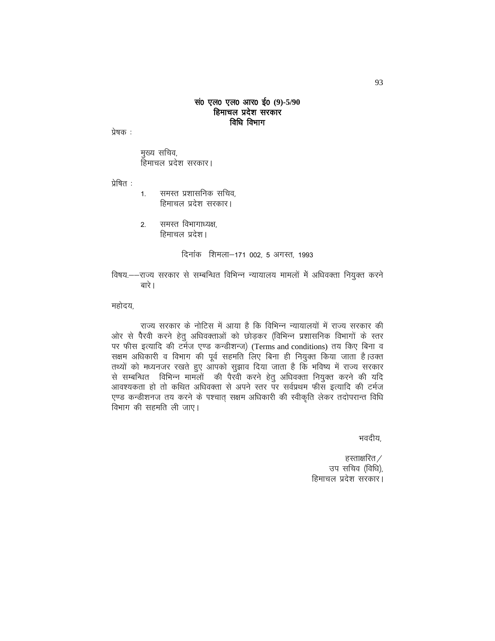#### सं0 एल0 एल0 आर0 ई0 (9)-5/90 हिमाचल प्रदेश सरकार विधि विभाग

प्रेषक :

मुख्य सचिव, हिमाचल प्रदेश सरकार।

प्रेषित :

- समस्त प्रशासनिक सचिव.  $1.$ हिमाचल प्रदेश सरकार।
- समस्त विभागाध्यक्ष.  $2.$ हिमाचल प्रदेश।

दिनांक शिमला-171 002, 5 अगस्त, 1993

विषय.—–राज्य सरकार से सम्बन्धित विभिन्न न्यायालय मामलों में अधिवक्ता नियुक्त करने बारे ।

महोदय.

राज्य सरकार के नोटिस में आया है कि विभिन्न न्यायालयों में राज्य सरकार की ओर से पैरवी करने हेतु अधिवक्ताओं को छोड़कर (विभिन्न प्रशासनिक विभागों के स्तर पर फीस इत्यादि की टर्मज एण्ड कन्डीशन्ज) (Terms and conditions) तय किए बिना व सक्षम अधिकारी व विभाग की पूर्व सहमति लिए बिना ही नियुक्त किया जाता है।उक्त तथ्यों को मध्यनजर रखते हुए आपको सुझाव दिया जाता है कि भविष्य में राज्य सरकार से सम्बन्धित विभिन्न मामलों की पैरवी करने हेतु अधिवक्ता नियुक्त करने की यदि आवश्यकता हो तो कथित अधिवक्ता से अपने स्तर पर सर्वप्रथम फीस इत्यादि की टर्मज एण्ड कन्डीशनज तय करने के पश्चात सक्षम अधिकारी की स्वीकृति लेकर तदोपरान्त विधि विभाग की सहमति ली जाए।

भवदीय,

हस्ताक्षरित $\angle$ उप सचिव (विधि), हिमाचल प्रदेश सरकार।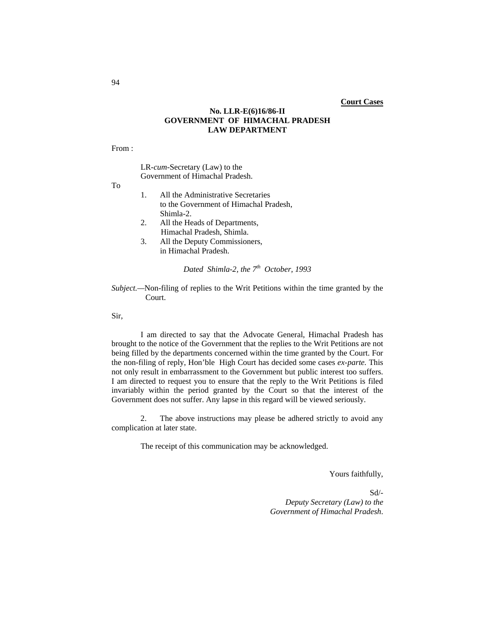#### **No. LLR-E(6)16/86-II GOVERNMENT OF HIMACHAL PRADESH LAW DEPARTMENT**

From :

LR-*cum-*Secretary (Law) to the Government of Himachal Pradesh.

To

- 1. All the Administrative Secretaries to the Government of Himachal Pradesh, Shimla-2.
- 2. All the Heads of Departments, Himachal Pradesh, Shimla.
- 3. All the Deputy Commissioners, in Himachal Pradesh.

*Dated Shimla-2, the*  $7<sup>th</sup>$  *October, 1993* 

*Subject.—*Non-filing of replies to the Writ Petitions within the time granted by the Court.

Sir,

I am directed to say that the Advocate General, Himachal Pradesh has brought to the notice of the Government that the replies to the Writ Petitions are not being filled by the departments concerned within the time granted by the Court. For the non-filing of reply, Hon'ble High Court has decided some cases *ex-parte.* This not only result in embarrassment to the Government but public interest too suffers. I am directed to request you to ensure that the reply to the Writ Petitions is filed invariably within the period granted by the Court so that the interest of the Government does not suffer. Any lapse in this regard will be viewed seriously.

 2. The above instructions may please be adhered strictly to avoid any complication at later state.

The receipt of this communication may be acknowledged.

Yours faithfully,

Sd/- *Deputy Secretary (Law) to the Government of Himachal Pradesh*.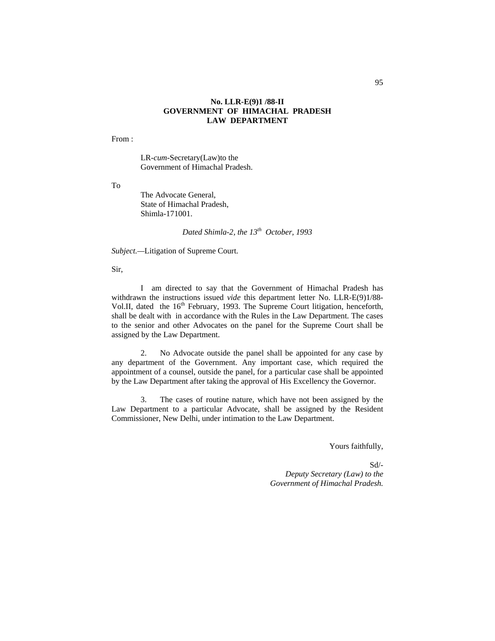#### **No. LLR-E(9)1 /88-II GOVERNMENT OF HIMACHAL PRADESH LAW DEPARTMENT**

From :

LR-*cum-*Secretary(Law)to the Government of Himachal Pradesh.

To

The Advocate General, State of Himachal Pradesh, Shimla-171001.

*Dated Shimla-2, the 13th October, 1993*

*Subject.—*Litigation of Supreme Court.

Sir,

I am directed to say that the Government of Himachal Pradesh has withdrawn the instructions issued *vide* this department letter No. LLR-E(9)1/88- Vol.II, dated the 16<sup>th</sup> February, 1993. The Supreme Court litigation, henceforth, shall be dealt with in accordance with the Rules in the Law Department. The cases to the senior and other Advocates on the panel for the Supreme Court shall be assigned by the Law Department.

2. No Advocate outside the panel shall be appointed for any case by any department of the Government. Any important case, which required the appointment of a counsel, outside the panel, for a particular case shall be appointed by the Law Department after taking the approval of His Excellency the Governor.

3. The cases of routine nature, which have not been assigned by the Law Department to a particular Advocate, shall be assigned by the Resident Commissioner, New Delhi, under intimation to the Law Department.

Yours faithfully,

Sd/- *Deputy Secretary (Law) to the Government of Himachal Pradesh.*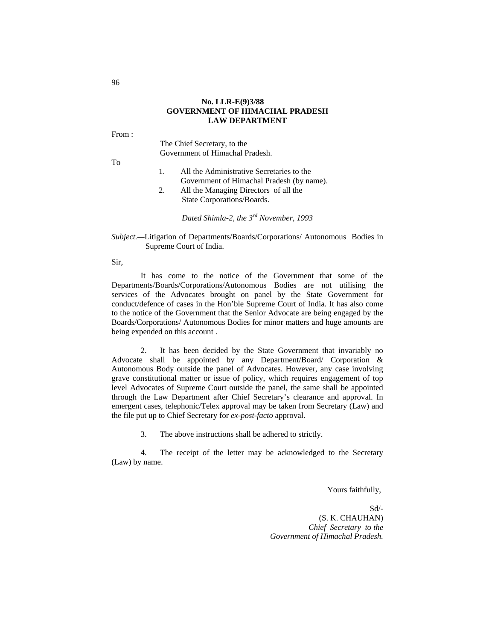#### **No. LLR-E(9)3/88 GOVERNMENT OF HIMACHAL PRADESH LAW DEPARTMENT**

From :

The Chief Secretary, to the Government of Himachal Pradesh.

To

- 1. All the Administrative Secretaries to the Government of Himachal Pradesh (by name).
- 2. All the Managing Directors of all the State Corporations/Boards.

*Dated Shimla-2, the 3rd November, 1993*

*Subject.—*Litigation of Departments/Boards/Corporations/ Autonomous Bodies in Supreme Court of India.

Sir,

It has come to the notice of the Government that some of the Departments/Boards/Corporations/Autonomous Bodies are not utilising the services of the Advocates brought on panel by the State Government for conduct/defence of cases in the Hon'ble Supreme Court of India. It has also come to the notice of the Government that the Senior Advocate are being engaged by the Boards/Corporations/ Autonomous Bodies for minor matters and huge amounts are being expended on this account .

2. It has been decided by the State Government that invariably no Advocate shall be appointed by any Department/Board/ Corporation & Autonomous Body outside the panel of Advocates. However, any case involving grave constitutional matter or issue of policy, which requires engagement of top level Advocates of Supreme Court outside the panel, the same shall be appointed through the Law Department after Chief Secretary's clearance and approval. In emergent cases, telephonic/Telex approval may be taken from Secretary (Law) and the file put up to Chief Secretary for *ex-post-facto* approval.

3. The above instructions shall be adhered to strictly.

4. The receipt of the letter may be acknowledged to the Secretary (Law) by name.

Yours faithfully,

Sd/- (S. K. CHAUHAN) *Chief Secretary to the Government of Himachal Pradesh.*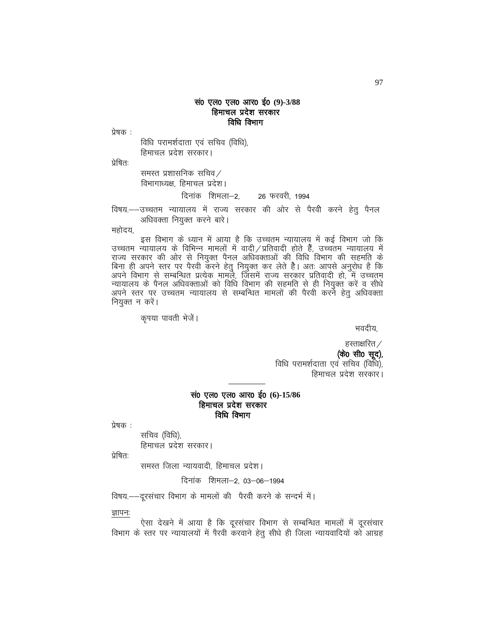# सं0 एल0 एल0 आर0 ई0 (9)-3/88 हिमाचल प्रदेश सरकार विधि विभाग

प्रेषक :

विधि परामर्शदाता एवं सचिव (विधि), हिमाचल प्रदेश सरकार।

प्रेषित:

समस्त प्रशासनिक सचिव $\angle$ विभागाध्यक्ष, हिमाचल प्रदेश।

## दिनांक शिमला-2, 26 फरवरी, 1994

विषय.--उच्चतम न्यायालय में राज्य सरकार की ओर से पैरवी करने हेत् पैनल अधिवक्ता नियुक्त करने बारे।

महोदय,

इस विभाग के ध्यान में आया है कि उच्चतम न्यायालय में कई विभाग जो कि उच्चतम न्यायालय के विभिन्न मामलों में वादी ⁄ प्रतिवादी होते हैं, उच्चतम न्यायालय में राज्य सरकार की ओर से नियुक्त पैनल अधिवक्ताओं की विधि विभाग की सहमति के , जन्म सा जान का पर पेरवी करने हेतु नियुक्त कर लेते है। अतः आपसे अनुरोध है कि<br>अपने विभाग से सम्बन्धित प्रत्येक मामूले, जिसमें राज्य सरकार प्रतिवादी हो, में उच्चतूम न्यायालय के पैनल अधिवक्ताओं को विधि विभाग की सहमति से ही नियुक्त करें व सीधे<br>अपने स्तर पर उच्चतम न्यायालय से सम्बन्धित मामलों की पैरवी करने हेतु अधिवक्ता नियुक्त न करें।

कृपया पावती भेजें।

Hkonh;]

हस्ताक्षरित $\angle$ 

(के0 सी0 सूद),

विधि परामर्शदाता एवं सचिव (विधि), हिमाचल प्रदेश सरकार।

## सं0 एल0 एल0 आर0 ई0 (6)-15/86 हिमाचल प्रदेश सरकार विधि विभाग

प्रेषक :

सचिव (विधि), हिमाचल प्रदेश सरकार।

प्रेषित:

समस्त जिला न्यायवादी, हिमाचल प्रदेश।

दिनांक शिमला-2, 03-06-1994

विषय -- दूरसंचार विभाग के मामलों की पैरवी करने के सन्दर्भ में।

ज्ञापनः

ऐसा देखने में आया है कि दूरसंचार विभाग से सम्बन्धित मामलों में दूरसंचार विभाग के स्तर पर न्यायालयों में पैरवी करवाने हेतु सीधे ही जिला न्यायवादियों को आग्रह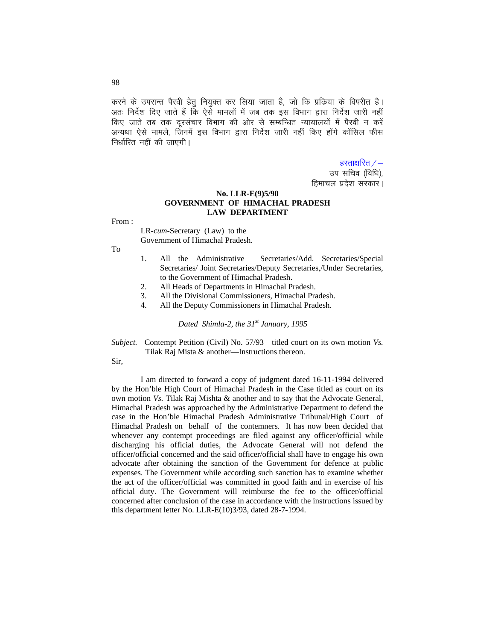करने के उपरान्त पैरवी हेतु नियुक्त कर लिया जाता है, जो कि प्रक्रिया के विपरीत है। अतः निर्देश दिए जाते हैं कि ऐसे मामलों में जब तक इस विभाग द्वारा निर्देश जारी नहीं किए जाते तब तक दरसंचार विभाग की ओर से सम्बन्धित न्यायालयों में पैरवी न करें अन्यथा ऐसे मामले. जिनमें इस विभाग द्वारा निर्देश जारी नहीं किए होंगे कोंसिल फीस निर्धारित नहीं की जाएगी।

> हस्ताक्षरित  $/-$ उप सचिव (विधि),

# हिमाचल प्रदेश सरकार।

#### **No. LLR-E(9)5/90 GOVERNMENT OF HIMACHAL PRADESH LAW DEPARTMENT**

From :

LR-*cum-*Secretary (Law) to the Government of Himachal Pradesh.

To

- 1. All the Administrative Secretaries/Add. Secretaries/Special Secretaries/ Joint Secretaries/Deputy Secretaries,/Under Secretaries, to the Government of Himachal Pradesh.
- 2. All Heads of Departments in Himachal Pradesh.
- 3. All the Divisional Commissioners, Himachal Pradesh.
- 4. All the Deputy Commissioners in Himachal Pradesh.

*Dated Shimla-2, the 31st January, 1995*

*Subject.—*Contempt Petition (Civil) No. 57/93—titled court on its own motion *Vs.* Tilak Raj Mista & another—Instructions thereon.

Sir,

I am directed to forward a copy of judgment dated 16-11-1994 delivered by the Hon'ble High Court of Himachal Pradesh in the Case titled as court on its own motion *Vs.* Tilak Raj Mishta & another and to say that the Advocate General, Himachal Pradesh was approached by the Administrative Department to defend the case in the Hon'ble Himachal Pradesh Administrative Tribunal/High Court of Himachal Pradesh on behalf of the contemners. It has now been decided that whenever any contempt proceedings are filed against any officer/official while discharging his official duties, the Advocate General will not defend the officer/official concerned and the said officer/official shall have to engage his own advocate after obtaining the sanction of the Government for defence at public expenses. The Government while according such sanction has to examine whether the act of the officer/official was committed in good faith and in exercise of his official duty. The Government will reimburse the fee to the officer/official concerned after conclusion of the case in accordance with the instructions issued by this department letter No. LLR-E(10)3/93, dated 28-7-1994.

98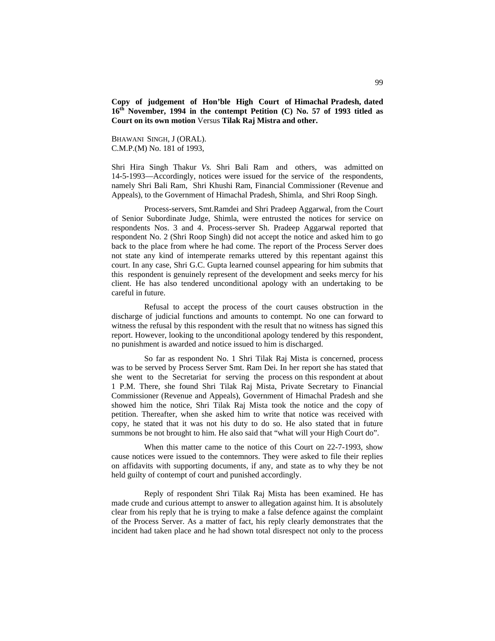**Copy of judgement of Hon'ble High Court of Himachal Pradesh, dated 16th November, 1994 in the contempt Petition (C) No. 57 of 1993 titled as Court on its own motion** Versus **Tilak Raj Mistra and other.**

BHAWANI SINGH, J (ORAL). C.M.P.(M) No. 181 of 1993,

Shri Hira Singh Thakur *Vs.* Shri Bali Ram and others, was admitted on 14-5-1993—Accordingly, notices were issued for the service of the respondents, namely Shri Bali Ram, Shri Khushi Ram, Financial Commissioner (Revenue and Appeals), to the Government of Himachal Pradesh, Shimla, and Shri Roop Singh.

Process-servers, Smt.Ramdei and Shri Pradeep Aggarwal, from the Court of Senior Subordinate Judge, Shimla, were entrusted the notices for service on respondents Nos. 3 and 4. Process-server Sh. Pradeep Aggarwal reported that respondent No. 2 (Shri Roop Singh) did not accept the notice and asked him to go back to the place from where he had come. The report of the Process Server does not state any kind of intemperate remarks uttered by this repentant against this court. In any case, Shri G.C. Gupta learned counsel appearing for him submits that this respondent is genuinely represent of the development and seeks mercy for his client. He has also tendered unconditional apology with an undertaking to be careful in future.

Refusal to accept the process of the court causes obstruction in the discharge of judicial functions and amounts to contempt. No one can forward to witness the refusal by this respondent with the result that no witness has signed this report. However, looking to the unconditional apology tendered by this respondent, no punishment is awarded and notice issued to him is discharged.

So far as respondent No. 1 Shri Tilak Raj Mista is concerned, process was to be served by Process Server Smt. Ram Dei. In her report she has stated that she went to the Secretariat for serving the process on this respondent at about 1 P.M. There, she found Shri Tilak Raj Mista, Private Secretary to Financial Commissioner (Revenue and Appeals), Government of Himachal Pradesh and she showed him the notice, Shri Tilak Raj Mista took the notice and the copy of petition. Thereafter, when she asked him to write that notice was received with copy, he stated that it was not his duty to do so. He also stated that in future summons be not brought to him. He also said that "what will your High Court do".

When this matter came to the notice of this Court on 22-7-1993, show cause notices were issued to the contemnors. They were asked to file their replies on affidavits with supporting documents, if any, and state as to why they be not held guilty of contempt of court and punished accordingly.

Reply of respondent Shri Tilak Raj Mista has been examined. He has made crude and curious attempt to answer to allegation against him. It is absolutely clear from his reply that he is trying to make a false defence against the complaint of the Process Server. As a matter of fact, his reply clearly demonstrates that the incident had taken place and he had shown total disrespect not only to the process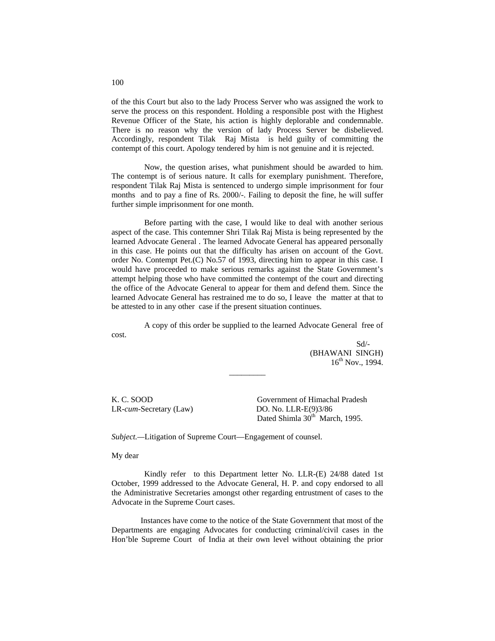of the this Court but also to the lady Process Server who was assigned the work to serve the process on this respondent. Holding a responsible post with the Highest Revenue Officer of the State, his action is highly deplorable and condemnable. There is no reason why the version of lady Process Server be disbelieved. Accordingly, respondent Tilak Raj Mista is held guilty of committing the contempt of this court. Apology tendered by him is not genuine and it is rejected.

Now, the question arises, what punishment should be awarded to him. The contempt is of serious nature. It calls for exemplary punishment. Therefore, respondent Tilak Raj Mista is sentenced to undergo simple imprisonment for four months and to pay a fine of Rs. 2000/-. Failing to deposit the fine, he will suffer further simple imprisonment for one month.

Before parting with the case, I would like to deal with another serious aspect of the case. This contemner Shri Tilak Raj Mista is being represented by the learned Advocate General . The learned Advocate General has appeared personally in this case. He points out that the difficulty has arisen on account of the Govt. order No. Contempt Pet.(C) No.57 of 1993, directing him to appear in this case. I would have proceeded to make serious remarks against the State Government's attempt helping those who have committed the contempt of the court and directing the office of the Advocate General to appear for them and defend them. Since the learned Advocate General has restrained me to do so, I leave the matter at that to be attested to in any other case if the present situation continues.

A copy of this order be supplied to the learned Advocate General free of cost.

\_\_\_\_\_\_\_\_\_

 Sd/- (BHAWANI SINGH)  $16^{th}$  Nov., 1994.

LR-*cum*-Secretary (Law) DO. No. LLR-E(9)3/86

K. C. SOOD Government of Himachal Pradesh Dated Shimla 30<sup>th</sup> March, 1995.

*Subject.—*Litigation of Supreme Court—Engagement of counsel.

My dear

Kindly refer to this Department letter No. LLR-(E) 24/88 dated 1st October, 1999 addressed to the Advocate General, H. P. and copy endorsed to all the Administrative Secretaries amongst other regarding entrustment of cases to the Advocate in the Supreme Court cases.

Instances have come to the notice of the State Government that most of the Departments are engaging Advocates for conducting criminal/civil cases in the Hon'ble Supreme Court of India at their own level without obtaining the prior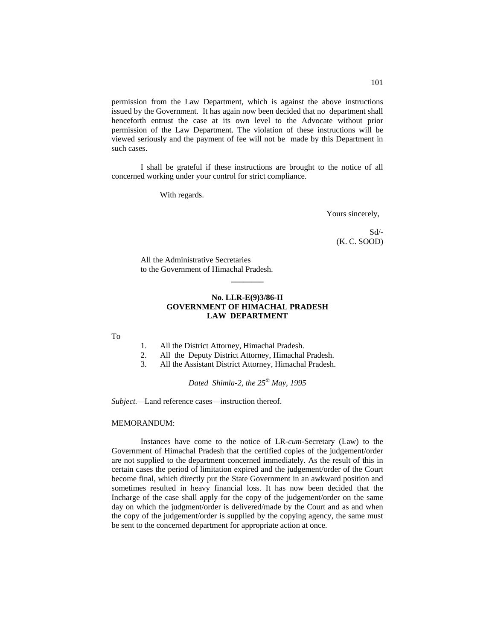permission from the Law Department, which is against the above instructions issued by the Government. It has again now been decided that no department shall henceforth entrust the case at its own level to the Advocate without prior permission of the Law Department. The violation of these instructions will be viewed seriously and the payment of fee will not be made by this Department in such cases.

I shall be grateful if these instructions are brought to the notice of all concerned working under your control for strict compliance.

With regards.

Yours sincerely,

Sd/- (K. C. SOOD)

All the Administrative Secretaries to the Government of Himachal Pradesh.

#### **No. LLR-E(9)3/86-II GOVERNMENT OF HIMACHAL PRADESH LAW DEPARTMENT**

**\_\_\_\_\_\_\_\_**

To

- 1. All the District Attorney, Himachal Pradesh.
- 2. All the Deputy District Attorney, Himachal Pradesh.
- 3. All the Assistant District Attorney, Himachal Pradesh.

*Dated Shimla-2, the 25th May, 1995*

*Subject.—*Land reference cases—instruction thereof.

#### MEMORANDUM:

Instances have come to the notice of LR-*cum-*Secretary (Law) to the Government of Himachal Pradesh that the certified copies of the judgement/order are not supplied to the department concerned immediately. As the result of this in certain cases the period of limitation expired and the judgement/order of the Court become final, which directly put the State Government in an awkward position and sometimes resulted in heavy financial loss. It has now been decided that the Incharge of the case shall apply for the copy of the judgement/order on the same day on which the judgment/order is delivered/made by the Court and as and when the copy of the judgement/order is supplied by the copying agency, the same must be sent to the concerned department for appropriate action at once.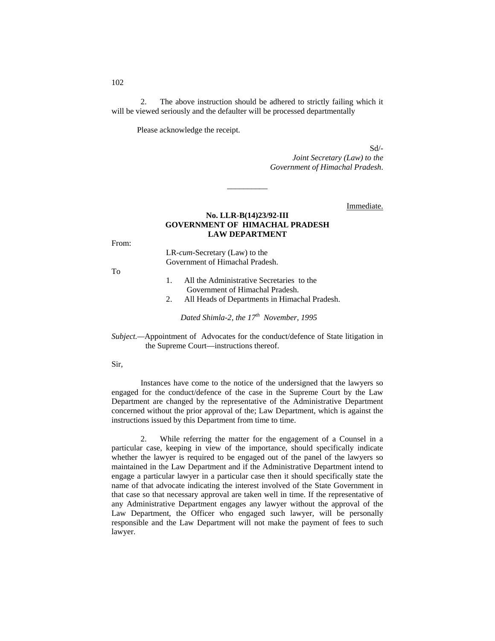2. The above instruction should be adhered to strictly failing which it will be viewed seriously and the defaulter will be processed departmentally

Please acknowledge the receipt.

Sd/-

*Joint Secretary (Law) to the Government of Himachal Pradesh*.

Immediate.

## **No. LLR-B(14)23/92-III GOVERNMENT OF HIMACHAL PRADESH LAW DEPARTMENT**

\_\_\_\_\_\_\_\_\_\_

From:

LR-*cum-*Secretary (Law) to the Government of Himachal Pradesh.

To

- 1. All the Administrative Secretaries to the Government of Himachal Pradesh.
- 2. All Heads of Departments in Himachal Pradesh.

*Dated Shimla-2, the 17th November, 1995*

*Subject.—*Appointment of Advocates for the conduct/defence of State litigation in the Supreme Court—instructions thereof.

Sir,

Instances have come to the notice of the undersigned that the lawyers so engaged for the conduct/defence of the case in the Supreme Court by the Law Department are changed by the representative of the Administrative Department concerned without the prior approval of the; Law Department, which is against the instructions issued by this Department from time to time.

2. While referring the matter for the engagement of a Counsel in a particular case, keeping in view of the importance, should specifically indicate whether the lawyer is required to be engaged out of the panel of the lawyers so maintained in the Law Department and if the Administrative Department intend to engage a particular lawyer in a particular case then it should specifically state the name of that advocate indicating the interest involved of the State Government in that case so that necessary approval are taken well in time. If the representative of any Administrative Department engages any lawyer without the approval of the Law Department, the Officer who engaged such lawyer, will be personally responsible and the Law Department will not make the payment of fees to such lawyer.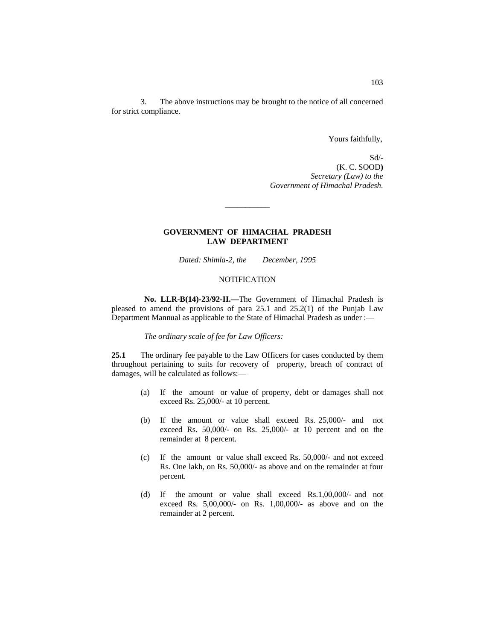3. The above instructions may be brought to the notice of all concerned for strict compliance.

Yours faithfully,

 Sd/- (K. C. SOOD**)** *Secretary (Law) to the Government of Himachal Pradesh.*

## **GOVERNMENT OF HIMACHAL PRADESH LAW DEPARTMENT**

\_\_\_\_\_\_\_\_\_\_\_

*Dated: Shimla-2, the December, 1995*

#### NOTIFICATION

**No. LLR-B(14)-23/92-II.—**The Government of Himachal Pradesh is pleased to amend the provisions of para 25.1 and 25.2(1) of the Punjab Law Department Mannual as applicable to the State of Himachal Pradesh as under :—

*The ordinary scale of fee for Law Officers:*

**25.1** The ordinary fee payable to the Law Officers for cases conducted by them throughout pertaining to suits for recovery of property, breach of contract of damages, will be calculated as follows:—

- (a) If the amount or value of property, debt or damages shall not exceed Rs. 25,000/- at 10 percent.
- (b) If the amount or value shall exceed Rs. 25,000/- and not exceed Rs. 50,000/- on Rs. 25,000/- at 10 percent and on the remainder at 8 percent.
- (c) If the amount or value shall exceed Rs. 50,000/- and not exceed Rs. One lakh, on Rs. 50,000/- as above and on the remainder at four percent.
- (d) If the amount or value shall exceed Rs.1,00,000/- and not exceed Rs. 5,00,000/- on Rs. 1,00,000/- as above and on the remainder at 2 percent.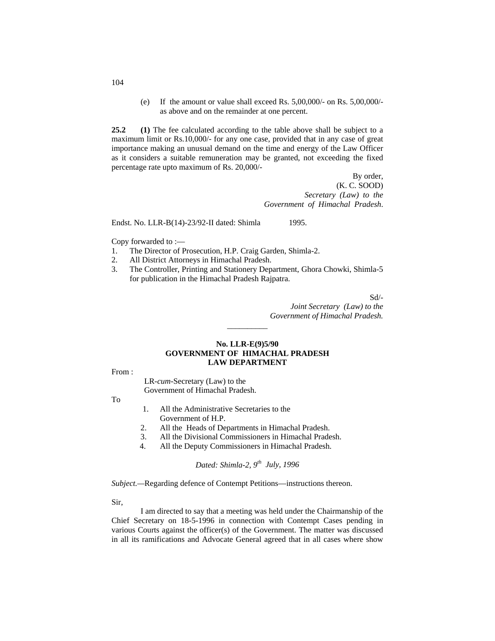(e) If the amount or value shall exceed Rs. 5,00,000/- on Rs. 5,00,000/ as above and on the remainder at one percent.

**25.2 (1)** The fee calculated according to the table above shall be subject to a maximum limit or Rs.10,000/- for any one case, provided that in any case of great importance making an unusual demand on the time and energy of the Law Officer as it considers a suitable remuneration may be granted, not exceeding the fixed percentage rate upto maximum of Rs. 20,000/-

> By order, (K. C. SOOD) *Secretary (Law) to the Government of Himachal Pradesh*.

Endst. No. LLR-B(14)-23/92-II dated: Shimla 1995.

Copy forwarded to :—

- 1. The Director of Prosecution, H.P. Craig Garden, Shimla-2.
- 2. All District Attorneys in Himachal Pradesh.
- 3. The Controller, Printing and Stationery Department, Ghora Chowki, Shimla-5 for publication in the Himachal Pradesh Rajpatra.

Sd/-

*Joint Secretary (Law) to the Government of Himachal Pradesh.*

#### **No. LLR-E(9)5/90 GOVERNMENT OF HIMACHAL PRADESH LAW DEPARTMENT**

\_\_\_\_\_\_\_\_\_\_

From :

LR-*cum-*Secretary (Law) to the Government of Himachal Pradesh.

To

- 1. All the Administrative Secretaries to the Government of H.P.
- 2. All the Heads of Departments in Himachal Pradesh.<br>3. All the Divisional Commissioners in Himachal Prade
- All the Divisional Commissioners in Himachal Pradesh.
- 4. All the Deputy Commissioners in Himachal Pradesh.

*Dated: Shimla-2, 9th July, 1996*

*Subject.—*Regarding defence of Contempt Petitions—instructions thereon.

Sir,

I am directed to say that a meeting was held under the Chairmanship of the Chief Secretary on 18-5-1996 in connection with Contempt Cases pending in various Courts against the officer(s) of the Government. The matter was discussed in all its ramifications and Advocate General agreed that in all cases where show

104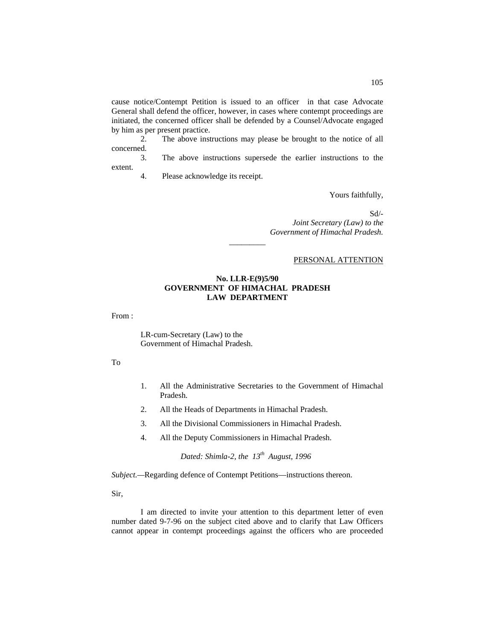cause notice/Contempt Petition is issued to an officer in that case Advocate General shall defend the officer, however, in cases where contempt proceedings are initiated, the concerned officer shall be defended by a Counsel/Advocate engaged by him as per present practice.

2. The above instructions may please be brought to the notice of all concerned.

3. The above instructions supersede the earlier instructions to the extent.

4. Please acknowledge its receipt.

Yours faithfully,

Sd/-

*Joint Secretary (Law) to the Government of Himachal Pradesh.*

#### PERSONAL ATTENTION

#### **No. LLR-E(9)5/90 GOVERNMENT OF HIMACHAL PRADESH LAW DEPARTMENT**

*\_\_\_\_\_\_\_\_\_*

From :

LR-cum-Secretary (Law) to the Government of Himachal Pradesh.

To

- 1. All the Administrative Secretaries to the Government of Himachal Pradesh.
- 2. All the Heads of Departments in Himachal Pradesh.
- 3. All the Divisional Commissioners in Himachal Pradesh.
- 4. All the Deputy Commissioners in Himachal Pradesh.

*Dated: Shimla-2, the 13th August, 1996*

*Subject.—*Regarding defence of Contempt Petitions—instructions thereon.

Sir,

I am directed to invite your attention to this department letter of even number dated 9-7-96 on the subject cited above and to clarify that Law Officers cannot appear in contempt proceedings against the officers who are proceeded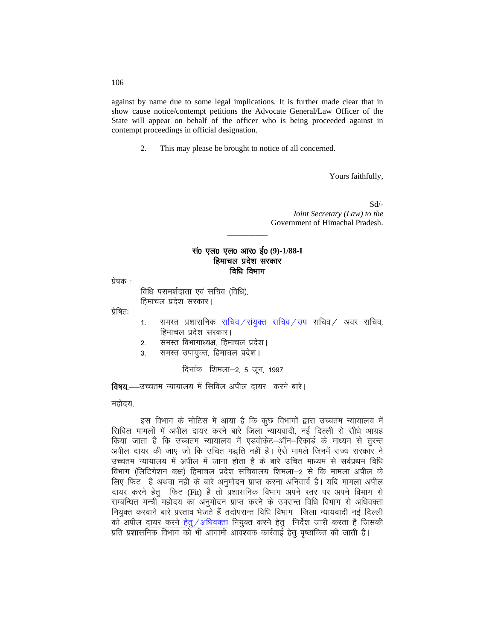against by name due to some legal implications. It is further made clear that in show cause notice/contempt petitions the Advocate General/Law Officer of the State will appear on behalf of the officer who is being proceeded against in contempt proceedings in official designation.

2. This may please be brought to notice of all concerned.

Yours faithfully,

 Sd/- *Joint Secretary (Law) to the* Government of Himachal Pradesh.

# सं0 एल0 एल0 आर0 ई0 (9)-1/88-I हिमाचल प्रदेश सरकार विधि विभाग

\_\_\_\_\_\_\_\_\_\_

प्रेषक :

विधि परामर्शदाता एवं सचिव (विधि), हिमाचल प्रदेश सरकार।

प्रेषितः

- 1. समस्त प्रशासनिक सचिव/संयुक्त सचिव/उप सचिव/ अवर सचिव, हिमाचल प्रदेश सरकार।
- 2. समस्त विभागाध्यक्ष, हिमाचल प्रदेश।
- 3. समस्त उपायुक्त, हिमाचल प्रदेश।

दिनांक शिमला-2, 5 जून, 1997

**विषय.—**—उच्चतम न्यायालय में सिविल अपील दायर करने बारे।

महोदय

इस विभाग के नोटिस में आया है कि कुछ विभागों द्वारा उच्चतम न्यायालय में सिविल मामलों में अपील दायर करने बारे जिला न्यायवादी, नई दिल्ली से सीधे आग्रह किया जाता है कि उच्चतम न्यायालय में एडवोकेट–ऑन–रिकार्ड के माध्यम से तुरन्त अपील दायर की जाए जो कि उचित पद्धति नहीं है। ऐसे मामले जिनमें राज्य सरकार ने उच्चतम न्यायालय में अपील में जाना होता है के बारे उचित माध्यम से सर्वप्रथम विधि विभाग (लिटिगेशन कक्ष) हिमाचल प्रदेश सचिवालय शिमला—2 से कि मामला अपील के लिए फिट है अथवा नहीं के बारे अनुमोदन प्राप्त करना अनिवार्य है। यदि मामला अपील दायर करने हेतु फिट (Fit) है तो प्रशासनिक विभाग अपने स्तर पर अपने विभाग से सम्बन्धित मन्त्री महोदय का अनुमोदन प्राप्त करने के उपरान्त विधि विभाग से अधिवक्ता नियुक्त करवाने बारे प्रस्ताव भेजते हैं तदोपरान्त विधि विभाग जिला न्यायवादी नई दिल्ली को अपील <u>दायर करने हेतु / अधिवक्ता</u> नियुक्त करने हेतु) निर्देश जारी करता है जिसकी प्रति प्रशासनिक विभाग को भी आगामी आवश्यक कार्रवाई हेतु पृष्ठांकित की जाती है।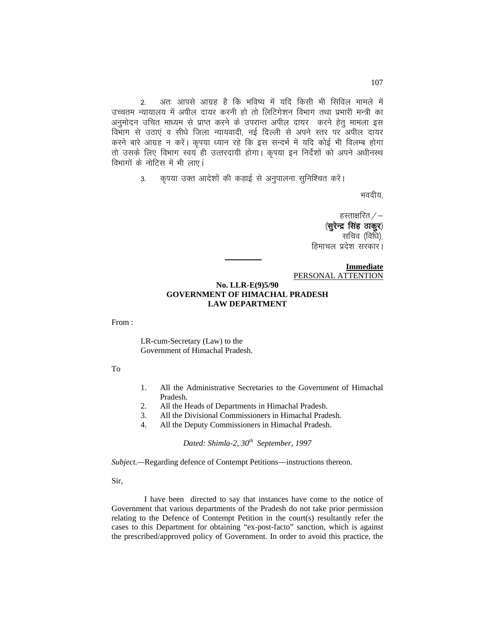2. अतः आपसे आग्रह है कि भविष्य में यदि किसी भी सिविल मामले में उच्चतम न्यायालय में अपील दायर करनी हो तो लिटिगेशन विभाग तथा प्रभारी मन्त्री का अनुमोदन उचित माध्यम से प्राप्त करने के उपरान्त अपील दायर करने हेत् मामला इस विभाग से उठाएं व सीधे जिला न्यायवादी, नई दिल्ली से अपने स्तर पर अपील दायर करने बारे आग्रह न करें। कृपया ध्यान रहे कि इस सन्दर्भ में यदि कोई भी विलम्ब होगा तो उसके लिए विभाग स्वयं ही उत्तरदायी होगा। कृपया इन निर्देशों को अपने अधीनस्थ विभागों के नोटिस में भी लाए।

3. कृपया उक्त आदेशों की कड़ाई से अनुपालना सुनिश्चित करें।

भवदीय,

हस्ताक्षरित $/ \langle$ सुरेन्द्र सिंह ठाकुर) सचिव (विधि), हिमाचल प्रदेश सरकार।

**Immediate** PERSONAL ATTENTION

#### **No. LLR-E(9)5/90 GOVERNMENT OF HIMACHAL PRADESH LAW DEPARTMENT**

From :

LR-cum-Secretary (Law) to the Government of Himachal Pradesh.

To

- 1. All the Administrative Secretaries to the Government of Himachal Pradesh.
- 2. All the Heads of Departments in Himachal Pradesh.
- 3. All the Divisional Commissioners in Himachal Pradesh.
- 4. All the Deputy Commissioners in Himachal Pradesh.

*Dated: Shimla-2, 30th September, 1997*

*Subject.—*Regarding defence of Contempt Petitions—instructions thereon.

Sir,

I have been directed to say that instances have come to the notice of Government that various departments of the Pradesh do not take prior permission relating to the Defence of Contempt Petition in the court(s) resultantly refer the cases to this Department for obtaining "ex-post-facto" sanction, which is against the prescribed/approved policy of Government. In order to avoid this practice, the

107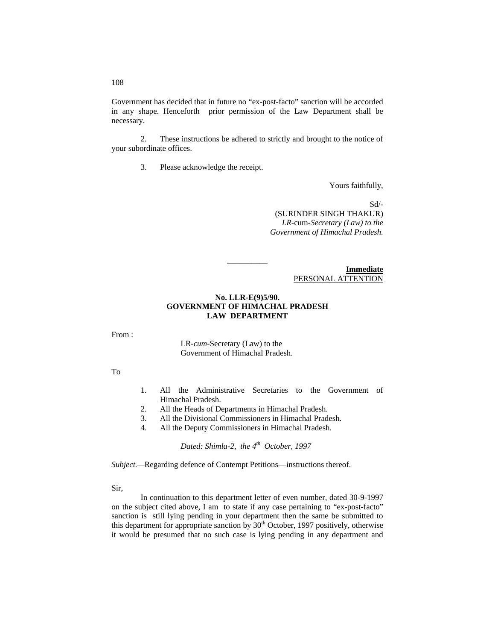Government has decided that in future no "ex-post-facto" sanction will be accorded in any shape. Henceforth prior permission of the Law Department shall be necessary.

2. These instructions be adhered to strictly and brought to the notice of your subordinate offices.

3. Please acknowledge the receipt.

Yours faithfully,

 Sd/- (SURINDER SINGH THAKUR) *LR-*cum*-Secretary (Law) to the Government of Himachal Pradesh.*

> **Immediate** PERSONAL ATTENTION

## **No. LLR-E(9)5/90. GOVERNMENT OF HIMACHAL PRADESH LAW DEPARTMENT**

\_\_\_\_\_\_\_\_\_\_

From :

LR-*cum-*Secretary (Law) to the Government of Himachal Pradesh.

To

- 1. All the Administrative Secretaries to the Government of Himachal Pradesh.
- 2. All the Heads of Departments in Himachal Pradesh.
- 3. All the Divisional Commissioners in Himachal Pradesh.
- 4. All the Deputy Commissioners in Himachal Pradesh.

*Dated: Shimla-2, the 4th October, 1997*

*Subject.—*Regarding defence of Contempt Petitions—instructions thereof.

Sir,

In continuation to this department letter of even number, dated 30-9-1997 on the subject cited above, I am to state if any case pertaining to "ex-post-facto" sanction is still lying pending in your department then the same be submitted to this department for appropriate sanction by  $30<sup>th</sup>$  October, 1997 positively, otherwise it would be presumed that no such case is lying pending in any department and

108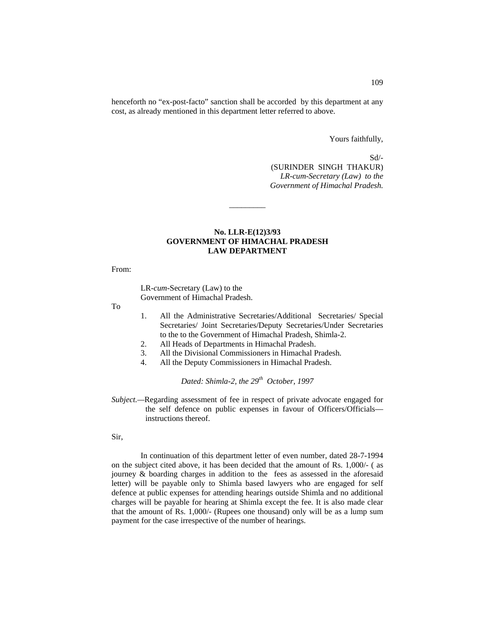henceforth no "ex-post-facto" sanction shall be accorded by this department at any cost, as already mentioned in this department letter referred to above.

Yours faithfully,

 Sd/- (SURINDER SINGH THAKUR) *LR-cum-Secretary (Law) to the Government of Himachal Pradesh.*

#### **No. LLR-E(12)3/93 GOVERNMENT OF HIMACHAL PRADESH LAW DEPARTMENT**

\_\_\_\_\_\_\_\_\_

From:

LR-*cum-*Secretary (Law) to the Government of Himachal Pradesh.

To

- 1. All the Administrative Secretaries/Additional Secretaries/ Special Secretaries/ Joint Secretaries/Deputy Secretaries/Under Secretaries to the to the Government of Himachal Pradesh, Shimla-2.
- 2. All Heads of Departments in Himachal Pradesh.
- 3. All the Divisional Commissioners in Himachal Pradesh.
- 4. All the Deputy Commissioners in Himachal Pradesh.

*Dated: Shimla-2, the 29<sup>th</sup> October, 1997* 

*Subject.—*Regarding assessment of fee in respect of private advocate engaged for the self defence on public expenses in favour of Officers/Officials instructions thereof.

Sir,

In continuation of this department letter of even number, dated 28-7-1994 on the subject cited above, it has been decided that the amount of Rs. 1,000/- ( as journey & boarding charges in addition to the fees as assessed in the aforesaid letter) will be payable only to Shimla based lawyers who are engaged for self defence at public expenses for attending hearings outside Shimla and no additional charges will be payable for hearing at Shimla except the fee. It is also made clear that the amount of Rs. 1,000/- (Rupees one thousand) only will be as a lump sum payment for the case irrespective of the number of hearings.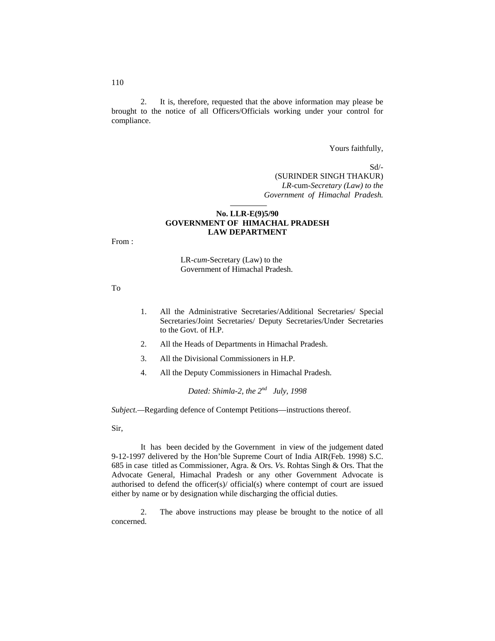2. It is, therefore, requested that the above information may please be brought to the notice of all Officers/Officials working under your control for compliance.

Yours faithfully,

 Sd/- (SURINDER SINGH THAKUR) *LR-*cum*-Secretary (Law) to the Government of Himachal Pradesh.*

#### **No. LLR-E(9)5/90 GOVERNMENT OF HIMACHAL PRADESH LAW DEPARTMENT**

From :

LR-*cum-*Secretary (Law) to the Government of Himachal Pradesh.

To

- 1. All the Administrative Secretaries/Additional Secretaries/ Special Secretaries/Joint Secretaries/ Deputy Secretaries/Under Secretaries to the Govt. of H.P.
- 2. All the Heads of Departments in Himachal Pradesh.
- 3. All the Divisional Commissioners in H.P.
- 4. All the Deputy Commissioners in Himachal Pradesh.

*Dated: Shimla-2, the 2nd July, 1998*

*Subject.—*Regarding defence of Contempt Petitions—instructions thereof.

Sir,

It has been decided by the Government in view of the judgement dated 9-12-1997 delivered by the Hon'ble Supreme Court of India AIR(Feb. 1998) S.C. 685 in case titled as Commissioner, Agra. & Ors. *Vs.* Rohtas Singh & Ors. That the Advocate General, Himachal Pradesh or any other Government Advocate is authorised to defend the officer(s)/ official(s) where contempt of court are issued either by name or by designation while discharging the official duties.

2. The above instructions may please be brought to the notice of all concerned.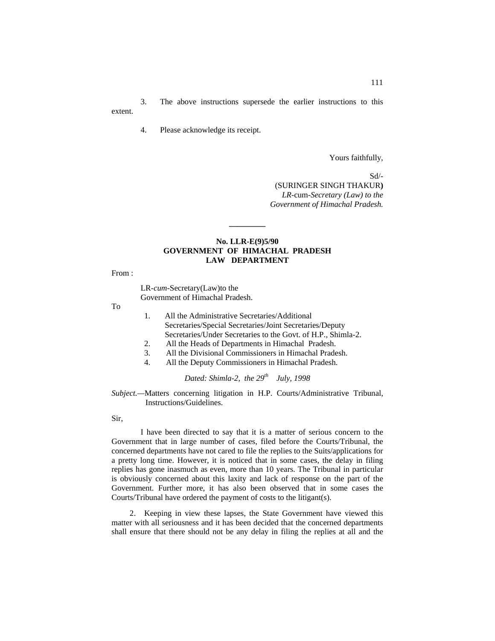3. The above instructions supersede the earlier instructions to this extent.

4. Please acknowledge its receipt.

Yours faithfully,

 Sd/- (SURINGER SINGH THAKUR**)** *LR-*cum*-Secretary (Law) to the Government of Himachal Pradesh.*

## **No. LLR-E(9)5/90 GOVERNMENT OF HIMACHAL PRADESH LAW DEPARTMENT**

**\_\_\_\_\_\_\_\_\_**

From :

LR-*cum-*Secretary(Law)to the Government of Himachal Pradesh.

To

- 1. All the Administrative Secretaries/Additional Secretaries/Special Secretaries/Joint Secretaries/Deputy Secretaries/Under Secretaries to the Govt. of H.P., Shimla-2.
- 2. All the Heads of Departments in Himachal Pradesh.
- 3. All the Divisional Commissioners in Himachal Pradesh.
- 4. All the Deputy Commissioners in Himachal Pradesh.

*Dated: Shimla-2, the 29th July, 1998*

#### *Subject.—*Matters concerning litigation in H.P. Courts/Administrative Tribunal, Instructions/Guidelines.

Sir,

I have been directed to say that it is a matter of serious concern to the Government that in large number of cases, filed before the Courts/Tribunal, the concerned departments have not cared to file the replies to the Suits/applications for a pretty long time. However, it is noticed that in some cases, the delay in filing replies has gone inasmuch as even, more than 10 years. The Tribunal in particular is obviously concerned about this laxity and lack of response on the part of the Government. Further more, it has also been observed that in some cases the Courts/Tribunal have ordered the payment of costs to the litigant(s).

2. Keeping in view these lapses, the State Government have viewed this matter with all seriousness and it has been decided that the concerned departments shall ensure that there should not be any delay in filing the replies at all and the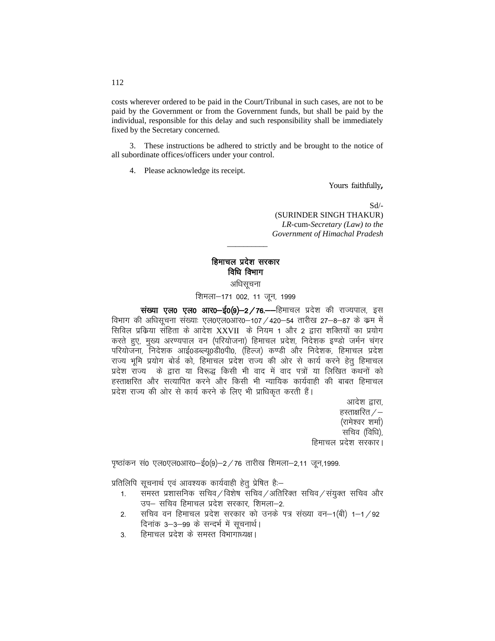costs wherever ordered to be paid in the Court/Tribunal in such cases, are not to be paid by the Government or from the Government funds, but shall be paid by the individual, responsible for this delay and such responsibility shall be immediately fixed by the Secretary concerned.

3. These instructions be adhered to strictly and be brought to the notice of all subordinate offices/officers under your control.

4. Please acknowledge its receipt.

Yours faithfully**,**

Sd/- (SURINDER SINGH THAKUR) *LR-*cum-*Secretary (Law) to the Government of Himachal Pradesh*

# हिमाचल प्रदेश सरकार विधि विभाग अधिसूचना

*\_\_\_\_\_\_\_\_\_\_*

शिमला-171 002, 11 जून, 1999

witer who vere show-the view-composition where the vertice with the vertice with the vertice with the vertice t विभाग की अधिसूचना संख्याः एल0एल0आर0-107 / 420-54 तारीख 27-8-87 के क्रम में सिविल प्रक्रिया संहिता के आदेश XXVII के नियम 1 और 2 द्वारा शक्तियों का प्रयोग करते हुए, मुख्य अरण्यपाल वन (परियोजना) हिमाचल प्रदेश, निदेशक इण्डो जर्मन चंगर परियोजना, निदेशक आई0डब्ल्यू0डी0पी0, (हिल्ज) कण्डी और निदेशक, हिमाचल प्रदेश राज्य भूमि प्रयोग बोर्ड को, हिमाचल प्रदेश राज्य की ओर से कार्य करने हेतु हिमाचल प्रदेश राज्य के द्वारा या विरूद्ध किसी भी वाद में वाद पत्रों या लिखित कथनों को हस्ताक्षरित और सत्यापित करने और किसी भी न्यायिक कार्यवाही की बाबत हिमाचल प्रदेश राज्य की ओर से कार्य करने के लिए भी प्राधिकृत करती हैं।

> आदेश द्वारा. हस्ताक्षरित $\times$ (रामेश्वर शर्मा) सचिव (विधि), हिमाचल प्रदेश सरकार।

 $\mu$ खांकन सं0 एल0एल0आर0-ई0(9)-2/76 तारीख शिमला-2,11 जून,1999.

प्रतिलिपि सूचनार्थ एवं आवश्यक कार्यवाही हेतू प्रेषित है:–

- 1. समस्त प्रशासनिक सचिव / विशेष सचिव / अतिरिक्त सचिव / संयुक्त सचिव और उप– सचिव हिमाचल प्रदेश सरकार, शिमला–2.
- 2. सचिव वन हिमाचल प्रदेश सरकार को उनके पत्र संख्या वन–1(बी) 1–1/92 दिनांक 3-3-99 के सन्दर्भ में सूचनार्थ।
- 3. हिमाचल प्रदेश के समस्त विभागाध्यक्ष।

112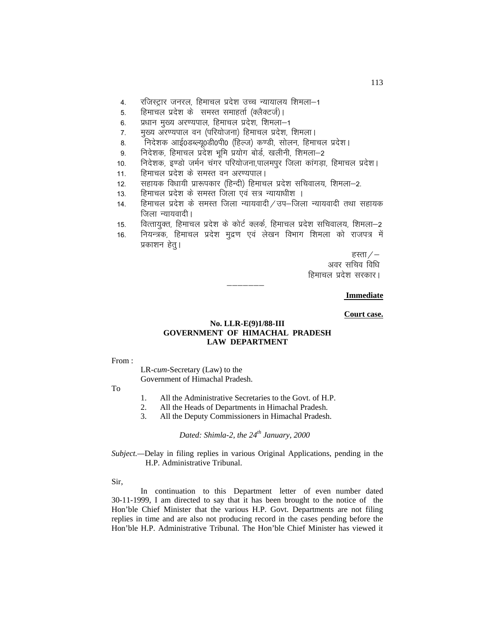- 4. रजिस्ट्रार जनरल, हिमाचल प्रदेश उच्च न्यायालय शिमला–1
- 5. हिमाचल प्रदेश के समस्त समाहर्ता (क्लैक्टर्ज)।
- 6. प्रधान मुख्य अरण्यपाल, हिमाचल प्रदेश, शिमला-1
- 7. मुख्य अरण्यपाल वन (परियोजना) हिमाचल प्रदेश, शिमला।
- 8. निदेशक आई0डब्ल्यू0डी0पी0 (हिल्ज) कण्डी, सोलन, हिमाचल प्रदेश।
- 9. निदेशक, हिमाचल प्रदेश भूमि प्रयोग बोर्ड, खलीनी, शिमला-2
- 10. निदेशक, इण्डो जर्मन चंगर परियोजना,पालमपुर जिला कांगडा, हिमाचल प्रदेश।
- 11. हिमाचल प्रदेश के समस्त वन अरण्यपाल।
- 12. सहायक विधायी प्रारूपकार (हिन्दी) हिमाचल प्रदेश सचिवालय, शिमला-2.
- 13. हिमाचल प्रदेश के समस्त जिला एवं सत्र न्यायाधीश ।
- 14. हिमाचल प्रदेश के समस्त जिला न्यायवादी / उप–जिला न्यायवादी तथा सहायक जिला न्यायवादी।
- 15. वित्तायुक्त, हिमाचल प्रदेश के कोर्ट क्लर्क, हिमाचल प्रदेश सचिवालय, शिमला–2
- 16. नियन्त्रक, हिमाचल प्रदेश मुद्रण एवं लेखन विभाग शिमला को राजपत्र में प्रकाशन हेत्।

हस्ता $/-$ अवर सचिव विधि हिमाचल प्रदेश सरकार।

#### **Immediate**

#### **Court case.**

## **No. LLR-E(9)1/88-III GOVERNMENT OF HIMACHAL PRADESH LAW DEPARTMENT**

———————

From :

LR-*cum*-Secretary (Law) to the Government of Himachal Pradesh.

To

- 1. All the Administrative Secretaries to the Govt. of H.P.
- 2. All the Heads of Departments in Himachal Pradesh.
- 3. All the Deputy Commissioners in Himachal Pradesh.

*Dated: Shimla-2, the 24<sup>th</sup> January, 2000* 

*Subject.—*Delay in filing replies in various Original Applications, pending in the H.P. Administrative Tribunal.

Sir,

In continuation to this Department letter of even number dated 30-11-1999, I am directed to say that it has been brought to the notice of the Hon'ble Chief Minister that the various H.P. Govt. Departments are not filing replies in time and are also not producing record in the cases pending before the Hon'ble H.P. Administrative Tribunal. The Hon'ble Chief Minister has viewed it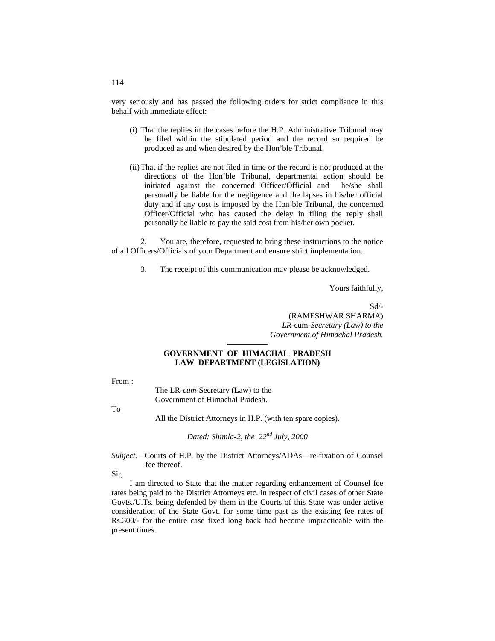very seriously and has passed the following orders for strict compliance in this behalf with immediate effect:—

- (i) That the replies in the cases before the H.P. Administrative Tribunal may be filed within the stipulated period and the record so required be produced as and when desired by the Hon'ble Tribunal.
- (ii)That if the replies are not filed in time or the record is not produced at the directions of the Hon'ble Tribunal, departmental action should be initiated against the concerned Officer/Official and he/she shall personally be liable for the negligence and the lapses in his/her official duty and if any cost is imposed by the Hon'ble Tribunal, the concerned Officer/Official who has caused the delay in filing the reply shall personally be liable to pay the said cost from his/her own pocket.

2. You are, therefore, requested to bring these instructions to the notice of all Officers/Officials of your Department and ensure strict implementation.

3. The receipt of this communication may please be acknowledged.

Yours faithfully,

Sd/- (RAMESHWAR SHARMA) *LR-*cum*-Secretary (Law) to the Government of Himachal Pradesh.*

#### ————— **GOVERNMENT OF HIMACHAL PRADESH LAW DEPARTMENT (LEGISLATION)**

From :

The LR-*cum-*Secretary (Law) to the Government of Himachal Pradesh.

To

All the District Attorneys in H.P. (with ten spare copies).

*Dated: Shimla-2, the 22nd July, 2000*

*Subject.—*Courts of H.P. by the District Attorneys/ADAs—re-fixation of Counsel fee thereof.

Sir,

I am directed to State that the matter regarding enhancement of Counsel fee rates being paid to the District Attorneys etc. in respect of civil cases of other State Govts./U.Ts. being defended by them in the Courts of this State was under active consideration of the State Govt. for some time past as the existing fee rates of Rs.300/- for the entire case fixed long back had become impracticable with the present times.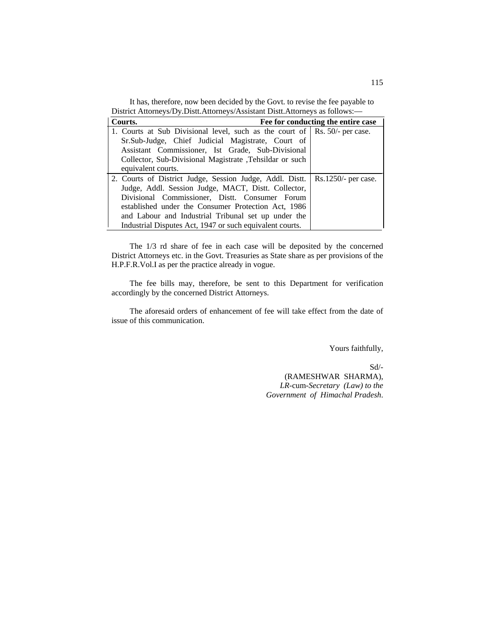It has, therefore, now been decided by the Govt. to revise the fee payable to District Attorneys/Dy.Distt.Attorneys/Assistant Distt.Attorneys as follows:—

| Fee for conducting the entire case<br>Courts.                                  |  |
|--------------------------------------------------------------------------------|--|
| 1. Courts at Sub Divisional level, such as the court of   Rs. 50/- per case.   |  |
| Sr.Sub-Judge, Chief Judicial Magistrate, Court of                              |  |
| Assistant Commissioner, Ist Grade, Sub-Divisional                              |  |
| Collector, Sub-Divisional Magistrate , Tehsildar or such                       |  |
| equivalent courts.                                                             |  |
| 2. Courts of District Judge, Session Judge, Addl. Distt.   Rs.1250/- per case. |  |
| Judge, Addl. Session Judge, MACT, Distt. Collector,                            |  |
| Divisional Commissioner, Distt. Consumer Forum                                 |  |
| established under the Consumer Protection Act, 1986                            |  |
| and Labour and Industrial Tribunal set up under the                            |  |
| Industrial Disputes Act, 1947 or such equivalent courts.                       |  |

The 1/3 rd share of fee in each case will be deposited by the concerned District Attorneys etc. in the Govt. Treasuries as State share as per provisions of the H.P.F.R.Vol.I as per the practice already in vogue.

The fee bills may, therefore, be sent to this Department for verification accordingly by the concerned District Attorneys.

The aforesaid orders of enhancement of fee will take effect from the date of issue of this communication.

Yours faithfully,

Sd/- (RAMESHWAR SHARMA), *LR-*cum-*Secretary (Law) to the Government of Himachal Pradesh*.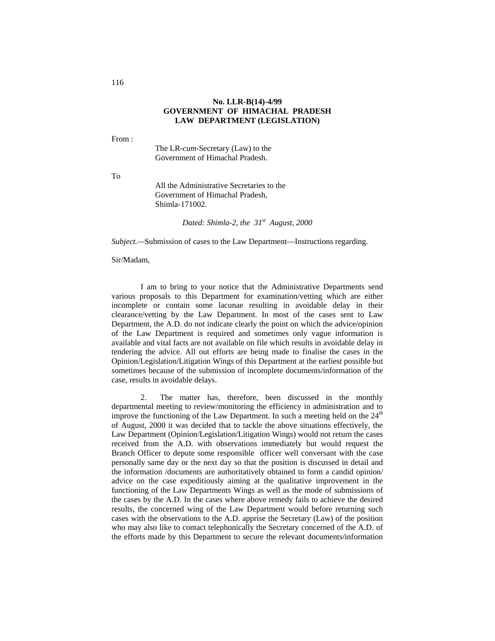#### **No. LLR-B(14)-4/99 GOVERNMENT OF HIMACHAL PRADESH LAW DEPARTMENT (LEGISLATION)**

From :

The LR-*cum*-Secretary (Law) to the Government of Himachal Pradesh.

To

All the Administrative Secretaries to the Government of Himachal Pradesh, Shimla-171002.

*Dated: Shimla-2, the 31st August, 2000*

*Subject.—*Submission of cases to the Law Department—Instructions regarding.

Sir/Madam,

I am to bring to your notice that the Administrative Departments send various proposals to this Department for examination/vetting which are either incomplete or contain some lacunae resulting in avoidable delay in their clearance/vetting by the Law Department. In most of the cases sent to Law Department, the A.D. do not indicate clearly the point on which the advice/opinion of the Law Department is required and sometimes only vague information is available and vital facts are not available on file which results in avoidable delay in tendering the advice. All out efforts are being made to finalise the cases in the Opinion/Legislation/Litigation Wings of this Department at the earliest possible but sometimes because of the submission of incomplete documents/information of the case, results in avoidable delays.

2. The matter has, therefore, been discussed in the monthly departmental meeting to review/monitoring the efficiency in administration and to improve the functioning of the Law Department. In such a meeting held on the  $24<sup>th</sup>$ of August, 2000 it was decided that to tackle the above situations effectively, the Law Department (Opinion/Legislation/Litigation Wings) would not return the cases received from the A.D. with observations immediately but would request the Branch Officer to depute some responsible officer well conversant with the case personally same day or the next day so that the position is discussed in detail and the information /documents are authoritatively obtained to form a candid opinion/ advice on the case expeditiously aiming at the qualitative improvement in the functioning of the Law Departments Wings as well as the mode of submissions of the cases by the A.D. In the cases where above remedy fails to achieve the desired results, the concerned wing of the Law Department would before returning such cases with the observations to the A.D. apprise the Secretary (Law) of the position who may also like to contact telephonically the Secretary concerned of the A.D. of the efforts made by this Department to secure the relevant documents/information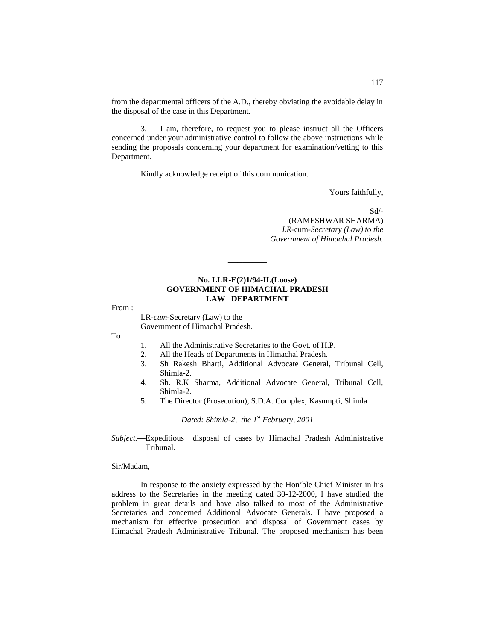from the departmental officers of the A.D., thereby obviating the avoidable delay in the disposal of the case in this Department.

3. I am, therefore, to request you to please instruct all the Officers concerned under your administrative control to follow the above instructions while sending the proposals concerning your department for examination/vetting to this Department.

Kindly acknowledge receipt of this communication.

Yours faithfully,

Sd/-

(RAMESHWAR SHARMA) *LR-*cum*-Secretary (Law) to the Government of Himachal Pradesh.*

#### **No. LLR-E(2)1/94-II.(Loose) GOVERNMENT OF HIMACHAL PRADESH LAW DEPARTMENT**

\_\_\_\_\_\_\_\_

From :

LR-*cum-*Secretary (Law) to the Government of Himachal Pradesh.

To

- 1. All the Administrative Secretaries to the Govt. of H.P.<br>2. All the Heads of Departments in Himachal Pradesh.
- All the Heads of Departments in Himachal Pradesh.
- 3. Sh Rakesh Bharti, Additional Advocate General, Tribunal Cell, Shimla-2.
- 4. Sh. R.K Sharma, Additional Advocate General, Tribunal Cell, Shimla-2.
- 5. The Director (Prosecution), S.D.A. Complex, Kasumpti, Shimla

*Dated: Shimla-2, the 1st February, 2001*

*Subject.*—Expeditious disposal of cases by Himachal Pradesh Administrative Tribunal.

#### Sir/Madam,

In response to the anxiety expressed by the Hon'ble Chief Minister in his address to the Secretaries in the meeting dated 30-12-2000, I have studied the problem in great details and have also talked to most of the Administrative Secretaries and concerned Additional Advocate Generals. I have proposed a mechanism for effective prosecution and disposal of Government cases by Himachal Pradesh Administrative Tribunal. The proposed mechanism has been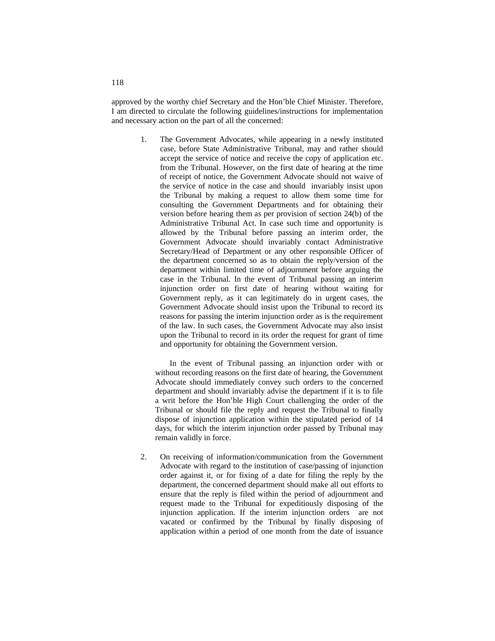approved by the worthy chief Secretary and the Hon'ble Chief Minister. Therefore, I am directed to circulate the following guidelines/instructions for implementation and necessary action on the part of all the concerned:

> 1. The Government Advocates, while appearing in a newly instituted case, before State Administrative Tribunal, may and rather should accept the service of notice and receive the copy of application etc. from the Tribunal. However, on the first date of hearing at the time of receipt of notice, the Government Advocate should not waive of the service of notice in the case and should invariably insist upon the Tribunal by making a request to allow them some time for consulting the Government Departments and for obtaining their version before hearing them as per provision of section 24(b) of the Administrative Tribunal Act. In case such time and opportunity is allowed by the Tribunal before passing an interim order, the Government Advocate should invariably contact Administrative Secretary/Head of Department or any other responsible Officer of the department concerned so as to obtain the reply/version of the department within limited time of adjournment before arguing the case in the Tribunal. In the event of Tribunal passing an interim injunction order on first date of hearing without waiting for Government reply, as it can legitimately do in urgent cases, the Government Advocate should insist upon the Tribunal to record its reasons for passing the interim injunction order as is the requirement of the law. In such cases, the Government Advocate may also insist upon the Tribunal to record in its order the request for grant of time and opportunity for obtaining the Government version.

In the event of Tribunal passing an injunction order with or without recording reasons on the first date of hearing, the Government Advocate should immediately convey such orders to the concerned department and should invariably advise the department if it is to file a writ before the Hon'ble High Court challenging the order of the Tribunal or should file the reply and request the Tribunal to finally dispose of injunction application within the stipulated period of 14 days, for which the interim injunction order passed by Tribunal may remain validly in force.

2. On receiving of information/communication from the Government Advocate with regard to the institution of case/passing of injunction order against it, or for fixing of a date for filing the reply by the department, the concerned department should make all out efforts to ensure that the reply is filed within the period of adjournment and request made to the Tribunal for expeditiously disposing of the injunction application. If the interim injunction orders are not vacated or confirmed by the Tribunal by finally disposing of application within a period of one month from the date of issuance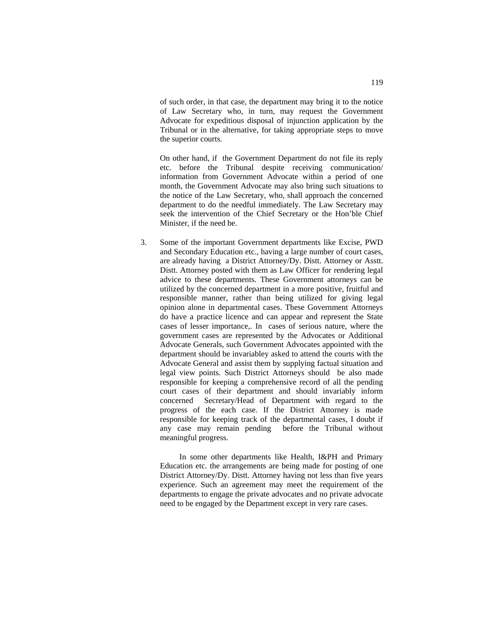of such order, in that case, the department may bring it to the notice of Law Secretary who, in turn, may request the Government Advocate for expeditious disposal of injunction application by the Tribunal or in the alternative, for taking appropriate steps to move the superior courts.

On other hand, if the Government Department do not file its reply etc. before the Tribunal despite receiving communication/ information from Government Advocate within a period of one month, the Government Advocate may also bring such situations to the notice of the Law Secretary, who, shall approach the concerned department to do the needful immediately. The Law Secretary may seek the intervention of the Chief Secretary or the Hon'ble Chief Minister, if the need be.

3. Some of the important Government departments like Excise, PWD and Secondary Education etc., having a large number of court cases, are already having a District Attorney/Dy. Distt. Attorney or Asstt. Distt. Attorney posted with them as Law Officer for rendering legal advice to these departments. These Government attorneys can be utilized by the concerned department in a more positive, fruitful and responsible manner, rather than being utilized for giving legal opinion alone in departmental cases. These Government Attorneys do have a practice licence and can appear and represent the State cases of lesser importance,. In cases of serious nature, where the government cases are represented by the Advocates or Additional Advocate Generals, such Government Advocates appointed with the department should be invariabley asked to attend the courts with the Advocate General and assist them by supplying factual situation and legal view points. Such District Attorneys should be also made responsible for keeping a comprehensive record of all the pending court cases of their department and should invariably inform concerned Secretary/Head of Department with regard to the progress of the each case. If the District Attorney is made responsible for keeping track of the departmental cases, I doubt if any case may remain pending before the Tribunal without meaningful progress.

In some other departments like Health, I&PH and Primary Education etc. the arrangements are being made for posting of one District Attorney/Dy. Distt. Attorney having not less than five years experience. Such an agreement may meet the requirement of the departments to engage the private advocates and no private advocate need to be engaged by the Department except in very rare cases.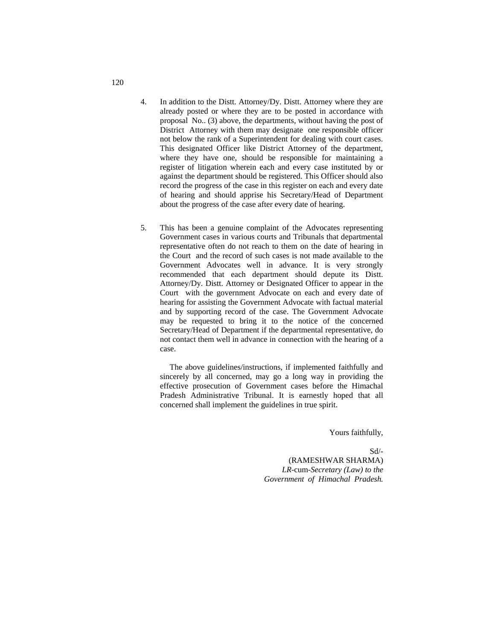- 4. In addition to the Distt. Attorney/Dy. Distt. Attorney where they are already posted or where they are to be posted in accordance with proposal No.. (3) above, the departments, without having the post of District Attorney with them may designate one responsible officer not below the rank of a Superintendent for dealing with court cases. This designated Officer like District Attorney of the department, where they have one, should be responsible for maintaining a register of litigation wherein each and every case instituted by or against the department should be registered. This Officer should also record the progress of the case in this register on each and every date of hearing and should apprise his Secretary/Head of Department about the progress of the case after every date of hearing.
- 5. This has been a genuine complaint of the Advocates representing Government cases in various courts and Tribunals that departmental representative often do not reach to them on the date of hearing in the Court and the record of such cases is not made available to the Government Advocates well in advance. It is very strongly recommended that each department should depute its Distt. Attorney/Dy. Distt. Attorney or Designated Officer to appear in the Court with the government Advocate on each and every date of hearing for assisting the Government Advocate with factual material and by supporting record of the case. The Government Advocate may be requested to bring it to the notice of the concerned Secretary/Head of Department if the departmental representative, do not contact them well in advance in connection with the hearing of a case.

The above guidelines/instructions, if implemented faithfully and sincerely by all concerned, may go a long way in providing the effective prosecution of Government cases before the Himachal Pradesh Administrative Tribunal. It is earnestly hoped that all concerned shall implement the guidelines in true spirit.

Yours faithfully,

 Sd/- (RAMESHWAR SHARMA) *LR-*cum*-Secretary (Law) to the Government of Himachal Pradesh.*

120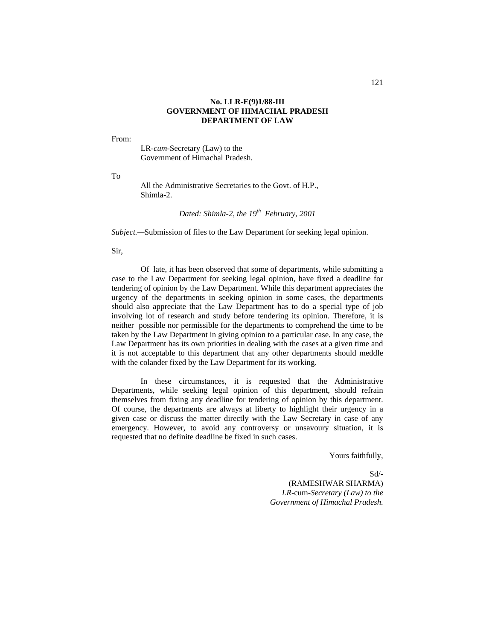#### **No. LLR-E(9)1/88-III GOVERNMENT OF HIMACHAL PRADESH DEPARTMENT OF LAW**

From:

LR-*cum-*Secretary (Law) to the Government of Himachal Pradesh.

To

All the Administrative Secretaries to the Govt. of H.P., Shimla-2.

*Dated: Shimla-2, the 19th February, 2001*

*Subject.—*Submission of files to the Law Department for seeking legal opinion.

Sir,

Of late, it has been observed that some of departments, while submitting a case to the Law Department for seeking legal opinion, have fixed a deadline for tendering of opinion by the Law Department. While this department appreciates the urgency of the departments in seeking opinion in some cases, the departments should also appreciate that the Law Department has to do a special type of job involving lot of research and study before tendering its opinion. Therefore, it is neither possible nor permissible for the departments to comprehend the time to be taken by the Law Department in giving opinion to a particular case. In any case, the Law Department has its own priorities in dealing with the cases at a given time and it is not acceptable to this department that any other departments should meddle with the colander fixed by the Law Department for its working.

In these circumstances, it is requested that the Administrative Departments, while seeking legal opinion of this department, should refrain themselves from fixing any deadline for tendering of opinion by this department. Of course, the departments are always at liberty to highlight their urgency in a given case or discuss the matter directly with the Law Secretary in case of any emergency. However, to avoid any controversy or unsavoury situation, it is requested that no definite deadline be fixed in such cases.

Yours faithfully,

Sd/- (RAMESHWAR SHARMA) *LR-*cum*-Secretary (Law) to the Government of Himachal Pradesh.*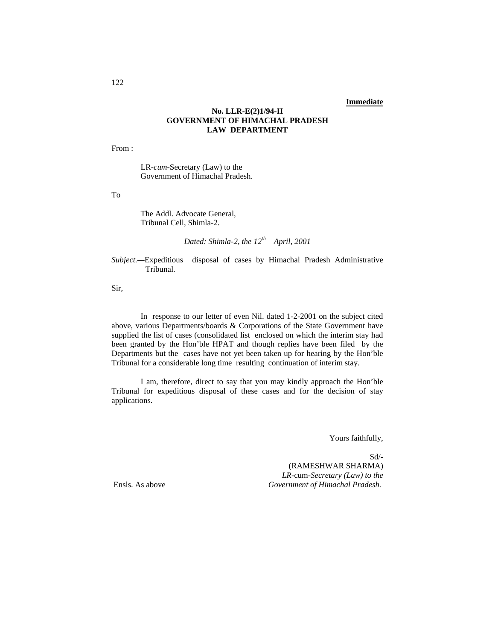## **Immediate**

## **No. LLR-E(2)1/94-II GOVERNMENT OF HIMACHAL PRADESH LAW DEPARTMENT**

From :

LR-*cum-*Secretary (Law) to the Government of Himachal Pradesh.

To

The Addl. Advocate General, Tribunal Cell, Shimla-2.

*Dated: Shimla-2, the 12th April, 2001*

*Subject.—*Expeditious disposal of cases by Himachal Pradesh Administrative Tribunal.

Sir,

In response to our letter of even Nil. dated 1-2-2001 on the subject cited above, various Departments/boards & Corporations of the State Government have supplied the list of cases (consolidated list enclosed on which the interim stay had been granted by the Hon'ble HPAT and though replies have been filed by the Departments but the cases have not yet been taken up for hearing by the Hon'ble Tribunal for a considerable long time resulting continuation of interim stay.

I am, therefore, direct to say that you may kindly approach the Hon'ble Tribunal for expeditious disposal of these cases and for the decision of stay applications.

Yours faithfully,

Sd/- (RAMESHWAR SHARMA) *LR-*cum*-Secretary (Law) to the* Ensls. As above *Government of Himachal Pradesh.*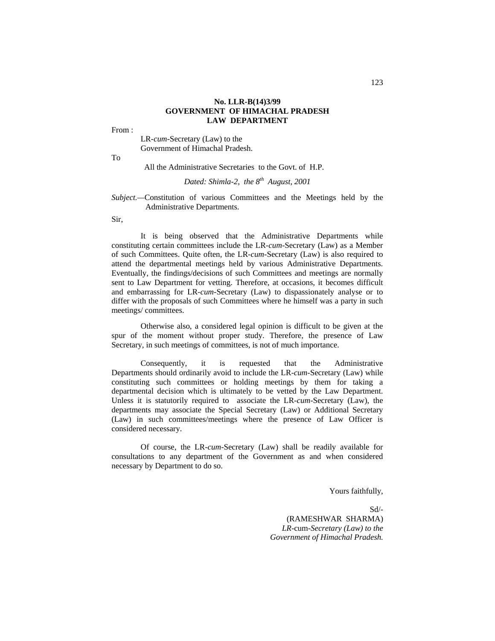#### **No. LLR-B(14)3/99 GOVERNMENT OF HIMACHAL PRADESH LAW DEPARTMENT**

From :

LR-*cum*-Secretary (Law) to the Government of Himachal Pradesh.

To

All the Administrative Secretaries to the Govt. of H.P.

#### *Dated: Shimla-2, the 8th August, 2001*

#### *Subject.—*Constitution of various Committees and the Meetings held by the Administrative Departments.

Sir,

It is being observed that the Administrative Departments while constituting certain committees include the LR-*cum*-Secretary (Law) as a Member of such Committees. Quite often, the LR-*cum*-Secretary (Law) is also required to attend the departmental meetings held by various Administrative Departments. Eventually, the findings/decisions of such Committees and meetings are normally sent to Law Department for vetting. Therefore, at occasions, it becomes difficult and embarrassing for LR-*cum-*Secretary (Law) to dispassionately analyse or to differ with the proposals of such Committees where he himself was a party in such meetings/ committees.

Otherwise also, a considered legal opinion is difficult to be given at the spur of the moment without proper study. Therefore, the presence of Law Secretary, in such meetings of committees, is not of much importance.

Consequently, it is requested that the Administrative Departments should ordinarily avoid to include the LR-*cum*-Secretary (Law) while constituting such committees or holding meetings by them for taking a departmental decision which is ultimately to be vetted by the Law Department. Unless it is statutorily required to associate the LR-*cum-*Secretary (Law), the departments may associate the Special Secretary (Law) or Additional Secretary (Law) in such committees/meetings where the presence of Law Officer is considered necessary.

Of course, the LR-*cum-*Secretary (Law) shall be readily available for consultations to any department of the Government as and when considered necessary by Department to do so.

Yours faithfully,

 $Sd/-$ (RAMESHWAR SHARMA) *LR-*cum*-Secretary (Law) to the Government of Himachal Pradesh.*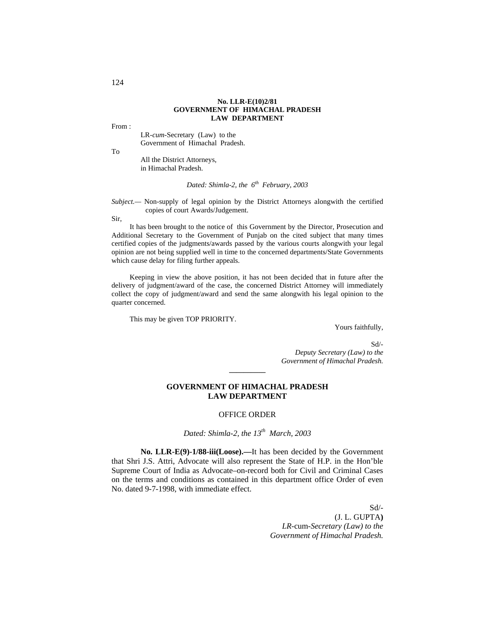#### **No. LLR-E(10)2/81 GOVERNMENT OF HIMACHAL PRADESH LAW DEPARTMENT**

From :

LR-*cum-*Secretary (Law) to the Government of Himachal Pradesh.

To

All the District Attorneys, in Himachal Pradesh.

*Dated: Shimla-2, the 6<sup>th</sup> February, 2003* 

*Subject.—* Non-supply of legal opinion by the District Attorneys alongwith the certified copies of court Awards/Judgement.

Sir,

It has been brought to the notice of this Government by the Director, Prosecution and Additional Secretary to the Government of Punjab on the cited subject that many times certified copies of the judgments/awards passed by the various courts alongwith your legal opinion are not being supplied well in time to the concerned departments/State Governments which cause delay for filing further appeals.

Keeping in view the above position, it has not been decided that in future after the delivery of judgment/award of the case, the concerned District Attorney will immediately collect the copy of judgment/award and send the same alongwith his legal opinion to the quarter concerned.

This may be given TOP PRIORITY.

Yours faithfully,

Sd/- *Deputy Secretary (Law) to the Government of Himachal Pradesh.*

#### **GOVERNMENT OF HIMACHAL PRADESH LAW DEPARTMENT**

**\_\_\_\_\_\_\_\_\_\_**

#### OFFICE ORDER

*Dated: Shimla-2, the 13th March, 2003* 

**No. LLR-E(9)-1/88-iii(Loose).—**It has been decided by the Government that Shri J.S. Attri, Advocate will also represent the State of H.P. in the Hon'ble Supreme Court of India as Advocate–on-record both for Civil and Criminal Cases on the terms and conditions as contained in this department office Order of even No. dated 9-7-1998, with immediate effect.

> Sd/- (J. L. GUPTA**)** *LR-*cum*-Secretary (Law) to the Government of Himachal Pradesh.*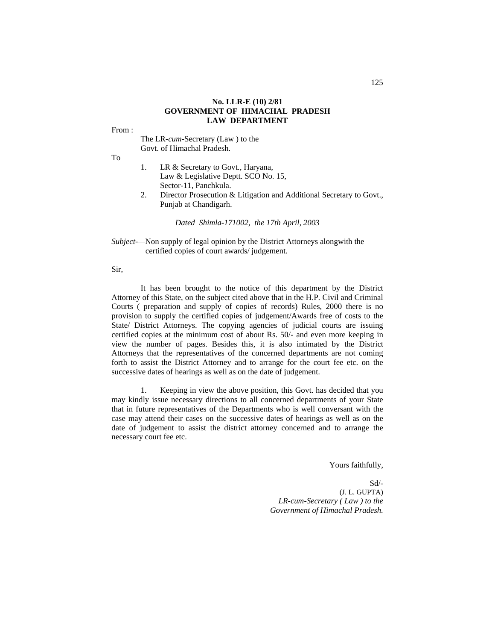#### **No. LLR-E (10) 2/81 GOVERNMENT OF HIMACHAL PRADESH LAW DEPARTMENT**

From :

The LR-*cum*-Secretary (Law ) to the Govt. of Himachal Pradesh.

To

- 1. LR & Secretary to Govt., Haryana, Law & Legislative Deptt. SCO No. 15, Sector-11, Panchkula.
- 2. Director Prosecution & Litigation and Additional Secretary to Govt., Punjab at Chandigarh.

*Dated Shimla-171002, the 17th April, 2003*

*Subject-—*Non supply of legal opinion by the District Attorneys alongwith the certified copies of court awards/ judgement.

Sir,

It has been brought to the notice of this department by the District Attorney of this State, on the subject cited above that in the H.P. Civil and Criminal Courts ( preparation and supply of copies of records) Rules, 2000 there is no provision to supply the certified copies of judgement/Awards free of costs to the State/ District Attorneys. The copying agencies of judicial courts are issuing certified copies at the minimum cost of about Rs. 50/- and even more keeping in view the number of pages. Besides this, it is also intimated by the District Attorneys that the representatives of the concerned departments are not coming forth to assist the District Attorney and to arrange for the court fee etc. on the successive dates of hearings as well as on the date of judgement.

1. Keeping in view the above position, this Govt. has decided that you may kindly issue necessary directions to all concerned departments of your State that in future representatives of the Departments who is well conversant with the case may attend their cases on the successive dates of hearings as well as on the date of judgement to assist the district attorney concerned and to arrange the necessary court fee etc.

Yours faithfully,

Sd/- (J. L. GUPTA)  *LR-cum-Secretary ( Law ) to the Government of Himachal Pradesh.*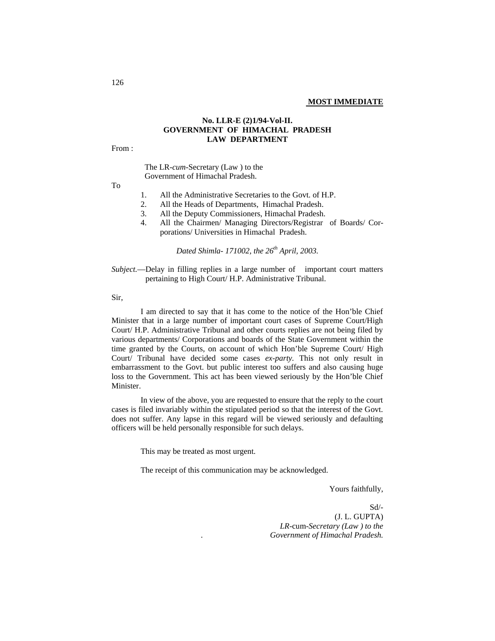## **No. LLR-E (2)1/94-Vol-II. GOVERNMENT OF HIMACHAL PRADESH LAW DEPARTMENT**

From :

 The LR-*cum*-Secretary (Law ) to the Government of Himachal Pradesh.

To

- 1. All the Administrative Secretaries to the Govt. of H.P.
- 2. All the Heads of Departments, Himachal Pradesh.
- 3. All the Deputy Commissioners, Himachal Pradesh.
- 4. All the Chairmen/ Managing Directors/Registrar of Boards/ Corporations/ Universities in Himachal Pradesh.

*Dated Shimla- 171002, the 26th April, 2003.*

*Subject.*—Delay in filling replies in a large number of important court matters pertaining to High Court/ H.P. Administrative Tribunal.

Sir,

I am directed to say that it has come to the notice of the Hon'ble Chief Minister that in a large number of important court cases of Supreme Court/High Court/ H.P. Administrative Tribunal and other courts replies are not being filed by various departments/ Corporations and boards of the State Government within the time granted by the Courts, on account of which Hon'ble Supreme Court/ High Court/ Tribunal have decided some cases *ex-party.* This not only result in embarrassment to the Govt. but public interest too suffers and also causing huge loss to the Government. This act has been viewed seriously by the Hon'ble Chief Minister.

In view of the above, you are requested to ensure that the reply to the court cases is filed invariably within the stipulated period so that the interest of the Govt. does not suffer. Any lapse in this regard will be viewed seriously and defaulting officers will be held personally responsible for such delays.

This may be treated as most urgent.

The receipt of this communication may be acknowledged.

Yours faithfully,

Sd/- (J. L. GUPTA) *LR-*cum-*Secretary (Law ) to the . Government of Himachal Pradesh.*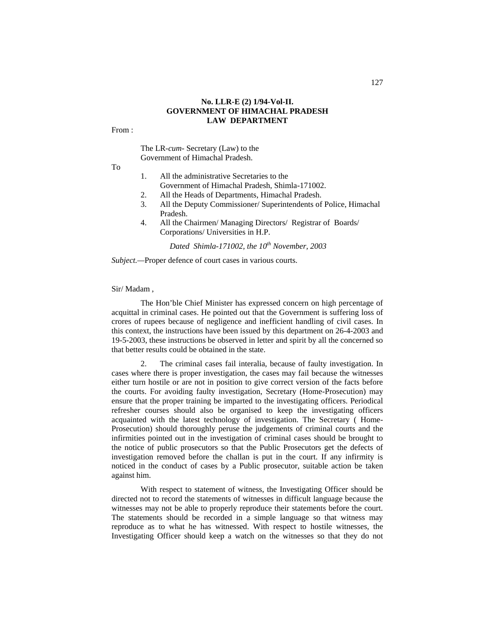#### **No. LLR-E (2) 1/94-Vol-II. GOVERNMENT OF HIMACHAL PRADESH LAW DEPARTMENT**

From :

The LR-*cum-* Secretary (Law) to the Government of Himachal Pradesh.

To

- 1. All the administrative Secretaries to the Government of Himachal Pradesh, Shimla-171002.
- 2. All the Heads of Departments, Himachal Pradesh.
- 3. All the Deputy Commissioner/ Superintendents of Police, Himachal Pradesh.
- 4. All the Chairmen/ Managing Directors/ Registrar of Boards/ Corporations/ Universities in H.P.

*Dated Shimla-171002, the 10th November, 2003*

*Subject.—*Proper defence of court cases in various courts.

Sir/ Madam ,

The Hon'ble Chief Minister has expressed concern on high percentage of acquittal in criminal cases. He pointed out that the Government is suffering loss of crores of rupees because of negligence and inefficient handling of civil cases. In this context, the instructions have been issued by this department on 26-4-2003 and 19-5-2003, these instructions be observed in letter and spirit by all the concerned so that better results could be obtained in the state.

2. The criminal cases fail interalia, because of faulty investigation. In cases where there is proper investigation, the cases may fail because the witnesses either turn hostile or are not in position to give correct version of the facts before the courts. For avoiding faulty investigation, Secretary (Home-Prosecution) may ensure that the proper training be imparted to the investigating officers. Periodical refresher courses should also be organised to keep the investigating officers acquainted with the latest technology of investigation. The Secretary ( Home-Prosecution) should thoroughly peruse the judgements of criminal courts and the infirmities pointed out in the investigation of criminal cases should be brought to the notice of public prosecutors so that the Public Prosecutors get the defects of investigation removed before the challan is put in the court. If any infirmity is noticed in the conduct of cases by a Public prosecutor, suitable action be taken against him.

With respect to statement of witness, the Investigating Officer should be directed not to record the statements of witnesses in difficult language because the witnesses may not be able to properly reproduce their statements before the court. The statements should be recorded in a simple language so that witness may reproduce as to what he has witnessed. With respect to hostile witnesses, the Investigating Officer should keep a watch on the witnesses so that they do not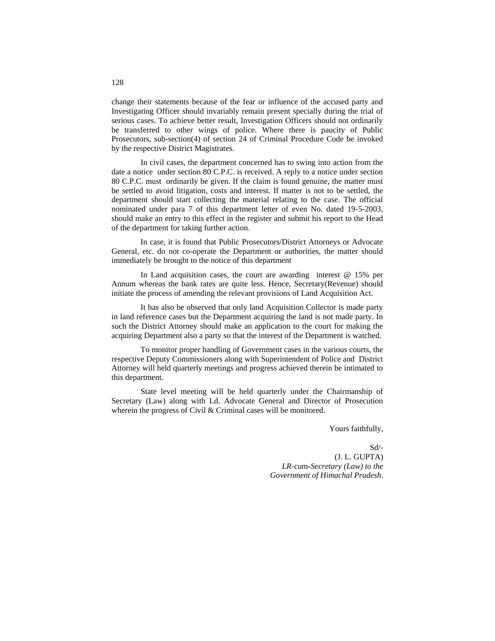change their statements because of the fear or influence of the accused party and Investigating Officer should invariably remain present specially during the trial of serious cases. To achieve better result, Investigation Officers should not ordinarily be transferred to other wings of police. Where there is paucity of Public Prosecutors, sub-section(4) of section 24 of Criminal Procedure Code be invoked by the respective District Magistrates.

In civil cases, the department concerned has to swing into action from the date a notice under section 80 C.P.C. is received. A reply to a notice under section 80 C.P.C. must ordinarily be given. If the claim is found genuine, the matter must be settled to avoid litigation, costs and interest. If matter is not to be settled, the department should start collecting the material relating to the case. The official nominated under para 7 of this department letter of even No. dated 19-5-2003, should make an entry to this effect in the register and submit his report to the Head of the department for taking further action.

In case, it is found that Public Prosecutors/District Attorneys or Advocate General, etc. do not co-operate the Department or authorities, the matter should immediately be brought to the notice of this department

In Land acquisition cases, the court are awarding interest @ 15% per Annum whereas the bank rates are quite less. Hence, Secretary(Revenue) should initiate the process of amending the relevant provisions of Land Acquisition Act.

It has also be observed that only land Acquisition Collector is made party in land reference cases but the Department acquiring the land is not made party. In such the District Attorney should make an application to the court for making the acquiring Department also a party so that the interest of the Department is watched.

To monitor proper handling of Government cases in the various courts, the respective Deputy Commissioners along with Superintendent of Police and District Attorney will held quarterly meetings and progress achieved therein be intimated to this department.

State level meeting will be held quarterly under the Chairmanship of Secretary (Law) along with Ld. Advocate General and Director of Prosecution wherein the progress of Civil & Criminal cases will be monitored.

Yours faithfully,

 Sd/- (J. L. GUPTA) *LR-*cum*-Secretary (Law) to the Government of Himachal Pradesh*.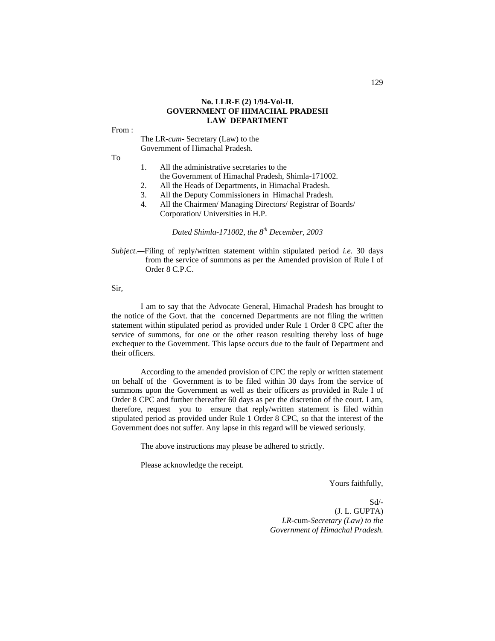#### **No. LLR-E (2) 1/94-Vol-II. GOVERNMENT OF HIMACHAL PRADESH LAW DEPARTMENT**

From :

The LR-*cum-* Secretary (Law) to the Government of Himachal Pradesh.

To

- 1. All the administrative secretaries to the the Government of Himachal Pradesh, Shimla-171002.
- 2. All the Heads of Departments, in Himachal Pradesh.
- 3. All the Deputy Commissioners in Himachal Pradesh.
- 4. All the Chairmen/ Managing Directors/ Registrar of Boards/ Corporation/ Universities in H.P.

 *Dated Shimla-171002, the 8th December, 2003*

*Subject.—*Filing of reply/written statement within stipulated period *i.e.* 30 days from the service of summons as per the Amended provision of Rule I of Order 8 C.P.C.

Sir,

I am to say that the Advocate General, Himachal Pradesh has brought to the notice of the Govt. that the concerned Departments are not filing the written statement within stipulated period as provided under Rule 1 Order 8 CPC after the service of summons, for one or the other reason resulting thereby loss of huge exchequer to the Government. This lapse occurs due to the fault of Department and their officers.

According to the amended provision of CPC the reply or written statement on behalf of the Government is to be filed within 30 days from the service of summons upon the Government as well as their officers as provided in Rule I of Order 8 CPC and further thereafter 60 days as per the discretion of the court. I am, therefore, request you to ensure that reply/written statement is filed within stipulated period as provided under Rule 1 Order 8 CPC, so that the interest of the Government does not suffer. Any lapse in this regard will be viewed seriously.

The above instructions may please be adhered to strictly.

Please acknowledge the receipt.

Yours faithfully,

 Sd/- (J. L. GUPTA) *LR-*cum*-Secretary (Law) to the Government of Himachal Pradesh.*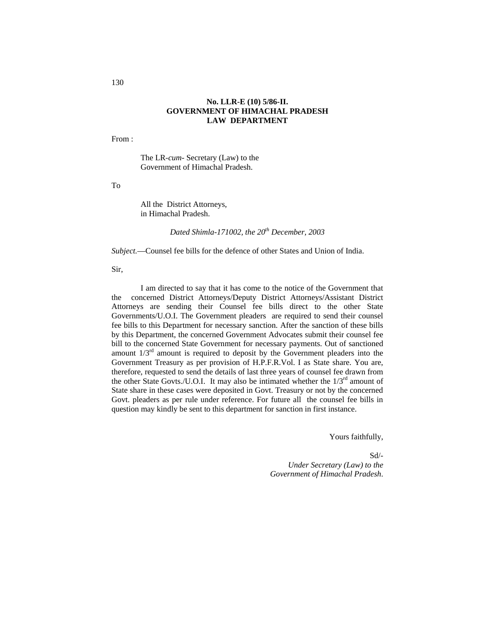## **No. LLR-E (10) 5/86-II. GOVERNMENT OF HIMACHAL PRADESH LAW DEPARTMENT**

From :

The LR-*cum-* Secretary (Law) to the Government of Himachal Pradesh.

To

All the District Attorneys, in Himachal Pradesh.

*Dated Shimla-171002, the 20th December, 2003*

*Subject.*—Counsel fee bills for the defence of other States and Union of India.

Sir,

I am directed to say that it has come to the notice of the Government that the concerned District Attorneys/Deputy District Attorneys/Assistant District Attorneys are sending their Counsel fee bills direct to the other State Governments/U.O.I. The Government pleaders are required to send their counsel fee bills to this Department for necessary sanction. After the sanction of these bills by this Department, the concerned Government Advocates submit their counsel fee bill to the concerned State Government for necessary payments. Out of sanctioned amount  $1/3<sup>rd</sup>$  amount is required to deposit by the Government pleaders into the Government Treasury as per provision of H.P.F.R.Vol. I as State share. You are, therefore, requested to send the details of last three years of counsel fee drawn from the other State Govts./U.O.I. It may also be intimated whether the  $1/3^{rd}$  amount of State share in these cases were deposited in Govt. Treasury or not by the concerned Govt. pleaders as per rule under reference. For future all the counsel fee bills in question may kindly be sent to this department for sanction in first instance.

Yours faithfully,

 Sd/- *Under Secretary (Law) to the Government of Himachal Pradesh*.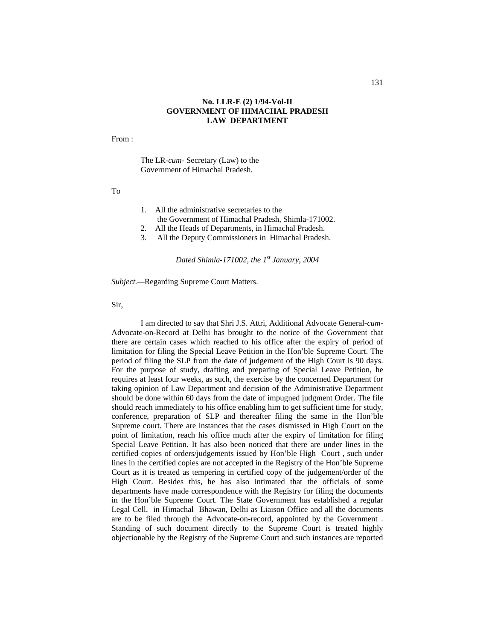#### **No. LLR-E (2) 1/94-Vol-II GOVERNMENT OF HIMACHAL PRADESH LAW DEPARTMENT**

From :

The LR-*cum-* Secretary (Law) to the Government of Himachal Pradesh.

To

- 1. All the administrative secretaries to the the Government of Himachal Pradesh, Shimla-171002.
- 2. All the Heads of Departments, in Himachal Pradesh.
- 3. All the Deputy Commissioners in Himachal Pradesh.

*Dated Shimla-171002, the 1st January, 2004*

*Subject.—*Regarding Supreme Court Matters.

Sir,

I am directed to say that Shri J.S. Attri, Additional Advocate General-*cum-*Advocate-on-Record at Delhi has brought to the notice of the Government that there are certain cases which reached to his office after the expiry of period of limitation for filing the Special Leave Petition in the Hon'ble Supreme Court. The period of filing the SLP from the date of judgement of the High Court is 90 days. For the purpose of study, drafting and preparing of Special Leave Petition, he requires at least four weeks, as such, the exercise by the concerned Department for taking opinion of Law Department and decision of the Administrative Department should be done within 60 days from the date of impugned judgment Order. The file should reach immediately to his office enabling him to get sufficient time for study, conference, preparation of SLP and thereafter filing the same in the Hon'ble Supreme court. There are instances that the cases dismissed in High Court on the point of limitation, reach his office much after the expiry of limitation for filing Special Leave Petition. It has also been noticed that there are under lines in the certified copies of orders/judgements issued by Hon'ble High Court , such under lines in the certified copies are not accepted in the Registry of the Hon'ble Supreme Court as it is treated as tempering in certified copy of the judgement/order of the High Court. Besides this, he has also intimated that the officials of some departments have made correspondence with the Registry for filing the documents in the Hon'ble Supreme Court. The State Government has established a regular Legal Cell, in Himachal Bhawan, Delhi as Liaison Office and all the documents are to be filed through the Advocate-on-record, appointed by the Government . Standing of such document directly to the Supreme Court is treated highly objectionable by the Registry of the Supreme Court and such instances are reported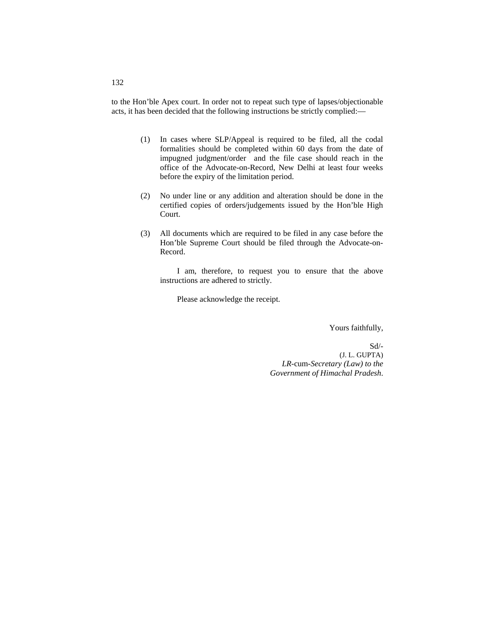to the Hon'ble Apex court. In order not to repeat such type of lapses/objectionable acts, it has been decided that the following instructions be strictly complied:—

- (1) In cases where SLP/Appeal is required to be filed, all the codal formalities should be completed within 60 days from the date of impugned judgment/order and the file case should reach in the office of the Advocate-on-Record, New Delhi at least four weeks before the expiry of the limitation period.
- (2) No under line or any addition and alteration should be done in the certified copies of orders/judgements issued by the Hon'ble High Court.
- (3) All documents which are required to be filed in any case before the Hon'ble Supreme Court should be filed through the Advocate-on-Record.

I am, therefore, to request you to ensure that the above instructions are adhered to strictly.

Please acknowledge the receipt.

Yours faithfully,

 Sd/- (J. L. GUPTA) *LR-*cum-*Secretary (Law) to the Government of Himachal Pradesh*.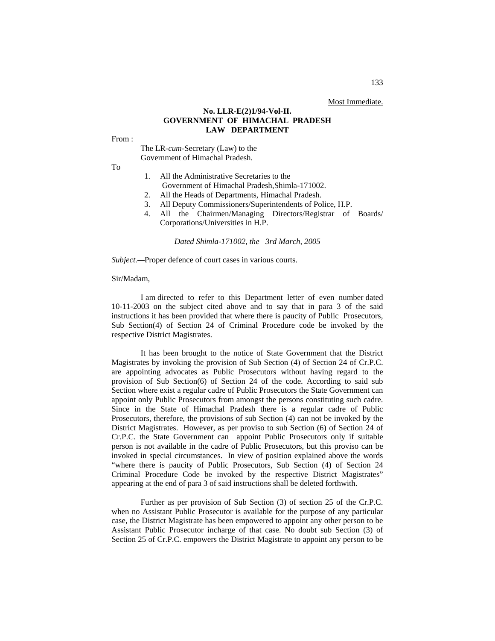Most Immediate.

#### **No. LLR-E(2)1/94-Vol-II. GOVERNMENT OF HIMACHAL PRADESH LAW DEPARTMENT**

From :

The LR-*cum-*Secretary (Law) to the Government of Himachal Pradesh.

To

- 1. All the Administrative Secretaries to the
- Government of Himachal Pradesh,Shimla-171002.
- 2. All the Heads of Departments, Himachal Pradesh.
- 3. All Deputy Commissioners/Superintendents of Police, H.P.
- 4. All the Chairmen/Managing Directors/Registrar of Boards/ Corporations/Universities in H.P.

*Dated Shimla-171002, the 3rd March, 2005*

*Subject.—*Proper defence of court cases in various courts.

#### Sir/Madam,

I am directed to refer to this Department letter of even number dated 10-11-2003 on the subject cited above and to say that in para 3 of the said instructions it has been provided that where there is paucity of Public Prosecutors, Sub Section(4) of Section 24 of Criminal Procedure code be invoked by the respective District Magistrates.

It has been brought to the notice of State Government that the District Magistrates by invoking the provision of Sub Section (4) of Section 24 of Cr.P.C. are appointing advocates as Public Prosecutors without having regard to the provision of Sub Section(6) of Section 24 of the code. According to said sub Section where exist a regular cadre of Public Prosecutors the State Government can appoint only Public Prosecutors from amongst the persons constituting such cadre. Since in the State of Himachal Pradesh there is a regular cadre of Public Prosecutors, therefore, the provisions of sub Section (4) can not be invoked by the District Magistrates. However, as per proviso to sub Section (6) of Section 24 of Cr.P.C. the State Government can appoint Public Prosecutors only if suitable person is not available in the cadre of Public Prosecutors, but this proviso can be invoked in special circumstances. In view of position explained above the words "where there is paucity of Public Prosecutors, Sub Section (4) of Section 24 Criminal Procedure Code be invoked by the respective District Magistrates" appearing at the end of para 3 of said instructions shall be deleted forthwith.

Further as per provision of Sub Section (3) of section 25 of the Cr.P.C. when no Assistant Public Prosecutor is available for the purpose of any particular case, the District Magistrate has been empowered to appoint any other person to be Assistant Public Prosecutor incharge of that case. No doubt sub Section (3) of Section 25 of Cr.P.C. empowers the District Magistrate to appoint any person to be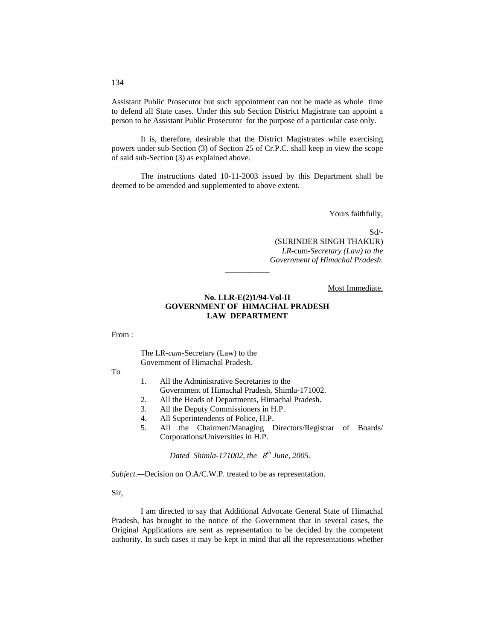Assistant Public Prosecutor but such appointment can not be made as whole time to defend all State cases. Under this sub Section District Magistrate can appoint a person to be Assistant Public Prosecutor for the purpose of a particular case only.

It is, therefore, desirable that the District Magistrates while exercising powers under sub-Section (3) of Section 25 of Cr.P.C. shall keep in view the scope of said sub-Section (3) as explained above.

The instructions dated 10-11-2003 issued by this Department shall be deemed to be amended and supplemented to above extent.

Yours faithfully,

Sd/- (SURINDER SINGH THAKUR) *LR-*cum*-Secretary (Law) to the Government of Himachal Pradesh.*

Most Immediate.

# **No. LLR-E(2)1/94-Vol-II GOVERNMENT OF HIMACHAL PRADESH LAW DEPARTMENT**

\_\_\_\_\_\_\_\_\_\_\_

From :

The LR-*cum-*Secretary (Law) to the Government of Himachal Pradesh.

To

- 1. All the Administrative Secretaries to the
	- Government of Himachal Pradesh, Shimla-171002.
- 2. All the Heads of Departments, Himachal Pradesh.
- 3. All the Deputy Commissioners in H.P.
- 4. All Superintendents of Police, H.P.
- 5. All the Chairmen/Managing Directors/Registrar of Boards/ Corporations/Universities in H.P.

*Dated Shimla-171002, the 8th June, 2005.*

*Subject.—*Decision on O.A/C.W.P. treated to be as representation.

Sir,

I am directed to say that Additional Advocate General State of Himachal Pradesh, has brought to the notice of the Government that in several cases, the Original Applications are sent as representation to be decided by the competent authority. In such cases it may be kept in mind that all the representations whether

#### 134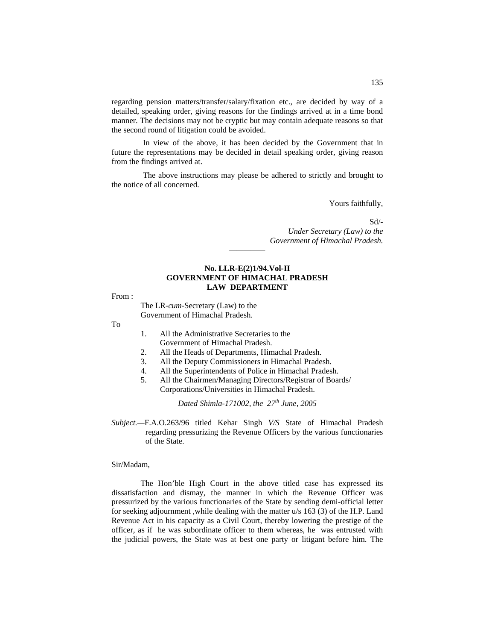regarding pension matters/transfer/salary/fixation etc., are decided by way of a detailed, speaking order, giving reasons for the findings arrived at in a time bond manner. The decisions may not be cryptic but may contain adequate reasons so that the second round of litigation could be avoided.

In view of the above, it has been decided by the Government that in future the representations may be decided in detail speaking order, giving reason from the findings arrived at.

The above instructions may please be adhered to strictly and brought to the notice of all concerned.

Yours faithfully,

Sd/- *Under Secretary (Law) to the Government of Himachal Pradesh.*

# **No. LLR-E(2)1/94.Vol-II GOVERNMENT OF HIMACHAL PRADESH LAW DEPARTMENT**

*—————*

From :

The LR-*cum*-Secretary (Law) to the Government of Himachal Pradesh.

To

- 1. All the Administrative Secretaries to the Government of Himachal Pradesh.
- 2. All the Heads of Departments, Himachal Pradesh.
- 3. All the Deputy Commissioners in Himachal Pradesh.
- All the Superintendents of Police in Himachal Pradesh.
- 5. All the Chairmen/Managing Directors/Registrar of Boards/ Corporations/Universities in Himachal Pradesh.

*Dated Shimla-171002, the 27th June, 2005*

*Subject.—*F.A.O.263/96 titled Kehar Singh *V/S* State of Himachal Pradesh regarding pressurizing the Revenue Officers by the various functionaries of the State.

# Sir/Madam,

The Hon'ble High Court in the above titled case has expressed its dissatisfaction and dismay, the manner in which the Revenue Officer was pressurized by the various functionaries of the State by sending demi-official letter for seeking adjournment ,while dealing with the matter u/s 163 (3) of the H.P. Land Revenue Act in his capacity as a Civil Court, thereby lowering the prestige of the officer, as if he was subordinate officer to them whereas, he was entrusted with the judicial powers, the State was at best one party or litigant before him. The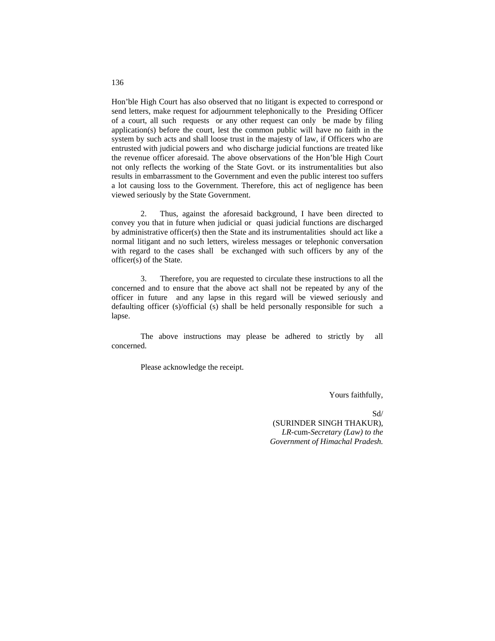Hon'ble High Court has also observed that no litigant is expected to correspond or send letters, make request for adjournment telephonically to the Presiding Officer of a court, all such requests or any other request can only be made by filing application(s) before the court, lest the common public will have no faith in the system by such acts and shall loose trust in the majesty of law, if Officers who are entrusted with judicial powers and who discharge judicial functions are treated like the revenue officer aforesaid. The above observations of the Hon'ble High Court not only reflects the working of the State Govt. or its instrumentalities but also results in embarrassment to the Government and even the public interest too suffers a lot causing loss to the Government. Therefore, this act of negligence has been viewed seriously by the State Government.

2. Thus, against the aforesaid background, I have been directed to convey you that in future when judicial or quasi judicial functions are discharged by administrative officer(s) then the State and its instrumentalities should act like a normal litigant and no such letters, wireless messages or telephonic conversation with regard to the cases shall be exchanged with such officers by any of the officer(s) of the State.

3. Therefore, you are requested to circulate these instructions to all the concerned and to ensure that the above act shall not be repeated by any of the officer in future and any lapse in this regard will be viewed seriously and defaulting officer (s)/official (s) shall be held personally responsible for such a lapse.

The above instructions may please be adhered to strictly by all concerned.

Please acknowledge the receipt.

Yours faithfully,

Sd/ (SURINDER SINGH THAKUR), *LR-*cum-*Secretary (Law) to the Government of Himachal Pradesh.*

136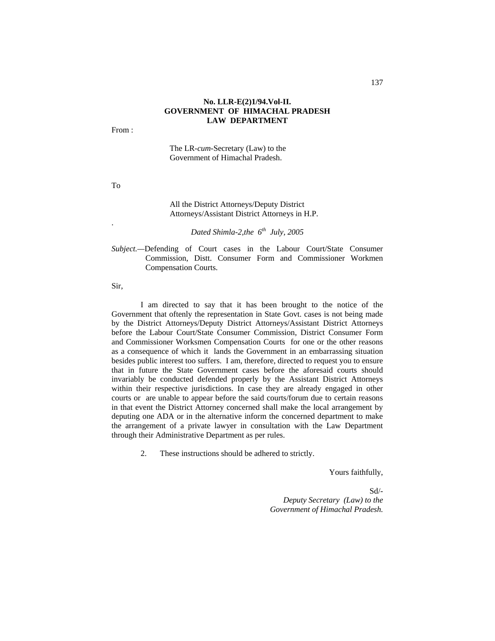# **No. LLR-E(2)1/94.Vol-II. GOVERNMENT OF HIMACHAL PRADESH LAW DEPARTMENT**

From :

The LR-*cum-*Secretary (Law) to the Government of Himachal Pradesh.

To

.

#### All the District Attorneys/Deputy District Attorneys/Assistant District Attorneys in H.P.

*Dated Shimla-2,the 6th July, 2005*

*Subject.—*Defending of Court cases in the Labour Court/State Consumer Commission, Distt. Consumer Form and Commissioner Workmen Compensation Courts.

Sir,

I am directed to say that it has been brought to the notice of the Government that oftenly the representation in State Govt. cases is not being made by the District Attorneys/Deputy District Attorneys/Assistant District Attorneys before the Labour Court/State Consumer Commission, District Consumer Form and Commissioner Worksmen Compensation Courts for one or the other reasons as a consequence of which it lands the Government in an embarrassing situation besides public interest too suffers. I am, therefore, directed to request you to ensure that in future the State Government cases before the aforesaid courts should invariably be conducted defended properly by the Assistant District Attorneys within their respective jurisdictions. In case they are already engaged in other courts or are unable to appear before the said courts/forum due to certain reasons in that event the District Attorney concerned shall make the local arrangement by deputing one ADA or in the alternative inform the concerned department to make the arrangement of a private lawyer in consultation with the Law Department through their Administrative Department as per rules.

2. These instructions should be adhered to strictly.

Yours faithfully,

 Sd/- *Deputy Secretary (Law) to the Government of Himachal Pradesh.*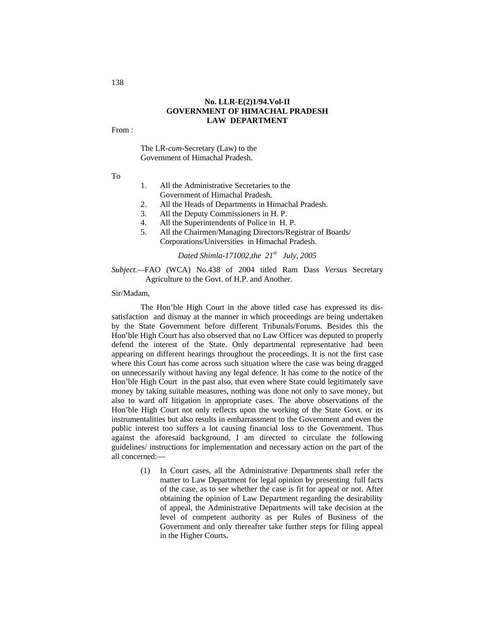# **No. LLR-E(2)1/94.Vol-II GOVERNMENT OF HIMACHAL PRADESH LAW DEPARTMENT**

From :

The LR-*cum-*Secretary (Law) to the Government of Himachal Pradesh.

To

- 1. All the Administrative Secretaries to the Government of Himachal Pradesh.
- 2. All the Heads of Departments in Himachal Pradesh.
- 3. All the Deputy Commissioners in H. P.
- 4. All the Superintendents of Police in H. P.
- 5. All the Chairmen/Managing Directors/Registrar of Boards/ Corporations/Universities in Himachal Pradesh.

*Dated Shimla-171002,the 21st July, 2005*

*Subject.—*FAO (WCA) No.438 of 2004 titled Ram Dass *Versus* Secretary Agriculture to the Govt. of H.P. and Another.

Sir/Madam,

The Hon'ble High Court in the above titled case has expressed its dissatisfaction and dismay at the manner in which proceedings are being undertaken by the State Government before different Tribunals/Forums. Besides this the Hon'ble High Court has also observed that no Law Officer was deputed to properly defend the interest of the State. Only departmental representative had been appearing on different hearings throughout the proceedings. It is not the first case where this Court has come across such situation where the case was being dragged on unnecessarily without having any legal defence. It has come to the notice of the Hon'ble High Court in the past also, that even where State could legitimately save money by taking suitable measures, nothing was done not only to save money, but also to ward off litigation in appropriate cases. The above observations of the Hon'ble High Court not only reflects upon the working of the State Govt. or its instrumentalities but also results in embarrassment to the Government and even the public interest too suffers a lot causing financial loss to the Government. Thus against the aforesaid background, I am directed to circulate the following guidelines/ instructions for implementation and necessary action on the part of the all concerned:—

> (1) In Court cases, all the Administrative Departments shall refer the matter to Law Department for legal opinion by presenting full facts of the case, as to see whether the case is fit for appeal or not. After obtaining the opinion of Law Department regarding the desirability of appeal, the Administrative Departments will take decision at the level of competent authority as per Rules of Business of the Government and only thereafter take further steps for filing appeal in the Higher Courts.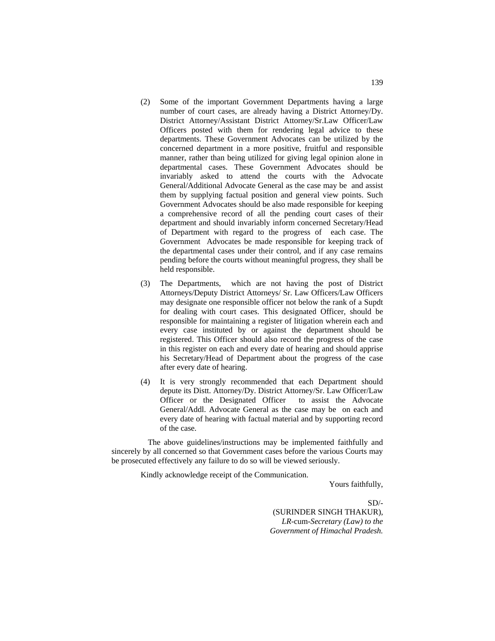- (2) Some of the important Government Departments having a large number of court cases, are already having a District Attorney/Dy. District Attorney/Assistant District Attorney/Sr.Law Officer/Law Officers posted with them for rendering legal advice to these departments. These Government Advocates can be utilized by the concerned department in a more positive, fruitful and responsible manner, rather than being utilized for giving legal opinion alone in departmental cases. These Government Advocates should be invariably asked to attend the courts with the Advocate General/Additional Advocate General as the case may be and assist them by supplying factual position and general view points. Such Government Advocates should be also made responsible for keeping a comprehensive record of all the pending court cases of their department and should invariably inform concerned Secretary/Head of Department with regard to the progress of each case. The Government Advocates be made responsible for keeping track of the departmental cases under their control, and if any case remains pending before the courts without meaningful progress, they shall be held responsible.
- (3) The Departments, which are not having the post of District Attorneys/Deputy District Attorneys/ Sr. Law Officers/Law Officers may designate one responsible officer not below the rank of a Supdt for dealing with court cases. This designated Officer, should be responsible for maintaining a register of litigation wherein each and every case instituted by or against the department should be registered. This Officer should also record the progress of the case in this register on each and every date of hearing and should apprise his Secretary/Head of Department about the progress of the case after every date of hearing.
- (4) It is very strongly recommended that each Department should depute its Distt. Attorney/Dy. District Attorney/Sr. Law Officer/Law Officer or the Designated Officer to assist the Advocate General/Addl. Advocate General as the case may be on each and every date of hearing with factual material and by supporting record of the case.

The above guidelines/instructions may be implemented faithfully and sincerely by all concerned so that Government cases before the various Courts may be prosecuted effectively any failure to do so will be viewed seriously.

Kindly acknowledge receipt of the Communication.

Yours faithfully,

 $SD/-$ (SURINDER SINGH THAKUR), *LR-*cum*-Secretary (Law) to the Government of Himachal Pradesh.*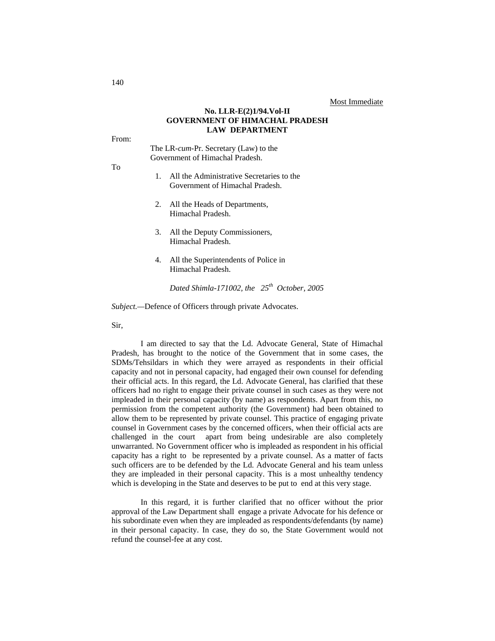#### **No. LLR-E(2)1/94.Vol-II GOVERNMENT OF HIMACHAL PRADESH LAW DEPARTMENT**

From:

The LR-*cum-*Pr. Secretary (Law) to the Government of Himachal Pradesh.

- To
- 1. All the Administrative Secretaries to the Government of Himachal Pradesh.
- 2. All the Heads of Departments, Himachal Pradesh.
- 3. All the Deputy Commissioners, Himachal Pradesh.
- 4. All the Superintendents of Police in Himachal Pradesh.

*Dated Shimla-171002, the 25th October, 2005*

*Subject.—*Defence of Officers through private Advocates.

Sir,

I am directed to say that the Ld. Advocate General, State of Himachal Pradesh, has brought to the notice of the Government that in some cases, the SDMs/Tehsildars in which they were arrayed as respondents in their official capacity and not in personal capacity, had engaged their own counsel for defending their official acts. In this regard, the Ld. Advocate General, has clarified that these officers had no right to engage their private counsel in such cases as they were not impleaded in their personal capacity (by name) as respondents. Apart from this, no permission from the competent authority (the Government) had been obtained to allow them to be represented by private counsel. This practice of engaging private counsel in Government cases by the concerned officers, when their official acts are challenged in the court apart from being undesirable are also completely unwarranted. No Government officer who is impleaded as respondent in his official capacity has a right to be represented by a private counsel. As a matter of facts such officers are to be defended by the Ld. Advocate General and his team unless they are impleaded in their personal capacity. This is a most unhealthy tendency which is developing in the State and deserves to be put to end at this very stage.

In this regard, it is further clarified that no officer without the prior approval of the Law Department shall engage a private Advocate for his defence or his subordinate even when they are impleaded as respondents/defendants (by name) in their personal capacity. In case, they do so, the State Government would not refund the counsel-fee at any cost.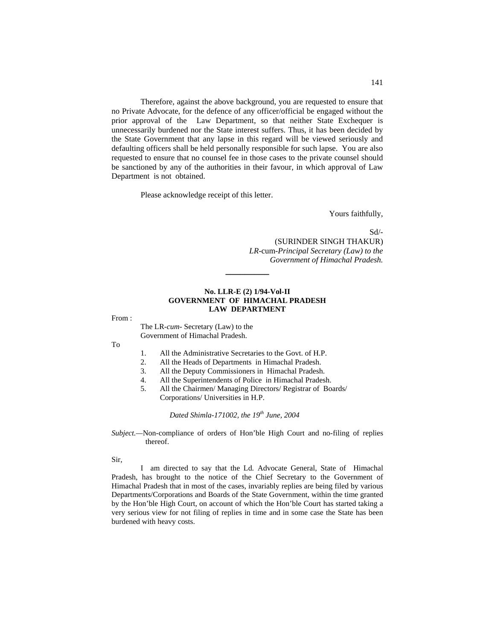Therefore, against the above background, you are requested to ensure that no Private Advocate, for the defence of any officer/official be engaged without the prior approval of the Law Department, so that neither State Exchequer is unnecessarily burdened nor the State interest suffers. Thus, it has been decided by the State Government that any lapse in this regard will be viewed seriously and defaulting officers shall be held personally responsible for such lapse. You are also requested to ensure that no counsel fee in those cases to the private counsel should be sanctioned by any of the authorities in their favour, in which approval of Law Department is not obtained.

Please acknowledge receipt of this letter.

Yours faithfully,

Sd/- (SURINDER SINGH THAKUR)  *LR-*cum*-Principal Secretary (Law) to the Government of Himachal Pradesh.*

#### **No. LLR-E (2) 1/94-Vol-II GOVERNMENT OF HIMACHAL PRADESH LAW DEPARTMENT**

**\_\_\_\_\_\_\_\_\_**

From :

The LR-*cum-* Secretary (Law) to the Government of Himachal Pradesh.

To

- 1. All the Administrative Secretaries to the Govt. of H.P.<br>2. All the Heads of Departments in Himachal Pradesh.
- All the Heads of Departments in Himachal Pradesh.
- 3. All the Deputy Commissioners in Himachal Pradesh.
- 4. All the Superintendents of Police in Himachal Pradesh.
- 5. All the Chairmen/ Managing Directors/ Registrar of Boards/ Corporations/ Universities in H.P.

*Dated Shimla-171002, the 19th June, 2004*

*Subject.—*Non-compliance of orders of Hon'ble High Court and no-filing of replies thereof.

Sir,

I am directed to say that the Ld. Advocate General, State of Himachal Pradesh, has brought to the notice of the Chief Secretary to the Government of Himachal Pradesh that in most of the cases, invariably replies are being filed by various Departments/Corporations and Boards of the State Government, within the time granted by the Hon'ble High Court, on account of which the Hon'ble Court has started taking a very serious view for not filing of replies in time and in some case the State has been burdened with heavy costs.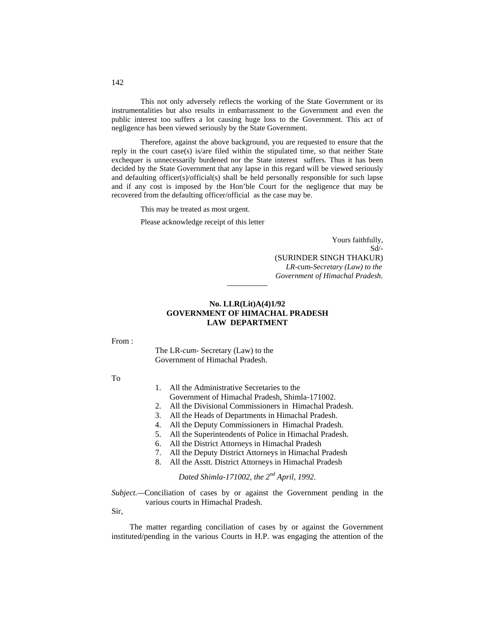This not only adversely reflects the working of the State Government or its instrumentalities but also results in embarrassment to the Government and even the public interest too suffers a lot causing huge loss to the Government. This act of negligence has been viewed seriously by the State Government.

Therefore, against the above background, you are requested to ensure that the reply in the court case(s) is/are filed within the stipulated time, so that neither State exchequer is unnecessarily burdened nor the State interest suffers. Thus it has been decided by the State Government that any lapse in this regard will be viewed seriously and defaulting officer(s)/official(s) shall be held personally responsible for such lapse and if any cost is imposed by the Hon'ble Court for the negligence that may be recovered from the defaulting officer/official as the case may be.

This may be treated as most urgent.

Please acknowledge receipt of this letter

Yours faithfully, Sd/- (SURINDER SINGH THAKUR) *LR-*cum*-Secretary (Law) to the Government of Himachal Pradesh.*

# **No. LLR(Lit)A(4)1/92 GOVERNMENT OF HIMACHAL PRADESH LAW DEPARTMENT**

—————

From :

The LR-*cum-* Secretary (Law) to the Government of Himachal Pradesh.

To

- 1. All the Administrative Secretaries to the
- Government of Himachal Pradesh, Shimla-171002.
- 2. All the Divisional Commissioners in Himachal Pradesh.
- 3. All the Heads of Departments in Himachal Pradesh.
- 4. All the Deputy Commissioners in Himachal Pradesh.
- 5. All the Superintendents of Police in Himachal Pradesh.
- 6. All the District Attorneys in Himachal Pradesh
- 7. All the Deputy District Attorneys in Himachal Pradesh
- 8. All the Asstt. District Attorneys in Himachal Pradesh

*Dated Shimla-171002, the 2nd April, 1992.*

*Subject.—*Conciliation of cases by or against the Government pending in the various courts in Himachal Pradesh.

Sir,

The matter regarding conciliation of cases by or against the Government instituted/pending in the various Courts in H.P. was engaging the attention of the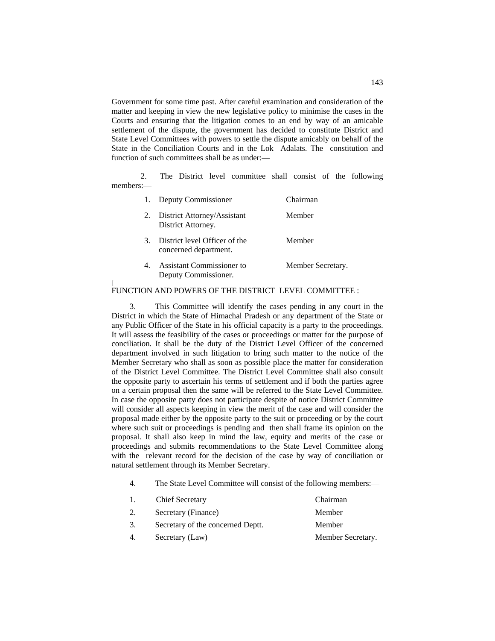Government for some time past. After careful examination and consideration of the matter and keeping in view the new legislative policy to minimise the cases in the Courts and ensuring that the litigation comes to an end by way of an amicable settlement of the dispute, the government has decided to constitute District and State Level Committees with powers to settle the dispute amicably on behalf of the State in the Conciliation Courts and in the Lok Adalats. The constitution and function of such committees shall be as under:—

2. The District level committee shall consist of the following members:—

|               | Deputy Commissioner                                      | Chairman          |
|---------------|----------------------------------------------------------|-------------------|
| 2.            | District Attorney/Assistant<br>District Attorney.        | Member            |
| $\mathcal{R}$ | District level Officer of the<br>concerned department.   | Member            |
|               | <b>Assistant Commissioner to</b><br>Deputy Commissioner. | Member Secretary. |

#### FUNCTION AND POWERS OF THE DISTRICT LEVEL COMMITTEE :

[

3. This Committee will identify the cases pending in any court in the District in which the State of Himachal Pradesh or any department of the State or any Public Officer of the State in his official capacity is a party to the proceedings. It will assess the feasibility of the cases or proceedings or matter for the purpose of conciliation. It shall be the duty of the District Level Officer of the concerned department involved in such litigation to bring such matter to the notice of the Member Secretary who shall as soon as possible place the matter for consideration of the District Level Committee. The District Level Committee shall also consult the opposite party to ascertain his terms of settlement and if both the parties agree on a certain proposal then the same will be referred to the State Level Committee. In case the opposite party does not participate despite of notice District Committee will consider all aspects keeping in view the merit of the case and will consider the proposal made either by the opposite party to the suit or proceeding or by the court where such suit or proceedings is pending and then shall frame its opinion on the proposal. It shall also keep in mind the law, equity and merits of the case or proceedings and submits recommendations to the State Level Committee along with the relevant record for the decision of the case by way of conciliation or natural settlement through its Member Secretary.

#### 4. The State Level Committee will consist of the following members:—

| 1. | <b>Chief Secretary</b>            | Chairman          |
|----|-----------------------------------|-------------------|
| 2. | Secretary (Finance)               | Member            |
| 3. | Secretary of the concerned Deptt. | Member            |
| 4. | Secretary (Law)                   | Member Secretary. |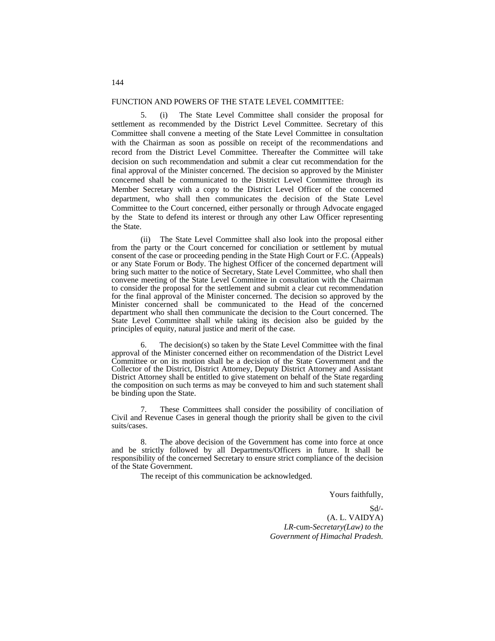#### FUNCTION AND POWERS OF THE STATE LEVEL COMMITTEE:

5. (i) The State Level Committee shall consider the proposal for settlement as recommended by the District Level Committee. Secretary of this Committee shall convene a meeting of the State Level Committee in consultation with the Chairman as soon as possible on receipt of the recommendations and record from the District Level Committee. Thereafter the Committee will take decision on such recommendation and submit a clear cut recommendation for the final approval of the Minister concerned. The decision so approved by the Minister concerned shall be communicated to the District Level Committee through its Member Secretary with a copy to the District Level Officer of the concerned department, who shall then communicates the decision of the State Level Committee to the Court concerned, either personally or through Advocate engaged by the State to defend its interest or through any other Law Officer representing the State.

 (ii) The State Level Committee shall also look into the proposal either from the party or the Court concerned for conciliation or settlement by mutual consent of the case or proceeding pending in the State High Court or F.C. (Appeals) or any State Forum or Body. The highest Officer of the concerned department will bring such matter to the notice of Secretary, State Level Committee, who shall then convene meeting of the State Level Committee in consultation with the Chairman to consider the proposal for the settlement and submit a clear cut recommendation for the final approval of the Minister concerned. The decision so approved by the Minister concerned shall be communicated to the Head of the concerned department who shall then communicate the decision to the Court concerned. The State Level Committee shall while taking its decision also be guided by the principles of equity, natural justice and merit of the case.

6. The decision(s) so taken by the State Level Committee with the final approval of the Minister concerned either on recommendation of the District Level Committee or on its motion shall be a decision of the State Government and the Collector of the District, District Attorney, Deputy District Attorney and Assistant District Attorney shall be entitled to give statement on behalf of the State regarding the composition on such terms as may be conveyed to him and such statement shall be binding upon the State.

These Committees shall consider the possibility of conciliation of Civil and Revenue Cases in general though the priority shall be given to the civil suits/cases.

8. The above decision of the Government has come into force at once and be strictly followed by all Departments/Officers in future. It shall be responsibility of the concerned Secretary to ensure strict compliance of the decision of the State Government.

The receipt of this communication be acknowledged.

Yours faithfully,

 Sd/- (A. L. VAIDYA) *LR-*cum-*Secretary(Law) to the Government of Himachal Pradesh.*

#### 144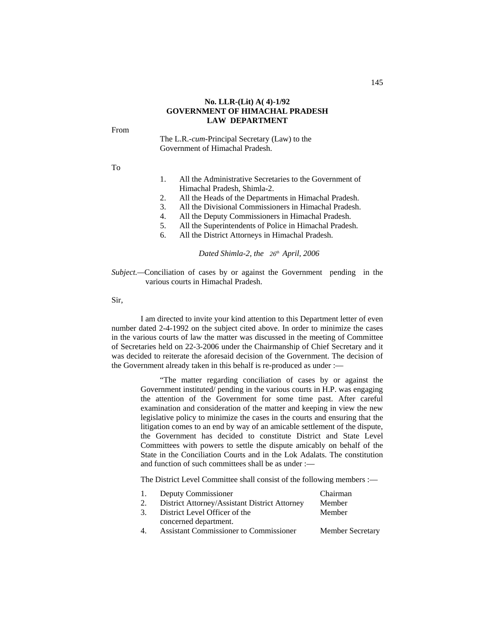#### **No. LLR-(Lit) A( 4)-1/92 GOVERNMENT OF HIMACHAL PRADESH LAW DEPARTMENT**

#### From

The L.R.*-cum*-Principal Secretary (Law) to the Government of Himachal Pradesh.

To

- 1. All the Administrative Secretaries to the Government of Himachal Pradesh, Shimla-2.
- 2. All the Heads of the Departments in Himachal Pradesh.
- 3. All the Divisional Commissioners in Himachal Pradesh.
- 4. All the Deputy Commissioners in Himachal Pradesh.
- 5. All the Superintendents of Police in Himachal Pradesh.
- 6. All the District Attorneys in Himachal Pradesh.

*Dated Shimla-2, the 26th April, 2006*

*Subject.*—Conciliation of cases by or against the Government pending in the various courts in Himachal Pradesh.

Sir,

I am directed to invite your kind attention to this Department letter of even number dated 2-4-1992 on the subject cited above. In order to minimize the cases in the various courts of law the matter was discussed in the meeting of Committee of Secretaries held on 22-3-2006 under the Chairmanship of Chief Secretary and it was decided to reiterate the aforesaid decision of the Government. The decision of the Government already taken in this behalf is re-produced as under :—

> "The matter regarding conciliation of cases by or against the Government instituted/ pending in the various courts in H.P. was engaging the attention of the Government for some time past. After careful examination and consideration of the matter and keeping in view the new legislative policy to minimize the cases in the courts and ensuring that the litigation comes to an end by way of an amicable settlement of the dispute, the Government has decided to constitute District and State Level Committees with powers to settle the dispute amicably on behalf of the State in the Conciliation Courts and in the Lok Adalats. The constitution and function of such committees shall be as under :—

The District Level Committee shall consist of the following members :—

| 1. Deputy Commissioner                        | Chairman                |
|-----------------------------------------------|-------------------------|
| District Attorney/Assistant District Attorney | Member                  |
| 3. District Level Officer of the              | Member                  |
| concerned department.                         |                         |
| <b>Assistant Commissioner to Commissioner</b> | <b>Member Secretary</b> |
|                                               |                         |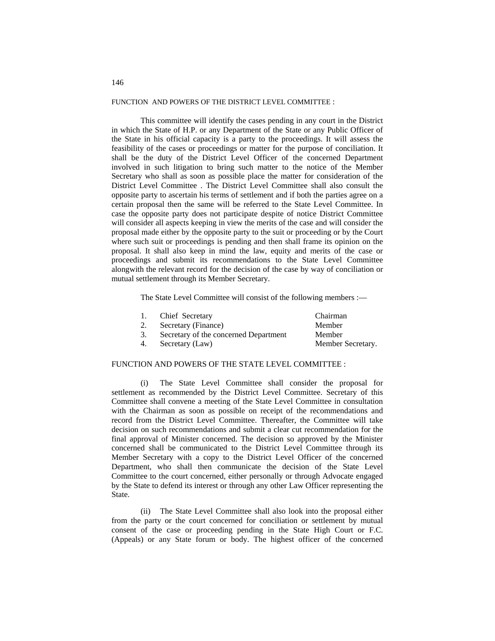#### FUNCTION AND POWERS OF THE DISTRICT LEVEL COMMITTEE :

This committee will identify the cases pending in any court in the District in which the State of H.P. or any Department of the State or any Public Officer of the State in his official capacity is a party to the proceedings. It will assess the feasibility of the cases or proceedings or matter for the purpose of conciliation. It shall be the duty of the District Level Officer of the concerned Department involved in such litigation to bring such matter to the notice of the Member Secretary who shall as soon as possible place the matter for consideration of the District Level Committee . The District Level Committee shall also consult the opposite party to ascertain his terms of settlement and if both the parties agree on a certain proposal then the same will be referred to the State Level Committee. In case the opposite party does not participate despite of notice District Committee will consider all aspects keeping in view the merits of the case and will consider the proposal made either by the opposite party to the suit or proceeding or by the Court where such suit or proceedings is pending and then shall frame its opinion on the proposal. It shall also keep in mind the law, equity and merits of the case or proceedings and submit its recommendations to the State Level Committee alongwith the relevant record for the decision of the case by way of conciliation or mutual settlement through its Member Secretary.

The State Level Committee will consist of the following members :—

| 1. | Chief Secretary                       | Chairman          |
|----|---------------------------------------|-------------------|
| 2. | Secretary (Finance)                   | Member            |
| 3. | Secretary of the concerned Department | Member            |
| 4. | Secretary (Law)                       | Member Secretary. |

#### FUNCTION AND POWERS OF THE STATE LEVEL COMMITTEE :

(i) The State Level Committee shall consider the proposal for settlement as recommended by the District Level Committee. Secretary of this Committee shall convene a meeting of the State Level Committee in consultation with the Chairman as soon as possible on receipt of the recommendations and record from the District Level Committee. Thereafter, the Committee will take decision on such recommendations and submit a clear cut recommendation for the final approval of Minister concerned. The decision so approved by the Minister concerned shall be communicated to the District Level Committee through its Member Secretary with a copy to the District Level Officer of the concerned Department, who shall then communicate the decision of the State Level Committee to the court concerned, either personally or through Advocate engaged by the State to defend its interest or through any other Law Officer representing the State.

(ii) The State Level Committee shall also look into the proposal either from the party or the court concerned for conciliation or settlement by mutual consent of the case or proceeding pending in the State High Court or F.C. (Appeals) or any State forum or body. The highest officer of the concerned

#### 146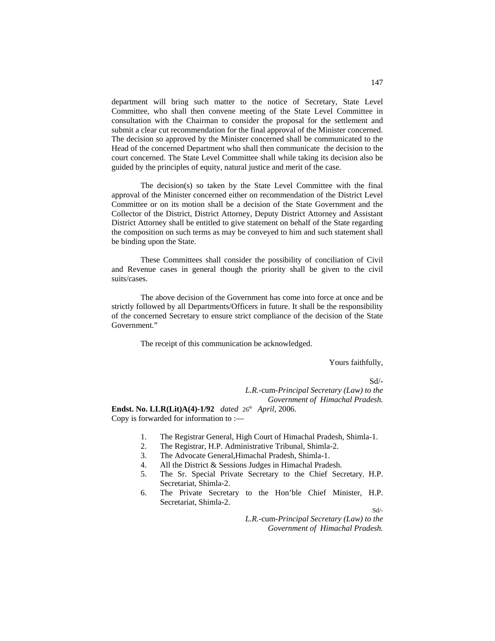department will bring such matter to the notice of Secretary, State Level Committee, who shall then convene meeting of the State Level Committee in consultation with the Chairman to consider the proposal for the settlement and submit a clear cut recommendation for the final approval of the Minister concerned. The decision so approved by the Minister concerned shall be communicated to the Head of the concerned Department who shall then communicate the decision to the court concerned. The State Level Committee shall while taking its decision also be guided by the principles of equity, natural justice and merit of the case.

The decision(s) so taken by the State Level Committee with the final approval of the Minister concerned either on recommendation of the District Level Committee or on its motion shall be a decision of the State Government and the Collector of the District, District Attorney, Deputy District Attorney and Assistant District Attorney shall be entitled to give statement on behalf of the State regarding the composition on such terms as may be conveyed to him and such statement shall be binding upon the State.

These Committees shall consider the possibility of conciliation of Civil and Revenue cases in general though the priority shall be given to the civil suits/cases.

The above decision of the Government has come into force at once and be strictly followed by all Departments/Officers in future. It shall be the responsibility of the concerned Secretary to ensure strict compliance of the decision of the State Government."

The receipt of this communication be acknowledged.

Yours faithfully,

Sd/-

*L.R.-*cum-*Principal Secretary (Law) to the Government of Himachal Pradesh.*

**Endst. No. LLR(Lit)A(4)-1/92** *dated* 26th *April*, 2006. Copy is forwarded for information to :—

- 1. The Registrar General, High Court of Himachal Pradesh, Shimla-1.
- 2. The Registrar, H.P. Administrative Tribunal, Shimla-2.
- 3. The Advocate General,Himachal Pradesh, Shimla-1.
- 4. All the District & Sessions Judges in Himachal Pradesh.
- 5. The Sr. Special Private Secretary to the Chief Secretary, H.P. Secretariat, Shimla-2.
- 6. The Private Secretary to the Hon'ble Chief Minister, H.P. Secretariat, Shimla-2.

Sd/-

 *L.R.-*cum*-Principal Secretary (Law) to the Government of Himachal Pradesh.*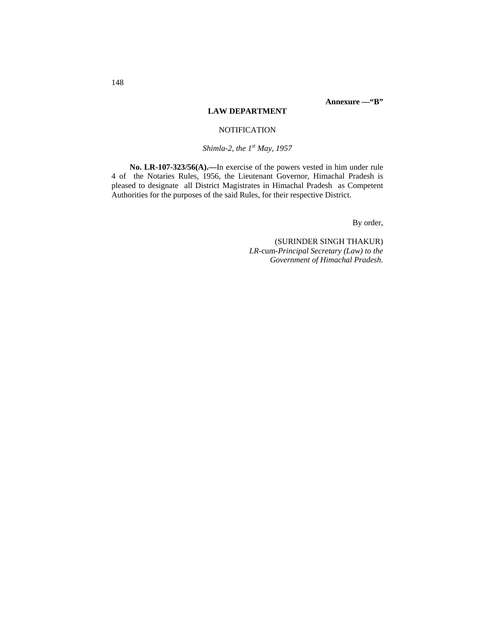# **LAW DEPARTMENT**

# **NOTIFICATION**

*Shimla-2, the 1st May, 1957*

**No. LR-107-323/56(A).—**In exercise of the powers vested in him under rule 4 of the Notaries Rules, 1956, the Lieutenant Governor, Himachal Pradesh is pleased to designate all District Magistrates in Himachal Pradesh as Competent Authorities for the purposes of the said Rules, for their respective District.

By order,

(SURINDER SINGH THAKUR) *LR-*cum*-Principal Secretary (Law) to the Government of Himachal Pradesh.*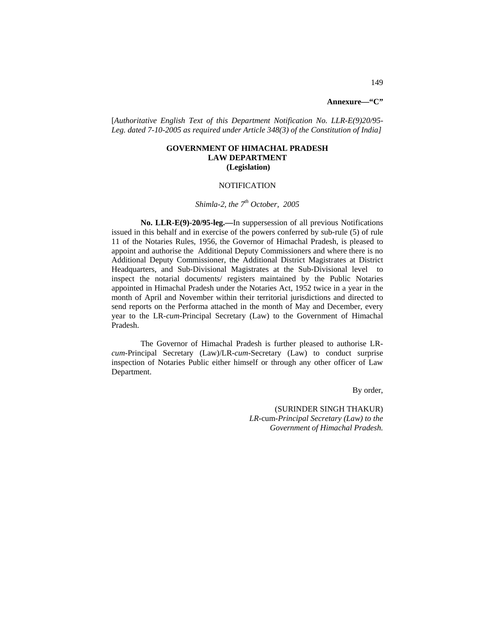# **Annexure—"C"**

[*Authoritative English Text of this Department Notification No. LLR-E(9)20/95- Leg. dated 7-10-2005 as required under Article 348(3) of the Constitution of India]*

# **GOVERNMENT OF HIMACHAL PRADESH LAW DEPARTMENT (Legislation)**

#### **NOTIFICATION**

#### *Shimla-2, the 7th October, 2005*

**No. LLR-E(9)-20/95-leg.—**In suppersession of all previous Notifications issued in this behalf and in exercise of the powers conferred by sub-rule (5) of rule 11 of the Notaries Rules, 1956, the Governor of Himachal Pradesh, is pleased to appoint and authorise the Additional Deputy Commissioners and where there is no Additional Deputy Commissioner, the Additional District Magistrates at District Headquarters, and Sub-Divisional Magistrates at the Sub-Divisional level to inspect the notarial documents/ registers maintained by the Public Notaries appointed in Himachal Pradesh under the Notaries Act, 1952 twice in a year in the month of April and November within their territorial jurisdictions and directed to send reports on the Performa attached in the month of May and December, every year to the LR-*cum-*Principal Secretary (Law) to the Government of Himachal Pradesh.

The Governor of Himachal Pradesh is further pleased to authorise LR*cum-*Principal Secretary (Law)/LR-*cum*-Secretary (Law) to conduct surprise inspection of Notaries Public either himself or through any other officer of Law Department.

By order,

(SURINDER SINGH THAKUR) *LR-*cum*-Principal Secretary (Law) to the Government of Himachal Pradesh.*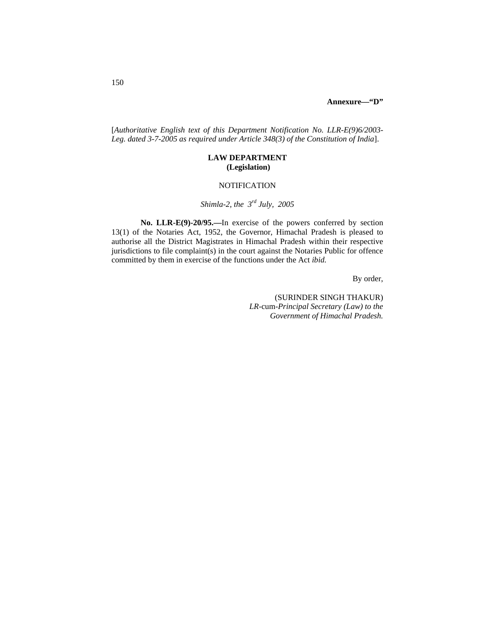[*Authoritative English text of this Department Notification No. LLR-E(9)6/2003- Leg. dated 3-7-2005 as required under Article 348(3) of the Constitution of India*].

# **LAW DEPARTMENT (Legislation)**

# **NOTIFICATION**

# *Shimla-2, the 3rd July, 2005*

**No. LLR-E(9)-20/95.—**In exercise of the powers conferred by section 13(1) of the Notaries Act, 1952, the Governor, Himachal Pradesh is pleased to authorise all the District Magistrates in Himachal Pradesh within their respective jurisdictions to file complaint(s) in the court against the Notaries Public for offence committed by them in exercise of the functions under the Act *ibid.*

By order,

(SURINDER SINGH THAKUR) *LR-*cum*-Principal Secretary (Law) to the Government of Himachal Pradesh.*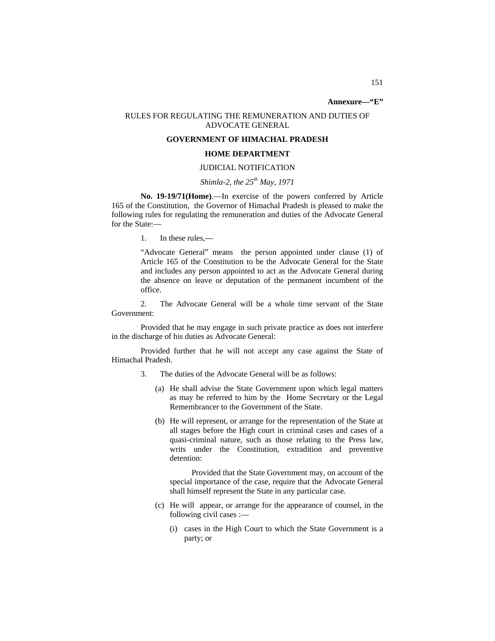# **Annexure—"E"**

#### RULES FOR REGULATING THE REMUNERATION AND DUTIES OF ADVOCATE GENERAL

# **GOVERNMENT OF HIMACHAL PRADESH**

#### **HOME DEPARTMENT**

# JUDICIAL NOTIFICATION

# *Shimla-2, the 25th May, 1971*

**No. 19-19/71(Home)**.—In exercise of the powers conferred by Article 165 of the Constitution, the Governor of Himachal Pradesh is pleased to make the following rules for regulating the remuneration and duties of the Advocate General for the State:—

1. In these rules,—

"Advocate General" means the person appointed under clause (1) of Article 165 of the Constitution to be the Advocate General for the State and includes any person appointed to act as the Advocate General during the absence on leave or deputation of the permanent incumbent of the office.

2. The Advocate General will be a whole time servant of the State Government:

Provided that he may engage in such private practice as does not interfere in the discharge of his duties as Advocate General:

Provided further that he will not accept any case against the State of Himachal Pradesh.

- 3. The duties of the Advocate General will be as follows:
	- (a) He shall advise the State Government upon which legal matters as may be referred to him by the Home Secretary or the Legal Remembrancer to the Government of the State.
	- (b) He will represent, or arrange for the representation of the State at all stages before the High court in criminal cases and cases of a quasi-criminal nature, such as those relating to the Press law, writs under the Constitution, extradition and preventive detention:

 Provided that the State Government may, on account of the special importance of the case, require that the Advocate General shall himself represent the State in any particular case.

- (c) He will appear, or arrange for the appearance of counsel, in the following civil cases :—
	- (i) cases in the High Court to which the State Government is a party; or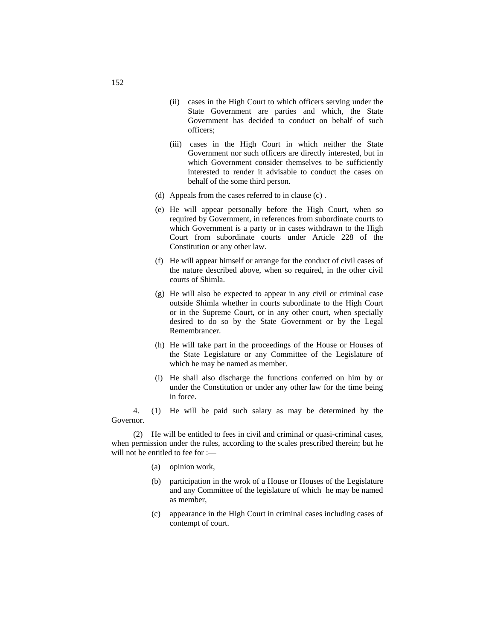- (ii) cases in the High Court to which officers serving under the State Government are parties and which, the State Government has decided to conduct on behalf of such officers;
- (iii) cases in the High Court in which neither the State Government nor such officers are directly interested, but in which Government consider themselves to be sufficiently interested to render it advisable to conduct the cases on behalf of the some third person.
- (d) Appeals from the cases referred to in clause (c) .
- (e) He will appear personally before the High Court, when so required by Government, in references from subordinate courts to which Government is a party or in cases withdrawn to the High Court from subordinate courts under Article 228 of the Constitution or any other law.
- (f) He will appear himself or arrange for the conduct of civil cases of the nature described above, when so required, in the other civil courts of Shimla.
- (g) He will also be expected to appear in any civil or criminal case outside Shimla whether in courts subordinate to the High Court or in the Supreme Court, or in any other court, when specially desired to do so by the State Government or by the Legal Remembrancer.
- (h) He will take part in the proceedings of the House or Houses of the State Legislature or any Committee of the Legislature of which he may be named as member.
- (i) He shall also discharge the functions conferred on him by or under the Constitution or under any other law for the time being in force.

4. (1) He will be paid such salary as may be determined by the Governor.

(2) He will be entitled to fees in civil and criminal or quasi-criminal cases, when permission under the rules, according to the scales prescribed therein; but he will not be entitled to fee for :—

- (a) opinion work,
- (b) participation in the wrok of a House or Houses of the Legislature and any Committee of the legislature of which he may be named as member,
- (c) appearance in the High Court in criminal cases including cases of contempt of court.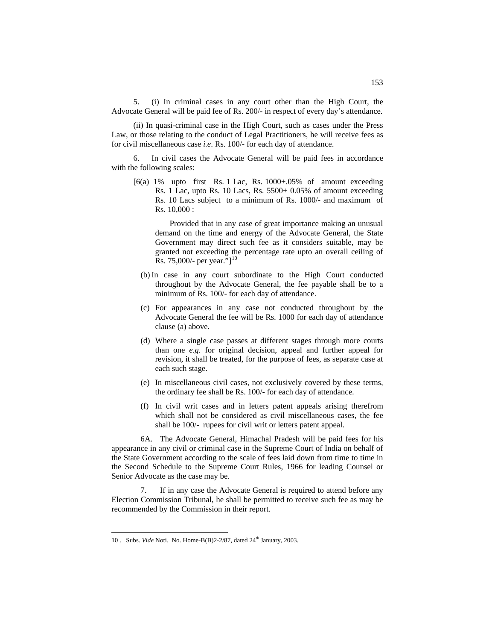5. (i) In criminal cases in any court other than the High Court, the Advocate General will be paid fee of Rs. 200/- in respect of every day's attendance.

(ii) In quasi-criminal case in the High Court, such as cases under the Press Law, or those relating to the conduct of Legal Practitioners, he will receive fees as for civil miscellaneous case *i.e*. Rs. 100/- for each day of attendance.

6. In civil cases the Advocate General will be paid fees in accordance with the following scales:

[6(a) 1% upto first Rs. 1 Lac, Rs. 1000+.05% of amount exceeding Rs. 1 Lac, upto Rs. 10 Lacs, Rs. 5500+ 0.05% of amount exceeding Rs. 10 Lacs subject to a minimum of Rs. 1000/- and maximum of Rs. 10,000 :

Provided that in any case of great importance making an unusual demand on the time and energy of the Advocate General, the State Government may direct such fee as it considers suitable, may be granted not exceeding the percentage rate upto an overall ceiling of Rs. 75,000/- per year."[<sup>[10](#page-93-0)</sup>]

- (b) In case in any court subordinate to the High Court conducted throughout by the Advocate General, the fee payable shall be to a minimum of Rs. 100/- for each day of attendance.
- (c) For appearances in any case not conducted throughout by the Advocate General the fee will be Rs. 1000 for each day of attendance clause (a) above.
- (d) Where a single case passes at different stages through more courts than one *e.g.* for original decision, appeal and further appeal for revision, it shall be treated, for the purpose of fees, as separate case at each such stage.
- (e) In miscellaneous civil cases, not exclusively covered by these terms, the ordinary fee shall be Rs. 100/- for each day of attendance.
- (f) In civil writ cases and in letters patent appeals arising therefrom which shall not be considered as civil miscellaneous cases, the fee shall be 100/- rupees for civil writ or letters patent appeal.

6A. The Advocate General, Himachal Pradesh will be paid fees for his appearance in any civil or criminal case in the Supreme Court of India on behalf of the State Government according to the scale of fees laid down from time to time in the Second Schedule to the Supreme Court Rules, 1966 for leading Counsel or Senior Advocate as the case may be.

7. If in any case the Advocate General is required to attend before any Election Commission Tribunal, he shall be permitted to receive such fee as may be recommended by the Commission in their report.

<span id="page-93-0"></span> <sup>10</sup> . Subs. *Vide* Noti. No. Home-B(B)2-2/87, dated 24th January, 2003.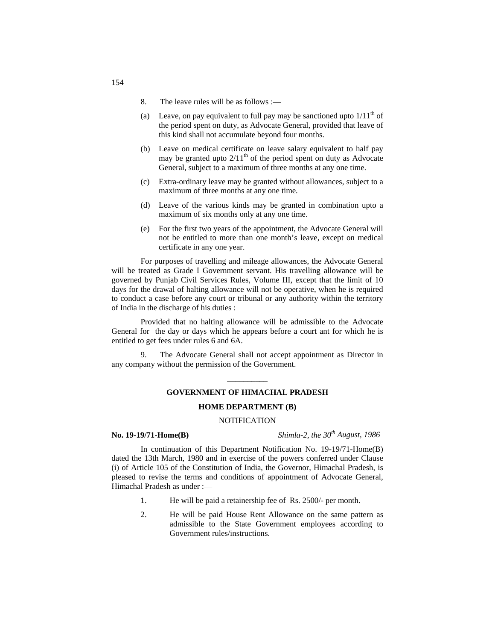- 8. The leave rules will be as follows :—
- (a) Leave, on pay equivalent to full pay may be sanctioned upto  $1/11<sup>th</sup>$  of the period spent on duty, as Advocate General, provided that leave of this kind shall not accumulate beyond four months.
- (b) Leave on medical certificate on leave salary equivalent to half pay may be granted upto  $2/11<sup>th</sup>$  of the period spent on duty as Advocate General, subject to a maximum of three months at any one time.
- (c) Extra-ordinary leave may be granted without allowances, subject to a maximum of three months at any one time.
- (d) Leave of the various kinds may be granted in combination upto a maximum of six months only at any one time.
- (e) For the first two years of the appointment, the Advocate General will not be entitled to more than one month's leave, except on medical certificate in any one year.

For purposes of travelling and mileage allowances, the Advocate General will be treated as Grade I Government servant. His travelling allowance will be governed by Punjab Civil Services Rules, Volume III, except that the limit of 10 days for the drawal of halting allowance will not be operative, when he is required to conduct a case before any court or tribunal or any authority within the territory of India in the discharge of his duties :

Provided that no halting allowance will be admissible to the Advocate General for the day or days which he appears before a court ant for which he is entitled to get fees under rules 6 and 6A.

9. The Advocate General shall not accept appointment as Director in any company without the permission of the Government.

# $\overline{\phantom{a}}$ **GOVERNMENT OF HIMACHAL PRADESH**

#### **HOME DEPARTMENT (B)**

#### NOTIFICATION

**No. 19-19/71-Home(B)** *Shimla-2, the 30th August, 1986*

In continuation of this Department Notification No. 19-19/71-Home(B) dated the 13th March, 1980 and in exercise of the powers conferred under Clause (i) of Article 105 of the Constitution of India, the Governor, Himachal Pradesh, is pleased to revise the terms and conditions of appointment of Advocate General, Himachal Pradesh as under :—

- 1. He will be paid a retainership fee of Rs. 2500/- per month.
- 2. He will be paid House Rent Allowance on the same pattern as admissible to the State Government employees according to Government rules/instructions.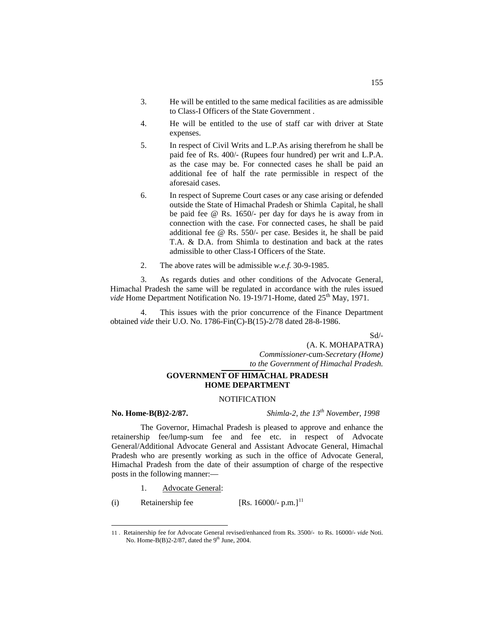- 3. He will be entitled to the same medical facilities as are admissible to Class-I Officers of the State Government .
- 4. He will be entitled to the use of staff car with driver at State expenses.
- 5. In respect of Civil Writs and L.P.As arising therefrom he shall be paid fee of Rs. 400/- (Rupees four hundred) per writ and L.P.A. as the case may be. For connected cases he shall be paid an additional fee of half the rate permissible in respect of the aforesaid cases.
- 6. In respect of Supreme Court cases or any case arising or defended outside the State of Himachal Pradesh or Shimla Capital, he shall be paid fee @ Rs. 1650/- per day for days he is away from in connection with the case. For connected cases, he shall be paid additional fee @ Rs. 550/- per case. Besides it, he shall be paid T.A. & D.A. from Shimla to destination and back at the rates admissible to other Class-I Officers of the State.
- 2. The above rates will be admissible *w.e.f.* 30-9-1985.

3. As regards duties and other conditions of the Advocate General, Himachal Pradesh the same will be regulated in accordance with the rules issued *vide* Home Department Notification No. 19-19/71-Home, dated 25<sup>th</sup> May, 1971.

4. This issues with the prior concurrence of the Finance Department obtained *vide* their U.O. No. 1786-Fin(C)-B(15)-2/78 dated 28-8-1986.

Sd/-

(A. K. MOHAPATRA) *Commissioner-*cum-*Secretary (Home) to the Government of Himachal Pradesh.*

# **GOVERNMENT OF HIMACHAL PRADESH HOME DEPARTMENT**

#### **NOTIFICATION**

**No. Home-B(B)2-2/87.** *Shimla-2, the 13th November, 1998*

The Governor, Himachal Pradesh is pleased to approve and enhance the retainership fee/lump-sum fee and fee etc. in respect of Advocate General/Additional Advocate General and Assistant Advocate General, Himachal Pradesh who are presently working as such in the office of Advocate General, Himachal Pradesh from the date of their assumption of charge of the respective posts in the following manner:—

1. Advocate General:

(i) Retainership fee  $[Rs. 16000/- p.m.]$ <sup>[11](#page-95-0)</sup>

<span id="page-95-0"></span> <sup>11</sup> . Retainership fee for Advocate General revised/enhanced from Rs. 3500/- to Rs. 16000/- *vide* Noti. No. Home-B(B)2-2/87, dated the  $9<sup>th</sup>$  June, 2004.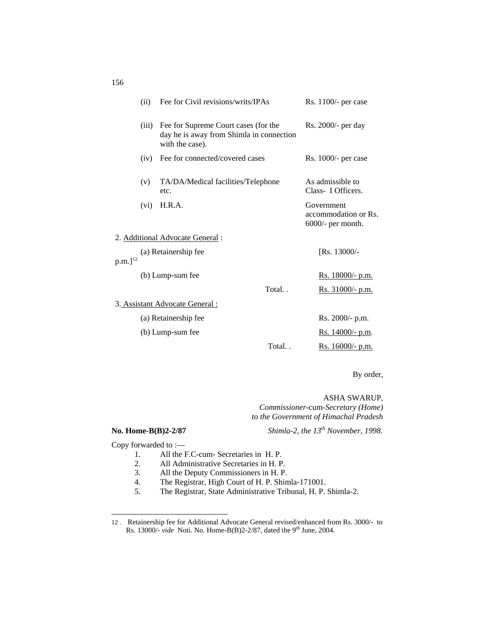|                      | (ii)  | Fee for Civil revisions/writs/IPAs                                                                  |       | Rs. 1100/- per case                                       |
|----------------------|-------|-----------------------------------------------------------------------------------------------------|-------|-----------------------------------------------------------|
|                      | (iii) | Fee for Supreme Court cases (for the<br>day he is away from Shimla in connection<br>with the case). |       | Rs. 2000/- per day                                        |
|                      | (iv)  | Fee for connected/covered cases                                                                     |       | $Rs. 1000/-$ per case                                     |
|                      | (v)   | TA/DA/Medical facilities/Telephone<br>etc.                                                          |       | As admissible to<br>Class- I Officers.                    |
|                      | (vi)  | H.R.A.                                                                                              |       | Government<br>accommodation or Rs.<br>$6000/-$ per month. |
|                      |       | 2. Additional Advocate General :                                                                    |       |                                                           |
| $\rm p.m.$ ] $^{12}$ |       | (a) Retainership fee                                                                                |       | [Rs. 13000/-                                              |
|                      |       | (b) Lump-sum fee                                                                                    |       | Rs. 18000/- p.m.                                          |
|                      |       |                                                                                                     | Total | Rs. 31000/- p.m.                                          |
|                      |       | 3. Assistant Advocate General :                                                                     |       |                                                           |
|                      |       | (a) Retainership fee                                                                                |       | $Rs. 2000/- p.m.$                                         |
|                      |       | (b) Lump-sum fee                                                                                    |       | Rs. 14000/- p.m.                                          |
|                      |       |                                                                                                     | Total | Rs. 16000/- p.m.                                          |

By order,

ASHA SWARUP,

*Commissioner-*cum*-Secretary (Home) to the Government of Himachal Pradesh* 

**No. Home-B(B)2-2/87** *Shimla-2, the 13th November, 1998.*

Copy forwarded to :—

 $\overline{a}$ 

- 1. All the F.C-cum- Secretaries in H. P.<br>2. All Administrative Secretaries in H. P.
- 2. All Administrative Secretaries in H. P.<br>3. All the Deputy Commissioners in H. P.
- 3. All the Deputy Commissioners in H. P.<br>4. The Registrar, High Court of H. P. Shin
- 4. The Registrar, High Court of H. P. Shimla-171001.<br>5. The Registrar. State Administrative Tribunal. H. P.
- 5. The Registrar, State Administrative Tribunal, H. P. Shimla-2.

156

<span id="page-96-0"></span><sup>12</sup> . Retainership fee for Additional Advocate General revised/enhanced from Rs. 3000/- to Rs. 13000/- *vide* Noti. No. Home-B(B)2-2/87, dated the 9<sup>th</sup> June, 2004.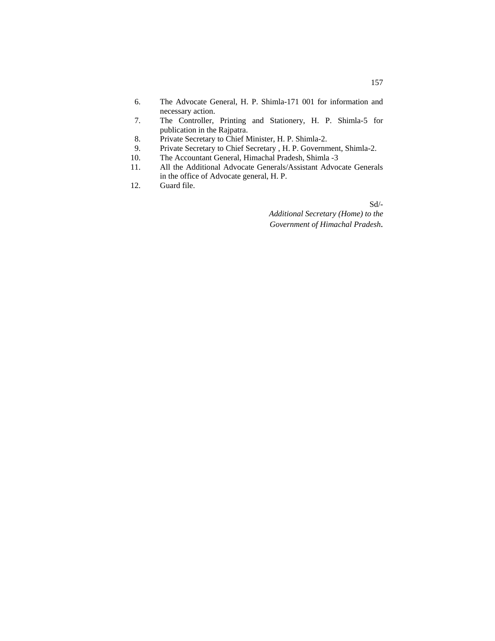- 6. The Advocate General, H. P. Shimla-171 001 for information and necessary action.
- 7. The Controller, Printing and Stationery, H. P. Shimla-5 for publication in the Rajpatra.
- 8. Private Secretary to Chief Minister, H. P. Shimla-2.
- 9. Private Secretary to Chief Secretary , H. P. Government, Shimla-2.
- 10. The Accountant General, Himachal Pradesh, Shimla -3
- 11. All the Additional Advocate Generals/Assistant Advocate Generals in the office of Advocate general, H. P.
- 12. Guard file.

Sd/-

*Additional Secretary (Home) to the Government of Himachal Pradesh.*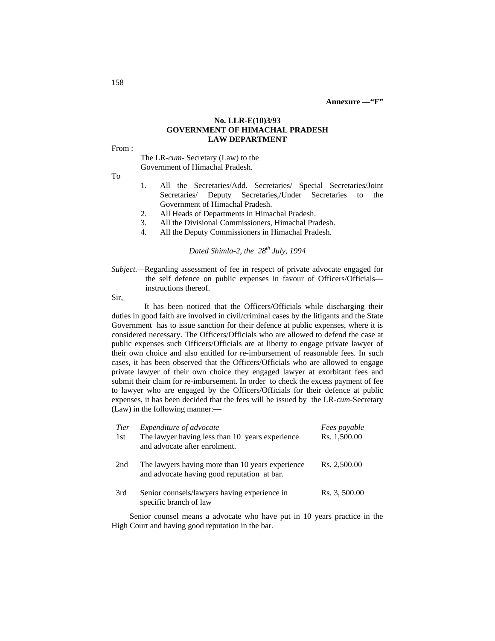#### **No. LLR-E(10)3/93 GOVERNMENT OF HIMACHAL PRADESH LAW DEPARTMENT**

From :

The LR-*cum-* Secretary (Law) to the Government of Himachal Pradesh.

To

- 1. All the Secretaries/Add. Secretaries/ Special Secretaries/Joint Secretaries/ Deputy Secretaries,/Under Secretaries to the Government of Himachal Pradesh.
- 2. All Heads of Departments in Himachal Pradesh.
- 3. All the Divisional Commissioners, Himachal Pradesh.
- 4. All the Deputy Commissioners in Himachal Pradesh.

# *Dated Shimla-2, the 28th July, 1994*

*Subject.*—Regarding assessment of fee in respect of private advocate engaged for the self defence on public expenses in favour of Officers/Officials instructions thereof.

Sir,

It has been noticed that the Officers/Officials while discharging their duties in good faith are involved in civil/criminal cases by the litigants and the State Government has to issue sanction for their defence at public expenses, where it is considered necessary. The Officers/Officials who are allowed to defend the case at public expenses such Officers/Officials are at liberty to engage private lawyer of their own choice and also entitled for re-imbursement of reasonable fees. In such cases, it has been observed that the Officers/Officials who are allowed to engage private lawyer of their own choice they engaged lawyer at exorbitant fees and submit their claim for re-imbursement. In order to check the excess payment of fee to lawyer who are engaged by the Officers/Officials for their defence at public expenses, it has been decided that the fees will be issued by the LR-*cum-*Secretary (Law) in the following manner:—

| <b>Tier</b><br>1st | Expenditure of advocate<br>The lawyer having less than 10 years experience<br>and advocate after enrolment. | Fees payable<br>Rs. 1,500.00 |
|--------------------|-------------------------------------------------------------------------------------------------------------|------------------------------|
| 2nd                | The lawyers having more than 10 years experience<br>and advocate having good reputation at bar.             | Rs. 2,500.00                 |
| 3rd                | Senior counsels/lawyers having experience in<br>specific branch of law                                      | Rs. 3, 500.00                |

Senior counsel means a advocate who have put in 10 years practice in the High Court and having good reputation in the bar.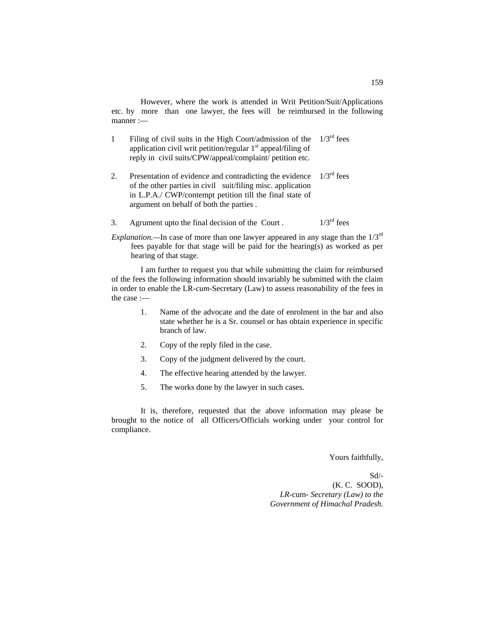However, where the work is attended in Writ Petition/Suit/Applications etc. by more than one lawyer, the fees will be reimbursed in the following manner :—

- 1 Filing of civil suits in the High Court/admission of the  $1/3<sup>rd</sup>$  fees application civil writ petition/regular 1<sup>st</sup> appeal/filing of reply in civil suits/CPW/appeal/complaint/ petition etc.
- 2. Presentation of evidence and contradicting the evidence of the other parties in civil suit/filing misc. application in L.P.A./ CWP/contempt petition till the final state of argument on behalf of both the parties .  $1/3^{\text{rd}}$  fees
- 3. Agrument upto the final decision of the Court .  $1/3^{rd}$  fees

*Explanation.*—In case of more than one lawyer appeared in any stage than the  $1/3^{rd}$ fees payable for that stage will be paid for the hearing(s) as worked as per hearing of that stage.

I am further to request you that while submitting the claim for reimbursed of the fees the following information should invariably be submitted with the claim in order to enable the LR-*cum-*Secretary (Law) to assess reasonability of the fees in the case :—

- 1. Name of the advocate and the date of enrolment in the bar and also state whether he is a Sr. counsel or has obtain experience in specific branch of law.
- 2. Copy of the reply filed in the case.
- 3. Copy of the judgment delivered by the court.
- 4. The effective hearing attended by the lawyer.
- 5. The works done by the lawyer in such cases.

It is, therefore, requested that the above information may please be brought to the notice of all Officers/Officials working under your control for compliance.

Yours faithfully,

Sd/- (K. C. SOOD), *LR-*cum- *Secretary (Law) to the Government of Himachal Pradesh.*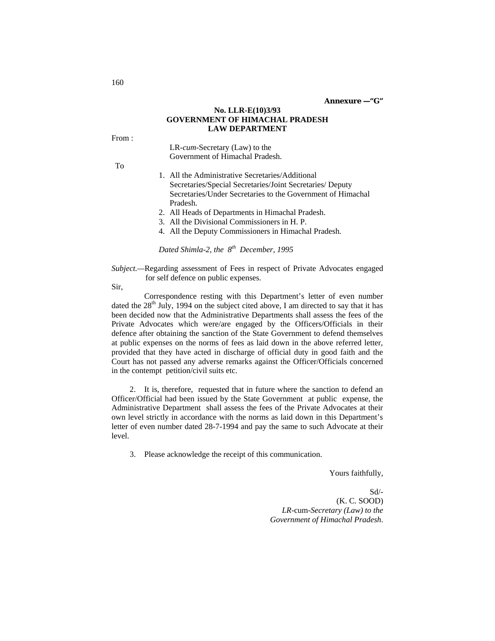### **No. LLR-E(10)3/93 GOVERNMENT OF HIMACHAL PRADESH LAW DEPARTMENT**

From :

LR-*cum*-Secretary (Law) to the Government of Himachal Pradesh.

To

- 1. All the Administrative Secretaries/Additional Secretaries/Special Secretaries/Joint Secretaries/ Deputy Secretaries/Under Secretaries to the Government of Himachal Pradesh.
- 2. All Heads of Departments in Himachal Pradesh.
- 3. All the Divisional Commissioners in H. P.
- 4. All the Deputy Commissioners in Himachal Pradesh.

*Dated Shimla-2, the 8th December, 1995*

*Subject.*—Regarding assessment of Fees in respect of Private Advocates engaged for self defence on public expenses.

Sir,

Correspondence resting with this Department's letter of even number dated the  $28<sup>th</sup>$  July, 1994 on the subject cited above, I am directed to say that it has been decided now that the Administrative Departments shall assess the fees of the Private Advocates which were/are engaged by the Officers/Officials in their defence after obtaining the sanction of the State Government to defend themselves at public expenses on the norms of fees as laid down in the above referred letter, provided that they have acted in discharge of official duty in good faith and the Court has not passed any adverse remarks against the Officer/Officials concerned in the contempt petition/civil suits etc.

2. It is, therefore, requested that in future where the sanction to defend an Officer/Official had been issued by the State Government at public expense, the Administrative Department shall assess the fees of the Private Advocates at their own level strictly in accordance with the norms as laid down in this Department's letter of even number dated 28-7-1994 and pay the same to such Advocate at their level.

3. Please acknowledge the receipt of this communication.

Yours faithfully,

 Sd/- (K. C. SOOD) *LR-*cum*-Secretary (Law) to the Government of Himachal Pradesh*.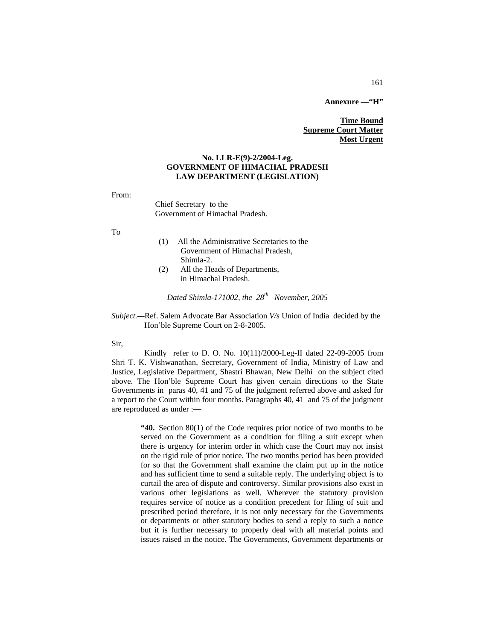**Annexure —"H"**

# **Time Bound Supreme Court Matter Most Urgent**

#### **No. LLR-E(9)-2/2004-Leg. GOVERNMENT OF HIMACHAL PRADESH LAW DEPARTMENT (LEGISLATION)**

From:

Chief Secretary to the Government of Himachal Pradesh.

To

- (1) All the Administrative Secretaries to the Government of Himachal Pradesh, Shimla-2.
- (2) All the Heads of Departments, in Himachal Pradesh.

*Dated Shimla-171002, the 28th November, 2005*

*Subject.—*Ref. Salem Advocate Bar Association *V/s* Union of India decided by the Hon'ble Supreme Court on 2-8-2005.

Sir,

Kindly refer to D. O. No. 10(11)/2000-Leg-II dated 22-09-2005 from Shri T. K. Vishwanathan, Secretary, Government of India, Ministry of Law and Justice, Legislative Department, Shastri Bhawan, New Delhi on the subject cited above. The Hon'ble Supreme Court has given certain directions to the State Governments in paras 40, 41 and 75 of the judgment referred above and asked for a report to the Court within four months. Paragraphs 40, 41 and 75 of the judgment are reproduced as under :—

> **"40.** Section 80(1) of the Code requires prior notice of two months to be served on the Government as a condition for filing a suit except when there is urgency for interim order in which case the Court may not insist on the rigid rule of prior notice. The two months period has been provided for so that the Government shall examine the claim put up in the notice and has sufficient time to send a suitable reply. The underlying object is to curtail the area of dispute and controversy. Similar provisions also exist in various other legislations as well. Wherever the statutory provision requires service of notice as a condition precedent for filing of suit and prescribed period therefore, it is not only necessary for the Governments or departments or other statutory bodies to send a reply to such a notice but it is further necessary to properly deal with all material points and issues raised in the notice. The Governments, Government departments or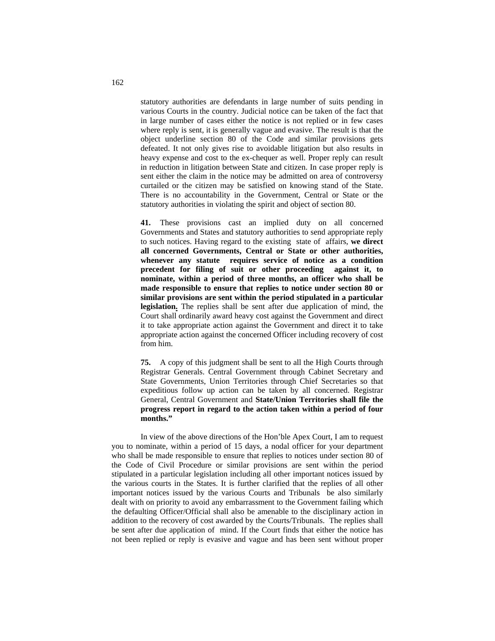statutory authorities are defendants in large number of suits pending in various Courts in the country. Judicial notice can be taken of the fact that in large number of cases either the notice is not replied or in few cases where reply is sent, it is generally vague and evasive. The result is that the object underline section 80 of the Code and similar provisions gets defeated. It not only gives rise to avoidable litigation but also results in heavy expense and cost to the ex-chequer as well. Proper reply can result in reduction in litigation between State and citizen. In case proper reply is sent either the claim in the notice may be admitted on area of controversy curtailed or the citizen may be satisfied on knowing stand of the State. There is no accountability in the Government, Central or State or the statutory authorities in violating the spirit and object of section 80.

**41.** These provisions cast an implied duty on all concerned Governments and States and statutory authorities to send appropriate reply to such notices. Having regard to the existing state of affairs, **we direct all concerned Governments, Central or State or other authorities, whenever any statute requires service of notice as a condition precedent for filing of suit or other proceeding against it, to nominate, within a period of three months, an officer who shall be made responsible to ensure that replies to notice under section 80 or similar provisions are sent within the period stipulated in a particular legislation.** The replies shall be sent after due application of mind, the Court shall ordinarily award heavy cost against the Government and direct it to take appropriate action against the Government and direct it to take appropriate action against the concerned Officer including recovery of cost from him.

**75.** A copy of this judgment shall be sent to all the High Courts through Registrar Generals. Central Government through Cabinet Secretary and State Governments, Union Territories through Chief Secretaries so that expeditious follow up action can be taken by all concerned. Registrar General, Central Government and **State/Union Territories shall file the progress report in regard to the action taken within a period of four months."**

In view of the above directions of the Hon'ble Apex Court, I am to request you to nominate, within a period of 15 days, a nodal officer for your department who shall be made responsible to ensure that replies to notices under section 80 of the Code of Civil Procedure or similar provisions are sent within the period stipulated in a particular legislation including all other important notices issued by the various courts in the States. It is further clarified that the replies of all other important notices issued by the various Courts and Tribunals be also similarly dealt with on priority to avoid any embarrassment to the Government failing which the defaulting Officer/Official shall also be amenable to the disciplinary action in addition to the recovery of cost awarded by the Courts/Tribunals. The replies shall be sent after due application of mind. If the Court finds that either the notice has not been replied or reply is evasive and vague and has been sent without proper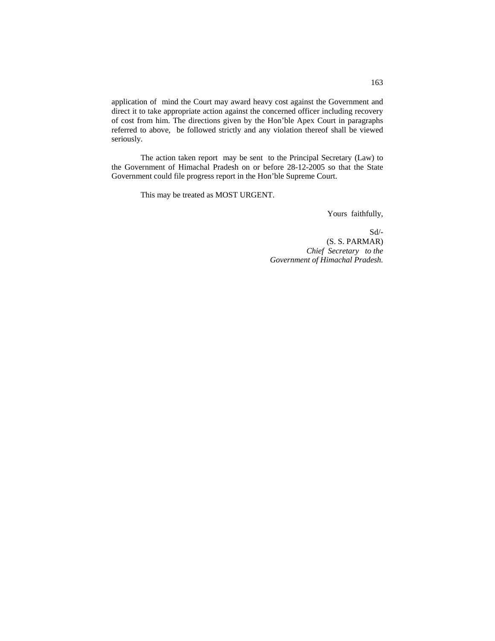application of mind the Court may award heavy cost against the Government and direct it to take appropriate action against the concerned officer including recovery of cost from him. The directions given by the Hon'ble Apex Court in paragraphs referred to above, be followed strictly and any violation thereof shall be viewed seriously.

The action taken report may be sent to the Principal Secretary (Law) to the Government of Himachal Pradesh on or before 28-12-2005 so that the State Government could file progress report in the Hon'ble Supreme Court.

This may be treated as MOST URGENT.

Yours faithfully,

Sd/- (S. S. PARMAR)  *Chief Secretary to the Government of Himachal Pradesh.*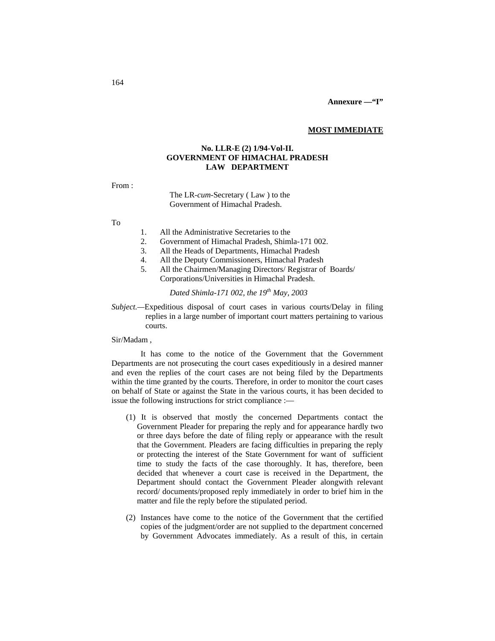#### **MOST IMMEDIATE**

# **No. LLR-E (2) 1/94-Vol-II. GOVERNMENT OF HIMACHAL PRADESH LAW DEPARTMENT**

From :

The LR-*cum-*Secretary ( Law ) to the Government of Himachal Pradesh.

To

- 1. All the Administrative Secretaries to the
- 2. Government of Himachal Pradesh, Shimla-171 002.
- 3. All the Heads of Departments, Himachal Pradesh
- 4. All the Deputy Commissioners, Himachal Pradesh
- 5. All the Chairmen/Managing Directors/ Registrar of Boards/ Corporations/Universities in Himachal Pradesh.

# *Dated Shimla-171 002, the 19th May, 2003*

# *Subject.—*Expeditious disposal of court cases in various courts/Delay in filing replies in a large number of important court matters pertaining to various courts.

Sir/Madam ,

It has come to the notice of the Government that the Government Departments are not prosecuting the court cases expeditiously in a desired manner and even the replies of the court cases are not being filed by the Departments within the time granted by the courts. Therefore, in order to monitor the court cases on behalf of State or against the State in the various courts, it has been decided to issue the following instructions for strict compliance :—

- (1) It is observed that mostly the concerned Departments contact the Government Pleader for preparing the reply and for appearance hardly two or three days before the date of filing reply or appearance with the result that the Government. Pleaders are facing difficulties in preparing the reply or protecting the interest of the State Government for want of sufficient time to study the facts of the case thoroughly. It has, therefore, been decided that whenever a court case is received in the Department, the Department should contact the Government Pleader alongwith relevant record/ documents/proposed reply immediately in order to brief him in the matter and file the reply before the stipulated period.
- (2) Instances have come to the notice of the Government that the certified copies of the judgment/order are not supplied to the department concerned by Government Advocates immediately. As a result of this, in certain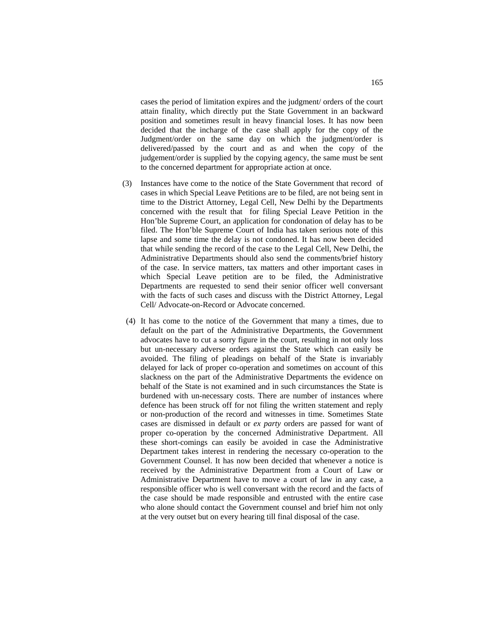cases the period of limitation expires and the judgment/ orders of the court attain finality, which directly put the State Government in an backward position and sometimes result in heavy financial loses. It has now been decided that the incharge of the case shall apply for the copy of the Judgment/order on the same day on which the judgment/order is delivered/passed by the court and as and when the copy of the judgement/order is supplied by the copying agency, the same must be sent to the concerned department for appropriate action at once.

- (3) Instances have come to the notice of the State Government that record of cases in which Special Leave Petitions are to be filed, are not being sent in time to the District Attorney, Legal Cell, New Delhi by the Departments concerned with the result that for filing Special Leave Petition in the Hon'ble Supreme Court, an application for condonation of delay has to be filed. The Hon'ble Supreme Court of India has taken serious note of this lapse and some time the delay is not condoned. It has now been decided that while sending the record of the case to the Legal Cell, New Delhi, the Administrative Departments should also send the comments/brief history of the case. In service matters, tax matters and other important cases in which Special Leave petition are to be filed, the Administrative Departments are requested to send their senior officer well conversant with the facts of such cases and discuss with the District Attorney, Legal Cell/ Advocate-on-Record or Advocate concerned.
- (4) It has come to the notice of the Government that many a times, due to default on the part of the Administrative Departments, the Government advocates have to cut a sorry figure in the court, resulting in not only loss but un-necessary adverse orders against the State which can easily be avoided. The filing of pleadings on behalf of the State is invariably delayed for lack of proper co-operation and sometimes on account of this slackness on the part of the Administrative Departments the evidence on behalf of the State is not examined and in such circumstances the State is burdened with un-necessary costs. There are number of instances where defence has been struck off for not filing the written statement and reply or non-production of the record and witnesses in time. Sometimes State cases are dismissed in default or *ex party* orders are passed for want of proper co-operation by the concerned Administrative Department. All these short-comings can easily be avoided in case the Administrative Department takes interest in rendering the necessary co-operation to the Government Counsel. It has now been decided that whenever a notice is received by the Administrative Department from a Court of Law or Administrative Department have to move a court of law in any case, a responsible officer who is well conversant with the record and the facts of the case should be made responsible and entrusted with the entire case who alone should contact the Government counsel and brief him not only at the very outset but on every hearing till final disposal of the case.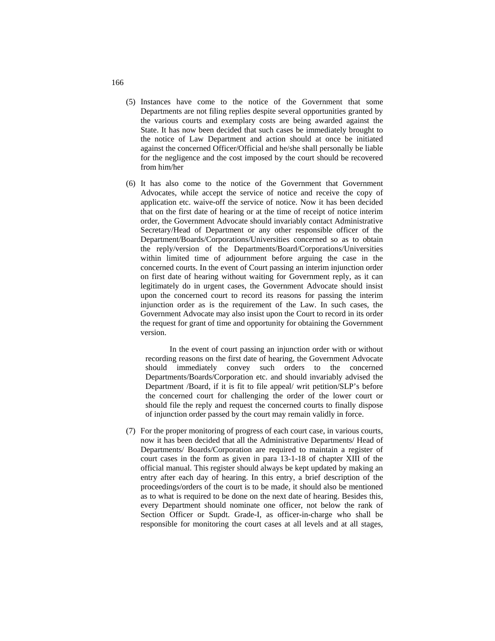- (5) Instances have come to the notice of the Government that some Departments are not filing replies despite several opportunities granted by the various courts and exemplary costs are being awarded against the State. It has now been decided that such cases be immediately brought to the notice of Law Department and action should at once be initiated against the concerned Officer/Official and he/she shall personally be liable for the negligence and the cost imposed by the court should be recovered from him/her
- (6) It has also come to the notice of the Government that Government Advocates, while accept the service of notice and receive the copy of application etc. waive-off the service of notice. Now it has been decided that on the first date of hearing or at the time of receipt of notice interim order, the Government Advocate should invariably contact Administrative Secretary/Head of Department or any other responsible officer of the Department/Boards/Corporations/Universities concerned so as to obtain the reply/version of the Departments/Board/Corporations/Universities within limited time of adjournment before arguing the case in the concerned courts. In the event of Court passing an interim injunction order on first date of hearing without waiting for Government reply, as it can legitimately do in urgent cases, the Government Advocate should insist upon the concerned court to record its reasons for passing the interim injunction order as is the requirement of the Law. In such cases, the Government Advocate may also insist upon the Court to record in its order the request for grant of time and opportunity for obtaining the Government version.

In the event of court passing an injunction order with or without recording reasons on the first date of hearing, the Government Advocate should immediately convey such orders to the concerned Departments/Boards/Corporation etc. and should invariably advised the Department /Board, if it is fit to file appeal/ writ petition/SLP's before the concerned court for challenging the order of the lower court or should file the reply and request the concerned courts to finally dispose of injunction order passed by the court may remain validly in force.

(7) For the proper monitoring of progress of each court case, in various courts, now it has been decided that all the Administrative Departments/ Head of Departments/ Boards/Corporation are required to maintain a register of court cases in the form as given in para 13-1-18 of chapter XIII of the official manual. This register should always be kept updated by making an entry after each day of hearing. In this entry, a brief description of the proceedings/orders of the court is to be made, it should also be mentioned as to what is required to be done on the next date of hearing. Besides this, every Department should nominate one officer, not below the rank of Section Officer or Supdt. Grade-I, as officer-in-charge who shall be responsible for monitoring the court cases at all levels and at all stages,

166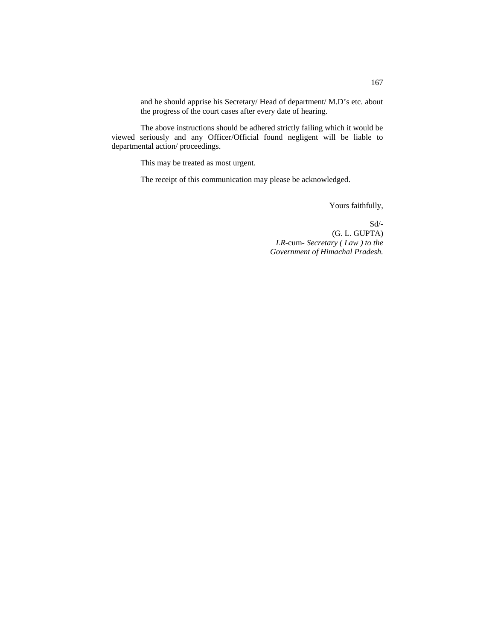and he should apprise his Secretary/ Head of department/ M.D's etc. about the progress of the court cases after every date of hearing.

The above instructions should be adhered strictly failing which it would be viewed seriously and any Officer/Official found negligent will be liable to departmental action/ proceedings.

This may be treated as most urgent.

The receipt of this communication may please be acknowledged.

Yours faithfully,

Sd/- (G. L. GUPTA) *LR-*cum- *Secretary ( Law ) to the Government of Himachal Pradesh.*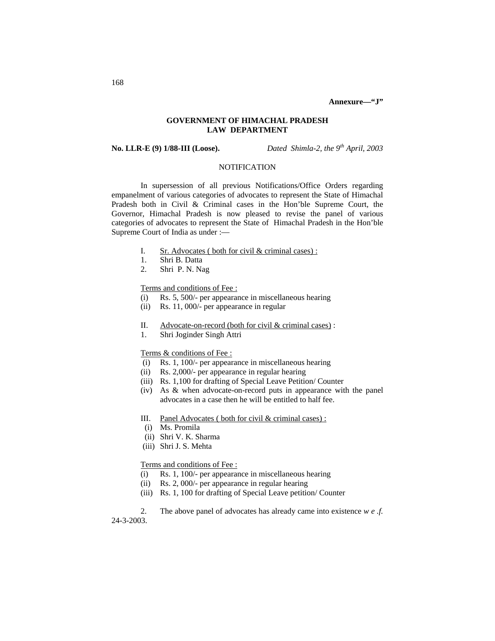**Annexure—"J"**

# **GOVERNMENT OF HIMACHAL PRADESH LAW DEPARTMENT**

**No. LLR-E (9) 1/88-III (Loose).** *Dated Shimla-2, the 9th April, 2003*

# **NOTIFICATION**

In supersession of all previous Notifications/Office Orders regarding empanelment of various categories of advocates to represent the State of Himachal Pradesh both in Civil & Criminal cases in the Hon'ble Supreme Court, the Governor, Himachal Pradesh is now pleased to revise the panel of various categories of advocates to represent the State of Himachal Pradesh in the Hon'ble Supreme Court of India as under :—

- I. Sr. Advocates ( both for civil  $&$  criminal cases) :
- 1. Shri B. Datta
- 2. Shri P. N. Nag

#### Terms and conditions of Fee :

- (i) Rs. 5, 500/- per appearance in miscellaneous hearing
- (ii) Rs. 11, 000/- per appearance in regular
- II. Advocate-on-record (both for civil & criminal cases) :
- 1. Shri Joginder Singh Attri

# Terms & conditions of Fee :

- (i) Rs. 1, 100/- per appearance in miscellaneous hearing
- (ii) Rs. 2,000/- per appearance in regular hearing
- (iii) Rs. 1,100 for drafting of Special Leave Petition/ Counter
- (iv) As & when advocate-on-record puts in appearance with the panel advocates in a case then he will be entitled to half fee.
- III. Panel Advocates ( both for civil & criminal cases) :
- (i) Ms. Promila
- (ii) Shri V. K. Sharma
- (iii) Shri J. S. Mehta

#### Terms and conditions of Fee :

- (i) Rs. 1, 100/- per appearance in miscellaneous hearing
- (ii) Rs. 2, 000/- per appearance in regular hearing
- (iii) Rs. 1, 100 for drafting of Special Leave petition/ Counter

2. The above panel of advocates has already came into existence *w e .f.* 24-3-2003.

# 168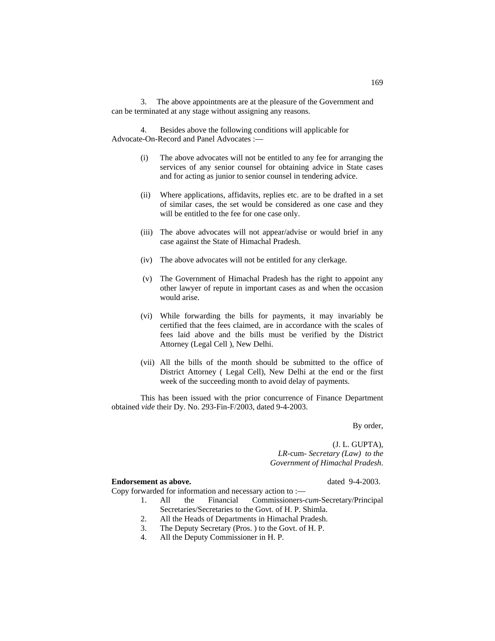3. The above appointments are at the pleasure of the Government and can be terminated at any stage without assigning any reasons.

4. Besides above the following conditions will applicable for Advocate-On-Record and Panel Advocates :—

- (i) The above advocates will not be entitled to any fee for arranging the services of any senior counsel for obtaining advice in State cases and for acting as junior to senior counsel in tendering advice.
- (ii) Where applications, affidavits, replies etc. are to be drafted in a set of similar cases, the set would be considered as one case and they will be entitled to the fee for one case only.
- (iii) The above advocates will not appear/advise or would brief in any case against the State of Himachal Pradesh.
- (iv) The above advocates will not be entitled for any clerkage.
- (v) The Government of Himachal Pradesh has the right to appoint any other lawyer of repute in important cases as and when the occasion would arise.
- (vi) While forwarding the bills for payments, it may invariably be certified that the fees claimed, are in accordance with the scales of fees laid above and the bills must be verified by the District Attorney (Legal Cell ), New Delhi.
- (vii) All the bills of the month should be submitted to the office of District Attorney ( Legal Cell), New Delhi at the end or the first week of the succeeding month to avoid delay of payments.

This has been issued with the prior concurrence of Finance Department obtained *vide* their Dy. No. 293-Fin-F/2003, dated 9-4-2003.

By order,

(J. L. GUPTA),  *LR-*cum- *Secretary (Law) to the Government of Himachal Pradesh*.

# **Endorsement as above.** dated 9-4-2003.

- 1. All the Financial Commissioners-*cum-*Secretary/Principal Secretaries/Secretaries to the Govt. of H. P. Shimla.
- 2. All the Heads of Departments in Himachal Pradesh.
- 3. The Deputy Secretary (Pros. ) to the Govt. of H. P.
- 4. All the Deputy Commissioner in H. P.

Copy forwarded for information and necessary action to :—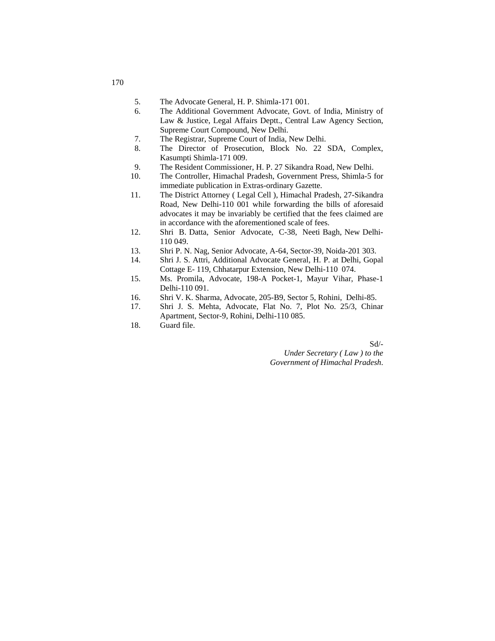- 5. The Advocate General, H. P. Shimla-171 001.
- 6. The Additional Government Advocate, Govt. of India, Ministry of Law & Justice, Legal Affairs Deptt., Central Law Agency Section, Supreme Court Compound, New Delhi.
- 7. The Registrar, Supreme Court of India, New Delhi.
- 8. The Director of Prosecution, Block No. 22 SDA, Complex, Kasumpti Shimla-171 009.
- 9. The Resident Commissioner, H. P. 27 Sikandra Road, New Delhi.
- 10. The Controller, Himachal Pradesh, Government Press, Shimla-5 for immediate publication in Extras-ordinary Gazette.
- 11. The District Attorney ( Legal Cell ), Himachal Pradesh, 27-Sikandra Road, New Delhi-110 001 while forwarding the bills of aforesaid advocates it may be invariably be certified that the fees claimed are in accordance with the aforementioned scale of fees.
- 12. Shri B. Datta, Senior Advocate, C-38, Neeti Bagh, New Delhi-110 049.
- 13. Shri P. N. Nag, Senior Advocate, A-64, Sector-39, Noida-201 303.
- 14. Shri J. S. Attri, Additional Advocate General, H. P. at Delhi, Gopal Cottage E- 119, Chhatarpur Extension, New Delhi-110 074.
- 15. Ms. Promila, Advocate, 198-A Pocket-1, Mayur Vihar, Phase-1 Delhi-110 091.
- 16. Shri V. K. Sharma, Advocate, 205-B9, Sector 5, Rohini, Delhi-85.
- 17. Shri J. S. Mehta, Advocate, Flat No. 7, Plot No. 25/3, Chinar Apartment, Sector-9, Rohini, Delhi-110 085.
- 18. Guard file.

Sd/-

*Under Secretary ( Law ) to the Government of Himachal Pradesh*.

170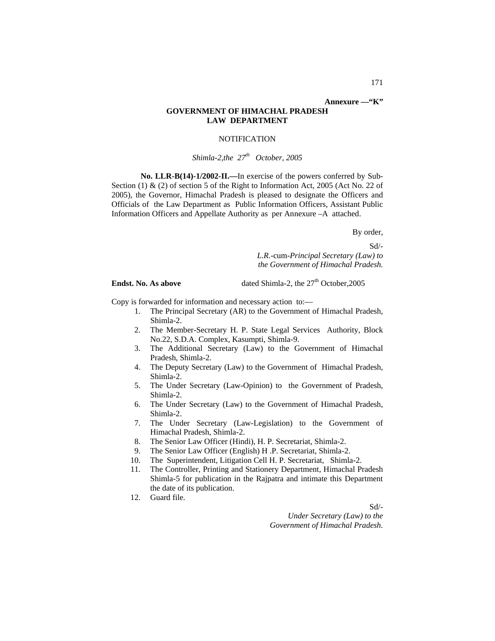# **GOVERNMENT OF HIMACHAL PRADESH LAW DEPARTMENT**

### **NOTIFICATION**

# *Shimla-2,the 27th October, 2005*

**No. LLR-B(14)-1/2002-II.—**In exercise of the powers conferred by Sub-Section (1)  $\&$  (2) of section 5 of the Right to Information Act, 2005 (Act No. 22 of 2005), the Governor, Himachal Pradesh is pleased to designate the Officers and Officials of the Law Department as Public Information Officers, Assistant Public Information Officers and Appellate Authority as per Annexure –A attached.

By order,

Sd/-

 *L.R.-*cum-*Principal Secretary (Law) to the Government of Himachal Pradesh.* 

**Endst. No. As above** dated Shimla-2, the 27<sup>th</sup> October,2005

Copy is forwarded for information and necessary action to:—

- 1. The Principal Secretary (AR) to the Government of Himachal Pradesh, Shimla-2.
- 2. The Member-Secretary H. P. State Legal Services Authority, Block No.22, S.D.A. Complex, Kasumpti, Shimla-9.
- 3. The Additional Secretary (Law) to the Government of Himachal Pradesh, Shimla-2.
- 4. The Deputy Secretary (Law) to the Government of Himachal Pradesh, Shimla-2.
- 5. The Under Secretary (Law-Opinion) to the Government of Pradesh, Shimla-2.
- 6. The Under Secretary (Law) to the Government of Himachal Pradesh, Shimla-2.
- 7. The Under Secretary (Law-Legislation) to the Government of Himachal Pradesh, Shimla-2.
- 8. The Senior Law Officer (Hindi), H. P. Secretariat, Shimla-2.
- 9. The Senior Law Officer (English) H .P. Secretariat, Shimla-2.
- 10. The Superintendent, Litigation Cell H. P. Secretariat, Shimla-2.
- 11. The Controller, Printing and Stationery Department, Himachal Pradesh Shimla-5 for publication in the Rajpatra and intimate this Department the date of its publication.
- 12. Guard file.

Sd/-

*Under Secretary (Law) to the Government of Himachal Pradesh.*

**Annexure —"K"**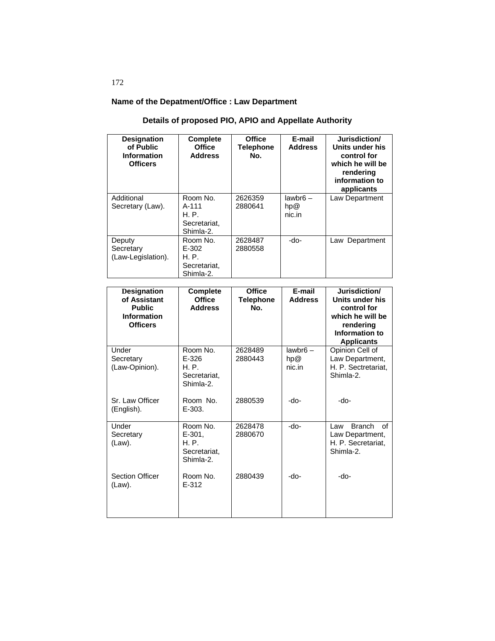# **Name of the Depatment/Office : Law Department**

#### **Designation of Public Information Officers Complete Office Address Office Telephone No. E-mail Address Jurisdiction/ Units under his control for which he will be rendering information to applicants** Additional Secretary (Law). Room No. A-111 H. P. Secretariat, Shimla-2. 2626359 2880641 lawbr6 – hp@ nic.in Law Department Deputy **Secretary** (Law-Legislation). Room No. E-302 H. P. Secretariat, Shimla-2. 2628487 2880558 -do- Law Department

| Designation<br>of Assistant<br><b>Public</b><br><b>Information</b><br><b>Officers</b> | Complete<br><b>Office</b><br><b>Address</b>                 | <b>Office</b><br><b>Telephone</b><br>No. | E-mail<br><b>Address</b>    | Jurisdiction/<br>Units under his<br>control for<br>which he will be<br>rendering<br>Information to<br><b>Applicants</b> |
|---------------------------------------------------------------------------------------|-------------------------------------------------------------|------------------------------------------|-----------------------------|-------------------------------------------------------------------------------------------------------------------------|
| Under<br>Secretary<br>(Law-Opinion).                                                  | Room No.<br>$E - 326$<br>H. P.<br>Secretariat.<br>Shimla-2. | 2628489<br>2880443                       | $lawbr6 -$<br>hp@<br>nic.in | Opinion Cell of<br>Law Department,<br>H. P. Sectretariat,<br>Shimla-2.                                                  |
| Sr. Law Officer<br>(English).                                                         | Room No.<br>$E - 303.$                                      | 2880539                                  | -do-                        | -do-                                                                                                                    |
| Under<br>Secretary<br>(Law).                                                          | Room No.<br>E-301,<br>H. P.<br>Secretariat,<br>Shimla-2.    | 2628478<br>2880670                       | -do-                        | Branch of<br>Law<br>Law Department,<br>H. P. Secretariat.<br>Shimla-2.                                                  |
| <b>Section Officer</b><br>(Law).                                                      | Room No.<br>$F-312$                                         | 2880439                                  | -do-                        | -do-                                                                                                                    |

# 172

# **Details of proposed PIO, APIO and Appellate Authority**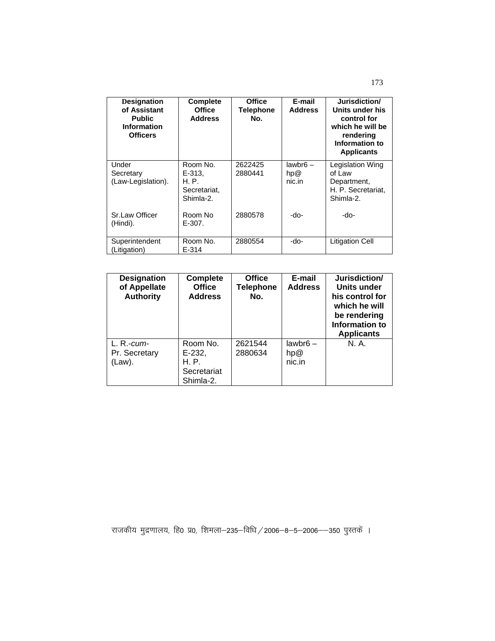| <b>Designation</b><br>of Assistant<br><b>Public</b><br><b>Information</b><br><b>Officers</b> | <b>Complete</b><br><b>Office</b><br><b>Address</b>         | <b>Office</b><br><b>Telephone</b><br>No. | E-mail<br><b>Address</b>    | Jurisdiction/<br>Units under his<br>control for<br>which he will be<br>rendering<br>Information to<br><b>Applicants</b> |
|----------------------------------------------------------------------------------------------|------------------------------------------------------------|------------------------------------------|-----------------------------|-------------------------------------------------------------------------------------------------------------------------|
| Under<br>Secretary<br>(Law-Legislation).                                                     | Room No.<br>$E-313.$<br>H. P.<br>Secretariat,<br>Shimla-2. | 2622425<br>2880441                       | $lawbr6 -$<br>hp@<br>nic.in | <b>Legislation Wing</b><br>of Law<br>Department,<br>H. P. Secretariat,<br>Shimla-2.                                     |
| Sr.Law Officer<br>(Hindi).                                                                   | Room No<br>E-307.                                          | 2880578                                  | -do-                        | -do-                                                                                                                    |
| Superintendent<br>(Litigation)                                                               | Room No.<br>$E - 314$                                      | 2880554                                  | -do-                        | <b>Litigation Cell</b>                                                                                                  |

| <b>Designation</b><br>of Appellate<br><b>Authority</b> | <b>Complete</b><br><b>Office</b><br><b>Address</b>      | <b>Office</b><br><b>Telephone</b><br>No. | E-mail<br><b>Address</b>    | Jurisdiction/<br>Units under<br>his control for<br>which he will<br>be rendering<br>Information to<br><b>Applicants</b> |
|--------------------------------------------------------|---------------------------------------------------------|------------------------------------------|-----------------------------|-------------------------------------------------------------------------------------------------------------------------|
| $L. R.-cum-$<br>Pr. Secretary<br>(Law).                | Room No.<br>E-232,<br>H. P.<br>Secretariat<br>Shimla-2. | 2621544<br>2880634                       | $lawbr6 -$<br>hp@<br>nic.in | N. A.                                                                                                                   |

राजकीय मुद्रणालय, हि0 प्र0, शिमला-235-विधि / 2006-8-5-2006--350 पुस्तकें ।

173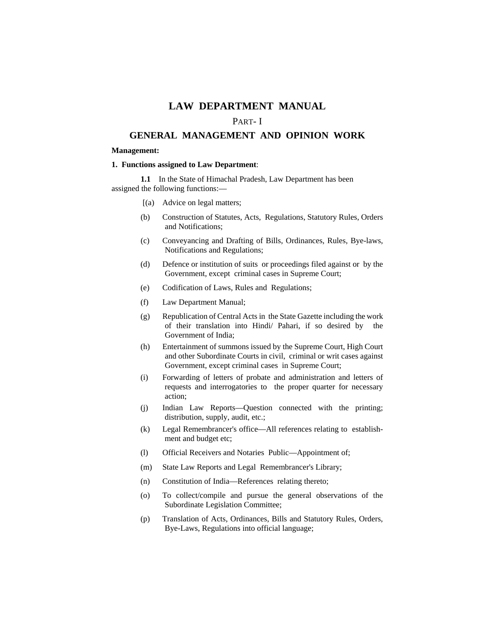# **LAW DEPARTMENT MANUAL**

# PART- I

# **GENERAL MANAGEMENT AND OPINION WORK**

#### **Management:**

# **1. Functions assigned to Law Department**:

**1.1** In the State of Himachal Pradesh, Law Department has been assigned the following functions:—

- [(a) Advice on legal matters;
- (b) Construction of Statutes, Acts, Regulations, Statutory Rules, Orders and Notifications;
- (c) Conveyancing and Drafting of Bills, Ordinances, Rules, Bye-laws, Notifications and Regulations;
- (d) Defence or institution of suits or proceedings filed against or by the Government, except criminal cases in Supreme Court;
- (e) Codification of Laws, Rules and Regulations;
- (f) Law Department Manual;
- (g) Republication of Central Acts in the State Gazette including the work of their translation into Hindi/ Pahari, if so desired by the Government of India;
- (h) Entertainment of summons issued by the Supreme Court, High Court and other Subordinate Courts in civil, criminal or writ cases against Government, except criminal cases in Supreme Court;
- (i) Forwarding of letters of probate and administration and letters of requests and interrogatories to the proper quarter for necessary action;
- (j) Indian Law Reports—Question connected with the printing; distribution, supply, audit, etc.;
- (k) Legal Remembrancer's office—All references relating to establishment and budget etc;
- (l) Official Receivers and Notaries Public—Appointment of;
- (m) State Law Reports and Legal Remembrancer's Library;
- (n) Constitution of India—References relating thereto;
- (o) To collect/compile and pursue the general observations of the Subordinate Legislation Committee;
- (p) Translation of Acts, Ordinances, Bills and Statutory Rules, Orders, Bye-Laws, Regulations into official language;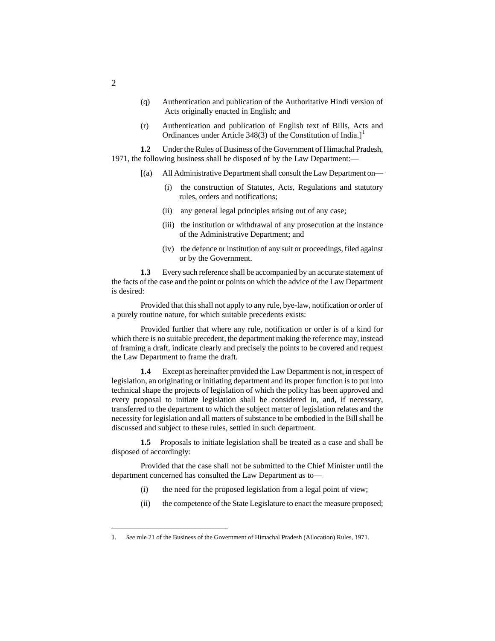- (q) Authentication and publication of the Authoritative Hindi version of Acts originally enacted in English; and
- (r) Authentication and publication of English text of Bills, Acts and Ordinances under Article 348(3) of the Constitution of India.]<sup>[1](#page-115-0)</sup>

**1.2** Under the Rules of Business of the Government of Himachal Pradesh, 1971, the following business shall be disposed of by the Law Department:—

- [(a) All Administrative Department shall consult the Law Department on—
	- (i) the construction of Statutes, Acts, Regulations and statutory rules, orders and notifications;
	- (ii) any general legal principles arising out of any case;
	- (iii) the institution or withdrawal of any prosecution at the instance of the Administrative Department; and
	- (iv) the defence or institution of any suit or proceedings, filed against or by the Government.

**1.3** Every such reference shall be accompanied by an accurate statement of the facts of the case and the point or points on which the advice of the Law Department is desired:

Provided that this shall not apply to any rule, bye-law, notification or order of a purely routine nature, for which suitable precedents exists:

Provided further that where any rule, notification or order is of a kind for which there is no suitable precedent, the department making the reference may, instead of framing a draft, indicate clearly and precisely the points to be covered and request the Law Department to frame the draft.

**1.4** Except as hereinafter provided the Law Department is not, in respect of legislation, an originating or initiating department and its proper function is to put into technical shape the projects of legislation of which the policy has been approved and every proposal to initiate legislation shall be considered in, and, if necessary, transferred to the department to which the subject matter of legislation relates and the necessity for legislation and all matters of substance to be embodied in the Bill shall be discussed and subject to these rules, settled in such department.

**1.5** Proposals to initiate legislation shall be treated as a case and shall be disposed of accordingly:

Provided that the case shall not be submitted to the Chief Minister until the department concerned has consulted the Law Department as to—

- (i) the need for the proposed legislation from a legal point of view;
- (ii) the competence of the State Legislature to enact the measure proposed;

2

<span id="page-115-0"></span> <sup>1.</sup> *See* rule 21 of the Business of the Government of Himachal Pradesh (Allocation) Rules, 1971.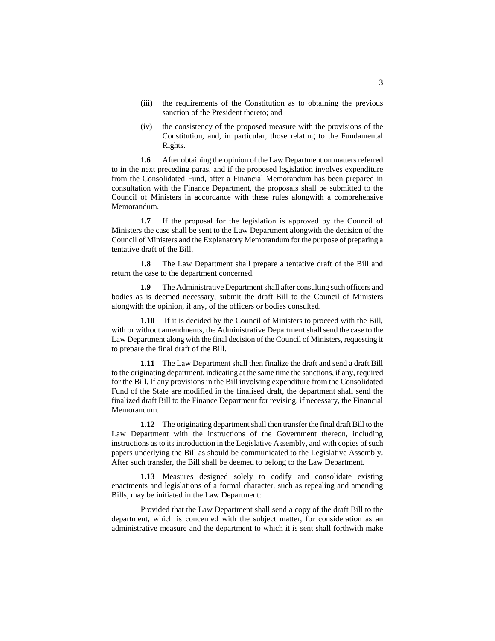- (iii) the requirements of the Constitution as to obtaining the previous sanction of the President thereto; and
- (iv) the consistency of the proposed measure with the provisions of the Constitution, and, in particular, those relating to the Fundamental Rights.

**1.6** After obtaining the opinion of the Law Department on matters referred to in the next preceding paras, and if the proposed legislation involves expenditure from the Consolidated Fund, after a Financial Memorandum has been prepared in consultation with the Finance Department, the proposals shall be submitted to the Council of Ministers in accordance with these rules alongwith a comprehensive Memorandum.

**1.7** If the proposal for the legislation is approved by the Council of Ministers the case shall be sent to the Law Department alongwith the decision of the Council of Ministers and the Explanatory Memorandum for the purpose of preparing a tentative draft of the Bill.

**1.8** The Law Department shall prepare a tentative draft of the Bill and return the case to the department concerned.

**1.9** The Administrative Department shall after consulting such officers and bodies as is deemed necessary, submit the draft Bill to the Council of Ministers alongwith the opinion, if any, of the officers or bodies consulted.

**1.10** If it is decided by the Council of Ministers to proceed with the Bill, with or without amendments, the Administrative Department shall send the case to the Law Department along with the final decision of the Council of Ministers, requesting it to prepare the final draft of the Bill.

**1.11** The Law Department shall then finalize the draft and send a draft Bill to the originating department, indicating at the same time the sanctions, if any, required for the Bill. If any provisions in the Bill involving expenditure from the Consolidated Fund of the State are modified in the finalised draft, the department shall send the finalized draft Bill to the Finance Department for revising, if necessary, the Financial Memorandum.

**1.12** The originating department shall then transfer the final draft Bill to the Law Department with the instructions of the Government thereon, including instructions as to its introduction in the Legislative Assembly, and with copies of such papers underlying the Bill as should be communicated to the Legislative Assembly. After such transfer, the Bill shall be deemed to belong to the Law Department.

**1.13** Measures designed solely to codify and consolidate existing enactments and legislations of a formal character, such as repealing and amending Bills, may be initiated in the Law Department:

Provided that the Law Department shall send a copy of the draft Bill to the department, which is concerned with the subject matter, for consideration as an administrative measure and the department to which it is sent shall forthwith make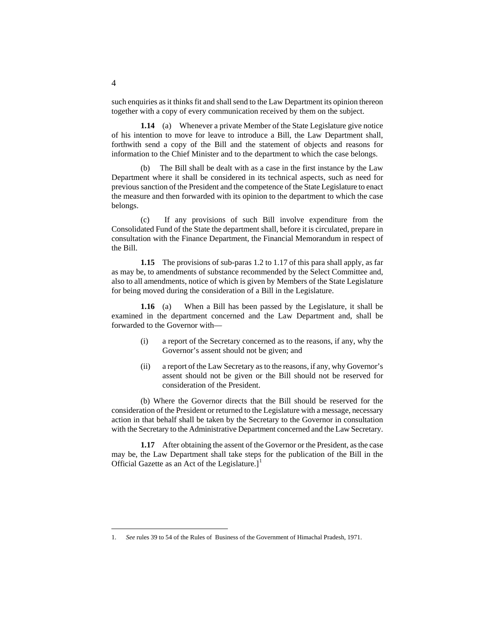such enquiries as it thinks fit and shall send to the Law Department its opinion thereon together with a copy of every communication received by them on the subject.

**1.14** (a) Whenever a private Member of the State Legislature give notice of his intention to move for leave to introduce a Bill, the Law Department shall, forthwith send a copy of the Bill and the statement of objects and reasons for information to the Chief Minister and to the department to which the case belongs.

(b) The Bill shall be dealt with as a case in the first instance by the Law Department where it shall be considered in its technical aspects, such as need for previous sanction of the President and the competence of the State Legislature to enact the measure and then forwarded with its opinion to the department to which the case belongs.

(c) If any provisions of such Bill involve expenditure from the Consolidated Fund of the State the department shall, before it is circulated, prepare in consultation with the Finance Department, the Financial Memorandum in respect of the Bill.

**1.15** The provisions of sub-paras 1.2 to 1.17 of this para shall apply, as far as may be, to amendments of substance recommended by the Select Committee and, also to all amendments, notice of which is given by Members of the State Legislature for being moved during the consideration of a Bill in the Legislature.

**1.16** (a) When a Bill has been passed by the Legislature, it shall be examined in the department concerned and the Law Department and, shall be forwarded to the Governor with—

- (i) a report of the Secretary concerned as to the reasons, if any, why the Governor's assent should not be given; and
- (ii) a report of the Law Secretary as to the reasons, if any, why Governor's assent should not be given or the Bill should not be reserved for consideration of the President.

(b) Where the Governor directs that the Bill should be reserved for the consideration of the President or returned to the Legislature with a message, necessary action in that behalf shall be taken by the Secretary to the Governor in consultation with the Secretary to the Administrative Department concerned and the Law Secretary.

**1.17** After obtaining the assent of the Governor or the President, as the case may be, the Law Department shall take steps for the publication of the Bill in the Official Gazette as an Act of the Legislature.]<sup>[1](#page-117-0)</sup>

<span id="page-117-0"></span> <sup>1.</sup> *See* rules 39 to 54 of the Rules of Business of the Government of Himachal Pradesh, 1971.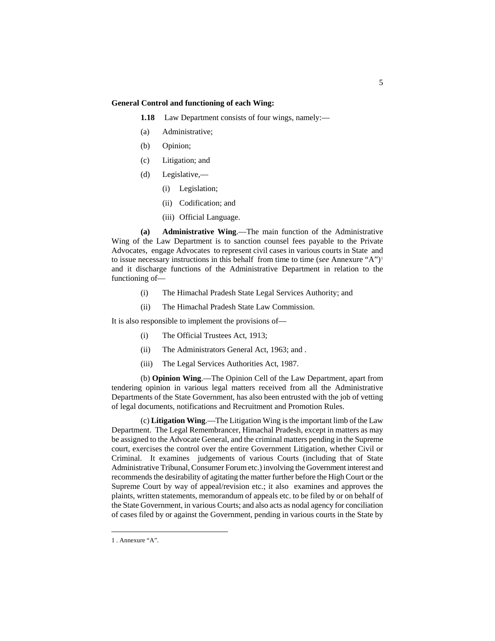# **General Control and functioning of each Wing:**

**1.18** Law Department consists of four wings, namely:—

- (a) Administrative;
- (b) Opinion;
- (c) Litigation; and
- (d) Legislative,—
	- (i) Legislation;
	- (ii) Codification; and
	- (iii) Official Language.

**(a) Administrative Wing**.—The main function of the Administrative Wing of the Law Department is to sanction counsel fees payable to the Private Advocates, engage Advocates to represent civil cases in various courts in State and to issue necessary instructions in this behalf from time to time (*see* Annexure "A"[\)1](#page-118-0) and it discharge functions of the Administrative Department in relation to the functioning of—

- (i) The Himachal Pradesh State Legal Services Authority; and
- (ii) The Himachal Pradesh State Law Commission.

It is also responsible to implement the provisions of—

- (i) The Official Trustees Act, 1913;
- (ii) The Administrators General Act, 1963; and .
- (iii) The Legal Services Authorities Act, 1987.

(b) **Opinion Wing**.—The Opinion Cell of the Law Department, apart from tendering opinion in various legal matters received from all the Administrative Departments of the State Government, has also been entrusted with the job of vetting of legal documents, notifications and Recruitment and Promotion Rules.

(c) **Litigation Wing**.—The Litigation Wing is the important limb of the Law Department. The Legal Remembrancer, Himachal Pradesh, except in matters as may be assigned to the Advocate General, and the criminal matters pending in the Supreme court, exercises the control over the entire Government Litigation, whether Civil or Criminal. It examines judgements of various Courts (including that of State Administrative Tribunal, Consumer Forum etc.) involving the Government interest and recommends the desirability of agitating the matter further before the High Court or the Supreme Court by way of appeal/revision etc.; it also examines and approves the plaints, written statements, memorandum of appeals etc. to be filed by or on behalf of the State Government, in various Courts; and also acts as nodal agency for conciliation of cases filed by or against the Government, pending in various courts in the State by

<span id="page-118-0"></span> <sup>1</sup> . Annexure "A".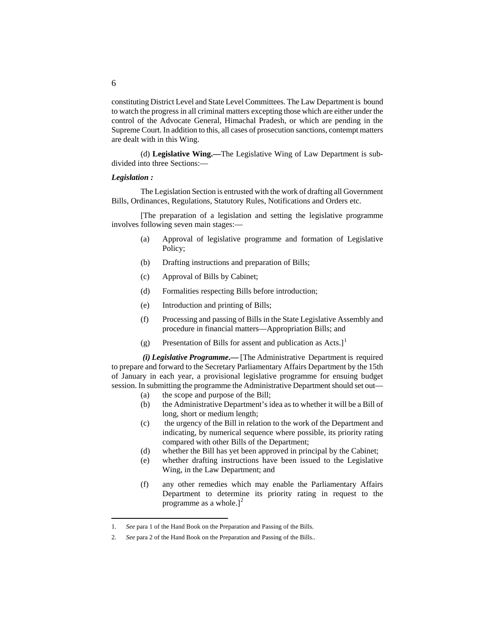constituting District Level and State Level Committees. The Law Department is bound to watch the progress in all criminal matters excepting those which are either under the control of the Advocate General, Himachal Pradesh, or which are pending in the Supreme Court. In addition to this, all cases of prosecution sanctions, contempt matters are dealt with in this Wing.

(d) **Legislative Wing.—**The Legislative Wing of Law Department is subdivided into three Sections:—

# *Legislation :*

The Legislation Section is entrusted with the work of drafting all Government Bills, Ordinances, Regulations, Statutory Rules, Notifications and Orders etc.

[The preparation of a legislation and setting the legislative programme involves following seven main stages:—

- (a) Approval of legislative programme and formation of Legislative Policy;
- (b) Drafting instructions and preparation of Bills;
- (c) Approval of Bills by Cabinet;
- (d) Formalities respecting Bills before introduction;
- (e) Introduction and printing of Bills;
- (f) Processing and passing of Bills in the State Legislative Assembly and procedure in financial matters—Appropriation Bills; and
- (g) Presentation of Bills for assent and publication as Acts.]<sup>[1](#page-119-0)</sup>

*(i) Legislative Programme***.—** [The Administrative Department is required to prepare and forward to the Secretary Parliamentary Affairs Department by the 15th of January in each year, a provisional legislative programme for ensuing budget session. In submitting the programme the Administrative Department should set out—

- (a) the scope and purpose of the Bill;
- (b) the Administrative Department's idea as to whether it will be a Bill of long, short or medium length;
- (c) the urgency of the Bill in relation to the work of the Department and indicating, by numerical sequence where possible, its priority rating compared with other Bills of the Department;
- (d) whether the Bill has yet been approved in principal by the Cabinet;
- (e) whether drafting instructions have been issued to the Legislative Wing, in the Law Department; and
- (f) any other remedies which may enable the Parliamentary Affairs Department to determine its priority rating in request to the programme as a whole.] $<sup>2</sup>$  $<sup>2</sup>$  $<sup>2</sup>$ </sup>

<span id="page-119-0"></span> <sup>1.</sup> *See* para 1 of the Hand Book on the Preparation and Passing of the Bills.

<span id="page-119-1"></span><sup>2.</sup> *See* para 2 of the Hand Book on the Preparation and Passing of the Bills..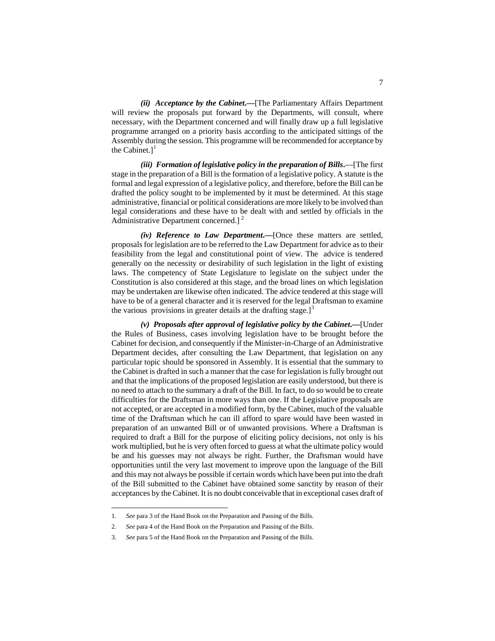*(ii) Acceptance by the Cabinet***.—**[The Parliamentary Affairs Department will review the proposals put forward by the Departments, will consult, where necessary, with the Department concerned and will finally draw up a full legislative programme arranged on a priority basis according to the anticipated sittings of the Assembly during the session. This programme will be recommended for acceptance by the Cabinet. $]$ <sup>[1](#page-120-0)</sup>

*(iii) Formation of legislative policy in the preparation of Bills***.**—[The first stage in the preparation of a Bill is the formation of a legislative policy. A statute is the formal and legal expression of a legislative policy, and therefore, before the Bill can be drafted the policy sought to be implemented by it must be determined. At this stage administrative, financial or political considerations are more likely to be involved than legal considerations and these have to be dealt with and settled by officials in the Administrative Department concerned.]<sup>[2](#page-120-1)</sup>

*(iv) Reference to Law Department***.—**[Once these matters are settled, proposals for legislation are to be referred to the Law Department for advice as to their feasibility from the legal and constitutional point of view. The advice is tendered generally on the necessity or desirability of such legislation in the light of existing laws. The competency of State Legislature to legislate on the subject under the Constitution is also considered at this stage, and the broad lines on which legislation may be undertaken are likewise often indicated. The advice tendered at this stage will have to be of a general character and it is reserved for the legal Draftsman to examine the various provisions in greater details at the drafting stage. $\mathrm{I}^3$  $\mathrm{I}^3$ 

*(v) Proposals after approval of legislative policy by the Cabinet***.—**[Under the Rules of Business, cases involving legislation have to be brought before the Cabinet for decision, and consequently if the Minister-in-Charge of an Administrative Department decides, after consulting the Law Department, that legislation on any particular topic should be sponsored in Assembly. It is essential that the summary to the Cabinet is drafted in such a manner that the case for legislation is fully brought out and that the implications of the proposed legislation are easily understood, but there is no need to attach to the summary a draft of the Bill. In fact, to do so would be to create difficulties for the Draftsman in more ways than one. If the Legislative proposals are not accepted, or are accepted in a modified form, by the Cabinet, much of the valuable time of the Draftsman which he can ill afford to spare would have been wasted in preparation of an unwanted Bill or of unwanted provisions. Where a Draftsman is required to draft a Bill for the purpose of eliciting policy decisions, not only is his work multiplied, but he is very often forced to guess at what the ultimate policy would be and his guesses may not always be right. Further, the Draftsman would have opportunities until the very last movement to improve upon the language of the Bill and this may not always be possible if certain words which have been put into the draft of the Bill submitted to the Cabinet have obtained some sanctity by reason of their acceptances by the Cabinet. It is no doubt conceivable that in exceptional cases draft of

<span id="page-120-0"></span> <sup>1.</sup> *See* para 3 of the Hand Book on the Preparation and Passing of the Bills.

<span id="page-120-1"></span><sup>2.</sup> *See* para 4 of the Hand Book on the Preparation and Passing of the Bills.

<span id="page-120-2"></span><sup>3.</sup> *See* para 5 of the Hand Book on the Preparation and Passing of the Bills.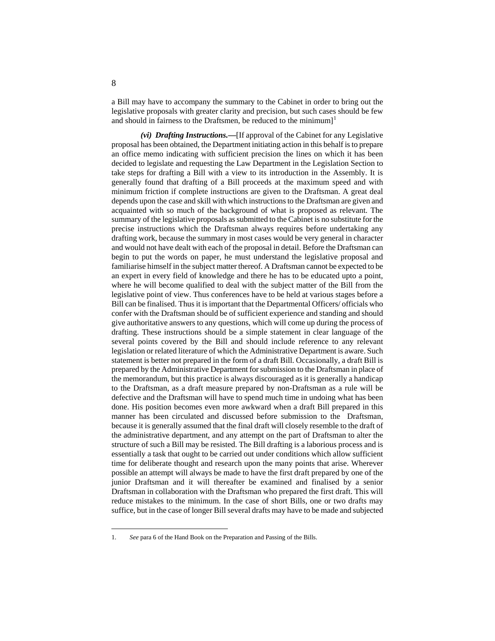a Bill may have to accompany the summary to the Cabinet in order to bring out the legislative proposals with greater clarity and precision, but such cases should be few and should in fairness to the Draftsmen, be reduced to the minimum]<sup>[1](#page-121-0)</sup>

*(vi) Drafting Instructions.***—**[If approval of the Cabinet for any Legislative proposal has been obtained, the Department initiating action in this behalf is to prepare an office memo indicating with sufficient precision the lines on which it has been decided to legislate and requesting the Law Department in the Legislation Section to take steps for drafting a Bill with a view to its introduction in the Assembly. It is generally found that drafting of a Bill proceeds at the maximum speed and with minimum friction if complete instructions are given to the Draftsman. A great deal depends upon the case and skill with which instructions to the Draftsman are given and acquainted with so much of the background of what is proposed as relevant. The summary of the legislative proposals as submitted to the Cabinet is no substitute for the precise instructions which the Draftsman always requires before undertaking any drafting work, because the summary in most cases would be very general in character and would not have dealt with each of the proposal in detail. Before the Draftsman can begin to put the words on paper, he must understand the legislative proposal and familiarise himself in the subject matter thereof. A Draftsman cannot be expected to be an expert in every field of knowledge and there he has to be educated upto a point, where he will become qualified to deal with the subject matter of the Bill from the legislative point of view. Thus conferences have to be held at various stages before a Bill can be finalised. Thus it is important that the Departmental Officers/ officials who confer with the Draftsman should be of sufficient experience and standing and should give authoritative answers to any questions, which will come up during the process of drafting. These instructions should be a simple statement in clear language of the several points covered by the Bill and should include reference to any relevant legislation or related literature of which the Administrative Department is aware. Such statement is better not prepared in the form of a draft Bill. Occasionally, a draft Bill is prepared by the Administrative Department for submission to the Draftsman in place of the memorandum, but this practice is always discouraged as it is generally a handicap to the Draftsman, as a draft measure prepared by non-Draftsman as a rule will be defective and the Draftsman will have to spend much time in undoing what has been done. His position becomes even more awkward when a draft Bill prepared in this manner has been circulated and discussed before submission to the Draftsman, because it is generally assumed that the final draft will closely resemble to the draft of the administrative department, and any attempt on the part of Draftsman to alter the structure of such a Bill may be resisted. The Bill drafting is a laborious process and is essentially a task that ought to be carried out under conditions which allow sufficient time for deliberate thought and research upon the many points that arise. Wherever possible an attempt will always be made to have the first draft prepared by one of the junior Draftsman and it will thereafter be examined and finalised by a senior Draftsman in collaboration with the Draftsman who prepared the first draft. This will reduce mistakes to the minimum. In the case of short Bills, one or two drafts may suffice, but in the case of longer Bill several drafts may have to be made and subjected

<span id="page-121-0"></span> <sup>1.</sup> *See* para 6 of the Hand Book on the Preparation and Passing of the Bills.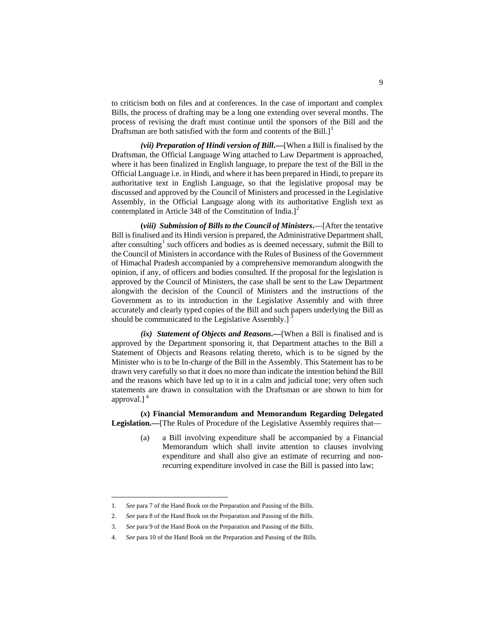to criticism both on files and at conferences. In the case of important and complex Bills, the process of drafting may be a long one extending over several months. The process of revising the draft must continue until the sponsors of the Bill and the Draftsman are both satisfied with the form and contents of the Bill. $l^1$  $l^1$ 

*(vii) Preparation of Hindi version of Bill***.—**[When a Bill is finalised by the Draftsman, the Official Language Wing attached to Law Department is approached, where it has been finalized in English language, to prepare the text of the Bill in the Official Language i.e. in Hindi, and where it has been prepared in Hindi, to prepare its authoritative text in English Language, so that the legislative proposal may be discussed and approved by the Council of Ministers and processed in the Legislative Assembly, in the Official Language along with its authoritative English text as contemplated in Article 348 of the Constitution of India. $]^{2}$  $]^{2}$  $]^{2}$ 

**(***viii) Submission of Bills to the Council of Ministers***.**—[After the tentative Bill is finalised and its Hindi version is prepared, the Administrative Department shall, after consulting<sup>[1](#page-183-0)</sup> such officers and bodies as is deemed necessary, submit the Bill to the Council of Ministers in accordance with the Rules of Business of the Government of Himachal Pradesh accompanied by a comprehensive memorandum alongwith the opinion, if any, of officers and bodies consulted. If the proposal for the legislation is approved by the Council of Ministers, the case shall be sent to the Law Department alongwith the decision of the Council of Ministers and the instructions of the Government as to its introduction in the Legislative Assembly and with three accurately and clearly typed copies of the Bill and such papers underlying the Bill as should be communicated to the Legislative Assembly.]

*(ix) Statement of Objects and Reasons***.—**[When a Bill is finalised and is approved by the Department sponsoring it, that Department attaches to the Bill a Statement of Objects and Reasons relating thereto, which is to be signed by the Minister who is to be In-charge of the Bill in the Assembly. This Statement has to be drawn very carefully so that it does no more than indicate the intention behind the Bill and the reasons which have led up to it in a calm and judicial tone; very often such statements are drawn in consultation with the Draftsman or are shown to him for approval.] [4](#page-122-3)

**(***x***) Financial Memorandum and Memorandum Regarding Delegated Legislation.—**[The Rules of Procedure of the Legislative Assembly requires that—

> (a) a Bill involving expenditure shall be accompanied by a Financial Memorandum which shall invite attention to clauses involving expenditure and shall also give an estimate of recurring and nonrecurring expenditure involved in case the Bill is passed into law;

 <sup>1.</sup> *See* para 7 of the Hand Book on the Preparation and Passing of the Bills.

<span id="page-122-1"></span><span id="page-122-0"></span><sup>2.</sup> *See* para 8 of the Hand Book on the Preparation and Passing of the Bills.

<sup>3.</sup> *See* para 9 of the Hand Book on the Preparation and Passing of the Bills.

<span id="page-122-3"></span><span id="page-122-2"></span><sup>4.</sup> *See* para 10 of the Hand Book on the Preparation and Passing of the Bills.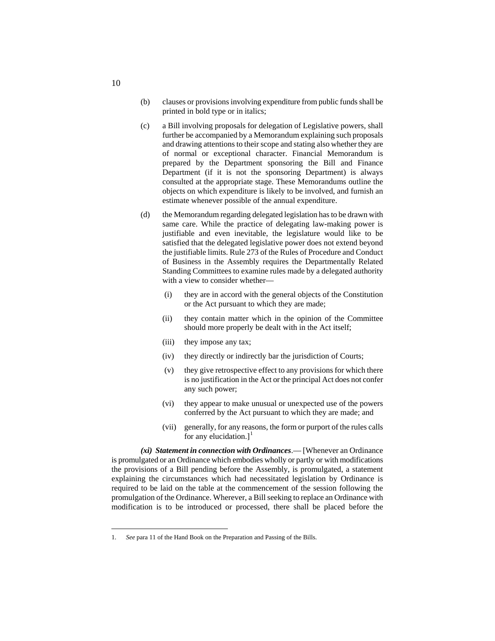- (b) clauses or provisions involving expenditure from public funds shall be printed in bold type or in italics;
- (c) a Bill involving proposals for delegation of Legislative powers, shall further be accompanied by a Memorandum explaining such proposals and drawing attentions to their scope and stating also whether they are of normal or exceptional character. Financial Memorandum is prepared by the Department sponsoring the Bill and Finance Department (if it is not the sponsoring Department) is always consulted at the appropriate stage. These Memorandums outline the objects on which expenditure is likely to be involved, and furnish an estimate whenever possible of the annual expenditure.
- (d) the Memorandum regarding delegated legislation has to be drawn with same care. While the practice of delegating law-making power is justifiable and even inevitable, the legislature would like to be satisfied that the delegated legislative power does not extend beyond the justifiable limits. Rule 273 of the Rules of Procedure and Conduct of Business in the Assembly requires the Departmentally Related Standing Committees to examine rules made by a delegated authority with a view to consider whether—
	- (i) they are in accord with the general objects of the Constitution or the Act pursuant to which they are made;
	- (ii) they contain matter which in the opinion of the Committee should more properly be dealt with in the Act itself;
	- (iii) they impose any tax;
	- (iv) they directly or indirectly bar the jurisdiction of Courts;
	- (v) they give retrospective effect to any provisions for which there is no justification in the Act or the principal Act does not confer any such power;
	- (vi) they appear to make unusual or unexpected use of the powers conferred by the Act pursuant to which they are made; and
	- (vii) generally, for any reasons, the form or purport of the rules calls for any elucidation.] $<sup>1</sup>$  $<sup>1</sup>$  $<sup>1</sup>$ </sup>

*(xi) Statement in connection with Ordinances*.— [Whenever an Ordinance is promulgated or an Ordinance which embodies wholly or partly or with modifications the provisions of a Bill pending before the Assembly, is promulgated, a statement explaining the circumstances which had necessitated legislation by Ordinance is required to be laid on the table at the commencement of the session following the promulgation of the Ordinance. Wherever, a Bill seeking to replace an Ordinance with modification is to be introduced or processed, there shall be placed before the

10

<span id="page-123-0"></span> <sup>1.</sup> *See* para 11 of the Hand Book on the Preparation and Passing of the Bills.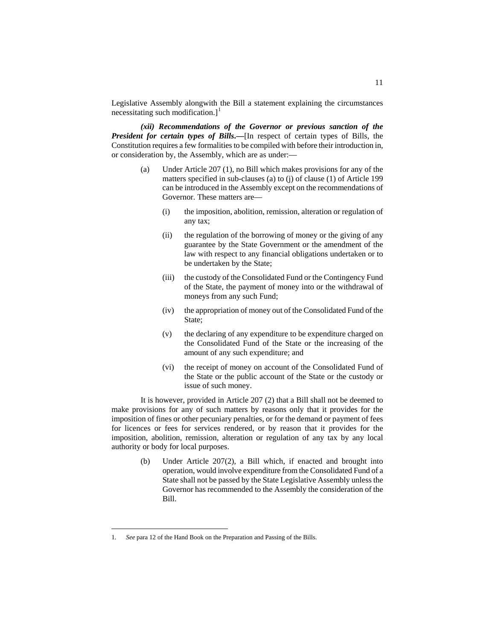Legislative Assembly alongwith the Bill a statement explaining the circumstances necessitating such modification.]<sup>[1](#page-124-0)</sup>

*(xii) Recommendations of the Governor or previous sanction of the President for certain types of Bills***.—**[In respect of certain types of Bills, the Constitution requires a few formalities to be compiled with before their introduction in, or consideration by, the Assembly, which are as under:—

- (a) Under Article 207 (1), no Bill which makes provisions for any of the matters specified in sub-clauses (a) to (j) of clause (1) of Article 199 can be introduced in the Assembly except on the recommendations of Governor. These matters are—
	- (i) the imposition, abolition, remission, alteration or regulation of any tax;
	- (ii) the regulation of the borrowing of money or the giving of any guarantee by the State Government or the amendment of the law with respect to any financial obligations undertaken or to be undertaken by the State;
	- (iii) the custody of the Consolidated Fund or the Contingency Fund of the State, the payment of money into or the withdrawal of moneys from any such Fund;
	- (iv) the appropriation of money out of the Consolidated Fund of the State;
	- (v) the declaring of any expenditure to be expenditure charged on the Consolidated Fund of the State or the increasing of the amount of any such expenditure; and
	- (vi) the receipt of money on account of the Consolidated Fund of the State or the public account of the State or the custody or issue of such money.

It is however, provided in Article 207 (2) that a Bill shall not be deemed to make provisions for any of such matters by reasons only that it provides for the imposition of fines or other pecuniary penalties, or for the demand or payment of fees for licences or fees for services rendered, or by reason that it provides for the imposition, abolition, remission, alteration or regulation of any tax by any local authority or body for local purposes.

> (b) Under Article 207(2), a Bill which, if enacted and brought into operation, would involve expenditure from the Consolidated Fund of a State shall not be passed by the State Legislative Assembly unless the Governor has recommended to the Assembly the consideration of the Bill.

<span id="page-124-0"></span> <sup>1.</sup> *See* para 12 of the Hand Book on the Preparation and Passing of the Bills.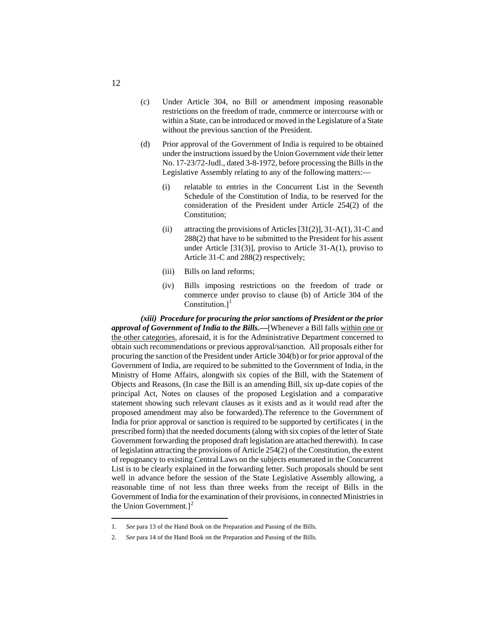- (c) Under Article 304, no Bill or amendment imposing reasonable restrictions on the freedom of trade, commerce or intercourse with or within a State, can be introduced or moved in the Legislature of a State without the previous sanction of the President.
- (d) Prior approval of the Government of India is required to be obtained under the instructions issued by the Union Government *vide* their letter No. 17-23/72-Judl., dated 3-8-1972, before processing the Bills in the Legislative Assembly relating to any of the following matters:—
	- (i) relatable to entries in the Concurrent List in the Seventh Schedule of the Constitution of India, to be reserved for the consideration of the President under Article 254(2) of the Constitution;
	- (ii) attracting the provisions of Articles [31(2)], 31-A(1), 31-C and 288(2) that have to be submitted to the President for his assent under Article [31(3)], proviso to Article 31-A(1), proviso to Article 31-C and 288(2) respectively;
	- (iii) Bills on land reforms;
	- (iv) Bills imposing restrictions on the freedom of trade or commerce under proviso to clause (b) of Article 304 of the Constitution.]<sup>[1](#page-125-0)</sup>

*(xiii) Procedure for procuring the prior sanctions of President or the prior approval of Government of India to the Bills***.—**[Whenever a Bill falls within one or the other categories, aforesaid, it is for the Administrative Department concerned to obtain such recommendations or previous approval/sanction. All proposals either for procuring the sanction of the President under Article 304(b) or for prior approval of the Government of India, are required to be submitted to the Government of India, in the Ministry of Home Affairs, alongwith six copies of the Bill, with the Statement of Objects and Reasons, (In case the Bill is an amending Bill, six up-date copies of the principal Act, Notes on clauses of the proposed Legislation and a comparative statement showing such relevant clauses as it exists and as it would read after the proposed amendment may also be forwarded).The reference to the Government of India for prior approval or sanction is required to be supported by certificates ( in the prescribed form) that the needed documents (along with six copies of the letter of State Government forwarding the proposed draft legislation are attached therewith). In case of legislation attracting the provisions of Article 254(2) of the Constitution, the extent of repugnancy to existing Central Laws on the subjects enumerated in the Concurrent List is to be clearly explained in the forwarding letter. Such proposals should be sent well in advance before the session of the State Legislative Assembly allowing, a reasonable time of not less than three weeks from the receipt of Bills in the Government of India for the examination of their provisions, in connected Ministries in the Union Government. $]^{2}$  $]^{2}$  $]^{2}$ 

 <sup>1.</sup> *See* para 13 of the Hand Book on the Preparation and Passing of the Bills.

<span id="page-125-1"></span><span id="page-125-0"></span><sup>2.</sup> *See* para 14 of the Hand Book on the Preparation and Passing of the Bills.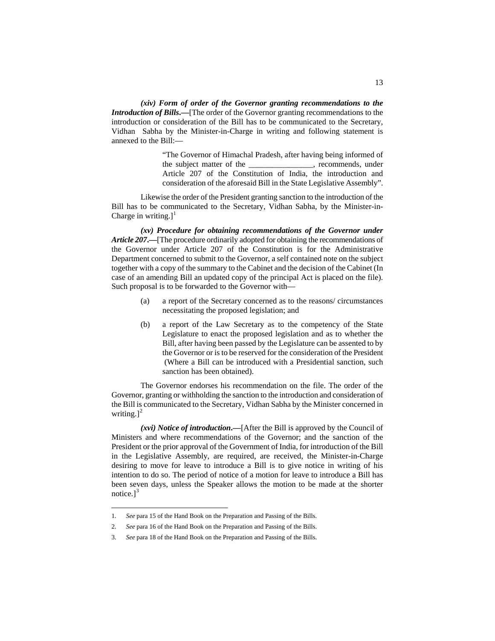*(xiv) Form of order of the Governor granting recommendations to the Introduction of Bills***.—**[The order of the Governor granting recommendations to the introduction or consideration of the Bill has to be communicated to the Secretary, Vidhan Sabha by the Minister-in-Charge in writing and following statement is annexed to the Bill:—

> "The Governor of Himachal Pradesh, after having being informed of the subject matter of the subject matter of the subject matter of the set of the set of the set of the set of the set of the set of the set of the set of the set of the set of the set of the set of the set of the set of th Article 207 of the Constitution of India, the introduction and consideration of the aforesaid Bill in the State Legislative Assembly".

Likewise the order of the President granting sanction to the introduction of the Bill has to be communicated to the Secretary, Vidhan Sabha, by the Minister-in-Charge in writing. $l^1$  $l^1$ 

*(xv) Procedure for obtaining recommendations of the Governor under Article 207***.—**[The procedure ordinarily adopted for obtaining the recommendations of the Governor under Article 207 of the Constitution is for the Administrative Department concerned to submit to the Governor, a self contained note on the subject together with a copy of the summary to the Cabinet and the decision of the Cabinet (In case of an amending Bill an updated copy of the principal Act is placed on the file). Such proposal is to be forwarded to the Governor with—

- (a) a report of the Secretary concerned as to the reasons/ circumstances necessitating the proposed legislation; and
- (b) a report of the Law Secretary as to the competency of the State Legislature to enact the proposed legislation and as to whether the Bill, after having been passed by the Legislature can be assented to by the Governor or is to be reserved for the consideration of the President (Where a Bill can be introduced with a Presidential sanction, such sanction has been obtained).

The Governor endorses his recommendation on the file. The order of the Governor, granting or withholding the sanction to the introduction and consideration of the Bill is communicated to the Secretary, Vidhan Sabha by the Minister concerned in writing. $]^{2}$  $]^{2}$  $]^{2}$ 

*(xvi) Notice of introduction***.—**[After the Bill is approved by the Council of Ministers and where recommendations of the Governor; and the sanction of the President or the prior approval of the Government of India, for introduction of the Bill in the Legislative Assembly, are required, are received, the Minister-in-Charge desiring to move for leave to introduce a Bill is to give notice in writing of his intention to do so. The period of notice of a motion for leave to introduce a Bill has been seven days, unless the Speaker allows the motion to be made at the shorter notice.] $<sup>3</sup>$  $<sup>3</sup>$  $<sup>3</sup>$ </sup>

<span id="page-126-0"></span> <sup>1.</sup> *See* para 15 of the Hand Book on the Preparation and Passing of the Bills.

<sup>2.</sup> *See* para 16 of the Hand Book on the Preparation and Passing of the Bills.

<span id="page-126-2"></span><span id="page-126-1"></span><sup>3.</sup> *See* para 18 of the Hand Book on the Preparation and Passing of the Bills.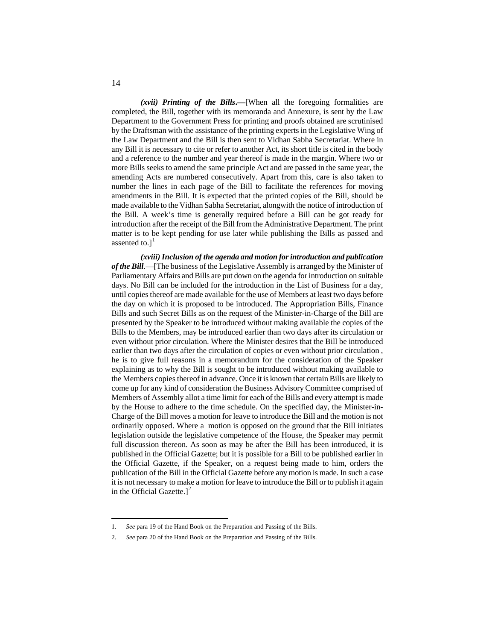*(xvii) Printing of the Bills***.—**[When all the foregoing formalities are completed, the Bill, together with its memoranda and Annexure, is sent by the Law Department to the Government Press for printing and proofs obtained are scrutinised by the Draftsman with the assistance of the printing experts in the Legislative Wing of the Law Department and the Bill is then sent to Vidhan Sabha Secretariat. Where in any Bill it is necessary to cite or refer to another Act, its short title is cited in the body and a reference to the number and year thereof is made in the margin. Where two or more Bills seeks to amend the same principle Act and are passed in the same year, the amending Acts are numbered consecutively. Apart from this, care is also taken to number the lines in each page of the Bill to facilitate the references for moving amendments in the Bill. It is expected that the printed copies of the Bill, should be made available to the Vidhan Sabha Secretariat, alongwith the notice of introduction of the Bill. A week's time is generally required before a Bill can be got ready for introduction after the receipt of the Bill from the Administrative Department. The print matter is to be kept pending for use later while publishing the Bills as passed and assented to. $]$ <sup>[1](#page-127-0)</sup>

*(xviii) Inclusion of the agenda and motion for introduction and publication of the Bill*.—[The business of the Legislative Assembly is arranged by the Minister of Parliamentary Affairs and Bills are put down on the agenda for introduction on suitable days. No Bill can be included for the introduction in the List of Business for a day, until copies thereof are made available for the use of Members at least two days before the day on which it is proposed to be introduced. The Appropriation Bills, Finance Bills and such Secret Bills as on the request of the Minister-in-Charge of the Bill are presented by the Speaker to be introduced without making available the copies of the Bills to the Members, may be introduced earlier than two days after its circulation or even without prior circulation. Where the Minister desires that the Bill be introduced earlier than two days after the circulation of copies or even without prior circulation , he is to give full reasons in a memorandum for the consideration of the Speaker explaining as to why the Bill is sought to be introduced without making available to the Members copies thereof in advance. Once it is known that certain Bills are likely to come up for any kind of consideration the Business Advisory Committee comprised of Members of Assembly allot a time limit for each of the Bills and every attempt is made by the House to adhere to the time schedule. On the specified day, the Minister-in-Charge of the Bill moves a motion for leave to introduce the Bill and the motion is not ordinarily opposed. Where a motion is opposed on the ground that the Bill initiates legislation outside the legislative competence of the House, the Speaker may permit full discussion thereon. As soon as may be after the Bill has been introduced, it is published in the Official Gazette; but it is possible for a Bill to be published earlier in the Official Gazette, if the Speaker, on a request being made to him, orders the publication of the Bill in the Official Gazette before any motion is made. In such a case it is not necessary to make a motion for leave to introduce the Bill or to publish it again in the Official Gazette. $]^{2}$  $]^{2}$  $]^{2}$ 

 <sup>1.</sup> *See* para 19 of the Hand Book on the Preparation and Passing of the Bills.

<span id="page-127-1"></span><span id="page-127-0"></span><sup>2.</sup> *See* para 20 of the Hand Book on the Preparation and Passing of the Bills.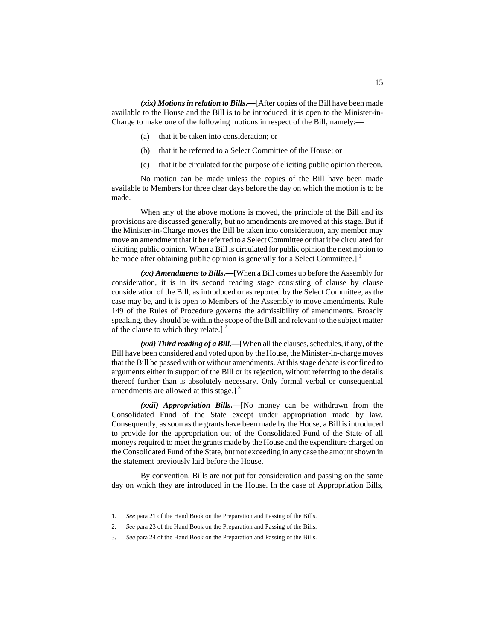*(xix) Motions in relation to Bills***.—**[After copies of the Bill have been made available to the House and the Bill is to be introduced, it is open to the Minister-in-Charge to make one of the following motions in respect of the Bill, namely:—

- that it be taken into consideration; or
- (b) that it be referred to a Select Committee of the House; or
- (c) that it be circulated for the purpose of eliciting public opinion thereon.

No motion can be made unless the copies of the Bill have been made available to Members for three clear days before the day on which the motion is to be made.

When any of the above motions is moved, the principle of the Bill and its provisions are discussed generally, but no amendments are moved at this stage. But if the Minister-in-Charge moves the Bill be taken into consideration, any member may move an amendment that it be referred to a Select Committee or that it be circulated for eliciting public opinion. When a Bill is circulated for public opinion the next motion to be made after obtaining public opinion is generally for a Select Committee.]  $\frac{1}{1}$  $\frac{1}{1}$  $\frac{1}{1}$ 

*(xx) Amendments to Bills***.—**[When a Bill comes up before the Assembly for consideration, it is in its second reading stage consisting of clause by clause consideration of the Bill, as introduced or as reported by the Select Committee, as the case may be, and it is open to Members of the Assembly to move amendments. Rule 149 of the Rules of Procedure governs the admissibility of amendments. Broadly speaking, they should be within the scope of the Bill and relevant to the subject matter of the clause to which they relate.]  $2^2$  $2^2$ 

*(xxi) Third reading of a Bill***.—**[When all the clauses, schedules, if any, of the Bill have been considered and voted upon by the House, the Minister-in-charge moves that the Bill be passed with or without amendments. At this stage debate is confined to arguments either in support of the Bill or its rejection, without referring to the details thereof further than is absolutely necessary. Only formal verbal or consequential amendments are allowed at this stage.]<sup>[3](#page-128-2)</sup>

*(xxii) Appropriation Bills***.—**[No money can be withdrawn from the Consolidated Fund of the State except under appropriation made by law. Consequently, as soon as the grants have been made by the House, a Bill is introduced to provide for the appropriation out of the Consolidated Fund of the State of all moneys required to meet the grants made by the House and the expenditure charged on the Consolidated Fund of the State, but not exceeding in any case the amount shown in the statement previously laid before the House.

By convention, Bills are not put for consideration and passing on the same day on which they are introduced in the House. In the case of Appropriation Bills,

<span id="page-128-0"></span> <sup>1.</sup> *See* para 21 of the Hand Book on the Preparation and Passing of the Bills.

<sup>2.</sup> *See* para 23 of the Hand Book on the Preparation and Passing of the Bills.

<span id="page-128-2"></span><span id="page-128-1"></span><sup>3.</sup> *See* para 24 of the Hand Book on the Preparation and Passing of the Bills.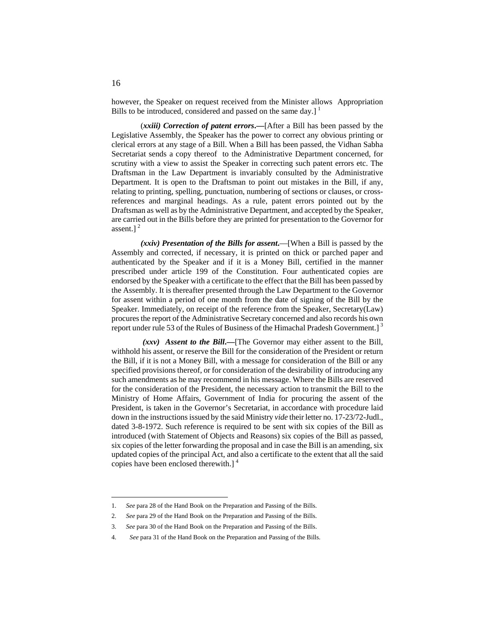however, the Speaker on request received from the Minister allows Appropriation Bills to be introduced, considered and passed on the same day.]  $1$ 

(*xxiii) Correction of patent errors***.—**[After a Bill has been passed by the Legislative Assembly, the Speaker has the power to correct any obvious printing or clerical errors at any stage of a Bill. When a Bill has been passed, the Vidhan Sabha Secretariat sends a copy thereof to the Administrative Department concerned, for scrutiny with a view to assist the Speaker in correcting such patent errors etc. The Draftsman in the Law Department is invariably consulted by the Administrative Department. It is open to the Draftsman to point out mistakes in the Bill, if any, relating to printing, spelling, punctuation, numbering of sections or clauses, or crossreferences and marginal headings. As a rule, patent errors pointed out by the Draftsman as well as by the Administrative Department, and accepted by the Speaker, are carried out in the Bills before they are printed for presentation to the Governor for assent.]<sup>[2](#page-129-1)</sup>

*(xxiv) Presentation of the Bills for assent***.**—[When a Bill is passed by the Assembly and corrected, if necessary, it is printed on thick or parched paper and authenticated by the Speaker and if it is a Money Bill, certified in the manner prescribed under article 199 of the Constitution. Four authenticated copies are endorsed by the Speaker with a certificate to the effect that the Bill has been passed by the Assembly. It is thereafter presented through the Law Department to the Governor for assent within a period of one month from the date of signing of the Bill by the Speaker. Immediately, on receipt of the reference from the Speaker, Secretary(Law) procures the report of the Administrative Secretary concerned and also records his own report under rule 5[3](#page-129-2) of the Rules of Business of the Himachal Pradesh Government.]<sup>3</sup>

*(xxv) Assent to the Bill***.—**[The Governor may either assent to the Bill, withhold his assent, or reserve the Bill for the consideration of the President or return the Bill, if it is not a Money Bill, with a message for consideration of the Bill or any specified provisions thereof, or for consideration of the desirability of introducing any such amendments as he may recommend in his message. Where the Bills are reserved for the consideration of the President, the necessary action to transmit the Bill to the Ministry of Home Affairs, Government of India for procuring the assent of the President, is taken in the Governor's Secretariat, in accordance with procedure laid down in the instructions issued by the said Ministry *vide* their letter no. 17-23/72-Judl., dated 3-8-1972. Such reference is required to be sent with six copies of the Bill as introduced (with Statement of Objects and Reasons) six copies of the Bill as passed, six copies of the letter forwarding the proposal and in case the Bill is an amending, six updated copies of the principal Act, and also a certificate to the extent that all the said copies have been enclosed therewith.] [4](#page-129-3)

 <sup>1.</sup> *See* para 28 of the Hand Book on the Preparation and Passing of the Bills.

<span id="page-129-1"></span><span id="page-129-0"></span><sup>2.</sup> *See* para 29 of the Hand Book on the Preparation and Passing of the Bills.

<sup>3.</sup> *See* para 30 of the Hand Book on the Preparation and Passing of the Bills.

<span id="page-129-3"></span><span id="page-129-2"></span><sup>4.</sup> *See* para 31 of the Hand Book on the Preparation and Passing of the Bills.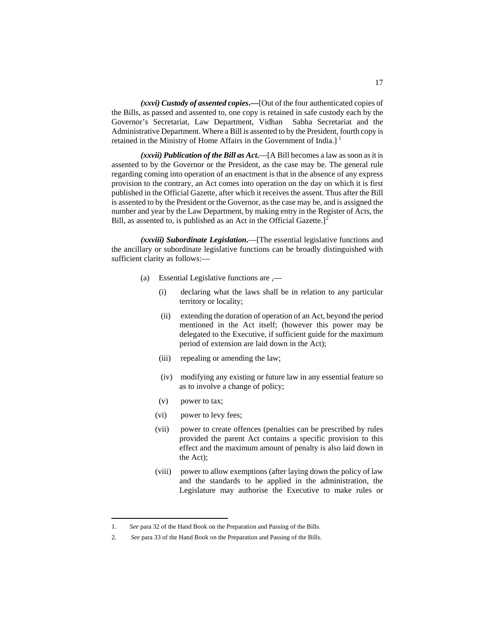*(xxvi) Custody of assented copies***.—**[Out of the four authenticated copies of the Bills, as passed and assented to, one copy is retained in safe custody each by the Governor's Secretariat, Law Department, Vidhan Sabha Secretariat and the Administrative Department. Where a Bill is assented to by the President, fourth copy is retained in the Ministry of Home Affairs in the Government of India.]<sup>[1](#page-130-0)</sup>

*(xxvii) Publication of the Bill as Act***.**—[A Bill becomes a law as soon as it is assented to by the Governor or the President, as the case may be. The general rule regarding coming into operation of an enactment is that in the absence of any express provision to the contrary, an Act comes into operation on the day on which it is first published in the Official Gazette, after which it receives the assent. Thus after the Bill is assented to by the President or the Governor, as the case may be, and is assigned the number and year by the Law Department, by making entry in the Register of Acts, the Bill, as assented to, is published as an Act in the Official Gazette.<sup>[[2](#page-130-1)]</sup>

*(xxviii) Subordinate Legislation***.**—[The essential legislative functions and the ancillary or subordinate legislative functions can be broadly distinguished with sufficient clarity as follows:—

- (a) Essential Legislative functions are ,—
	- (i) declaring what the laws shall be in relation to any particular territory or locality;
	- (ii) extending the duration of operation of an Act, beyond the period mentioned in the Act itself; (however this power may be delegated to the Executive, if sufficient guide for the maximum period of extension are laid down in the Act);
	- (iii) repealing or amending the law;
	- (iv) modifying any existing or future law in any essential feature so as to involve a change of policy;
	- (v) power to tax;
	- (vi) power to levy fees;
	- (vii) power to create offences (penalties can be prescribed by rules provided the parent Act contains a specific provision to this effect and the maximum amount of penalty is also laid down in the Act);
	- (viii) power to allow exemptions (after laying down the policy of law and the standards to be applied in the administration, the Legislature may authorise the Executive to make rules or

<span id="page-130-0"></span> <sup>1.</sup> *See* para 32 of the Hand Book on the Preparation and Passing of the Bills.

<span id="page-130-1"></span><sup>2.</sup> *See* para 33 of the Hand Book on the Preparation and Passing of the Bills.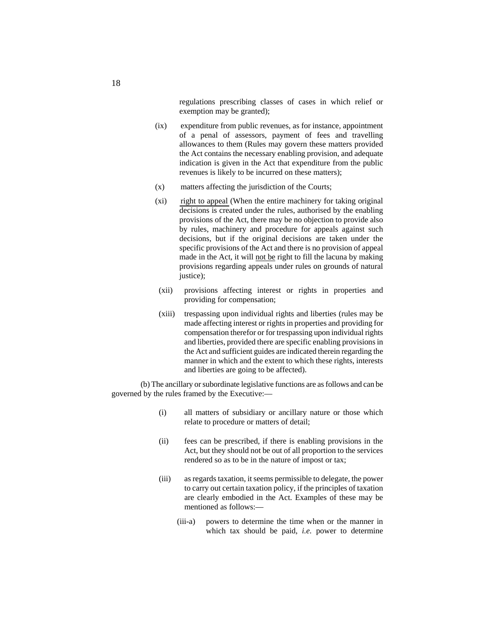regulations prescribing classes of cases in which relief or exemption may be granted);

- (ix) expenditure from public revenues, as for instance, appointment of a penal of assessors, payment of fees and travelling allowances to them (Rules may govern these matters provided the Act contains the necessary enabling provision, and adequate indication is given in the Act that expenditure from the public revenues is likely to be incurred on these matters);
- (x) matters affecting the jurisdiction of the Courts;
- (xi) right to appeal (When the entire machinery for taking original decisions is created under the rules, authorised by the enabling provisions of the Act, there may be no objection to provide also by rules, machinery and procedure for appeals against such decisions, but if the original decisions are taken under the specific provisions of the Act and there is no provision of appeal made in the Act, it will not be right to fill the lacuna by making provisions regarding appeals under rules on grounds of natural justice);
- (xii) provisions affecting interest or rights in properties and providing for compensation;
- (xiii) trespassing upon individual rights and liberties (rules may be made affecting interest or rights in properties and providing for compensation therefor or for trespassing upon individual rights and liberties, provided there are specific enabling provisions in the Act and sufficient guides are indicated therein regarding the manner in which and the extent to which these rights, interests and liberties are going to be affected).

(b) The ancillary or subordinate legislative functions are as follows and can be governed by the rules framed by the Executive:—

- (i) all matters of subsidiary or ancillary nature or those which relate to procedure or matters of detail;
- (ii) fees can be prescribed, if there is enabling provisions in the Act, but they should not be out of all proportion to the services rendered so as to be in the nature of impost or tax;
- (iii) as regards taxation, it seems permissible to delegate, the power to carry out certain taxation policy, if the principles of taxation are clearly embodied in the Act. Examples of these may be mentioned as follows:—
	- (iii-a) powers to determine the time when or the manner in which tax should be paid, *i.e.* power to determine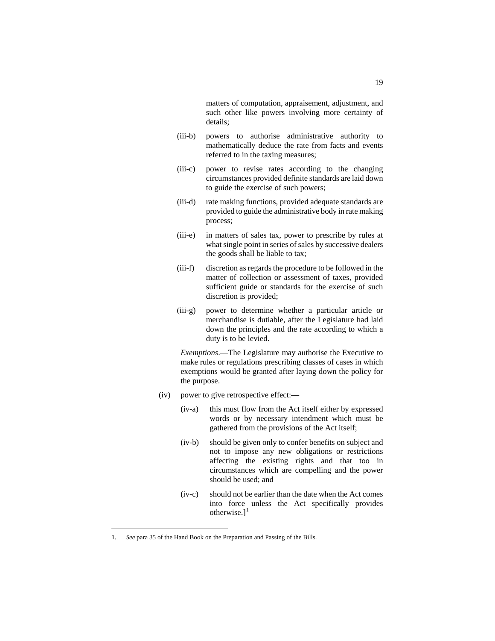matters of computation, appraisement, adjustment, and such other like powers involving more certainty of details;

- (iii-b) powers to authorise administrative authority to mathematically deduce the rate from facts and events referred to in the taxing measures;
- (iii-c) power to revise rates according to the changing circumstances provided definite standards are laid down to guide the exercise of such powers;
- (iii-d) rate making functions, provided adequate standards are provided to guide the administrative body in rate making process;
- (iii-e) in matters of sales tax, power to prescribe by rules at what single point in series of sales by successive dealers the goods shall be liable to tax;
- (iii-f) discretion as regards the procedure to be followed in the matter of collection or assessment of taxes, provided sufficient guide or standards for the exercise of such discretion is provided;
- (iii-g) power to determine whether a particular article or merchandise is dutiable, after the Legislature had laid down the principles and the rate according to which a duty is to be levied.

*Exemptions*.—The Legislature may authorise the Executive to make rules or regulations prescribing classes of cases in which exemptions would be granted after laying down the policy for the purpose.

- (iv) power to give retrospective effect:—
	- (iv-a) this must flow from the Act itself either by expressed words or by necessary intendment which must be gathered from the provisions of the Act itself;
	- (iv-b) should be given only to confer benefits on subject and not to impose any new obligations or restrictions affecting the existing rights and that too in circumstances which are compelling and the power should be used; and
	- (iv-c) should not be earlier than the date when the Act comes into force unless the Act specifically provides otherwise. $]$ <sup>[1](#page-132-0)</sup>

<span id="page-132-0"></span> <sup>1.</sup> *See* para 35 of the Hand Book on the Preparation and Passing of the Bills.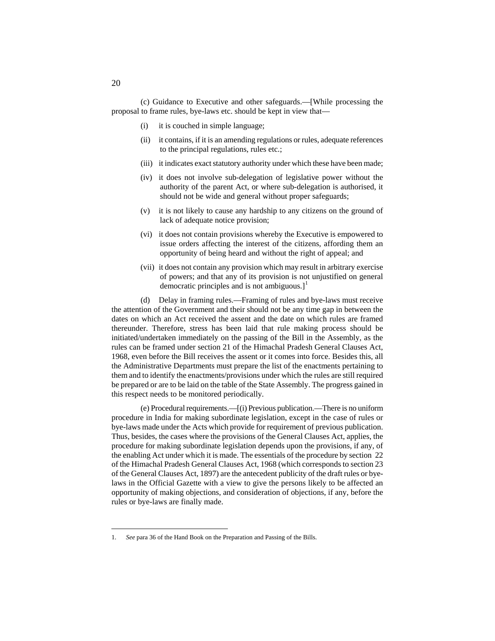- (i) it is couched in simple language;
- (ii) it contains, if it is an amending regulations or rules, adequate references to the principal regulations, rules etc.;
- (iii) it indicates exact statutory authority under which these have been made;
- (iv) it does not involve sub-delegation of legislative power without the authority of the parent Act, or where sub-delegation is authorised, it should not be wide and general without proper safeguards;
- (v) it is not likely to cause any hardship to any citizens on the ground of lack of adequate notice provision;
- (vi) it does not contain provisions whereby the Executive is empowered to issue orders affecting the interest of the citizens, affording them an opportunity of being heard and without the right of appeal; and
- (vii) it does not contain any provision which may result in arbitrary exercise of powers; and that any of its provision is not unjustified on general democratic principles and is not ambiguous. $]$ <sup>[1](#page-133-0)</sup>

(d) Delay in framing rules.—Framing of rules and bye-laws must receive the attention of the Government and their should not be any time gap in between the dates on which an Act received the assent and the date on which rules are framed thereunder. Therefore, stress has been laid that rule making process should be initiated/undertaken immediately on the passing of the Bill in the Assembly, as the rules can be framed under section 21 of the Himachal Pradesh General Clauses Act, 1968, even before the Bill receives the assent or it comes into force. Besides this, all the Administrative Departments must prepare the list of the enactments pertaining to them and to identify the enactments/provisions under which the rules are still required be prepared or are to be laid on the table of the State Assembly. The progress gained in this respect needs to be monitored periodically.

(e) Procedural requirements.—[(i) Previous publication.—There is no uniform procedure in India for making subordinate legislation, except in the case of rules or bye-laws made under the Acts which provide for requirement of previous publication. Thus, besides, the cases where the provisions of the General Clauses Act, applies, the procedure for making subordinate legislation depends upon the provisions, if any, of the enabling Act under which it is made. The essentials of the procedure by section 22 of the Himachal Pradesh General Clauses Act, 1968 (which corresponds to section 23 of the General Clauses Act, 1897) are the antecedent publicity of the draft rules or byelaws in the Official Gazette with a view to give the persons likely to be affected an opportunity of making objections, and consideration of objections, if any, before the rules or bye-laws are finally made.

<span id="page-133-0"></span> <sup>1.</sup> *See* para 36 of the Hand Book on the Preparation and Passing of the Bills.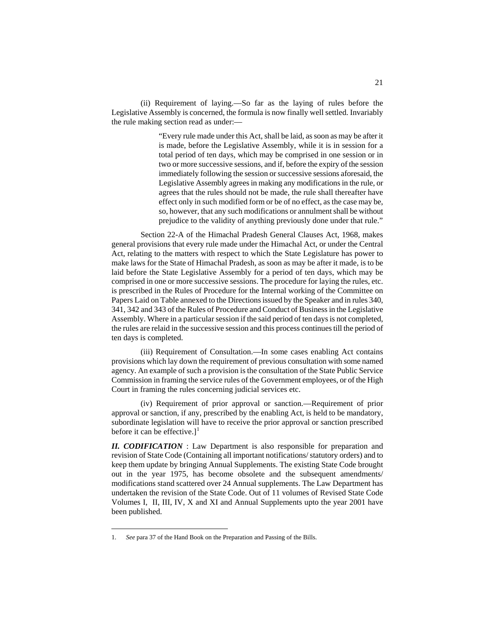(ii) Requirement of laying.—So far as the laying of rules before the Legislative Assembly is concerned, the formula is now finally well settled. Invariably the rule making section read as under:—

> "Every rule made under this Act, shall be laid, as soon as may be after it is made, before the Legislative Assembly, while it is in session for a total period of ten days, which may be comprised in one session or in two or more successive sessions, and if, before the expiry of the session immediately following the session or successive sessions aforesaid, the Legislative Assembly agrees in making any modifications in the rule, or agrees that the rules should not be made, the rule shall thereafter have effect only in such modified form or be of no effect, as the case may be, so, however, that any such modifications or annulment shall be without prejudice to the validity of anything previously done under that rule."

Section 22-A of the Himachal Pradesh General Clauses Act, 1968, makes general provisions that every rule made under the Himachal Act, or under the Central Act, relating to the matters with respect to which the State Legislature has power to make laws for the State of Himachal Pradesh, as soon as may be after it made, is to be laid before the State Legislative Assembly for a period of ten days, which may be comprised in one or more successive sessions. The procedure for laying the rules, etc. is prescribed in the Rules of Procedure for the Internal working of the Committee on Papers Laid on Table annexed to the Directions issued by the Speaker and in rules 340, 341, 342 and 343 of the Rules of Procedure and Conduct of Business in the Legislative Assembly. Where in a particular session if the said period of ten days is not completed, the rules are relaid in the successive session and this process continues till the period of ten days is completed.

(iii) Requirement of Consultation.—In some cases enabling Act contains provisions which lay down the requirement of previous consultation with some named agency. An example of such a provision is the consultation of the State Public Service Commission in framing the service rules of the Government employees, or of the High Court in framing the rules concerning judicial services etc.

(iv) Requirement of prior approval or sanction.—Requirement of prior approval or sanction, if any, prescribed by the enabling Act, is held to be mandatory, subordinate legislation will have to receive the prior approval or sanction prescribed before it can be effective.]<sup>[1](#page-134-0)</sup>

*II. CODIFICATION* : Law Department is also responsible for preparation and revision of State Code (Containing all important notifications/ statutory orders) and to keep them update by bringing Annual Supplements. The existing State Code brought out in the year 1975, has become obsolete and the subsequent amendments/ modifications stand scattered over 24 Annual supplements. The Law Department has undertaken the revision of the State Code. Out of 11 volumes of Revised State Code Volumes I, II, III, IV, X and XI and Annual Supplements upto the year 2001 have been published.

<span id="page-134-0"></span> <sup>1.</sup> *See* para 37 of the Hand Book on the Preparation and Passing of the Bills.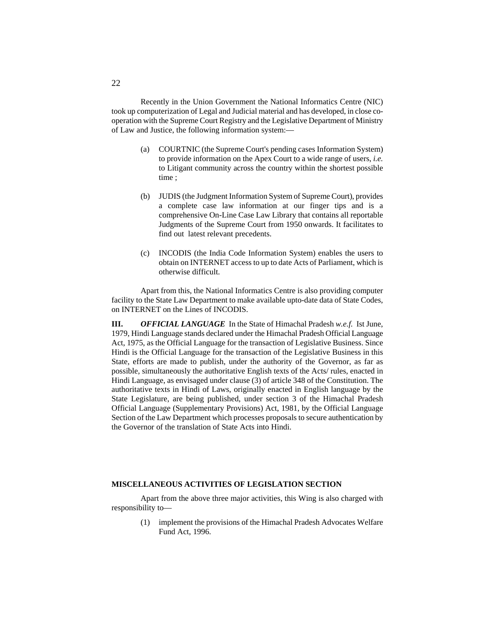Recently in the Union Government the National Informatics Centre (NIC) took up computerization of Legal and Judicial material and has developed, in close cooperation with the Supreme Court Registry and the Legislative Department of Ministry of Law and Justice, the following information system:—

- (a) COURTNIC (the Supreme Court's pending cases Information System) to provide information on the Apex Court to a wide range of users, *i.e.* to Litigant community across the country within the shortest possible time ;
- (b) JUDIS (the Judgment Information System of Supreme Court), provides a complete case law information at our finger tips and is a comprehensive On-Line Case Law Library that contains all reportable Judgments of the Supreme Court from 1950 onwards. It facilitates to find out latest relevant precedents.
- (c) INCODIS (the India Code Information System) enables the users to obtain on INTERNET access to up to date Acts of Parliament, which is otherwise difficult.

Apart from this, the National Informatics Centre is also providing computer facility to the State Law Department to make available upto-date data of State Codes, on INTERNET on the Lines of INCODIS.

**III.** *OFFICIAL LANGUAGE* In the State of Himachal Pradesh *w.e.f.* Ist June, 1979, Hindi Language stands declared under the Himachal Pradesh Official Language Act, 1975, as the Official Language for the transaction of Legislative Business. Since Hindi is the Official Language for the transaction of the Legislative Business in this State, efforts are made to publish, under the authority of the Governor, as far as possible, simultaneously the authoritative English texts of the Acts/ rules, enacted in Hindi Language, as envisaged under clause (3) of article 348 of the Constitution. The authoritative texts in Hindi of Laws, originally enacted in English language by the State Legislature, are being published, under section 3 of the Himachal Pradesh Official Language (Supplementary Provisions) Act, 1981, by the Official Language Section of the Law Department which processes proposals to secure authentication by the Governor of the translation of State Acts into Hindi.

#### **MISCELLANEOUS ACTIVITIES OF LEGISLATION SECTION**

Apart from the above three major activities, this Wing is also charged with responsibility to—

> (1) implement the provisions of the Himachal Pradesh Advocates Welfare Fund Act, 1996.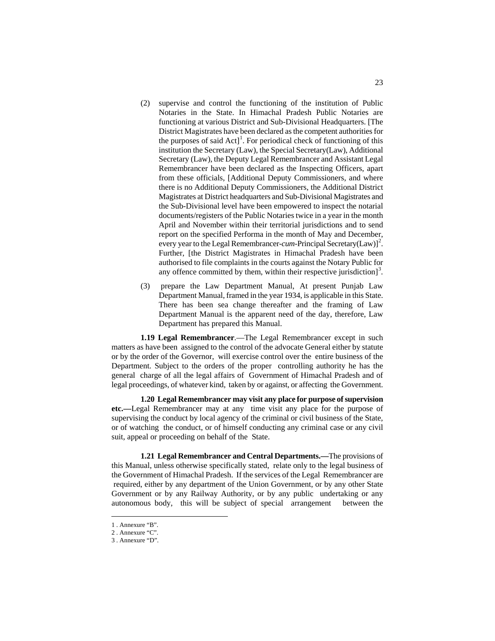- (2) supervise and control the functioning of the institution of Public Notaries in the State. In Himachal Pradesh Public Notaries are functioning at various District and Sub-Divisional Headquarters. [The District Magistrates have been declared as the competent authorities for the purposes of said  $Act$ <sup>[1](#page-136-0)</sup>. For periodical check of functioning of this institution the Secretary (Law), the Special Secretary(Law), Additional Secretary (Law), the Deputy Legal Remembrancer and Assistant Legal Remembrancer have been declared as the Inspecting Officers, apart from these officials, [Additional Deputy Commissioners, and where there is no Additional Deputy Commissioners, the Additional District Magistrates at District headquarters and Sub-Divisional Magistrates and the Sub-Divisional level have been empowered to inspect the notarial documents/registers of the Public Notaries twice in a year in the month April and November within their territorial jurisdictions and to send report on the specified Performa in the month of May and December, every year to the Legal Remembrancer-*cum*-Principal Secretary(Law)]<sup>[2](#page-136-1)</sup>. Further, [the District Magistrates in Himachal Pradesh have been authorised to file complaints in the courts against the Notary Public for any offence committed by them, within their respective jurisdiction]<sup>[3](#page-136-2)</sup>.
- (3) prepare the Law Department Manual, At present Punjab Law Department Manual, framed in the year 1934, is applicable in this State. There has been sea change thereafter and the framing of Law Department Manual is the apparent need of the day, therefore, Law Department has prepared this Manual.

**1.19 Legal Remembrancer**.—The Legal Remembrancer except in such matters as have been assigned to the control of the advocate General either by statute or by the order of the Governor, will exercise control over the entire business of the Department. Subject to the orders of the proper controlling authority he has the general charge of all the legal affairs of Government of Himachal Pradesh and of legal proceedings, of whatever kind, taken by or against, or affecting the Government.

**1.20 Legal Remembrancer may visit any place for purpose of supervision etc.—**Legal Remembrancer may at any time visit any place for the purpose of supervising the conduct by local agency of the criminal or civil business of the State, or of watching the conduct, or of himself conducting any criminal case or any civil suit, appeal or proceeding on behalf of the State.

**1.21 Legal Remembrancer and Central Departments.—**The provisions of this Manual, unless otherwise specifically stated, relate only to the legal business of the Government of Himachal Pradesh. If the services of the Legal Remembrancer are required, either by any department of the Union Government, or by any other State Government or by any Railway Authority, or by any public undertaking or any autonomous body, this will be subject of special arrangement between the

<span id="page-136-0"></span> <sup>1</sup> . Annexure "B".

<span id="page-136-1"></span><sup>2</sup> . Annexure "C".

<span id="page-136-2"></span><sup>3</sup> . Annexure "D".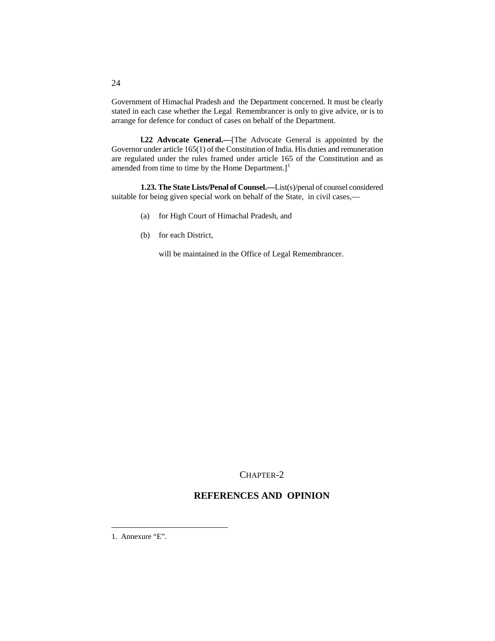Government of Himachal Pradesh and the Department concerned. It must be clearly stated in each case whether the Legal Remembrancer is only to give advice, or is to arrange for defence for conduct of cases on behalf of the Department.

**l.22 Advocate General.—**[The Advocate General is appointed by the Governor under article 165(1) of the Constitution of India. His duties and remuneration are regulated under the rules framed under article 165 of the Constitution and as amended from time to time by the Home Department.]<sup>[1](#page-137-0)</sup>

**1.23. The State Lists/Penal of Counsel.—**List(s)/penal of counsel considered suitable for being given special work on behalf of the State, in civil cases,—

- (a) for High Court of Himachal Pradesh, and
- (b) for each District,

will be maintained in the Office of Legal Remembrancer.

CHAPTER-2

# **REFERENCES AND OPINION**

<span id="page-137-0"></span>1. Annexure "E".

24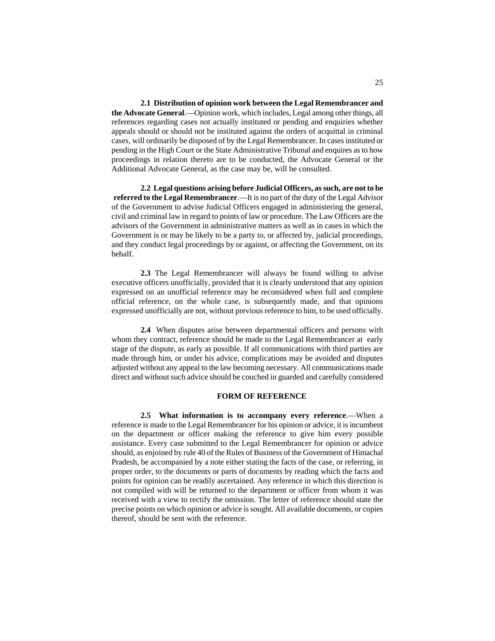**2.1 Distribution of opinion work between the Legal Remembrancer and the Advocate General**.—Opinion work, which includes, Legal among other things, all references regarding cases not actually instituted or pending and enquiries whether appeals should or should not be instituted against the orders of acquittal in criminal cases, will ordinarily be disposed of by the Legal Remembrancer. In cases instituted or pending in the High Court or the State Administrative Tribunal and enquires as to how proceedings in relation thereto are to be conducted, the Advocate General or the Additional Advocate General, as the case may be, will be consulted.

**2.2 Legal questions arising before Judicial Officers, as such, are not to be referred to the Legal Remembrancer**.—It is no part of the duty of the Legal Advisor of the Government to advise Judicial Officers engaged in administering the general, civil and criminal law in regard to points of law or procedure. The Law Officers are the advisors of the Government in administrative matters as well as in cases in which the Government is or may be likely to be a party to, or affected by, judicial proceedings, and they conduct legal proceedings by or against, or affecting the Government, on its behalf.

**2.3** The Legal Remembrancer will always be found willing to advise executive officers unofficially, provided that it is clearly understood that any opinion expressed on an unofficial reference may be reconsidered when full and complete official reference, on the whole case, is subsequently made, and that opinions expressed unofficially are not, without previous reference to him, to be used officially.

**2.4** When disputes arise between departmental officers and persons with whom they contract, reference should be made to the Legal Remembrancer at early stage of the dispute, as early as possible. If all communications with third parties are made through him, or under his advice, complications may be avoided and disputes adjusted without any appeal to the law becoming necessary. All communications made direct and without such advice should be couched in guarded and carefully considered

#### **FORM OF REFERENCE**

**2.5 What information is to accompany every reference**.—When a reference is made to the Legal Remembrancer for his opinion or advice, it is incumbent on the department or officer making the reference to give him every possible assistance. Every case submitted to the Legal Remembrancer for opinion or advice should, as enjoined by rule 40 of the Rules of Business of the Government of Himachal Pradesh, be accompanied by a note either stating the facts of the case, or referring, in proper order, to the documents or parts of documents by reading which the facts and points for opinion can be readily ascertained. Any reference in which this direction is not compiled with will be returned to the department or officer from whom it was received with a view to rectify the omission. The letter of reference should state the precise points on which opinion or advice is sought. All available documents, or copies thereof, should be sent with the reference.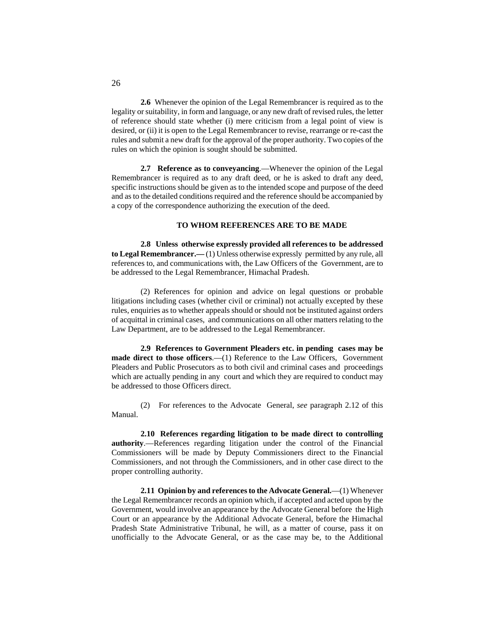**2.6** Whenever the opinion of the Legal Remembrancer is required as to the legality or suitability, in form and language, or any new draft of revised rules, the letter of reference should state whether (i) mere criticism from a legal point of view is desired, or (ii) it is open to the Legal Remembrancer to revise, rearrange or re-cast the rules and submit a new draft for the approval of the proper authority. Two copies of the rules on which the opinion is sought should be submitted.

**2.7 Reference as to conveyancing**.—Whenever the opinion of the Legal Remembrancer is required as to any draft deed, or he is asked to draft any deed, specific instructions should be given as to the intended scope and purpose of the deed and as to the detailed conditions required and the reference should be accompanied by a copy of the correspondence authorizing the execution of the deed.

#### **TO WHOM REFERENCES ARE TO BE MADE**

**2.8 Unless otherwise expressly provided all references to be addressed to Legal Remembrancer.—** (1) Unless otherwise expressly permitted by any rule, all references to, and communications with, the Law Officers of the Government, are to be addressed to the Legal Remembrancer, Himachal Pradesh.

(2) References for opinion and advice on legal questions or probable litigations including cases (whether civil or criminal) not actually excepted by these rules, enquiries as to whether appeals should or should not be instituted against orders of acquittal in criminal cases, and communications on all other matters relating to the Law Department, are to be addressed to the Legal Remembrancer.

**2.9 References to Government Pleaders etc. in pending cases may be made direct to those officers**.—(1) Reference to the Law Officers, Government Pleaders and Public Prosecutors as to both civil and criminal cases and proceedings which are actually pending in any court and which they are required to conduct may be addressed to those Officers direct.

(2) For references to the Advocate General, *see* paragraph 2.12 of this Manual.

**2.10 References regarding litigation to be made direct to controlling authority**.—References regarding litigation under the control of the Financial Commissioners will be made by Deputy Commissioners direct to the Financial Commissioners, and not through the Commissioners, and in other case direct to the proper controlling authority.

**2.11 Opinion by and references to the Advocate General.**—(1) Whenever the Legal Remembrancer records an opinion which, if accepted and acted upon by the Government, would involve an appearance by the Advocate General before the High Court or an appearance by the Additional Advocate General, before the Himachal Pradesh State Administrative Tribunal, he will, as a matter of course, pass it on unofficially to the Advocate General, or as the case may be, to the Additional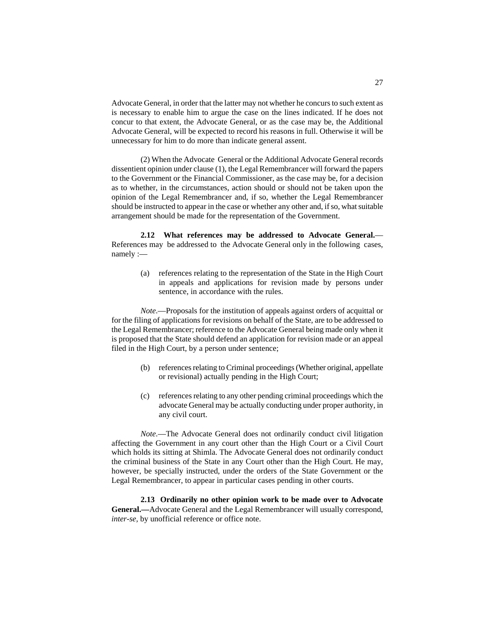Advocate General, in order that the latter may not whether he concurs to such extent as is necessary to enable him to argue the case on the lines indicated. If he does not concur to that extent, the Advocate General, or as the case may be, the Additional Advocate General, will be expected to record his reasons in full. Otherwise it will be unnecessary for him to do more than indicate general assent.

(2) When the Advocate General or the Additional Advocate General records dissentient opinion under clause (1), the Legal Remembrancer will forward the papers to the Government or the Financial Commissioner, as the case may be, for a decision as to whether, in the circumstances, action should or should not be taken upon the opinion of the Legal Remembrancer and, if so, whether the Legal Remembrancer should be instructed to appear in the case or whether any other and, if so, what suitable arrangement should be made for the representation of the Government.

**2.12 What references may be addressed to Advocate General.**— References may be addressed to the Advocate General only in the following cases, namely :—

> (a) references relating to the representation of the State in the High Court in appeals and applications for revision made by persons under sentence, in accordance with the rules.

*Note*.—Proposals for the institution of appeals against orders of acquittal or for the filing of applications for revisions on behalf of the State, are to be addressed to the Legal Remembrancer; reference to the Advocate General being made only when it is proposed that the State should defend an application for revision made or an appeal filed in the High Court, by a person under sentence;

- (b) references relating to Criminal proceedings (Whether original, appellate or revisional) actually pending in the High Court;
- (c) references relating to any other pending criminal proceedings which the advocate General may be actually conducting under proper authority, in any civil court.

*Note*.—The Advocate General does not ordinarily conduct civil litigation affecting the Government in any court other than the High Court or a Civil Court which holds its sitting at Shimla. The Advocate General does not ordinarily conduct the criminal business of the State in any Court other than the High Court. He may, however, be specially instructed, under the orders of the State Government or the Legal Remembrancer, to appear in particular cases pending in other courts.

**2.13 Ordinarily no other opinion work to be made over to Advocate General.—**Advocate General and the Legal Remembrancer will usually correspond, *inter-se,* by unofficial reference or office note.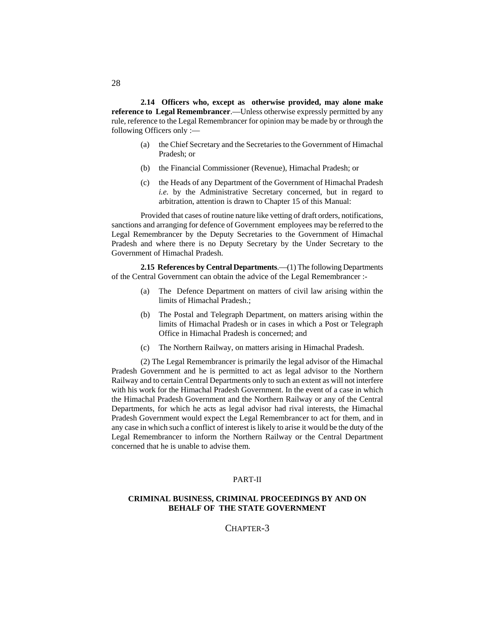**2.14 Officers who, except as otherwise provided, may alone make reference to Legal Remembrancer**.—Unless otherwise expressly permitted by any rule, reference to the Legal Remembrancer for opinion may be made by or through the following Officers only :—

- (a) the Chief Secretary and the Secretaries to the Government of Himachal Pradesh; or
- (b) the Financial Commissioner (Revenue), Himachal Pradesh; or
- (c) the Heads of any Department of the Government of Himachal Pradesh *i.e.* by the Administrative Secretary concerned, but in regard to arbitration, attention is drawn to Chapter 15 of this Manual:

Provided that cases of routine nature like vetting of draft orders, notifications, sanctions and arranging for defence of Government employees may be referred to the Legal Remembrancer by the Deputy Secretaries to the Government of Himachal Pradesh and where there is no Deputy Secretary by the Under Secretary to the Government of Himachal Pradesh.

**2.15 References by Central Departments**.—(1) The following Departments of the Central Government can obtain the advice of the Legal Remembrancer :-

- (a) The Defence Department on matters of civil law arising within the limits of Himachal Pradesh.;
- (b) The Postal and Telegraph Department, on matters arising within the limits of Himachal Pradesh or in cases in which a Post or Telegraph Office in Himachal Pradesh is concerned; and
- (c) The Northern Railway, on matters arising in Himachal Pradesh.

(2) The Legal Remembrancer is primarily the legal advisor of the Himachal Pradesh Government and he is permitted to act as legal advisor to the Northern Railway and to certain Central Departments only to such an extent as will not interfere with his work for the Himachal Pradesh Government. In the event of a case in which the Himachal Pradesh Government and the Northern Railway or any of the Central Departments, for which he acts as legal advisor had rival interests, the Himachal Pradesh Government would expect the Legal Remembrancer to act for them, and in any case in which such a conflict of interest is likely to arise it would be the duty of the Legal Remembrancer to inform the Northern Railway or the Central Department concerned that he is unable to advise them.

### PART-II

# **CRIMINAL BUSINESS, CRIMINAL PROCEEDINGS BY AND ON BEHALF OF THE STATE GOVERNMENT**

### CHAPTER-3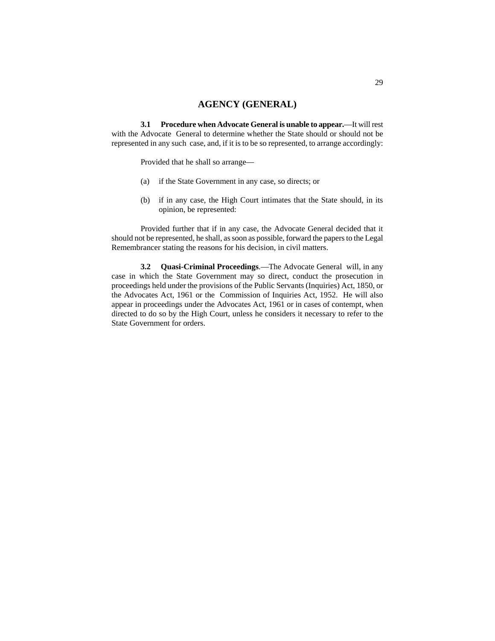# **AGENCY (GENERAL)**

**3.1 Procedure when Advocate General is unable to appear.**—It will rest with the Advocate General to determine whether the State should or should not be represented in any such case, and, if it is to be so represented, to arrange accordingly:

Provided that he shall so arrange—

- (a) if the State Government in any case, so directs; or
- (b) if in any case, the High Court intimates that the State should, in its opinion, be represented:

Provided further that if in any case, the Advocate General decided that it should not be represented, he shall, as soon as possible, forward the papers to the Legal Remembrancer stating the reasons for his decision, in civil matters.

**3.2 Quasi-Criminal Proceedings**.—The Advocate General will, in any case in which the State Government may so direct, conduct the prosecution in proceedings held under the provisions of the Public Servants (Inquiries) Act, 1850, or the Advocates Act, 1961 or the Commission of Inquiries Act, 1952. He will also appear in proceedings under the Advocates Act, 1961 or in cases of contempt, when directed to do so by the High Court, unless he considers it necessary to refer to the State Government for orders.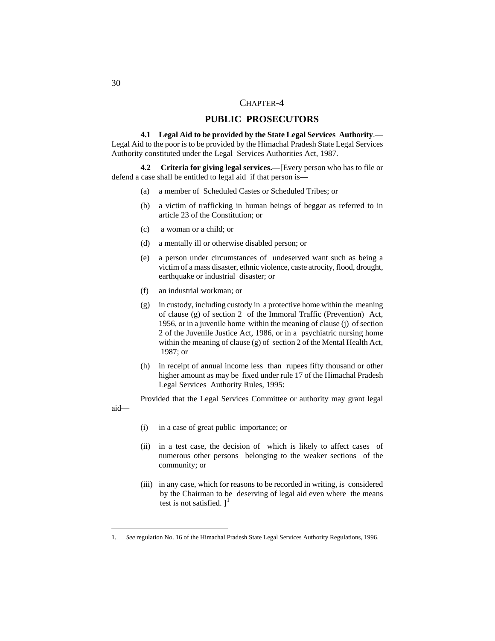# CHAPTER-4

# **PUBLIC PROSECUTORS**

**4.1 Legal Aid to be provided by the State Legal Services Authority**.— Legal Aid to the poor is to be provided by the Himachal Pradesh State Legal Services Authority constituted under the Legal Services Authorities Act, 1987.

**4.2 Criteria for giving legal services.—**[Every person who has to file or defend a case shall be entitled to legal aid if that person is—

- (a) a member of Scheduled Castes or Scheduled Tribes; or
- (b) a victim of trafficking in human beings of beggar as referred to in article 23 of the Constitution; or
- (c) a woman or a child; or
- (d) a mentally ill or otherwise disabled person; or
- (e) a person under circumstances of undeserved want such as being a victim of a mass disaster, ethnic violence, caste atrocity, flood, drought, earthquake or industrial disaster; or
- (f) an industrial workman; or
- (g) in custody, including custody in a protective home within the meaning of clause (g) of section 2 of the Immoral Traffic (Prevention) Act, 1956, or in a juvenile home within the meaning of clause (j) of section 2 of the Juvenile Justice Act, 1986, or in a psychiatric nursing home within the meaning of clause (g) of section 2 of the Mental Health Act, 1987; or
- (h) in receipt of annual income less than rupees fifty thousand or other higher amount as may be fixed under rule 17 of the Himachal Pradesh Legal Services Authority Rules, 1995:

Provided that the Legal Services Committee or authority may grant legal

- (i) in a case of great public importance; or
- (ii) in a test case, the decision of which is likely to affect cases of numerous other persons belonging to the weaker sections of the community; or
- (iii) in any case, which for reasons to be recorded in writing, is considered by the Chairman to be deserving of legal aid even where the means test is not satisfied.  $]^{1}$  $]^{1}$  $]^{1}$

aid—

<span id="page-143-0"></span> <sup>1.</sup> *See* regulation No. 16 of the Himachal Pradesh State Legal Services Authority Regulations, 1996.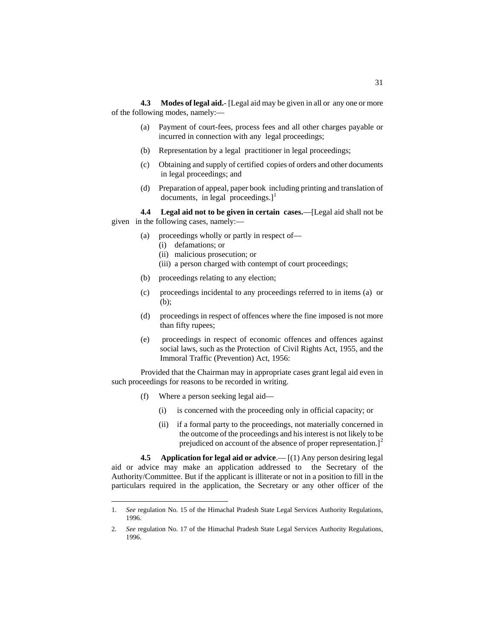**4.3 Modes of legal aid.**- [Legal aid may be given in all or any one or more of the following modes, namely:—

- (a) Payment of court-fees, process fees and all other charges payable or incurred in connection with any legal proceedings;
- (b) Representation by a legal practitioner in legal proceedings;
- (c) Obtaining and supply of certified copies of orders and other documents in legal proceedings; and
- (d) Preparation of appeal, paper book including printing and translation of documents, in legal proceedings. $]$ <sup>[1](#page-144-0)</sup>

**4.4 Legal aid not to be given in certain cases.**—[Legal aid shall not be given in the following cases, namely:—

- (a) proceedings wholly or partly in respect of—
	- (i) defamations; or
	- (ii) malicious prosecution; or
	- (iii) a person charged with contempt of court proceedings;
- (b) proceedings relating to any election;
- (c) proceedings incidental to any proceedings referred to in items (a) or (b);
- (d) proceedings in respect of offences where the fine imposed is not more than fifty rupees;
- (e) proceedings in respect of economic offences and offences against social laws, such as the Protection of Civil Rights Act, 1955, and the Immoral Traffic (Prevention) Act, 1956:

Provided that the Chairman may in appropriate cases grant legal aid even in such proceedings for reasons to be recorded in writing.

- (f) Where a person seeking legal aid—
	- (i) is concerned with the proceeding only in official capacity; or
	- (ii) if a formal party to the proceedings, not materially concerned in the outcome of the proceedings and his interest is not likely to be prejudiced on account of the absence of proper representation.]<sup>[2](#page-144-1)</sup>

**4.5 Application for legal aid or advice**.— [(1) Any person desiring legal aid or advice may make an application addressed to the Secretary of the Authority/Committee. But if the applicant is illiterate or not in a position to fill in the particulars required in the application, the Secretary or any other officer of the

<span id="page-144-0"></span> <sup>1.</sup> *See* regulation No. 15 of the Himachal Pradesh State Legal Services Authority Regulations, 1996.

<span id="page-144-1"></span><sup>2.</sup> *See* regulation No. 17 of the Himachal Pradesh State Legal Services Authority Regulations, 1996.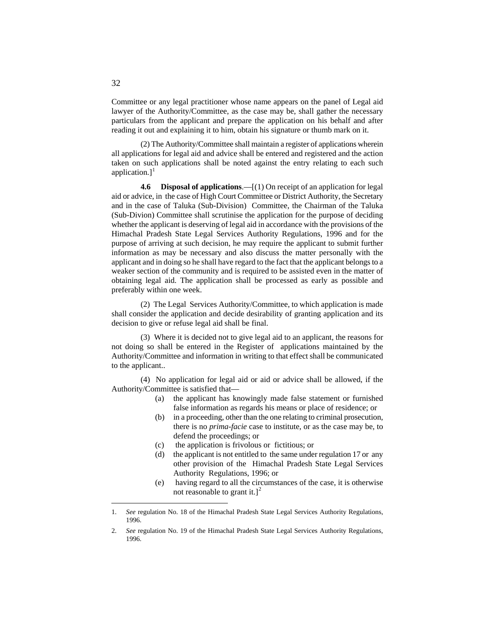Committee or any legal practitioner whose name appears on the panel of Legal aid lawyer of the Authority/Committee, as the case may be, shall gather the necessary particulars from the applicant and prepare the application on his behalf and after reading it out and explaining it to him, obtain his signature or thumb mark on it.

(2) The Authority/Committee shall maintain a register of applications wherein all applications for legal aid and advice shall be entered and registered and the action taken on such applications shall be noted against the entry relating to each such application.]<sup>[1](#page-145-0)</sup>

**4.6 Disposal of applications**.—[(1) On receipt of an application for legal aid or advice, in the case of High Court Committee or District Authority, the Secretary and in the case of Taluka (Sub-Division) Committee, the Chairman of the Taluka (Sub-Divion) Committee shall scrutinise the application for the purpose of deciding whether the applicant is deserving of legal aid in accordance with the provisions of the Himachal Pradesh State Legal Services Authority Regulations, 1996 and for the purpose of arriving at such decision, he may require the applicant to submit further information as may be necessary and also discuss the matter personally with the applicant and in doing so he shall have regard to the fact that the applicant belongs to a weaker section of the community and is required to be assisted even in the matter of obtaining legal aid. The application shall be processed as early as possible and preferably within one week.

(2) The Legal Services Authority/Committee, to which application is made shall consider the application and decide desirability of granting application and its decision to give or refuse legal aid shall be final.

(3) Where it is decided not to give legal aid to an applicant, the reasons for not doing so shall be entered in the Register of applications maintained by the Authority/Committee and information in writing to that effect shall be communicated to the applicant..

(4) No application for legal aid or aid or advice shall be allowed, if the Authority/Committee is satisfied that—

- (a) the applicant has knowingly made false statement or furnished false information as regards his means or place of residence; or
- (b) in a proceeding, other than the one relating to criminal prosecution, there is no *prima-facie* case to institute, or as the case may be, to defend the proceedings; or
- (c) the application is frivolous or fictitious; or
- (d) the applicant is not entitled to the same under regulation 17 or any other provision of the Himachal Pradesh State Legal Services Authority Regulations, 1996; or
- (e) having regard to all the circumstances of the case, it is otherwise not reasonable to grant it.]<sup>[2](#page-145-1)</sup>

<span id="page-145-0"></span> <sup>1.</sup> *See* regulation No. 18 of the Himachal Pradesh State Legal Services Authority Regulations, 1996.

<span id="page-145-1"></span><sup>2.</sup> *See* regulation No. 19 of the Himachal Pradesh State Legal Services Authority Regulations, 1996.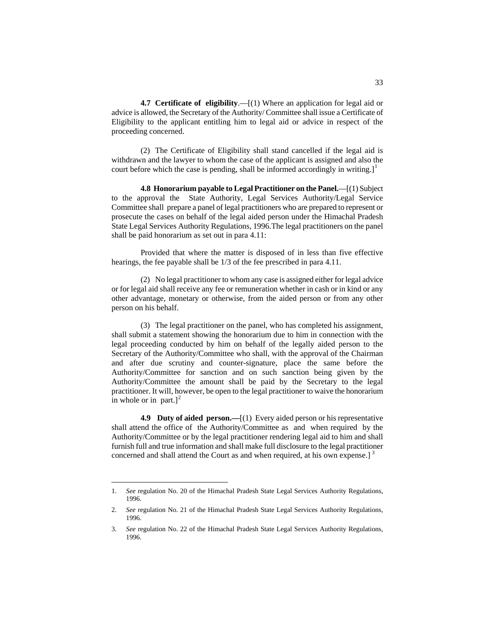**4.7 Certificate of eligibility**.—[(1) Where an application for legal aid or advice is allowed, the Secretary of the Authority/ Committee shall issue a Certificate of Eligibility to the applicant entitling him to legal aid or advice in respect of the proceeding concerned.

(2) The Certificate of Eligibility shall stand cancelled if the legal aid is withdrawn and the lawyer to whom the case of the applicant is assigned and also the court before which the case is pending, shall be informed accordingly in writing.]<sup>[1](#page-146-0)</sup>

**4.8 Honorarium payable to Legal Practitioner on the Panel.**—[(1) Subject to the approval the State Authority, Legal Services Authority/Legal Service Committee shall prepare a panel of legal practitioners who are prepared to represent or prosecute the cases on behalf of the legal aided person under the Himachal Pradesh State Legal Services Authority Regulations, 1996.The legal practitioners on the panel shall be paid honorarium as set out in para 4.11:

Provided that where the matter is disposed of in less than five effective hearings, the fee payable shall be 1/3 of the fee prescribed in para 4.11.

(2) No legal practitioner to whom any case is assigned either for legal advice or for legal aid shall receive any fee or remuneration whether in cash or in kind or any other advantage, monetary or otherwise, from the aided person or from any other person on his behalf.

(3) The legal practitioner on the panel, who has completed his assignment, shall submit a statement showing the honorarium due to him in connection with the legal proceeding conducted by him on behalf of the legally aided person to the Secretary of the Authority/Committee who shall, with the approval of the Chairman and after due scrutiny and counter-signature, place the same before the Authority/Committee for sanction and on such sanction being given by the Authority/Committee the amount shall be paid by the Secretary to the legal practitioner. It will, however, be open to the legal practitioner to waive the honorarium in whole or in part.] $^{2}$  $^{2}$  $^{2}$ 

**4.9 Duty of aided person.—**[(1) Every aided person or his representative shall attend the office of the Authority/Committee as and when required by the Authority/Committee or by the legal practitioner rendering legal aid to him and shall furnish full and true information and shall make full disclosure to the legal practitioner concerned and shall attend the Court as and when required, at his own expense.]<sup>[3](#page-146-2)</sup>

<span id="page-146-0"></span> <sup>1.</sup> *See* regulation No. 20 of the Himachal Pradesh State Legal Services Authority Regulations, 1996.

<span id="page-146-1"></span><sup>2.</sup> *See* regulation No. 21 of the Himachal Pradesh State Legal Services Authority Regulations, 1996.

<span id="page-146-2"></span><sup>3.</sup> *See* regulation No. 22 of the Himachal Pradesh State Legal Services Authority Regulations, 1996.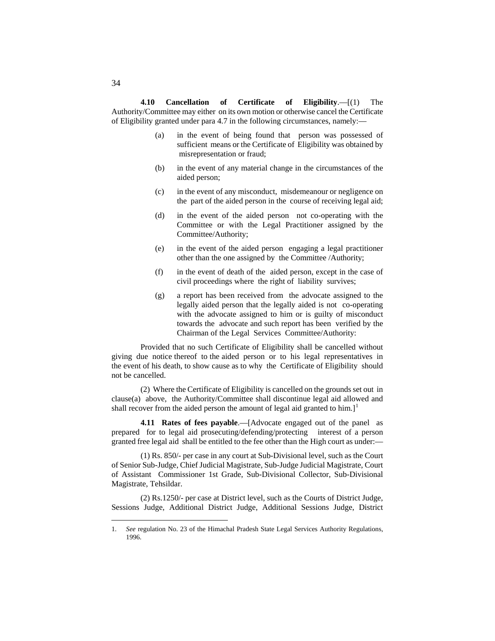**4.10 Cancellation of Certificate of Eligibility**.—[(1) The Authority/Committee may either on its own motion or otherwise cancel the Certificate of Eligibility granted under para 4.7 in the following circumstances, namely:—

- (a) in the event of being found that person was possessed of sufficient means or the Certificate of Eligibility was obtained by misrepresentation or fraud;
- (b) in the event of any material change in the circumstances of the aided person;
- (c) in the event of any misconduct, misdemeanour or negligence on the part of the aided person in the course of receiving legal aid;
- (d) in the event of the aided person not co-operating with the Committee or with the Legal Practitioner assigned by the Committee/Authority;
- (e) in the event of the aided person engaging a legal practitioner other than the one assigned by the Committee /Authority;
- (f) in the event of death of the aided person, except in the case of civil proceedings where the right of liability survives;
- (g) a report has been received from the advocate assigned to the legally aided person that the legally aided is not co-operating with the advocate assigned to him or is guilty of misconduct towards the advocate and such report has been verified by the Chairman of the Legal Services Committee/Authority:

Provided that no such Certificate of Eligibility shall be cancelled without giving due notice thereof to the aided person or to his legal representatives in the event of his death, to show cause as to why the Certificate of Eligibility should not be cancelled.

(2) Where the Certificate of Eligibility is cancelled on the grounds set out in clause(a) above, the Authority/Committee shall discontinue legal aid allowed and shall recover from the aided person the amount of legal aid granted to him.]<sup>[1](#page-147-0)</sup>

**4.11 Rates of fees payable**.—[Advocate engaged out of the panel as prepared for to legal aid prosecuting/defending/protecting interest of a person granted free legal aid shall be entitled to the fee other than the High court as under:—

(1) Rs. 850/- per case in any court at Sub-Divisional level, such as the Court of Senior Sub-Judge, Chief Judicial Magistrate, Sub-Judge Judicial Magistrate, Court of Assistant Commissioner 1st Grade, Sub-Divisional Collector, Sub-Divisional Magistrate, Tehsildar.

(2) Rs.1250/- per case at District level, such as the Courts of District Judge, Sessions Judge, Additional District Judge, Additional Sessions Judge, District

<span id="page-147-0"></span> <sup>1.</sup> *See* regulation No. 23 of the Himachal Pradesh State Legal Services Authority Regulations, 1996.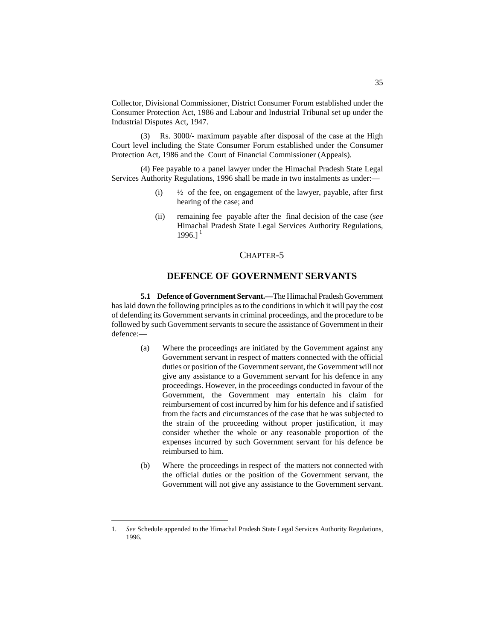Collector, Divisional Commissioner, District Consumer Forum established under the Consumer Protection Act, 1986 and Labour and Industrial Tribunal set up under the Industrial Disputes Act, 1947.

(3) Rs. 3000/- maximum payable after disposal of the case at the High Court level including the State Consumer Forum established under the Consumer Protection Act, 1986 and the Court of Financial Commissioner (Appeals).

(4) Fee payable to a panel lawyer under the Himachal Pradesh State Legal Services Authority Regulations, 1996 shall be made in two instalments as under:—

- (i)  $\frac{1}{2}$  of the fee, on engagement of the lawyer, payable, after first hearing of the case; and
- (ii) remaining fee payable after the final decision of the case (*see* Himachal Pradesh State Legal Services Authority Regulations,  $1996.1<sup>1</sup>$  $1996.1<sup>1</sup>$

## CHAPTER-5

# **DEFENCE OF GOVERNMENT SERVANTS**

**5.1 Defence of Government Servant.—**The Himachal Pradesh Government has laid down the following principles as to the conditions in which it will pay the cost of defending its Government servants in criminal proceedings, and the procedure to be followed by such Government servants to secure the assistance of Government in their defence:—

- (a) Where the proceedings are initiated by the Government against any Government servant in respect of matters connected with the official duties or position of the Government servant, the Government will not give any assistance to a Government servant for his defence in any proceedings. However, in the proceedings conducted in favour of the Government, the Government may entertain his claim for reimbursement of cost incurred by him for his defence and if satisfied from the facts and circumstances of the case that he was subjected to the strain of the proceeding without proper justification, it may consider whether the whole or any reasonable proportion of the expenses incurred by such Government servant for his defence be reimbursed to him.
- (b) Where the proceedings in respect of the matters not connected with the official duties or the position of the Government servant, the Government will not give any assistance to the Government servant.

<span id="page-148-0"></span> <sup>1.</sup> *See* Schedule appended to the Himachal Pradesh State Legal Services Authority Regulations, 1996.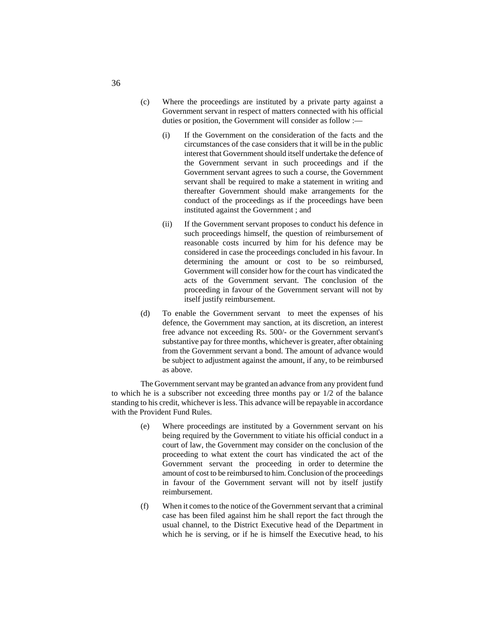- (c) Where the proceedings are instituted by a private party against a Government servant in respect of matters connected with his official duties or position, the Government will consider as follow :-
	- (i) If the Government on the consideration of the facts and the circumstances of the case considers that it will be in the public interest that Government should itself undertake the defence of the Government servant in such proceedings and if the Government servant agrees to such a course, the Government servant shall be required to make a statement in writing and thereafter Government should make arrangements for the conduct of the proceedings as if the proceedings have been instituted against the Government ; and
	- (ii) If the Government servant proposes to conduct his defence in such proceedings himself, the question of reimbursement of reasonable costs incurred by him for his defence may be considered in case the proceedings concluded in his favour. In determining the amount or cost to be so reimbursed, Government will consider how for the court has vindicated the acts of the Government servant. The conclusion of the proceeding in favour of the Government servant will not by itself justify reimbursement.
- (d) To enable the Government servant to meet the expenses of his defence, the Government may sanction, at its discretion, an interest free advance not exceeding Rs. 500/- or the Government servant's substantive pay for three months, whichever is greater, after obtaining from the Government servant a bond. The amount of advance would be subject to adjustment against the amount, if any, to be reimbursed as above.

The Government servant may be granted an advance from any provident fund to which he is a subscriber not exceeding three months pay or 1/2 of the balance standing to his credit, whichever is less. This advance will be repayable in accordance with the Provident Fund Rules.

- (e) Where proceedings are instituted by a Government servant on his being required by the Government to vitiate his official conduct in a court of law, the Government may consider on the conclusion of the proceeding to what extent the court has vindicated the act of the Government servant the proceeding in order to determine the amount of cost to be reimbursed to him. Conclusion of the proceedings in favour of the Government servant will not by itself justify reimbursement.
- (f) When it comes to the notice of the Government servant that a criminal case has been filed against him he shall report the fact through the usual channel, to the District Executive head of the Department in which he is serving, or if he is himself the Executive head, to his

36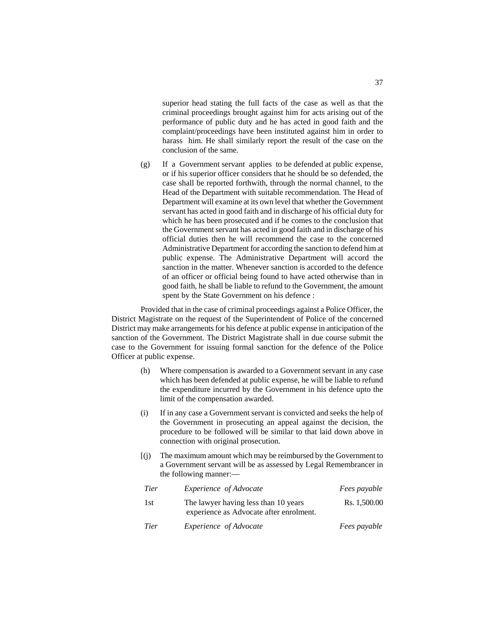superior head stating the full facts of the case as well as that the criminal proceedings brought against him for acts arising out of the performance of public duty and he has acted in good faith and the complaint/proceedings have been instituted against him in order to harass him. He shall similarly report the result of the case on the conclusion of the same.

(g) If a Government servant applies to be defended at public expense, or if his superior officer considers that he should be so defended, the case shall be reported forthwith, through the normal channel, to the Head of the Department with suitable recommendation. The Head of Department will examine at its own level that whether the Government servant has acted in good faith and in discharge of his official duty for which he has been prosecuted and if he comes to the conclusion that the Government servant has acted in good faith and in discharge of his official duties then he will recommend the case to the concerned Administrative Department for according the sanction to defend him at public expense. The Administrative Department will accord the sanction in the matter. Whenever sanction is accorded to the defence of an officer or official being found to have acted otherwise than in good faith, he shall be liable to refund to the Government, the amount spent by the State Government on his defence :

Provided that in the case of criminal proceedings against a Police Officer, the District Magistrate on the request of the Superintendent of Police of the concerned District may make arrangements for his defence at public expense in anticipation of the sanction of the Government. The District Magistrate shall in due course submit the case to the Government for issuing formal sanction for the defence of the Police Officer at public expense.

- (h) Where compensation is awarded to a Government servant in any case which has been defended at public expense, he will be liable to refund the expenditure incurred by the Government in his defence upto the limit of the compensation awarded.
- (i) If in any case a Government servant is convicted and seeks the help of the Government in prosecuting an appeal against the decision, the procedure to be followed will be similar to that laid down above in connection with original prosecution.
- [(j) The maximum amount which may be reimbursed by the Government to a Government servant will be as assessed by Legal Remembrancer in the following manner:—

| <b>Tier</b> | <i>Experience of Advocate</i>                                                   | <i>Fees payable</i> |
|-------------|---------------------------------------------------------------------------------|---------------------|
| 1st         | The lawyer having less than 10 years<br>experience as Advocate after enrolment. | Rs. 1,500.00        |
| <b>Tier</b> | <i>Experience of Advocate</i>                                                   | <i>Fees payable</i> |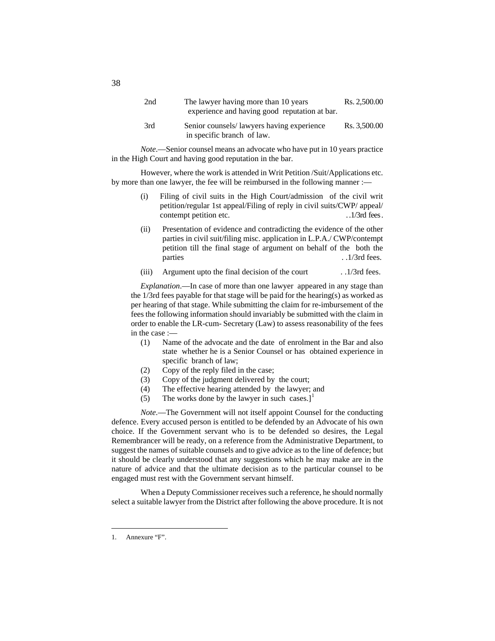| 2nd | The lawyer having more than 10 years<br>experience and having good reputation at bar. | Rs. 2,500.00 |
|-----|---------------------------------------------------------------------------------------|--------------|
| 3rd | Senior counsels/lawyers having experience<br>in specific branch of law.               | Rs. 3,500.00 |

*Note*.—Senior counsel means an advocate who have put in 10 years practice in the High Court and having good reputation in the bar.

However, where the work is attended in Writ Petition /Suit/Applications etc. by more than one lawyer, the fee will be reimbursed in the following manner :—

- (i) Filing of civil suits in the High Court/admission of the civil writ petition/regular 1st appeal/Filing of reply in civil suits/CWP/ appeal/ contempt petition etc. . .1/3rd fees.
- (ii) Presentation of evidence and contradicting the evidence of the other parties in civil suit/filing misc. application in L.P.A./ CWP/contempt petition till the final stage of argument on behalf of the both the parties . .1/3rd fees.

#### (iii) Argument upto the final decision of the court . .1/3rd fees.

*Explanation*.—In case of more than one lawyer appeared in any stage than the 1/3rd fees payable for that stage will be paid for the hearing(s) as worked as per hearing of that stage. While submitting the claim for re-imbursement of the fees the following information should invariably be submitted with the claim in order to enable the LR-cum- Secretary (Law) to assess reasonability of the fees in the case :—

- (1) Name of the advocate and the date of enrolment in the Bar and also state whether he is a Senior Counsel or has obtained experience in specific branch of law;
- (2) Copy of the reply filed in the case;
- (3) Copy of the judgment delivered by the court;
- (4) The effective hearing attended by the lawyer; and
- (5) The works done by the lawyer in such cases.]<sup>[1](#page-151-0)</sup>

*Note*.—The Government will not itself appoint Counsel for the conducting defence. Every accused person is entitled to be defended by an Advocate of his own choice. If the Government servant who is to be defended so desires, the Legal Remembrancer will be ready, on a reference from the Administrative Department, to suggest the names of suitable counsels and to give advice as to the line of defence; but it should be clearly understood that any suggestions which he may make are in the nature of advice and that the ultimate decision as to the particular counsel to be engaged must rest with the Government servant himself.

When a Deputy Commissioner receives such a reference, he should normally select a suitable lawyer from the District after following the above procedure. It is not

38

<span id="page-151-0"></span> <sup>1.</sup> Annexure "F".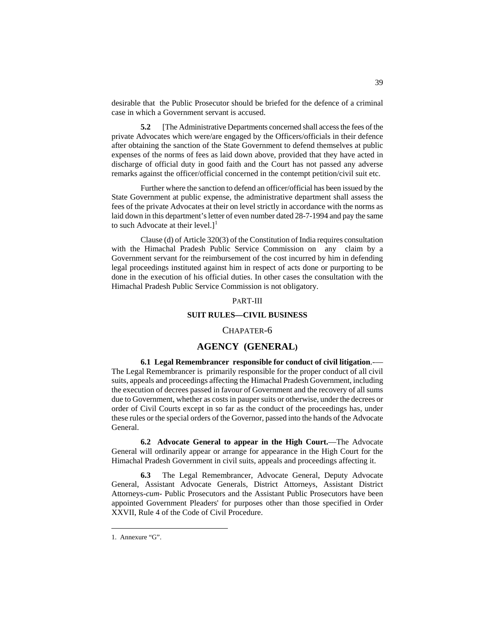desirable that the Public Prosecutor should be briefed for the defence of a criminal case in which a Government servant is accused.

**5.2** [The Administrative Departments concerned shall access the fees of the private Advocates which were/are engaged by the Officers/officials in their defence after obtaining the sanction of the State Government to defend themselves at public expenses of the norms of fees as laid down above, provided that they have acted in discharge of official duty in good faith and the Court has not passed any adverse remarks against the officer/official concerned in the contempt petition/civil suit etc.

Further where the sanction to defend an officer/official has been issued by the State Government at public expense, the administrative department shall assess the fees of the private Advocates at their on level strictly in accordance with the norms as laid down in this department's letter of even number dated 28-7-1994 and pay the same to such Advocate at their level.] $<sup>1</sup>$  $<sup>1</sup>$  $<sup>1</sup>$ </sup>

Clause (d) of Article 320(3) of the Constitution of India requires consultation with the Himachal Pradesh Public Service Commission on any claim by a Government servant for the reimbursement of the cost incurred by him in defending legal proceedings instituted against him in respect of acts done or purporting to be done in the execution of his official duties. In other cases the consultation with the Himachal Pradesh Public Service Commission is not obligatory.

#### PART-III

#### **SUIT RULES—CIVIL BUSINESS**

#### CHAPATER-6

## **AGENCY (GENERAL)**

#### **6.1 Legal Remembrancer responsible for conduct of civil litigation**.-—

The Legal Remembrancer is primarily responsible for the proper conduct of all civil suits, appeals and proceedings affecting the Himachal Pradesh Government, including the execution of decrees passed in favour of Government and the recovery of all sums due to Government, whether as costs in pauper suits or otherwise, under the decrees or order of Civil Courts except in so far as the conduct of the proceedings has, under these rules or the special orders of the Governor, passed into the hands of the Advocate General.

**6.2 Advocate General to appear in the High Court.**—The Advocate General will ordinarily appear or arrange for appearance in the High Court for the Himachal Pradesh Government in civil suits, appeals and proceedings affecting it.

**6.3** The Legal Remembrancer, Advocate General, Deputy Advocate General, Assistant Advocate Generals, District Attorneys, Assistant District Attorneys-*cum*- Public Prosecutors and the Assistant Public Prosecutors have been appointed Government Pleaders' for purposes other than those specified in Order XXVII, Rule 4 of the Code of Civil Procedure.

<span id="page-152-0"></span> <sup>1.</sup> Annexure "G".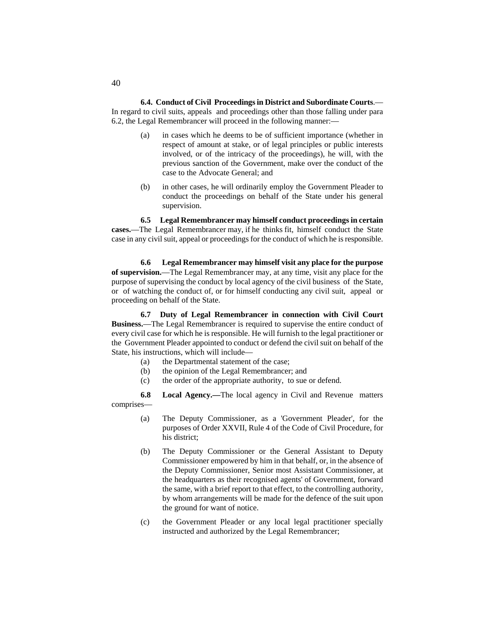**6.4. Conduct of Civil Proceedings in District and Subordinate Courts**.— In regard to civil suits, appeals and proceedings other than those falling under para 6.2, the Legal Remembrancer will proceed in the following manner:—

- (a) in cases which he deems to be of sufficient importance (whether in respect of amount at stake, or of legal principles or public interests involved, or of the intricacy of the proceedings), he will, with the previous sanction of the Government, make over the conduct of the case to the Advocate General; and
- (b) in other cases, he will ordinarily employ the Government Pleader to conduct the proceedings on behalf of the State under his general supervision.

**6.5 Legal Remembrancer may himself conduct proceedings in certain cases.**—The Legal Remembrancer may, if he thinks fit, himself conduct the State case in any civil suit, appeal or proceedings for the conduct of which he is responsible.

**6.6 Legal Remembrancer may himself visit any place for the purpose of supervision.**—The Legal Remembrancer may, at any time, visit any place for the purpose of supervising the conduct by local agency of the civil business of the State, or of watching the conduct of, or for himself conducting any civil suit, appeal or proceeding on behalf of the State.

**6.7 Duty of Legal Remembrancer in connection with Civil Court Business.**—The Legal Remembrancer is required to supervise the entire conduct of every civil case for which he is responsible. He will furnish to the legal practitioner or the Government Pleader appointed to conduct or defend the civil suit on behalf of the State, his instructions, which will include—

- (a) the Departmental statement of the case;
- (b) the opinion of the Legal Remembrancer; and
- (c) the order of the appropriate authority, to sue or defend.

**6.8 Local Agency.—**The local agency in Civil and Revenue matters comprises—

- (a) The Deputy Commissioner, as a 'Government Pleader', for the purposes of Order XXVII, Rule 4 of the Code of Civil Procedure, for his district;
- (b) The Deputy Commissioner or the General Assistant to Deputy Commissioner empowered by him in that behalf, or, in the absence of the Deputy Commissioner, Senior most Assistant Commissioner, at the headquarters as their recognised agents' of Government, forward the same, with a brief report to that effect, to the controlling authority, by whom arrangements will be made for the defence of the suit upon the ground for want of notice.
- (c) the Government Pleader or any local legal practitioner specially instructed and authorized by the Legal Remembrancer;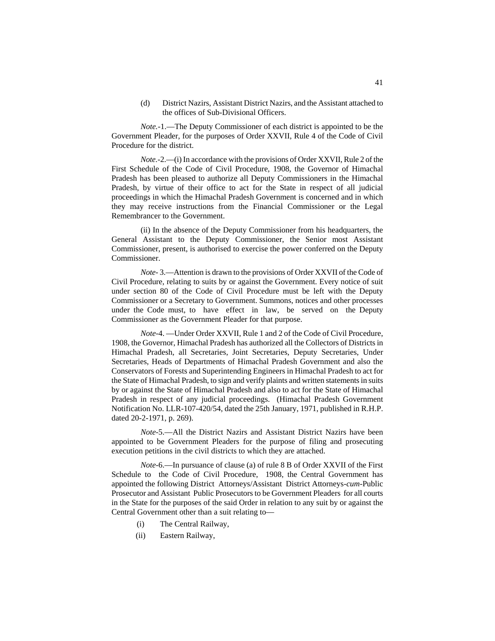(d) District Nazirs, Assistant District Nazirs, and the Assistant attached to the offices of Sub-Divisional Officers.

*Note.-*1.—The Deputy Commissioner of each district is appointed to be the Government Pleader, for the purposes of Order XXVII, Rule 4 of the Code of Civil Procedure for the district.

*Note.-*2.—(i) In accordance with the provisions of Order XXVII, Rule 2 of the First Schedule of the Code of Civil Procedure, 1908, the Governor of Himachal Pradesh has been pleased to authorize all Deputy Commissioners in the Himachal Pradesh, by virtue of their office to act for the State in respect of all judicial proceedings in which the Himachal Pradesh Government is concerned and in which they may receive instructions from the Financial Commissioner or the Legal Remembrancer to the Government.

(ii) In the absence of the Deputy Commissioner from his headquarters, the General Assistant to the Deputy Commissioner, the Senior most Assistant Commissioner, present, is authorised to exercise the power conferred on the Deputy Commissioner.

*Note-* 3.—Attention is drawn to the provisions of Order XXVII of the Code of Civil Procedure, relating to suits by or against the Government. Every notice of suit under section 80 of the Code of Civil Procedure must be left with the Deputy Commissioner or a Secretary to Government. Summons, notices and other processes under the Code must, to have effect in law, be served on the Deputy Commissioner as the Government Pleader for that purpose.

*Note-*4. —Under Order XXVII, Rule 1 and 2 of the Code of Civil Procedure, 1908, the Governor, Himachal Pradesh has authorized all the Collectors of Districts in Himachal Pradesh, all Secretaries, Joint Secretaries, Deputy Secretaries, Under Secretaries, Heads of Departments of Himachal Pradesh Government and also the Conservators of Forests and Superintending Engineers in Himachal Pradesh to act for the State of Himachal Pradesh, to sign and verify plaints and written statements in suits by or against the State of Himachal Pradesh and also to act for the State of Himachal Pradesh in respect of any judicial proceedings. (Himachal Pradesh Government Notification No. LLR-107-420/54, dated the 25th January, 1971, published in R.H.P. dated 20-2-1971, p. 269).

*Note-*5.—All the District Nazirs and Assistant District Nazirs have been appointed to be Government Pleaders for the purpose of filing and prosecuting execution petitions in the civil districts to which they are attached.

*Note*-6.—In pursuance of clause (a) of rule 8 B of Order XXVII of the First Schedule to the Code of Civil Procedure, 1908, the Central Government has appointed the following District Attorneys/Assistant District Attorneys-*cum-*Public Prosecutor and Assistant Public Prosecutors to be Government Pleaders for all courts in the State for the purposes of the said Order in relation to any suit by or against the Central Government other than a suit relating to—

- (i) The Central Railway,
- (ii) Eastern Railway,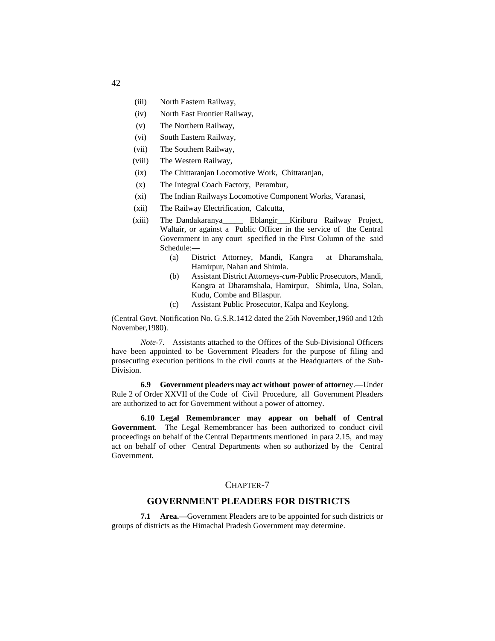- (iii) North Eastern Railway,
- (iv) North East Frontier Railway,
- (v) The Northern Railway,
- (vi) South Eastern Railway,
- (vii) The Southern Railway,
- (viii) The Western Railway,
- (ix) The Chittaranjan Locomotive Work, Chittaranjan,
- (x) The Integral Coach Factory, Perambur,
- (xi) The Indian Railways Locomotive Component Works, Varanasi,
- (xii) The Railway Electrification, Calcutta,
- (xiii) The Dandakaranya\_\_\_\_\_ Eblangir\_\_\_Kiriburu Railway Project, Waltair, or against a Public Officer in the service of the Central Government in any court specified in the First Column of the said Schedule:—
	- (a) District Attorney, Mandi, Kangra at Dharamshala, Hamirpur, Nahan and Shimla.
	- (b) Assistant District Attorneys-*cum-*Public Prosecutors, Mandi, Kangra at Dharamshala, Hamirpur, Shimla, Una, Solan, Kudu, Combe and Bilaspur.
	- (c) Assistant Public Prosecutor, Kalpa and Keylong.

(Central Govt. Notification No. G.S.R.1412 dated the 25th November,1960 and 12th November,1980).

*Note*-7.—Assistants attached to the Offices of the Sub-Divisional Officers have been appointed to be Government Pleaders for the purpose of filing and prosecuting execution petitions in the civil courts at the Headquarters of the Sub-Division.

**6.9 Government pleaders may act without power of attorne**y.—Under Rule 2 of Order XXVII of the Code of Civil Procedure, all Government Pleaders are authorized to act for Government without a power of attorney.

**6.10 Legal Remembrancer may appear on behalf of Central Government**.—The Legal Remembrancer has been authorized to conduct civil proceedings on behalf of the Central Departments mentioned in para 2.15, and may act on behalf of other Central Departments when so authorized by the Central Government.

## CHAPTER-7

# **GOVERNMENT PLEADERS FOR DISTRICTS**

**7.1 Area.—**Government Pleaders are to be appointed for such districts or groups of districts as the Himachal Pradesh Government may determine.

42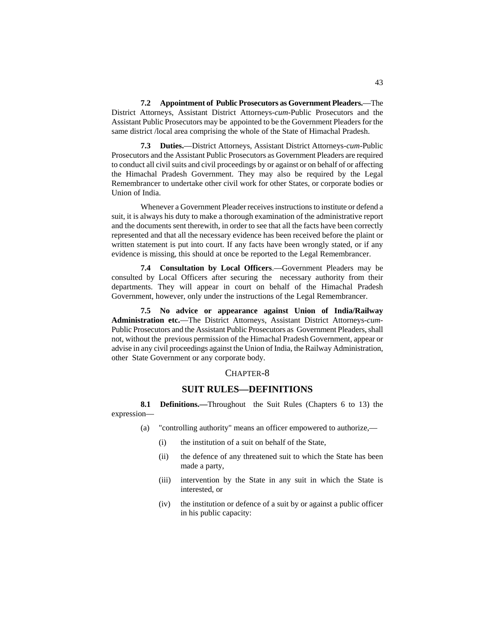**7.2 Appointment of Public Prosecutors as Government Pleaders.**—The District Attorneys, Assistant District Attorneys-*cum-*Public Prosecutors and the Assistant Public Prosecutors may be appointed to be the Government Pleaders for the same district /local area comprising the whole of the State of Himachal Pradesh.

**7.3 Duties.**—District Attorneys, Assistant District Attorneys-*cum-*Public Prosecutors and the Assistant Public Prosecutors as Government Pleaders are required to conduct all civil suits and civil proceedings by or against or on behalf of or affecting the Himachal Pradesh Government. They may also be required by the Legal Remembrancer to undertake other civil work for other States, or corporate bodies or Union of India.

Whenever a Government Pleader receives instructions to institute or defend a suit, it is always his duty to make a thorough examination of the administrative report and the documents sent therewith, in order to see that all the facts have been correctly represented and that all the necessary evidence has been received before the plaint or written statement is put into court. If any facts have been wrongly stated, or if any evidence is missing, this should at once be reported to the Legal Remembrancer.

**7.4 Consultation by Local Officers**.—Government Pleaders may be consulted by Local Officers after securing the necessary authority from their departments. They will appear in court on behalf of the Himachal Pradesh Government, however, only under the instructions of the Legal Remembrancer.

**7.5 No advice or appearance against Union of India/Railway Administration etc.**—The District Attorneys, Assistant District Attorneys-*cum-*Public Prosecutors and the Assistant Public Prosecutors as Government Pleaders, shall not, without the previous permission of the Himachal Pradesh Government, appear or advise in any civil proceedings against the Union of India, the Railway Administration, other State Government or any corporate body.

#### CHAPTER-8

# **SUIT RULES—DEFINITIONS**

**8.1 Definitions.—**Throughout the Suit Rules (Chapters 6 to 13) the expression—

- (a) "controlling authority" means an officer empowered to authorize,—
	- (i) the institution of a suit on behalf of the State,
	- (ii) the defence of any threatened suit to which the State has been made a party,
	- (iii) intervention by the State in any suit in which the State is interested, or
	- (iv) the institution or defence of a suit by or against a public officer in his public capacity: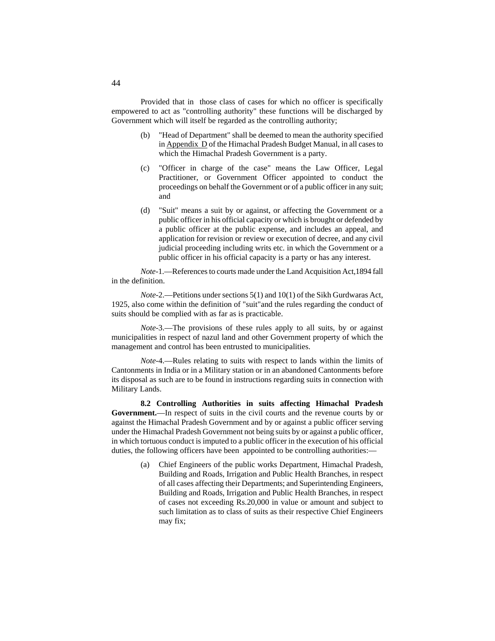Provided that in those class of cases for which no officer is specifically empowered to act as "controlling authority" these functions will be discharged by Government which will itself be regarded as the controlling authority;

- (b) "Head of Department" shall be deemed to mean the authority specified in Appendix D of the Himachal Pradesh Budget Manual, in all cases to which the Himachal Pradesh Government is a party.
- (c) "Officer in charge of the case" means the Law Officer, Legal Practitioner, or Government Officer appointed to conduct the proceedings on behalf the Government or of a public officer in any suit; and
- (d) "Suit" means a suit by or against, or affecting the Government or a public officer in his official capacity or which is brought or defended by a public officer at the public expense, and includes an appeal, and application for revision or review or execution of decree, and any civil judicial proceeding including writs etc. in which the Government or a public officer in his official capacity is a party or has any interest.

*Note-*1.—References to courts made under the Land Acquisition Act,1894 fall in the definition.

*Note-*2.—Petitions under sections 5(1) and 10(1) of the Sikh Gurdwaras Act, 1925, also come within the definition of "suit"and the rules regarding the conduct of suits should be complied with as far as is practicable.

*Note-*3.—The provisions of these rules apply to all suits, by or against municipalities in respect of nazul land and other Government property of which the management and control has been entrusted to municipalities.

*Note-*4.—Rules relating to suits with respect to lands within the limits of Cantonments in India or in a Military station or in an abandoned Cantonments before its disposal as such are to be found in instructions regarding suits in connection with Military Lands.

**8.2 Controlling Authorities in suits affecting Himachal Pradesh Government.**—In respect of suits in the civil courts and the revenue courts by or against the Himachal Pradesh Government and by or against a public officer serving under the Himachal Pradesh Government not being suits by or against a public officer, in which tortuous conduct is imputed to a public officer in the execution of his official duties, the following officers have been appointed to be controlling authorities:—

> (a) Chief Engineers of the public works Department, Himachal Pradesh, Building and Roads, Irrigation and Public Health Branches, in respect of all cases affecting their Departments; and Superintending Engineers, Building and Roads, Irrigation and Public Health Branches, in respect of cases not exceeding Rs.20,000 in value or amount and subject to such limitation as to class of suits as their respective Chief Engineers may fix;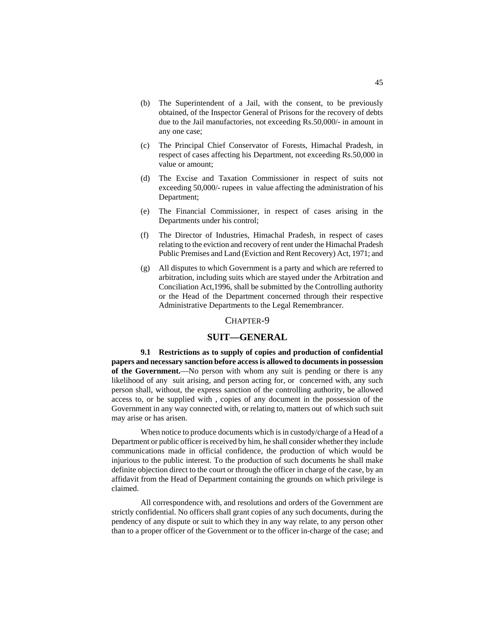- (b) The Superintendent of a Jail, with the consent, to be previously obtained, of the Inspector General of Prisons for the recovery of debts due to the Jail manufactories, not exceeding Rs.50,000/- in amount in any one case;
- (c) The Principal Chief Conservator of Forests, Himachal Pradesh, in respect of cases affecting his Department, not exceeding Rs.50,000 in value or amount;
- (d) The Excise and Taxation Commissioner in respect of suits not exceeding 50,000/- rupees in value affecting the administration of his Department;
- (e) The Financial Commissioner, in respect of cases arising in the Departments under his control;
- (f) The Director of Industries, Himachal Pradesh, in respect of cases relating to the eviction and recovery of rent under the Himachal Pradesh Public Premises and Land (Eviction and Rent Recovery) Act, 1971; and
- (g) All disputes to which Government is a party and which are referred to arbitration, including suits which are stayed under the Arbitration and Conciliation Act,1996, shall be submitted by the Controlling authority or the Head of the Department concerned through their respective Administrative Departments to the Legal Remembrancer.

## CHAPTER-9

## **SUIT—GENERAL**

**9.1 Restrictions as to supply of copies and production of confidential papers and necessary sanction before access is allowed to documents in possession of the Government.**—No person with whom any suit is pending or there is any likelihood of any suit arising, and person acting for, or concerned with, any such person shall, without, the express sanction of the controlling authority, be allowed access to, or be supplied with , copies of any document in the possession of the Government in any way connected with, or relating to, matters out of which such suit may arise or has arisen.

When notice to produce documents which is in custody/charge of a Head of a Department or public officer is received by him, he shall consider whether they include communications made in official confidence, the production of which would be injurious to the public interest. To the production of such documents he shall make definite objection direct to the court or through the officer in charge of the case, by an affidavit from the Head of Department containing the grounds on which privilege is claimed.

All correspondence with, and resolutions and orders of the Government are strictly confidential. No officers shall grant copies of any such documents, during the pendency of any dispute or suit to which they in any way relate, to any person other than to a proper officer of the Government or to the officer in-charge of the case; and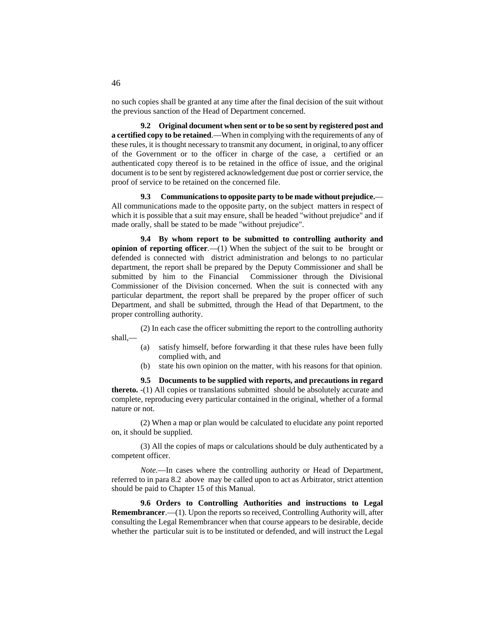no such copies shall be granted at any time after the final decision of the suit without the previous sanction of the Head of Department concerned.

**9.2 Original document when sent or to be so sent by registered post and a certified copy to be retained**.—When in complying with the requirements of any of these rules, it is thought necessary to transmit any document, in original, to any officer of the Government or to the officer in charge of the case, a certified or an authenticated copy thereof is to be retained in the office of issue, and the original document is to be sent by registered acknowledgement due post or corrier service, the proof of service to be retained on the concerned file.

**9.3 Communications to opposite party to be made without prejudice.**— All communications made to the opposite party, on the subject matters in respect of which it is possible that a suit may ensure, shall be headed "without prejudice" and if made orally, shall be stated to be made "without prejudice".

**9.4 By whom report to be submitted to controlling authority and opinion of reporting officer.**—(1) When the subject of the suit to be brought or defended is connected with district administration and belongs to no particular department, the report shall be prepared by the Deputy Commissioner and shall be submitted by him to the Financial Commissioner through the Divisional Commissioner of the Division concerned. When the suit is connected with any particular department, the report shall be prepared by the proper officer of such Department, and shall be submitted, through the Head of that Department, to the proper controlling authority.

(2) In each case the officer submitting the report to the controlling authority shall,—

- (a) satisfy himself, before forwarding it that these rules have been fully complied with, and
- (b) state his own opinion on the matter, with his reasons for that opinion.

**9.5 Documents to be supplied with reports, and precautions in regard thereto. -**(1) All copies or translations submitted should be absolutely accurate and complete, reproducing every particular contained in the original, whether of a formal nature or not.

(2) When a map or plan would be calculated to elucidate any point reported on, it should be supplied.

(3) All the copies of maps or calculations should be duly authenticated by a competent officer.

*Note.*—In cases where the controlling authority or Head of Department, referred to in para 8.2 above may be called upon to act as Arbitrator, strict attention should be paid to Chapter 15 of this Manual.

**9.6 Orders to Controlling Authorities and instructions to Legal Remembrancer**.—(1). Upon the reports so received, Controlling Authority will, after consulting the Legal Remembrancer when that course appears to be desirable, decide whether the particular suit is to be instituted or defended, and will instruct the Legal

46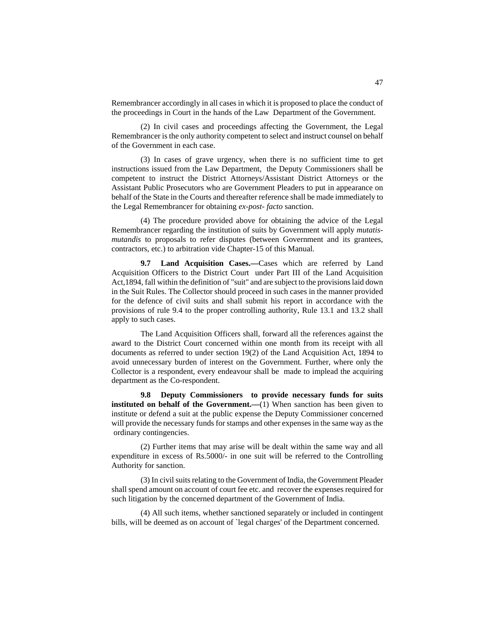Remembrancer accordingly in all cases in which it is proposed to place the conduct of the proceedings in Court in the hands of the Law Department of the Government.

(2) In civil cases and proceedings affecting the Government, the Legal Remembrancer is the only authority competent to select and instruct counsel on behalf of the Government in each case.

(3) In cases of grave urgency, when there is no sufficient time to get instructions issued from the Law Department, the Deputy Commissioners shall be competent to instruct the District Attorneys/Assistant District Attorneys or the Assistant Public Prosecutors who are Government Pleaders to put in appearance on behalf of the State in the Courts and thereafter reference shall be made immediately to the Legal Remembrancer for obtaining *ex-post- facto* sanction.

(4) The procedure provided above for obtaining the advice of the Legal Remembrancer regarding the institution of suits by Government will apply *mutatismutandis* to proposals to refer disputes (between Government and its grantees, contractors, etc.) to arbitration vide Chapter-15 of this Manual.

**9.7 Land Acquisition Cases.—**Cases which are referred by Land Acquisition Officers to the District Court under Part III of the Land Acquisition Act,1894, fall within the definition of "suit" and are subject to the provisions laid down in the Suit Rules. The Collector should proceed in such cases in the manner provided for the defence of civil suits and shall submit his report in accordance with the provisions of rule 9.4 to the proper controlling authority, Rule 13.1 and 13.2 shall apply to such cases.

The Land Acquisition Officers shall, forward all the references against the award to the District Court concerned within one month from its receipt with all documents as referred to under section 19(2) of the Land Acquisition Act, 1894 to avoid unnecessary burden of interest on the Government. Further, where only the Collector is a respondent, every endeavour shall be made to implead the acquiring department as the Co-respondent.

**9.8 Deputy Commissioners to provide necessary funds for suits instituted on behalf of the Government.**—(1) When sanction has been given to institute or defend a suit at the public expense the Deputy Commissioner concerned will provide the necessary funds for stamps and other expenses in the same way as the ordinary contingencies.

(2) Further items that may arise will be dealt within the same way and all expenditure in excess of Rs.5000/- in one suit will be referred to the Controlling Authority for sanction.

(3) In civil suits relating to the Government of India, the Government Pleader shall spend amount on account of court fee etc. and recover the expenses required for such litigation by the concerned department of the Government of India.

(4) All such items, whether sanctioned separately or included in contingent bills, will be deemed as on account of `legal charges' of the Department concerned.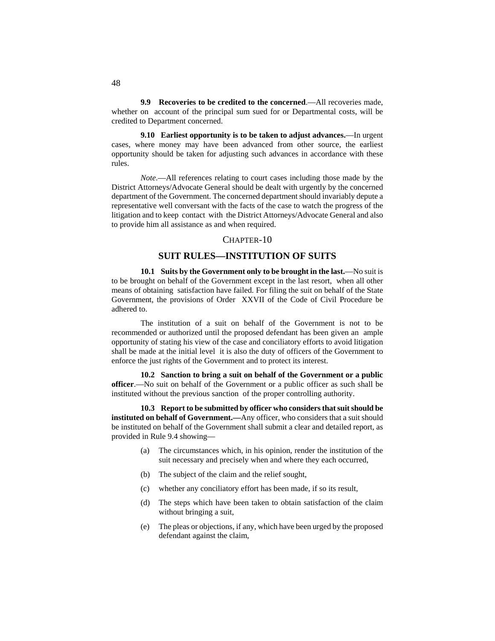**9.9 Recoveries to be credited to the concerned**.—All recoveries made, whether on account of the principal sum sued for or Departmental costs, will be credited to Department concerned.

**9.10 Earliest opportunity is to be taken to adjust advances.**—In urgent cases, where money may have been advanced from other source, the earliest opportunity should be taken for adjusting such advances in accordance with these rules.

*Note*.—All references relating to court cases including those made by the District Attorneys/Advocate General should be dealt with urgently by the concerned department of the Government. The concerned department should invariably depute a representative well conversant with the facts of the case to watch the progress of the litigation and to keep contact with the District Attorneys/Advocate General and also to provide him all assistance as and when required.

## CHAPTER-10

# **SUIT RULES—INSTITUTION OF SUITS**

**10.1 Suits by the Government only to be brought in the last.**—No suit is to be brought on behalf of the Government except in the last resort, when all other means of obtaining satisfaction have failed. For filing the suit on behalf of the State Government, the provisions of Order XXVII of the Code of Civil Procedure be adhered to.

The institution of a suit on behalf of the Government is not to be recommended or authorized until the proposed defendant has been given an ample opportunity of stating his view of the case and conciliatory efforts to avoid litigation shall be made at the initial level it is also the duty of officers of the Government to enforce the just rights of the Government and to protect its interest.

**10.2 Sanction to bring a suit on behalf of the Government or a public officer**.—No suit on behalf of the Government or a public officer as such shall be instituted without the previous sanction of the proper controlling authority.

**10.3 Report to be submitted by officer who considers that suit should be instituted on behalf of Government.—**Any officer, who considers that a suit should be instituted on behalf of the Government shall submit a clear and detailed report, as provided in Rule 9.4 showing—

- (a) The circumstances which, in his opinion, render the institution of the suit necessary and precisely when and where they each occurred,
- (b) The subject of the claim and the relief sought,
- (c) whether any conciliatory effort has been made, if so its result,
- (d) The steps which have been taken to obtain satisfaction of the claim without bringing a suit,
- (e) The pleas or objections, if any, which have been urged by the proposed defendant against the claim,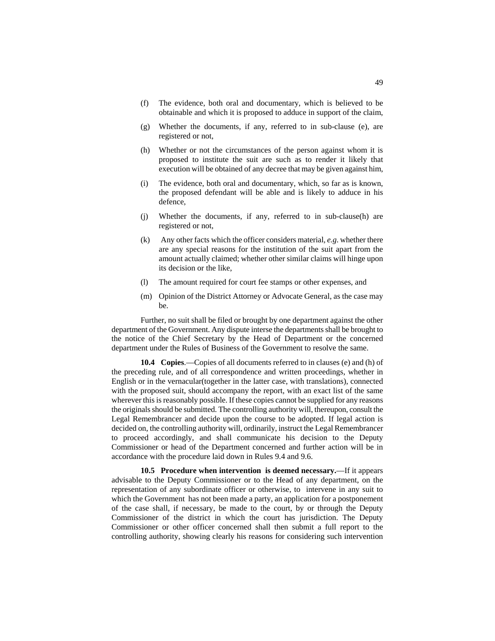- (f) The evidence, both oral and documentary, which is believed to be obtainable and which it is proposed to adduce in support of the claim,
- (g) Whether the documents, if any, referred to in sub-clause (e), are registered or not,
- (h) Whether or not the circumstances of the person against whom it is proposed to institute the suit are such as to render it likely that execution will be obtained of any decree that may be given against him,
- (i) The evidence, both oral and documentary, which, so far as is known, the proposed defendant will be able and is likely to adduce in his defence,
- (j) Whether the documents, if any, referred to in sub-clause(h) are registered or not,
- (k) Any other facts which the officer considers material*, e.g*. whether there are any special reasons for the institution of the suit apart from the amount actually claimed; whether other similar claims will hinge upon its decision or the like,
- (l) The amount required for court fee stamps or other expenses, and
- (m) Opinion of the District Attorney or Advocate General, as the case may be.

Further, no suit shall be filed or brought by one department against the other department of the Government. Any dispute interse the departments shall be brought to the notice of the Chief Secretary by the Head of Department or the concerned department under the Rules of Business of the Government to resolve the same.

**10.4 Copies**.—Copies of all documents referred to in clauses (e) and (h) of the preceding rule, and of all correspondence and written proceedings, whether in English or in the vernacular(together in the latter case, with translations), connected with the proposed suit, should accompany the report, with an exact list of the same wherever this is reasonably possible. If these copies cannot be supplied for any reasons the originals should be submitted. The controlling authority will, thereupon, consult the Legal Remembrancer and decide upon the course to be adopted. If legal action is decided on, the controlling authority will, ordinarily, instruct the Legal Remembrancer to proceed accordingly, and shall communicate his decision to the Deputy Commissioner or head of the Department concerned and further action will be in accordance with the procedure laid down in Rules 9.4 and 9.6.

**10.5 Procedure when intervention is deemed necessary.**—If it appears advisable to the Deputy Commissioner or to the Head of any department, on the representation of any subordinate officer or otherwise, to intervene in any suit to which the Government has not been made a party, an application for a postponement of the case shall, if necessary, be made to the court, by or through the Deputy Commissioner of the district in which the court has jurisdiction. The Deputy Commissioner or other officer concerned shall then submit a full report to the controlling authority, showing clearly his reasons for considering such intervention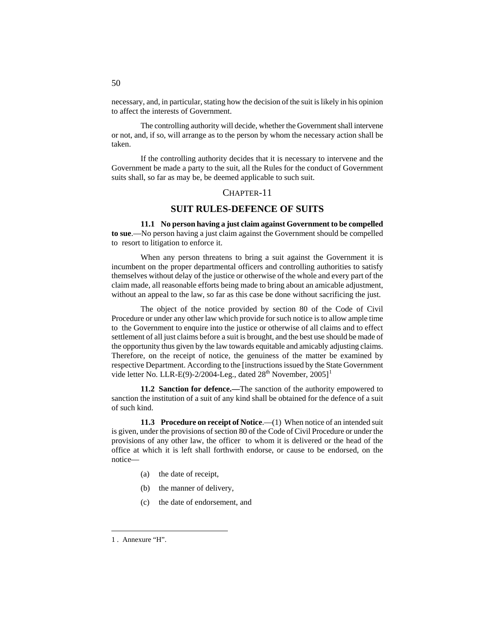necessary, and, in particular, stating how the decision of the suit is likely in his opinion to affect the interests of Government.

The controlling authority will decide, whether the Government shall intervene or not, and, if so, will arrange as to the person by whom the necessary action shall be taken.

If the controlling authority decides that it is necessary to intervene and the Government be made a party to the suit, all the Rules for the conduct of Government suits shall, so far as may be, be deemed applicable to such suit.

## CHAPTER-11

# **SUIT RULES-DEFENCE OF SUITS**

**11.1 No person having a just claim against Government to be compelled to sue**.—No person having a just claim against the Government should be compelled to resort to litigation to enforce it.

When any person threatens to bring a suit against the Government it is incumbent on the proper departmental officers and controlling authorities to satisfy themselves without delay of the justice or otherwise of the whole and every part of the claim made, all reasonable efforts being made to bring about an amicable adjustment, without an appeal to the law, so far as this case be done without sacrificing the just.

The object of the notice provided by section 80 of the Code of Civil Procedure or under any other law which provide for such notice is to allow ample time to the Government to enquire into the justice or otherwise of all claims and to effect settlement of all just claims before a suit is brought, and the best use should be made of the opportunity thus given by the law towards equitable and amicably adjusting claims. Therefore, on the receipt of notice, the genuiness of the matter be examined by respective Department. According to the [instructions issued by the State Government vide letter No. LLR-E(9)-2/2004-Leg., dated  $28<sup>th</sup>$  November,  $2005$ ]<sup>[1](#page-163-0)</sup>

**11.2 Sanction for defence.—**The sanction of the authority empowered to sanction the institution of a suit of any kind shall be obtained for the defence of a suit of such kind.

**11.3 Procedure on receipt of Notice.**—(1) When notice of an intended suit is given, under the provisions of section 80 of the Code of Civil Procedure or under the provisions of any other law, the officer to whom it is delivered or the head of the office at which it is left shall forthwith endorse, or cause to be endorsed, on the notice—

- (a) the date of receipt,
- (b) the manner of delivery,
- (c) the date of endorsement, and

<span id="page-163-0"></span> <sup>1</sup> . Annexure "H".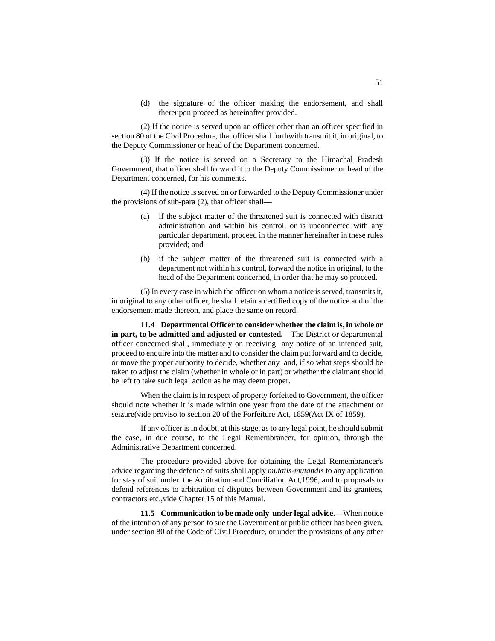(d) the signature of the officer making the endorsement, and shall thereupon proceed as hereinafter provided.

(2) If the notice is served upon an officer other than an officer specified in section 80 of the Civil Procedure, that officer shall forthwith transmit it, in original, to the Deputy Commissioner or head of the Department concerned.

(3) If the notice is served on a Secretary to the Himachal Pradesh Government, that officer shall forward it to the Deputy Commissioner or head of the Department concerned, for his comments.

(4) If the notice is served on or forwarded to the Deputy Commissioner under the provisions of sub-para (2), that officer shall—

- (a) if the subject matter of the threatened suit is connected with district administration and within his control, or is unconnected with any particular department, proceed in the manner hereinafter in these rules provided; and
- (b) if the subject matter of the threatened suit is connected with a department not within his control, forward the notice in original, to the head of the Department concerned, in order that he may so proceed.

(5) In every case in which the officer on whom a notice is served, transmits it, in original to any other officer, he shall retain a certified copy of the notice and of the endorsement made thereon, and place the same on record.

**11.4 Departmental Officer to consider whether the claim is, in whole or in part, to be admitted and adjusted or contested.**—The District or departmental officer concerned shall, immediately on receiving any notice of an intended suit, proceed to enquire into the matter and to consider the claim put forward and to decide, or move the proper authority to decide, whether any and, if so what steps should be taken to adjust the claim (whether in whole or in part) or whether the claimant should be left to take such legal action as he may deem proper.

When the claim is in respect of property forfeited to Government, the officer should note whether it is made within one year from the date of the attachment or seizure(vide proviso to section 20 of the Forfeiture Act, 1859(Act IX of 1859).

If any officer is in doubt, at this stage, as to any legal point, he should submit the case, in due course, to the Legal Remembrancer, for opinion, through the Administrative Department concerned.

The procedure provided above for obtaining the Legal Remembrancer's advice regarding the defence of suits shall apply *mutatis-mutandis* to any application for stay of suit under the Arbitration and Conciliation Act,1996, and to proposals to defend references to arbitration of disputes between Government and its grantees, contractors etc.,vide Chapter 15 of this Manual.

**11.5 Communication to be made only under legal advice**.—When notice of the intention of any person to sue the Government or public officer has been given, under section 80 of the Code of Civil Procedure, or under the provisions of any other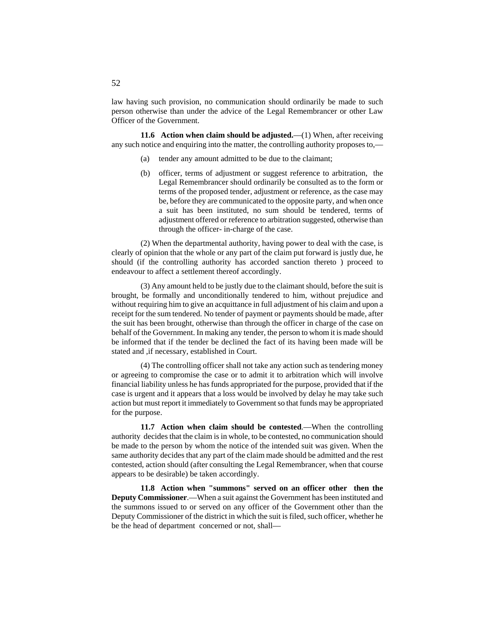law having such provision, no communication should ordinarily be made to such person otherwise than under the advice of the Legal Remembrancer or other Law Officer of the Government.

**11.6 Action when claim should be adjusted.**—(1) When, after receiving any such notice and enquiring into the matter, the controlling authority proposes to,—

- (a) tender any amount admitted to be due to the claimant;
- (b) officer, terms of adjustment or suggest reference to arbitration, the Legal Remembrancer should ordinarily be consulted as to the form or terms of the proposed tender, adjustment or reference, as the case may be, before they are communicated to the opposite party, and when once a suit has been instituted, no sum should be tendered, terms of adjustment offered or reference to arbitration suggested, otherwise than through the officer- in-charge of the case.

(2) When the departmental authority, having power to deal with the case, is clearly of opinion that the whole or any part of the claim put forward is justly due, he should (if the controlling authority has accorded sanction thereto ) proceed to endeavour to affect a settlement thereof accordingly.

(3) Any amount held to be justly due to the claimant should, before the suit is brought, be formally and unconditionally tendered to him, without prejudice and without requiring him to give an acquittance in full adjustment of his claim and upon a receipt for the sum tendered. No tender of payment or payments should be made, after the suit has been brought, otherwise than through the officer in charge of the case on behalf of the Government. In making any tender, the person to whom it is made should be informed that if the tender be declined the fact of its having been made will be stated and ,if necessary, established in Court.

(4) The controlling officer shall not take any action such as tendering money or agreeing to compromise the case or to admit it to arbitration which will involve financial liability unless he has funds appropriated for the purpose, provided that if the case is urgent and it appears that a loss would be involved by delay he may take such action but must report it immediately to Government so that funds may be appropriated for the purpose.

**11.7 Action when claim should be contested**.—When the controlling authority decides that the claim is in whole, to be contested, no communication should be made to the person by whom the notice of the intended suit was given. When the same authority decides that any part of the claim made should be admitted and the rest contested, action should (after consulting the Legal Remembrancer, when that course appears to be desirable) be taken accordingly.

**11.8 Action when "summons" served on an officer other then the Deputy Commissioner**.—When a suit against the Government has been instituted and the summons issued to or served on any officer of the Government other than the Deputy Commissioner of the district in which the suit is filed, such officer, whether he be the head of department concerned or not, shall—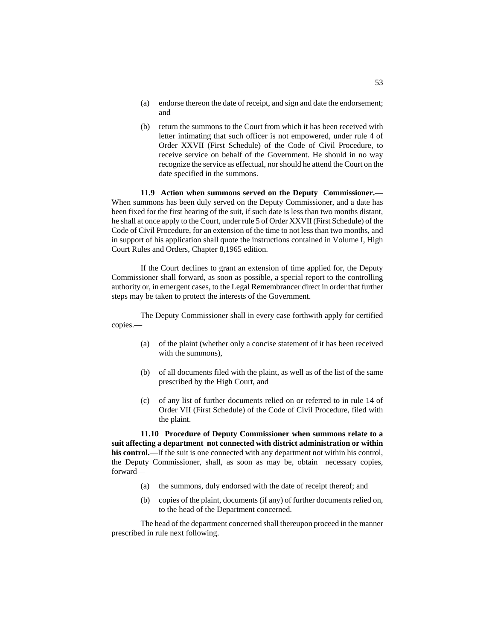- (a) endorse thereon the date of receipt, and sign and date the endorsement; and
- (b) return the summons to the Court from which it has been received with letter intimating that such officer is not empowered, under rule 4 of Order XXVII (First Schedule) of the Code of Civil Procedure, to receive service on behalf of the Government. He should in no way recognize the service as effectual, nor should he attend the Court on the date specified in the summons.

**11.9 Action when summons served on the Deputy Commissioner.**— When summons has been duly served on the Deputy Commissioner, and a date has been fixed for the first hearing of the suit, if such date is less than two months distant, he shall at once apply to the Court, under rule 5 of Order XXVII (First Schedule) of the Code of Civil Procedure, for an extension of the time to not less than two months, and in support of his application shall quote the instructions contained in Volume I, High Court Rules and Orders, Chapter 8,1965 edition.

If the Court declines to grant an extension of time applied for, the Deputy Commissioner shall forward, as soon as possible, a special report to the controlling authority or, in emergent cases, to the Legal Remembrancer direct in order that further steps may be taken to protect the interests of the Government.

The Deputy Commissioner shall in every case forthwith apply for certified copies.—

- (a) of the plaint (whether only a concise statement of it has been received with the summons),
- (b) of all documents filed with the plaint, as well as of the list of the same prescribed by the High Court, and
- (c) of any list of further documents relied on or referred to in rule 14 of Order VII (First Schedule) of the Code of Civil Procedure, filed with the plaint.

**11.10 Procedure of Deputy Commissioner when summons relate to a suit affecting a department not connected with district administration or within his control.**—If the suit is one connected with any department not within his control, the Deputy Commissioner, shall, as soon as may be, obtain necessary copies, forward—

- (a) the summons, duly endorsed with the date of receipt thereof; and
- (b) copies of the plaint, documents (if any) of further documents relied on, to the head of the Department concerned.

The head of the department concerned shall thereupon proceed in the manner prescribed in rule next following.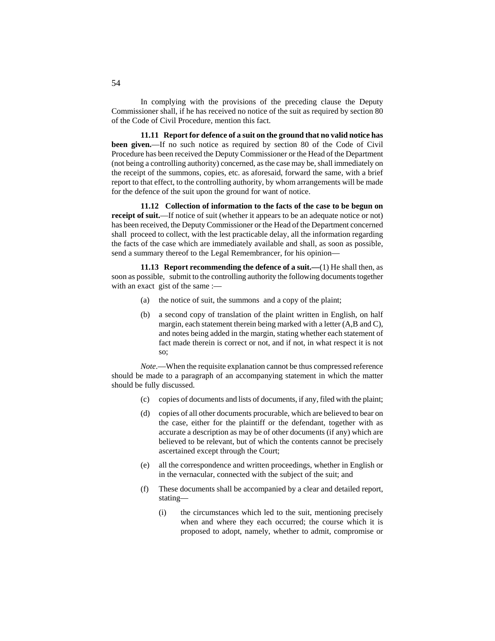In complying with the provisions of the preceding clause the Deputy Commissioner shall, if he has received no notice of the suit as required by section 80 of the Code of Civil Procedure, mention this fact.

**11.11 Report for defence of a suit on the ground that no valid notice has been given.**—If no such notice as required by section 80 of the Code of Civil Procedure has been received the Deputy Commissioner or the Head of the Department (not being a controlling authority) concerned, as the case may be, shall immediately on the receipt of the summons, copies, etc. as aforesaid, forward the same, with a brief report to that effect, to the controlling authority, by whom arrangements will be made for the defence of the suit upon the ground for want of notice.

**11.12 Collection of information to the facts of the case to be begun on receipt of suit.**—If notice of suit (whether it appears to be an adequate notice or not) has been received, the Deputy Commissioner or the Head of the Department concerned shall proceed to collect, with the lest practicable delay, all the information regarding the facts of the case which are immediately available and shall, as soon as possible, send a summary thereof to the Legal Remembrancer, for his opinion—

**11.13 Report recommending the defence of a suit.—**(1) He shall then, as soon as possible, submit to the controlling authority the following documents together with an exact gist of the same :—

- (a) the notice of suit, the summons and a copy of the plaint;
- (b) a second copy of translation of the plaint written in English, on half margin, each statement therein being marked with a letter (A,B and C), and notes being added in the margin, stating whether each statement of fact made therein is correct or not, and if not, in what respect it is not so;

*Note*.—When the requisite explanation cannot be thus compressed reference should be made to a paragraph of an accompanying statement in which the matter should be fully discussed.

- (c) copies of documents and lists of documents, if any, filed with the plaint;
- (d) copies of all other documents procurable, which are believed to bear on the case, either for the plaintiff or the defendant, together with as accurate a description as may be of other documents (if any) which are believed to be relevant, but of which the contents cannot be precisely ascertained except through the Court;
- (e) all the correspondence and written proceedings, whether in English or in the vernacular, connected with the subject of the suit; and
- (f) These documents shall be accompanied by a clear and detailed report, stating—
	- (i) the circumstances which led to the suit, mentioning precisely when and where they each occurred; the course which it is proposed to adopt, namely, whether to admit, compromise or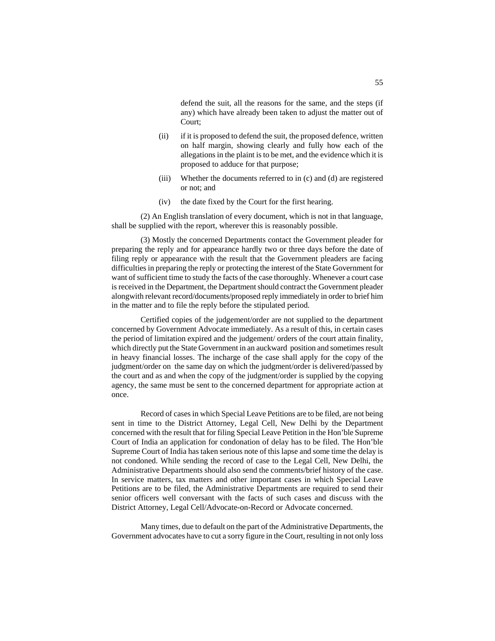defend the suit, all the reasons for the same, and the steps (if any) which have already been taken to adjust the matter out of Court;

- (ii) if it is proposed to defend the suit, the proposed defence, written on half margin, showing clearly and fully how each of the allegations in the plaint is to be met, and the evidence which it is proposed to adduce for that purpose;
- (iii) Whether the documents referred to in (c) and (d) are registered or not; and
- (iv) the date fixed by the Court for the first hearing.

(2) An English translation of every document, which is not in that language, shall be supplied with the report, wherever this is reasonably possible.

(3) Mostly the concerned Departments contact the Government pleader for preparing the reply and for appearance hardly two or three days before the date of filing reply or appearance with the result that the Government pleaders are facing difficulties in preparing the reply or protecting the interest of the State Government for want of sufficient time to study the facts of the case thoroughly. Whenever a court case is received in the Department, the Department should contract the Government pleader alongwith relevant record/documents/proposed reply immediately in order to brief him in the matter and to file the reply before the stipulated period.

Certified copies of the judgement/order are not supplied to the department concerned by Government Advocate immediately. As a result of this, in certain cases the period of limitation expired and the judgement/ orders of the court attain finality, which directly put the State Government in an auckward position and sometimes result in heavy financial losses. The incharge of the case shall apply for the copy of the judgment/order on the same day on which the judgment/order is delivered/passed by the court and as and when the copy of the judgment/order is supplied by the copying agency, the same must be sent to the concerned department for appropriate action at once.

Record of cases in which Special Leave Petitions are to be filed, are not being sent in time to the District Attorney, Legal Cell, New Delhi by the Department concerned with the result that for filing Special Leave Petition in the Hon'ble Supreme Court of India an application for condonation of delay has to be filed. The Hon'ble Supreme Court of India has taken serious note of this lapse and some time the delay is not condoned. While sending the record of case to the Legal Cell, New Delhi, the Administrative Departments should also send the comments/brief history of the case. In service matters, tax matters and other important cases in which Special Leave Petitions are to be filed, the Administrative Departments are required to send their senior officers well conversant with the facts of such cases and discuss with the District Attorney, Legal Cell/Advocate-on-Record or Advocate concerned.

Many times, due to default on the part of the Administrative Departments, the Government advocates have to cut a sorry figure in the Court, resulting in not only loss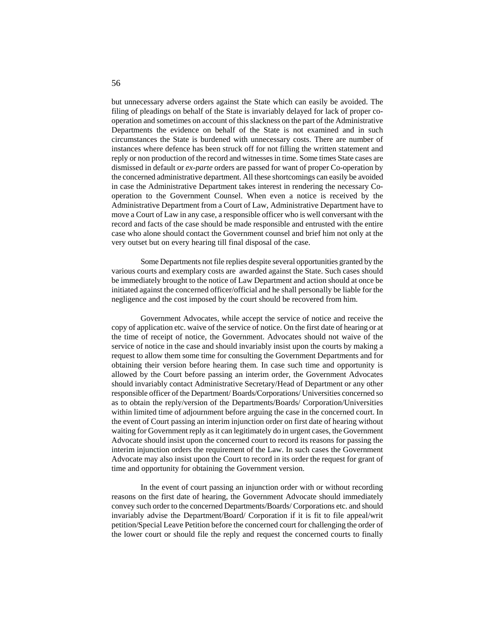but unnecessary adverse orders against the State which can easily be avoided. The filing of pleadings on behalf of the State is invariably delayed for lack of proper cooperation and sometimes on account of this slackness on the part of the Administrative Departments the evidence on behalf of the State is not examined and in such circumstances the State is burdened with unnecessary costs. There are number of instances where defence has been struck off for not filling the written statement and reply or non production of the record and witnesses in time. Some times State cases are dismissed in default or *ex-parte* orders are passed for want of proper Co-operation by the concerned administrative department. All these shortcomings can easily be avoided in case the Administrative Department takes interest in rendering the necessary Cooperation to the Government Counsel. When even a notice is received by the Administrative Department from a Court of Law, Administrative Department have to move a Court of Law in any case, a responsible officer who is well conversant with the record and facts of the case should be made responsible and entrusted with the entire case who alone should contact the Government counsel and brief him not only at the very outset but on every hearing till final disposal of the case.

Some Departments not file replies despite several opportunities granted by the various courts and exemplary costs are awarded against the State. Such cases should be immediately brought to the notice of Law Department and action should at once be initiated against the concerned officer/official and he shall personally be liable for the negligence and the cost imposed by the court should be recovered from him.

Government Advocates, while accept the service of notice and receive the copy of application etc. waive of the service of notice. On the first date of hearing or at the time of receipt of notice, the Government. Advocates should not waive of the service of notice in the case and should invariably insist upon the courts by making a request to allow them some time for consulting the Government Departments and for obtaining their version before hearing them. In case such time and opportunity is allowed by the Court before passing an interim order, the Government Advocates should invariably contact Administrative Secretary/Head of Department or any other responsible officer of the Department/ Boards/Corporations/ Universities concerned so as to obtain the reply/version of the Departments/Boards/ Corporation/Universities within limited time of adjournment before arguing the case in the concerned court. In the event of Court passing an interim injunction order on first date of hearing without waiting for Government reply as it can legitimately do in urgent cases, the Government Advocate should insist upon the concerned court to record its reasons for passing the interim injunction orders the requirement of the Law. In such cases the Government Advocate may also insist upon the Court to record in its order the request for grant of time and opportunity for obtaining the Government version.

In the event of court passing an injunction order with or without recording reasons on the first date of hearing, the Government Advocate should immediately convey such order to the concerned Departments/Boards/ Corporations etc. and should invariably advise the Department/Board/ Corporation if it is fit to file appeal/writ petition/Special Leave Petition before the concerned court for challenging the order of the lower court or should file the reply and request the concerned courts to finally

56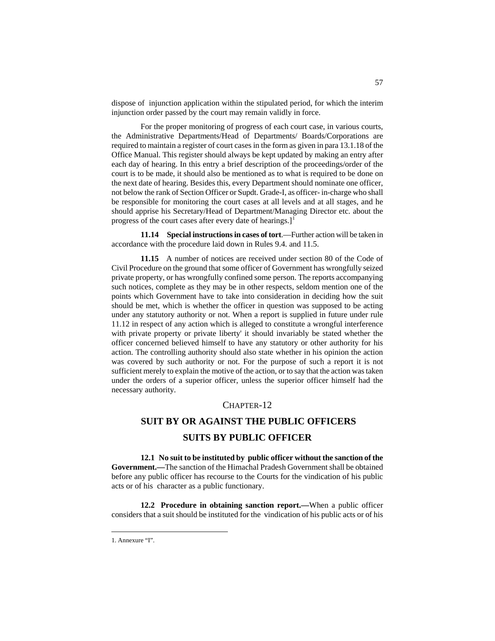dispose of injunction application within the stipulated period, for which the interim injunction order passed by the court may remain validly in force.

For the proper monitoring of progress of each court case, in various courts, the Administrative Departments/Head of Departments/ Boards/Corporations are required to maintain a register of court cases in the form as given in para 13.1.18 of the Office Manual. This register should always be kept updated by making an entry after each day of hearing. In this entry a brief description of the proceedings/order of the court is to be made, it should also be mentioned as to what is required to be done on the next date of hearing. Besides this, every Department should nominate one officer, not below the rank of Section Officer or Supdt. Grade-I, as officer- in-charge who shall be responsible for monitoring the court cases at all levels and at all stages, and he should apprise his Secretary/Head of Department/Managing Director etc. about the progress of the court cases after every date of hearings. $]$ <sup>[1](#page-170-0)</sup>

**11.14 Special instructions in cases of tort**.—Further action will be taken in accordance with the procedure laid down in Rules 9.4. and 11.5.

**11.15** A number of notices are received under section 80 of the Code of Civil Procedure on the ground that some officer of Government has wrongfully seized private property, or has wrongfully confined some person. The reports accompanying such notices, complete as they may be in other respects, seldom mention one of the points which Government have to take into consideration in deciding how the suit should be met, which is whether the officer in question was supposed to be acting under any statutory authority or not. When a report is supplied in future under rule 11.12 in respect of any action which is alleged to constitute a wrongful interference with private property or private liberty' it should invariably be stated whether the officer concerned believed himself to have any statutory or other authority for his action. The controlling authority should also state whether in his opinion the action was covered by such authority or not. For the purpose of such a report it is not sufficient merely to explain the motive of the action, or to say that the action was taken under the orders of a superior officer, unless the superior officer himself had the necessary authority.

# CHAPTER-12

# **SUIT BY OR AGAINST THE PUBLIC OFFICERS SUITS BY PUBLIC OFFICER**

**12.1 No suit to be instituted by public officer without the sanction of the Government.—**The sanction of the Himachal Pradesh Government shall be obtained before any public officer has recourse to the Courts for the vindication of his public acts or of his character as a public functionary.

**12.2 Procedure in obtaining sanction report.—**When a public officer considers that a suit should be instituted for the vindication of his public acts or of his

<span id="page-170-0"></span> <sup>1.</sup> Annexure "I".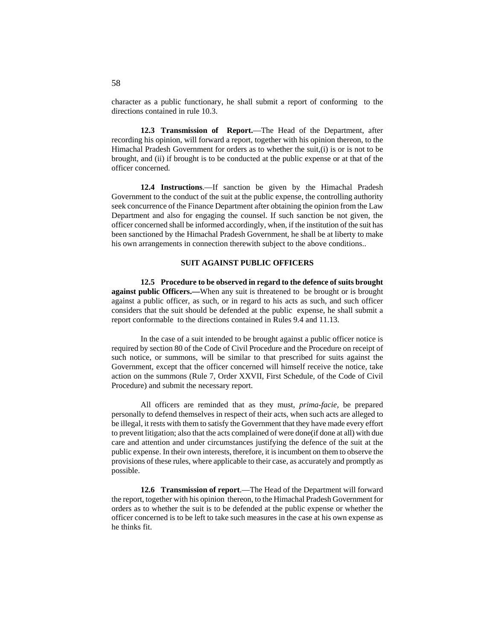character as a public functionary, he shall submit a report of conforming to the directions contained in rule 10.3.

**12.3 Transmission of Report.**—The Head of the Department, after recording his opinion, will forward a report, together with his opinion thereon, to the Himachal Pradesh Government for orders as to whether the suit,(i) is or is not to be brought, and (ii) if brought is to be conducted at the public expense or at that of the officer concerned.

**12.4 Instructions**.—If sanction be given by the Himachal Pradesh Government to the conduct of the suit at the public expense, the controlling authority seek concurrence of the Finance Department after obtaining the opinion from the Law Department and also for engaging the counsel. If such sanction be not given, the officer concerned shall be informed accordingly, when, if the institution of the suit has been sanctioned by the Himachal Pradesh Government, he shall be at liberty to make his own arrangements in connection therewith subject to the above conditions..

## **SUIT AGAINST PUBLIC OFFICERS**

**12.5 Procedure to be observed in regard to the defence of suits brought against public Officers.—**When any suit is threatened to be brought or is brought against a public officer, as such, or in regard to his acts as such, and such officer considers that the suit should be defended at the public expense, he shall submit a report conformable to the directions contained in Rules 9.4 and 11.13.

In the case of a suit intended to be brought against a public officer notice is required by section 80 of the Code of Civil Procedure and the Procedure on receipt of such notice, or summons, will be similar to that prescribed for suits against the Government, except that the officer concerned will himself receive the notice, take action on the summons (Rule 7, Order XXVII, First Schedule, of the Code of Civil Procedure) and submit the necessary report.

All officers are reminded that as they must, *prima-facie,* be prepared personally to defend themselves in respect of their acts, when such acts are alleged to be illegal, it rests with them to satisfy the Government that they have made every effort to prevent litigation; also that the acts complained of were done(if done at all) with due care and attention and under circumstances justifying the defence of the suit at the public expense. In their own interests, therefore, it is incumbent on them to observe the provisions of these rules, where applicable to their case, as accurately and promptly as possible.

**12.6 Transmission of report**.—The Head of the Department will forward the report, together with his opinion thereon, to the Himachal Pradesh Government for orders as to whether the suit is to be defended at the public expense or whether the officer concerned is to be left to take such measures in the case at his own expense as he thinks fit.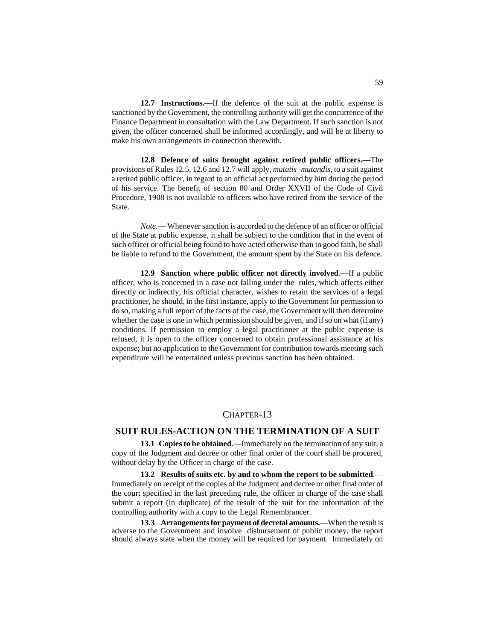**12.7 Instructions.—**If the defence of the suit at the public expense is sanctioned by the Government, the controlling authority will get the concurrence of the Finance Department in consultation with the Law Department. If such sanction is not given, the officer concerned shall be informed accordingly, and will be at liberty to make his own arrangements in connection therewith.

**12.8 Defence of suits brought against retired public officers.**—The provisions of Rules 12.5, 12.6 and 12.7 will apply, *mutatis -mutandis,* to a suit against a retired public officer, in regard to an official act performed by him during the period of his service. The benefit of section 80 and Order XXVII of the Code of Civil Procedure, 1908 is not available to officers who have retired from the service of the State.

*Note*.— Whenever sanction is accorded to the defence of an officer or official of the State at public expense, it shall be subject to the condition that in the event of such officer or official being found to have acted otherwise than in good faith, he shall be liable to refund to the Government, the amount spent by the State on his defence.

**12.9 Sanction where public officer not directly involved**.—If a public officer, who is concerned in a case not falling under the rules, which affects either directly or indirectly, his official character, wishes to retain the services of a legal practitioner, he should, in the first instance, apply to the Government for permission to do so, making a full report of the facts of the case, the Government will then determine whether the case is one in which permission should be given, and if so on what (if any) conditions. If permission to employ a legal practitioner at the public expense is refused, it is open to the officer concerned to obtain professional assistance at his expense; but no application to the Government for contribution towards meeting such expenditure will be entertained unless previous sanction has been obtained.

## CHAPTER-13

## **SUIT RULES-ACTION ON THE TERMINATION OF A SUIT**

**13.1 Copies to be obtained**.—Immediately on the termination of any suit, a copy of the Judgment and decree or other final order of the court shall be procured, without delay by the Officer in charge of the case.

**13.2 Results of suits etc. by and to whom the report to be submitted**.— Immediately on receipt of the copies of the Judgment and decree or other final order of the court specified in the last preceding rule, the officer in charge of the case shall submit a report (in duplicate) of the result of the suit for the information of the controlling authority with a copy to the Legal Remembrancer.

**13.3 Arrangements for payment of decretal amounts.**—When the result is adverse to the Government and involve disbursement of public money, the report should always state when the money will be required for payment. Immediately on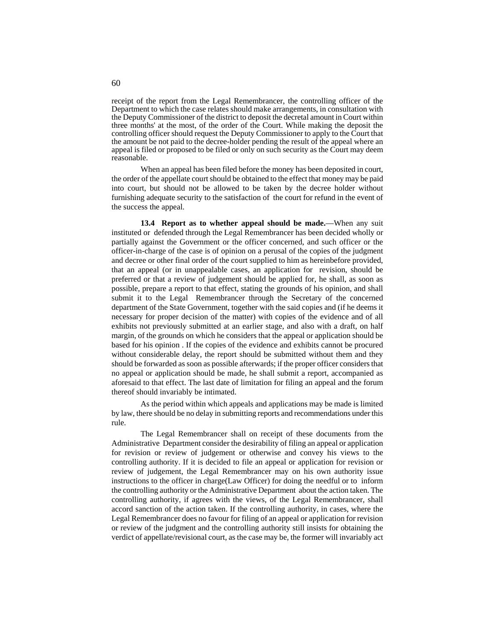receipt of the report from the Legal Remembrancer, the controlling officer of the Department to which the case relates should make arrangements, in consultation with the Deputy Commissioner of the district to deposit the decretal amount in Court within three months' at the most, of the order of the Court. While making the deposit the controlling officer should request the Deputy Commissioner to apply to the Court that the amount be not paid to the decree-holder pending the result of the appeal where an appeal is filed or proposed to be filed or only on such security as the Court may deem reasonable.

When an appeal has been filed before the money has been deposited in court, the order of the appellate court should be obtained to the effect that money may be paid into court, but should not be allowed to be taken by the decree holder without furnishing adequate security to the satisfaction of the court for refund in the event of the success the appeal.

**13.4 Report as to whether appeal should be made.**—When any suit instituted or defended through the Legal Remembrancer has been decided wholly or partially against the Government or the officer concerned, and such officer or the officer-in-charge of the case is of opinion on a perusal of the copies of the judgment and decree or other final order of the court supplied to him as hereinbefore provided, that an appeal (or in unappealable cases, an application for revision, should be preferred or that a review of judgement should be applied for, he shall, as soon as possible, prepare a report to that effect, stating the grounds of his opinion, and shall submit it to the Legal Remembrancer through the Secretary of the concerned department of the State Government, together with the said copies and (if he deems it necessary for proper decision of the matter) with copies of the evidence and of all exhibits not previously submitted at an earlier stage, and also with a draft, on half margin, of the grounds on which he considers that the appeal or application should be based for his opinion . If the copies of the evidence and exhibits cannot be procured without considerable delay, the report should be submitted without them and they should be forwarded as soon as possible afterwards; if the proper officer considers that no appeal or application should be made, he shall submit a report, accompanied as aforesaid to that effect. The last date of limitation for filing an appeal and the forum thereof should invariably be intimated.

As the period within which appeals and applications may be made is limited by law, there should be no delay in submitting reports and recommendations under this rule.

The Legal Remembrancer shall on receipt of these documents from the Administrative Department consider the desirability of filing an appeal or application for revision or review of judgement or otherwise and convey his views to the controlling authority. If it is decided to file an appeal or application for revision or review of judgement, the Legal Remembrancer may on his own authority issue instructions to the officer in charge(Law Officer) for doing the needful or to inform the controlling authority or the Administrative Department about the action taken. The controlling authority, if agrees with the views, of the Legal Remembrancer, shall accord sanction of the action taken. If the controlling authority, in cases, where the Legal Remembrancer does no favour for filing of an appeal or application for revision or review of the judgment and the controlling authority still insists for obtaining the verdict of appellate/revisional court, as the case may be, the former will invariably act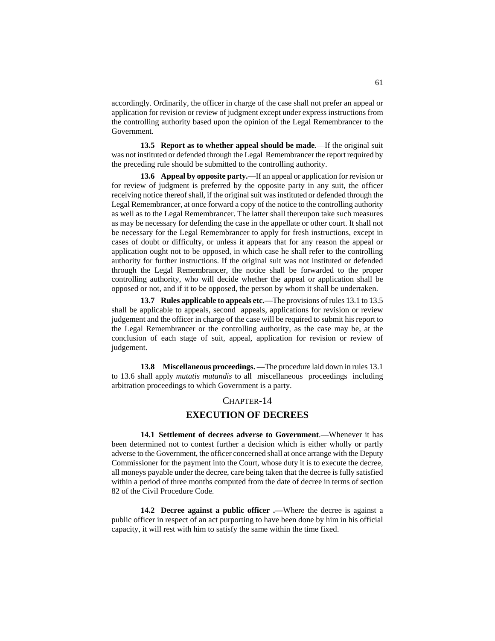accordingly. Ordinarily, the officer in charge of the case shall not prefer an appeal or application for revision or review of judgment except under express instructions from the controlling authority based upon the opinion of the Legal Remembrancer to the Government.

**13.5 Report as to whether appeal should be made**.—If the original suit was not instituted or defended through the Legal Remembrancer the report required by the preceding rule should be submitted to the controlling authority.

**13.6 Appeal by opposite party.**—If an appeal or application for revision or for review of judgment is preferred by the opposite party in any suit, the officer receiving notice thereof shall, if the original suit was instituted or defended through the Legal Remembrancer, at once forward a copy of the notice to the controlling authority as well as to the Legal Remembrancer. The latter shall thereupon take such measures as may be necessary for defending the case in the appellate or other court. It shall not be necessary for the Legal Remembrancer to apply for fresh instructions, except in cases of doubt or difficulty, or unless it appears that for any reason the appeal or application ought not to be opposed, in which case he shall refer to the controlling authority for further instructions. If the original suit was not instituted or defended through the Legal Remembrancer, the notice shall be forwarded to the proper controlling authority, who will decide whether the appeal or application shall be opposed or not, and if it to be opposed, the person by whom it shall be undertaken.

**13.7 Rules applicable to appeals etc.—**The provisions of rules 13.1 to 13.5 shall be applicable to appeals, second appeals, applications for revision or review judgement and the officer in charge of the case will be required to submit his report to the Legal Remembrancer or the controlling authority, as the case may be, at the conclusion of each stage of suit, appeal, application for revision or review of judgement.

**13.8 Miscellaneous proceedings. —**The procedure laid down in rules 13.1 to 13.6 shall apply *mutatis mutandis* to all miscellaneous proceedings including arbitration proceedings to which Government is a party.

#### CHAPTER-14

## **EXECUTION OF DECREES**

**14.1 Settlement of decrees adverse to Government**.—Whenever it has been determined not to contest further a decision which is either wholly or partly adverse to the Government, the officer concerned shall at once arrange with the Deputy Commissioner for the payment into the Court, whose duty it is to execute the decree, all moneys payable under the decree, care being taken that the decree is fully satisfied within a period of three months computed from the date of decree in terms of section 82 of the Civil Procedure Code.

**14.2 Decree against a public officer .—**Where the decree is against a public officer in respect of an act purporting to have been done by him in his official capacity, it will rest with him to satisfy the same within the time fixed.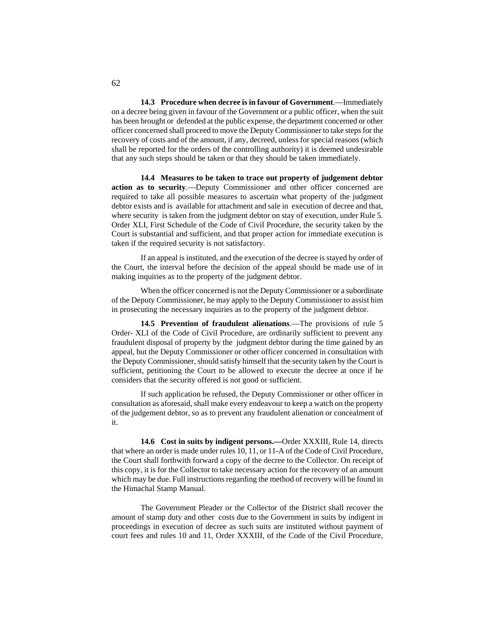**14.3 Procedure when decree is in favour of Government**.—Immediately on a decree being given in favour of the Government or a public officer, when the suit has been brought or defended at the public expense, the department concerned or other officer concerned shall proceed to move the Deputy Commissioner to take steps for the recovery of costs and of the amount, if any, decreed, unless for special reasons (which shall be reported for the orders of the controlling authority) it is deemed undesirable that any such steps should be taken or that they should be taken immediately.

**14.4 Measures to be taken to trace out property of judgement debtor action as to security**.—Deputy Commissioner and other officer concerned are required to take all possible measures to ascertain what property of the judgment debtor exists and is available for attachment and sale in execution of decree and that, where security is taken from the judgment debtor on stay of execution, under Rule 5. Order XLI, First Schedule of the Code of Civil Procedure, the security taken by the Court is substantial and sufficient, and that proper action for immediate execution is taken if the required security is not satisfactory.

If an appeal is instituted, and the execution of the decree is stayed by order of the Court, the interval before the decision of the appeal should be made use of in making inquiries as to the property of the judgment debtor.

When the officer concerned is not the Deputy Commissioner or a subordinate of the Deputy Commissioner, he may apply to the Deputy Commissioner to assist him in prosecuting the necessary inquiries as to the property of the judgment debtor.

**14.5 Prevention of fraudulent alienations**.—The provisions of rule 5 Order- XLI of the Code of Civil Procedure, are ordinarily sufficient to prevent any fraudulent disposal of property by the judgment debtor during the time gained by an appeal, but the Deputy Commissioner or other officer concerned in consultation with the Deputy Commissioner, should satisfy himself that the security taken by the Court is sufficient, petitioning the Court to be allowed to execute the decree at once if he considers that the security offered is not good or sufficient.

If such application be refused, the Deputy Commissioner or other officer in consultation as aforesaid, shall make every endeavour to keep a watch on the property of the judgement debtor, so as to prevent any fraudulent alienation or concealment of it.

**14.6 Cost in suits by indigent persons.—**Order XXXIII, Rule 14, directs that where an order is made under rules 10, 11, or 11-A of the Code of Civil Procedure, the Court shall forthwith forward a copy of the decree to the Collector. On receipt of this copy, it is for the Collector to take necessary action for the recovery of an amount which may be due. Full instructions regarding the method of recovery will be found in the Himachal Stamp Manual.

The Government Pleader or the Collector of the District shall recover the amount of stamp duty and other costs due to the Government in suits by indigent in proceedings in execution of decree as such suits are instituted without payment of court fees and rules 10 and 11, Order XXXIII, of the Code of the Civil Procedure,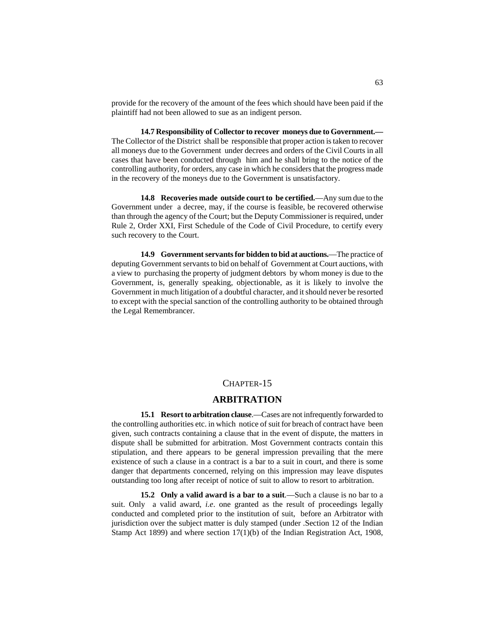provide for the recovery of the amount of the fees which should have been paid if the plaintiff had not been allowed to sue as an indigent person.

**14.7 Responsibility of Collector to recover moneys due to Government.—** The Collector of the District shall be responsible that proper action is taken to recover all moneys due to the Government under decrees and orders of the Civil Courts in all cases that have been conducted through him and he shall bring to the notice of the controlling authority, for orders, any case in which he considers that the progress made in the recovery of the moneys due to the Government is unsatisfactory.

**14.8 Recoveries made outside court to be certified.**—Any sum due to the Government under a decree, may, if the course is feasible, be recovered otherwise than through the agency of the Court; but the Deputy Commissioner is required, under Rule 2, Order XXI, First Schedule of the Code of Civil Procedure, to certify every such recovery to the Court.

**14.9 Government servants for bidden to bid at auctions.**—The practice of deputing Government servants to bid on behalf of Government at Court auctions, with a view to purchasing the property of judgment debtors by whom money is due to the Government, is, generally speaking, objectionable, as it is likely to involve the Government in much litigation of a doubtful character, and it should never be resorted to except with the special sanction of the controlling authority to be obtained through the Legal Remembrancer.

## CHAPTER-15

## **ARBITRATION**

**15.1 Resort to arbitration clause**.—Cases are not infrequently forwarded to the controlling authorities etc. in which notice of suit for breach of contract have been given, such contracts containing a clause that in the event of dispute, the matters in dispute shall be submitted for arbitration. Most Government contracts contain this stipulation, and there appears to be general impression prevailing that the mere existence of such a clause in a contract is a bar to a suit in court, and there is some danger that departments concerned, relying on this impression may leave disputes outstanding too long after receipt of notice of suit to allow to resort to arbitration.

**15.2 Only a valid award is a bar to a suit**.—Such a clause is no bar to a suit. Only a valid award, *i.e*. one granted as the result of proceedings legally conducted and completed prior to the institution of suit, before an Arbitrator with jurisdiction over the subject matter is duly stamped (under .Section 12 of the Indian Stamp Act 1899) and where section 17(1)(b) of the Indian Registration Act, 1908,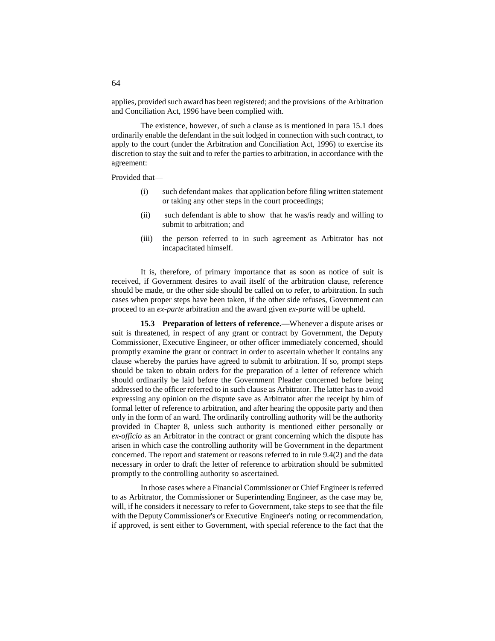applies, provided such award has been registered; and the provisions of the Arbitration and Conciliation Act, 1996 have been complied with.

The existence, however, of such a clause as is mentioned in para 15.1 does ordinarily enable the defendant in the suit lodged in connection with such contract, to apply to the court (under the Arbitration and Conciliation Act, 1996) to exercise its discretion to stay the suit and to refer the parties to arbitration, in accordance with the agreement:

Provided that—

- (i) such defendant makes that application before filing written statement or taking any other steps in the court proceedings;
- (ii) such defendant is able to show that he was/is ready and willing to submit to arbitration; and
- (iii) the person referred to in such agreement as Arbitrator has not incapacitated himself.

It is, therefore, of primary importance that as soon as notice of suit is received, if Government desires to avail itself of the arbitration clause, reference should be made, or the other side should be called on to refer, to arbitration. In such cases when proper steps have been taken, if the other side refuses, Government can proceed to an *ex-parte* arbitration and the award given *ex-parte* will be upheld.

**15.3 Preparation of letters of reference.—**Whenever a dispute arises or suit is threatened, in respect of any grant or contract by Government, the Deputy Commissioner, Executive Engineer, or other officer immediately concerned, should promptly examine the grant or contract in order to ascertain whether it contains any clause whereby the parties have agreed to submit to arbitration. If so, prompt steps should be taken to obtain orders for the preparation of a letter of reference which should ordinarily be laid before the Government Pleader concerned before being addressed to the officer referred to in such clause as Arbitrator. The latter has to avoid expressing any opinion on the dispute save as Arbitrator after the receipt by him of formal letter of reference to arbitration, and after hearing the opposite party and then only in the form of an ward. The ordinarily controlling authority will be the authority provided in Chapter 8, unless such authority is mentioned either personally or *ex-officio* as an Arbitrator in the contract or grant concerning which the dispute has arisen in which case the controlling authority will be Government in the department concerned. The report and statement or reasons referred to in rule 9.4(2) and the data necessary in order to draft the letter of reference to arbitration should be submitted promptly to the controlling authority so ascertained.

In those cases where a Financial Commissioner or Chief Engineer is referred to as Arbitrator, the Commissioner or Superintending Engineer, as the case may be, will, if he considers it necessary to refer to Government, take steps to see that the file with the Deputy Commissioner's or Executive Engineer's noting or recommendation, if approved, is sent either to Government, with special reference to the fact that the

64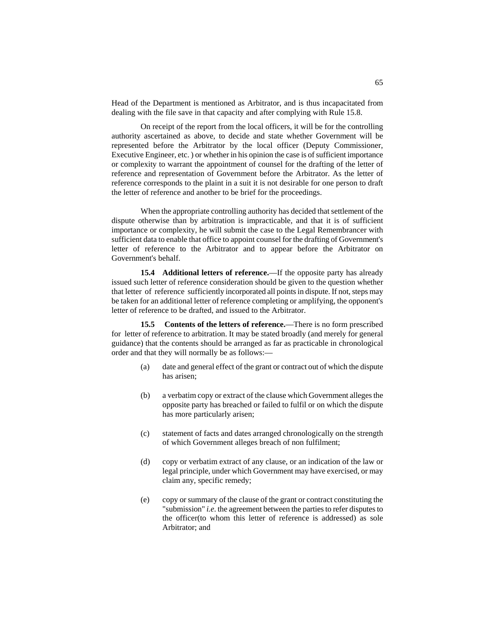Head of the Department is mentioned as Arbitrator, and is thus incapacitated from dealing with the file save in that capacity and after complying with Rule 15.8.

On receipt of the report from the local officers, it will be for the controlling authority ascertained as above, to decide and state whether Government will be represented before the Arbitrator by the local officer (Deputy Commissioner, Executive Engineer, etc. ) or whether in his opinion the case is of sufficient importance or complexity to warrant the appointment of counsel for the drafting of the letter of reference and representation of Government before the Arbitrator. As the letter of reference corresponds to the plaint in a suit it is not desirable for one person to draft the letter of reference and another to be brief for the proceedings.

When the appropriate controlling authority has decided that settlement of the dispute otherwise than by arbitration is impracticable, and that it is of sufficient importance or complexity, he will submit the case to the Legal Remembrancer with sufficient data to enable that office to appoint counsel for the drafting of Government's letter of reference to the Arbitrator and to appear before the Arbitrator on Government's behalf.

**15.4 Additional letters of reference.**—If the opposite party has already issued such letter of reference consideration should be given to the question whether that letter of reference sufficiently incorporated all points in dispute. If not, steps may be taken for an additional letter of reference completing or amplifying, the opponent's letter of reference to be drafted, and issued to the Arbitrator.

**15.5 Contents of the letters of reference.**—There is no form prescribed for letter of reference to arbitration. It may be stated broadly (and merely for general guidance) that the contents should be arranged as far as practicable in chronological order and that they will normally be as follows:—

- (a) date and general effect of the grant or contract out of which the dispute has arisen;
- (b) a verbatim copy or extract of the clause which Government alleges the opposite party has breached or failed to fulfil or on which the dispute has more particularly arisen;
- (c) statement of facts and dates arranged chronologically on the strength of which Government alleges breach of non fulfilment;
- (d) copy or verbatim extract of any clause, or an indication of the law or legal principle, under which Government may have exercised, or may claim any, specific remedy;
- (e) copy or summary of the clause of the grant or contract constituting the "submission" *i.e*. the agreement between the parties to refer disputes to the officer(to whom this letter of reference is addressed) as sole Arbitrator; and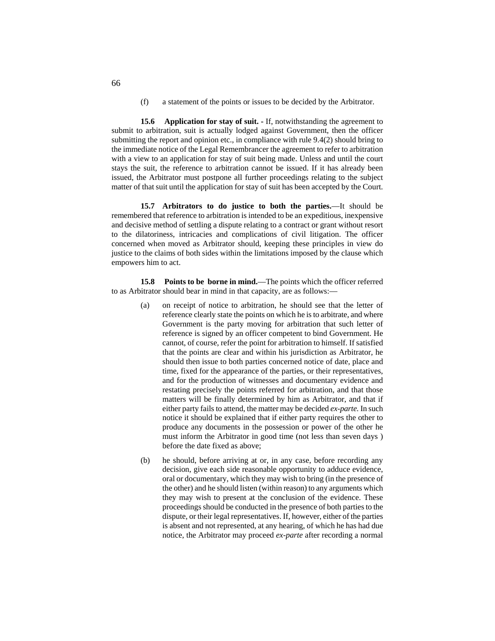(f) a statement of the points or issues to be decided by the Arbitrator.

**15.6 Application for stay of suit. -** If, notwithstanding the agreement to submit to arbitration, suit is actually lodged against Government, then the officer submitting the report and opinion etc., in compliance with rule 9.4(2) should bring to the immediate notice of the Legal Remembrancer the agreement to refer to arbitration with a view to an application for stay of suit being made. Unless and until the court stays the suit, the reference to arbitration cannot be issued. If it has already been issued, the Arbitrator must postpone all further proceedings relating to the subject matter of that suit until the application for stay of suit has been accepted by the Court.

**15.7 Arbitrators to do justice to both the parties.**—It should be remembered that reference to arbitration is intended to be an expeditious, inexpensive and decisive method of settling a dispute relating to a contract or grant without resort to the dilatoriness, intricacies and complications of civil litigation. The officer concerned when moved as Arbitrator should, keeping these principles in view do justice to the claims of both sides within the limitations imposed by the clause which empowers him to act.

**15.8 Points to be borne in mind.**—The points which the officer referred to as Arbitrator should bear in mind in that capacity, are as follows:—

- (a) on receipt of notice to arbitration, he should see that the letter of reference clearly state the points on which he is to arbitrate, and where Government is the party moving for arbitration that such letter of reference is signed by an officer competent to bind Government. He cannot, of course, refer the point for arbitration to himself. If satisfied that the points are clear and within his jurisdiction as Arbitrator, he should then issue to both parties concerned notice of date, place and time, fixed for the appearance of the parties, or their representatives, and for the production of witnesses and documentary evidence and restating precisely the points referred for arbitration, and that those matters will be finally determined by him as Arbitrator, and that if either party fails to attend, the matter may be decided *ex-parte.* In such notice it should be explained that if either party requires the other to produce any documents in the possession or power of the other he must inform the Arbitrator in good time (not less than seven days ) before the date fixed as above;
- (b) he should, before arriving at or, in any case, before recording any decision, give each side reasonable opportunity to adduce evidence, oral or documentary, which they may wish to bring (in the presence of the other) and he should listen (within reason) to any arguments which they may wish to present at the conclusion of the evidence. These proceedings should be conducted in the presence of both parties to the dispute, or their legal representatives. If, however, either of the parties is absent and not represented, at any hearing, of which he has had due notice, the Arbitrator may proceed *ex-parte* after recording a normal

66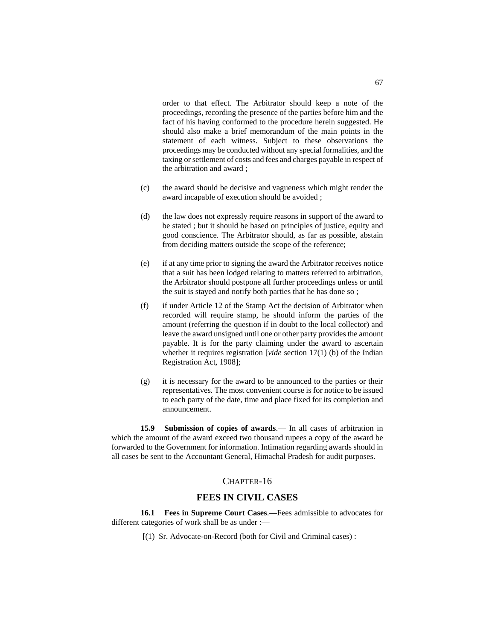order to that effect. The Arbitrator should keep a note of the proceedings, recording the presence of the parties before him and the fact of his having conformed to the procedure herein suggested. He should also make a brief memorandum of the main points in the statement of each witness. Subject to these observations the proceedings may be conducted without any special formalities, and the taxing or settlement of costs and fees and charges payable in respect of the arbitration and award ;

- (c) the award should be decisive and vagueness which might render the award incapable of execution should be avoided ;
- (d) the law does not expressly require reasons in support of the award to be stated ; but it should be based on principles of justice, equity and good conscience. The Arbitrator should, as far as possible, abstain from deciding matters outside the scope of the reference;
- (e) if at any time prior to signing the award the Arbitrator receives notice that a suit has been lodged relating to matters referred to arbitration, the Arbitrator should postpone all further proceedings unless or until the suit is stayed and notify both parties that he has done so ;
- (f) if under Article 12 of the Stamp Act the decision of Arbitrator when recorded will require stamp, he should inform the parties of the amount (referring the question if in doubt to the local collector) and leave the award unsigned until one or other party provides the amount payable. It is for the party claiming under the award to ascertain whether it requires registration [*vide* section 17(1) (b) of the Indian Registration Act, 1908];
- (g) it is necessary for the award to be announced to the parties or their representatives. The most convenient course is for notice to be issued to each party of the date, time and place fixed for its completion and announcement.

**15.9 Submission of copies of awards**.— In all cases of arbitration in which the amount of the award exceed two thousand rupees a copy of the award be forwarded to the Government for information. Intimation regarding awards should in all cases be sent to the Accountant General, Himachal Pradesh for audit purposes.

## CHAPTER-16

## **FEES IN CIVIL CASES**

**16.1 Fees in Supreme Court Cases**.—Fees admissible to advocates for different categories of work shall be as under :—

[(1) Sr. Advocate-on-Record (both for Civil and Criminal cases) :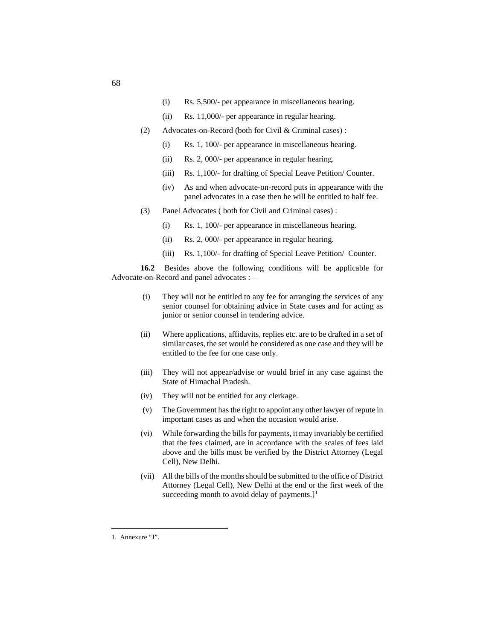- (i) Rs. 5,500/- per appearance in miscellaneous hearing.
- (ii) Rs. 11,000/- per appearance in regular hearing.
- (2) Advocates-on-Record (both for Civil & Criminal cases) :
	- (i) Rs. 1, 100/- per appearance in miscellaneous hearing.
	- (ii) Rs. 2, 000/- per appearance in regular hearing.
	- (iii) Rs. 1,100/- for drafting of Special Leave Petition/ Counter.
	- (iv) As and when advocate-on-record puts in appearance with the panel advocates in a case then he will be entitled to half fee.
- (3) Panel Advocates ( both for Civil and Criminal cases) :
	- (i) Rs. 1, 100/- per appearance in miscellaneous hearing.
	- (ii) Rs. 2, 000/- per appearance in regular hearing.
	- (iii) Rs. 1,100/- for drafting of Special Leave Petition/ Counter.

**16.2** Besides above the following conditions will be applicable for Advocate-on-Record and panel advocates :—

- (i) They will not be entitled to any fee for arranging the services of any senior counsel for obtaining advice in State cases and for acting as junior or senior counsel in tendering advice.
- (ii) Where applications, affidavits, replies etc. are to be drafted in a set of similar cases, the set would be considered as one case and they will be entitled to the fee for one case only.
- (iii) They will not appear/advise or would brief in any case against the State of Himachal Pradesh.
- (iv) They will not be entitled for any clerkage.
- (v) The Government has the right to appoint any other lawyer of repute in important cases as and when the occasion would arise.
- (vi) While forwarding the bills for payments, it may invariably be certified that the fees claimed, are in accordance with the scales of fees laid above and the bills must be verified by the District Attorney (Legal Cell), New Delhi.
- (vii) All the bills of the months should be submitted to the office of District Attorney (Legal Cell), New Delhi at the end or the first week of the succeeding month to avoid delay of payments.]<sup>[1](#page-181-0)</sup>

<span id="page-181-0"></span> <sup>1.</sup> Annexure "J".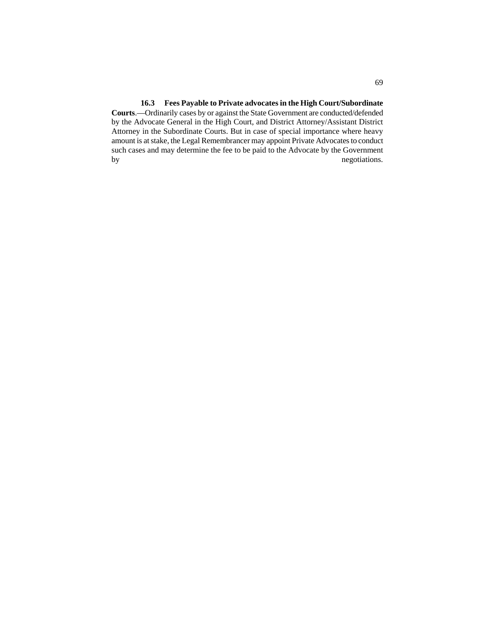## **16.3 Fees Payable to Private advocates in the High Court/Subordinate**

**Courts**.—Ordinarily cases by or against the State Government are conducted/defended by the Advocate General in the High Court, and District Attorney/Assistant District Attorney in the Subordinate Courts. But in case of special importance where heavy amount is at stake, the Legal Remembrancer may appoint Private Advocates to conduct such cases and may determine the fee to be paid to the Advocate by the Government by negotiations.